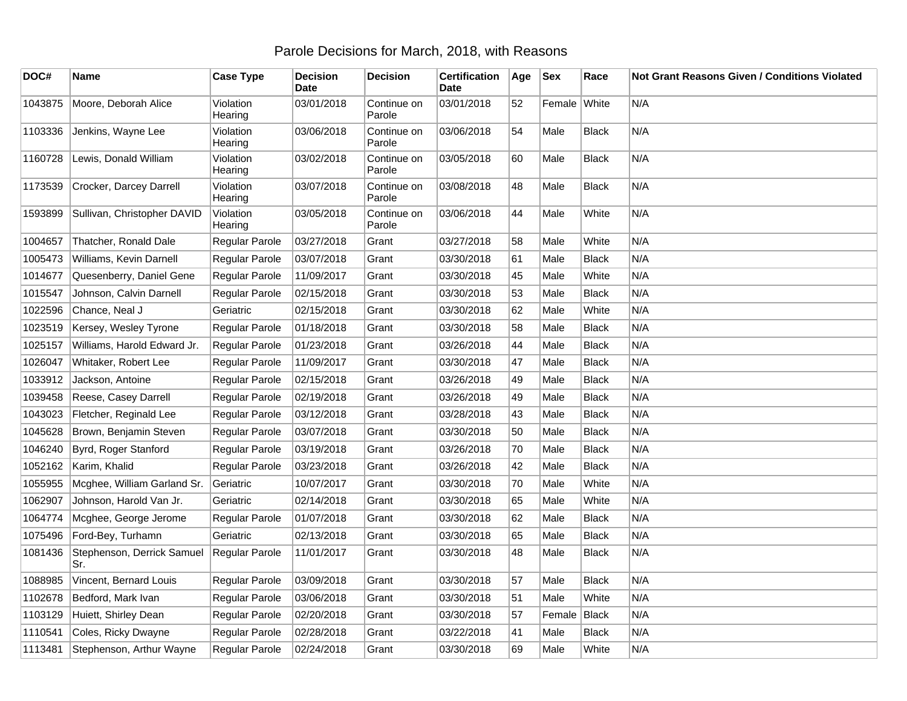## Parole Decisions for March, 2018, with Reasons

| DOC#    | Name                              | <b>Case Type</b>     | <b>Decision</b><br><b>Date</b> | Decision              | <b>Certification</b><br>Date | Age | <b>Sex</b>   | Race         | <b>Not Grant Reasons Given / Conditions Violated</b> |
|---------|-----------------------------------|----------------------|--------------------------------|-----------------------|------------------------------|-----|--------------|--------------|------------------------------------------------------|
| 1043875 | Moore, Deborah Alice              | Violation<br>Hearing | 03/01/2018                     | Continue on<br>Parole | 03/01/2018                   | 52  | Female White |              | N/A                                                  |
| 1103336 | Jenkins, Wayne Lee                | Violation<br>Hearing | 03/06/2018                     | Continue on<br>Parole | 03/06/2018                   | 54  | Male         | <b>Black</b> | N/A                                                  |
| 1160728 | Lewis, Donald William             | Violation<br>Hearing | 03/02/2018                     | Continue on<br>Parole | 03/05/2018                   | 60  | Male         | <b>Black</b> | N/A                                                  |
| 1173539 | Crocker, Darcey Darrell           | Violation<br>Hearing | 03/07/2018                     | Continue on<br>Parole | 03/08/2018                   | 48  | Male         | <b>Black</b> | N/A                                                  |
| 1593899 | Sullivan, Christopher DAVID       | Violation<br>Hearing | 03/05/2018                     | Continue on<br>Parole | 03/06/2018                   | 44  | Male         | White        | N/A                                                  |
| 1004657 | Thatcher, Ronald Dale             | Regular Parole       | 03/27/2018                     | Grant                 | 03/27/2018                   | 58  | Male         | White        | N/A                                                  |
| 1005473 | Williams, Kevin Darnell           | Regular Parole       | 03/07/2018                     | Grant                 | 03/30/2018                   | 61  | Male         | <b>Black</b> | N/A                                                  |
| 1014677 | Quesenberry, Daniel Gene          | Regular Parole       | 11/09/2017                     | Grant                 | 03/30/2018                   | 45  | Male         | White        | N/A                                                  |
| 1015547 | Johnson, Calvin Darnell           | Regular Parole       | 02/15/2018                     | Grant                 | 03/30/2018                   | 53  | Male         | <b>Black</b> | N/A                                                  |
| 1022596 | Chance, Neal J                    | Geriatric            | 02/15/2018                     | Grant                 | 03/30/2018                   | 62  | Male         | White        | N/A                                                  |
| 1023519 | Kersey, Wesley Tyrone             | Regular Parole       | 01/18/2018                     | Grant                 | 03/30/2018                   | 58  | Male         | <b>Black</b> | N/A                                                  |
| 1025157 | Williams, Harold Edward Jr.       | Regular Parole       | 01/23/2018                     | Grant                 | 03/26/2018                   | 44  | Male         | <b>Black</b> | N/A                                                  |
| 1026047 | Whitaker, Robert Lee              | Regular Parole       | 11/09/2017                     | Grant                 | 03/30/2018                   | 47  | Male         | <b>Black</b> | N/A                                                  |
| 1033912 | Jackson, Antoine                  | Regular Parole       | 02/15/2018                     | Grant                 | 03/26/2018                   | 49  | Male         | Black        | N/A                                                  |
| 1039458 | Reese, Casey Darrell              | Regular Parole       | 02/19/2018                     | Grant                 | 03/26/2018                   | 49  | Male         | Black        | N/A                                                  |
| 1043023 | Fletcher, Reginald Lee            | Regular Parole       | 03/12/2018                     | Grant                 | 03/28/2018                   | 43  | Male         | <b>Black</b> | N/A                                                  |
| 1045628 | Brown, Benjamin Steven            | Regular Parole       | 03/07/2018                     | Grant                 | 03/30/2018                   | 50  | Male         | <b>Black</b> | N/A                                                  |
| 1046240 | Byrd, Roger Stanford              | Regular Parole       | 03/19/2018                     | Grant                 | 03/26/2018                   | 70  | Male         | <b>Black</b> | N/A                                                  |
| 1052162 | Karim, Khalid                     | Regular Parole       | 03/23/2018                     | Grant                 | 03/26/2018                   | 42  | Male         | <b>Black</b> | N/A                                                  |
| 1055955 | Mcghee, William Garland Sr.       | Geriatric            | 10/07/2017                     | Grant                 | 03/30/2018                   | 70  | Male         | White        | N/A                                                  |
| 1062907 | Johnson, Harold Van Jr.           | Geriatric            | 02/14/2018                     | Grant                 | 03/30/2018                   | 65  | Male         | White        | N/A                                                  |
| 1064774 | Mcghee, George Jerome             | Regular Parole       | 01/07/2018                     | Grant                 | 03/30/2018                   | 62  | Male         | <b>Black</b> | N/A                                                  |
| 1075496 | Ford-Bey, Turhamn                 | Geriatric            | 02/13/2018                     | Grant                 | 03/30/2018                   | 65  | Male         | <b>Black</b> | N/A                                                  |
| 1081436 | Stephenson, Derrick Samuel<br>Sr. | Regular Parole       | 11/01/2017                     | Grant                 | 03/30/2018                   | 48  | Male         | <b>Black</b> | N/A                                                  |
| 1088985 | Vincent, Bernard Louis            | Regular Parole       | 03/09/2018                     | Grant                 | 03/30/2018                   | 57  | Male         | <b>Black</b> | N/A                                                  |
| 1102678 | Bedford, Mark Ivan                | Regular Parole       | 03/06/2018                     | Grant                 | 03/30/2018                   | 51  | Male         | White        | N/A                                                  |
| 1103129 | Huiett, Shirley Dean              | Regular Parole       | 02/20/2018                     | Grant                 | 03/30/2018                   | 57  | Female       | Black        | N/A                                                  |
| 1110541 | Coles, Ricky Dwayne               | Regular Parole       | 02/28/2018                     | Grant                 | 03/22/2018                   | 41  | Male         | <b>Black</b> | N/A                                                  |
| 1113481 | Stephenson, Arthur Wayne          | Regular Parole       | 02/24/2018                     | Grant                 | 03/30/2018                   | 69  | Male         | White        | N/A                                                  |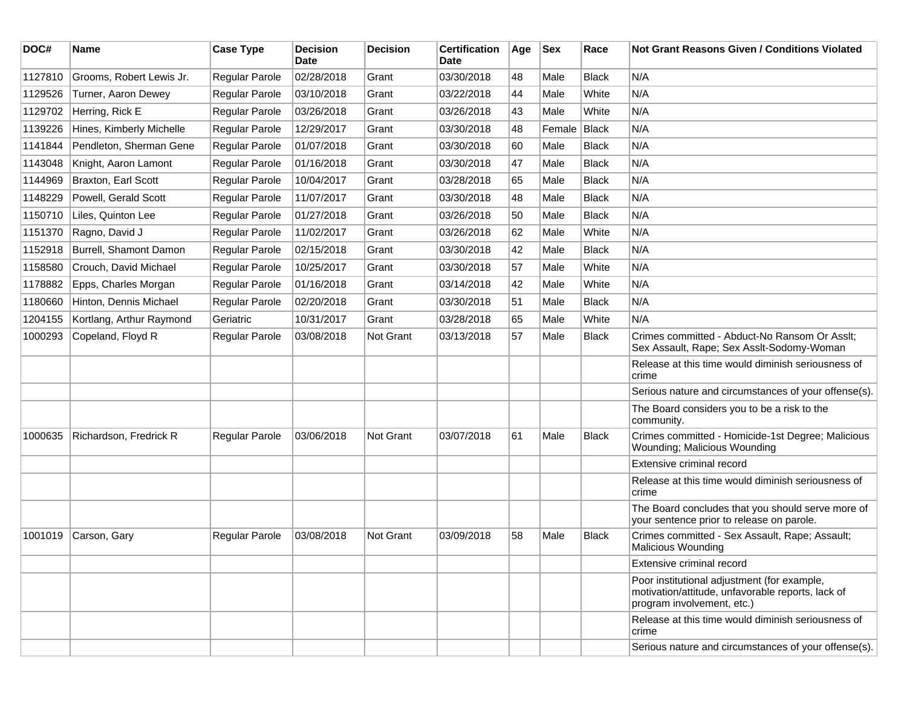| DOC#    | <b>Name</b>              | <b>Case Type</b>      | <b>Decision</b><br>Date | <b>Decision</b>  | <b>Certification</b><br>Date | Age | <b>Sex</b> | Race         | <b>Not Grant Reasons Given / Conditions Violated</b>                                                                           |
|---------|--------------------------|-----------------------|-------------------------|------------------|------------------------------|-----|------------|--------------|--------------------------------------------------------------------------------------------------------------------------------|
| 1127810 | Grooms, Robert Lewis Jr. | Regular Parole        | 02/28/2018              | Grant            | 03/30/2018                   | 48  | Male       | <b>Black</b> | N/A                                                                                                                            |
| 1129526 | Turner, Aaron Dewey      | Regular Parole        | 03/10/2018              | Grant            | 03/22/2018                   | 44  | Male       | White        | N/A                                                                                                                            |
| 1129702 | Herring, Rick E          | Regular Parole        | 03/26/2018              | Grant            | 03/26/2018                   | 43  | Male       | White        | N/A                                                                                                                            |
| 1139226 | Hines, Kimberly Michelle | Regular Parole        | 12/29/2017              | Grant            | 03/30/2018                   | 48  | Female     | Black        | N/A                                                                                                                            |
| 1141844 | Pendleton, Sherman Gene  | Regular Parole        | 01/07/2018              | Grant            | 03/30/2018                   | 60  | Male       | <b>Black</b> | N/A                                                                                                                            |
| 1143048 | Knight, Aaron Lamont     | Regular Parole        | 01/16/2018              | Grant            | 03/30/2018                   | 47  | Male       | Black        | N/A                                                                                                                            |
| 1144969 | Braxton, Earl Scott      | Regular Parole        | 10/04/2017              | Grant            | 03/28/2018                   | 65  | Male       | <b>Black</b> | N/A                                                                                                                            |
| 1148229 | Powell, Gerald Scott     | Regular Parole        | 11/07/2017              | Grant            | 03/30/2018                   | 48  | Male       | <b>Black</b> | N/A                                                                                                                            |
| 1150710 | Liles, Quinton Lee       | Regular Parole        | 01/27/2018              | Grant            | 03/26/2018                   | 50  | Male       | <b>Black</b> | N/A                                                                                                                            |
| 1151370 | Ragno, David J           | Regular Parole        | 11/02/2017              | Grant            | 03/26/2018                   | 62  | Male       | White        | N/A                                                                                                                            |
| 1152918 | Burrell, Shamont Damon   | Regular Parole        | 02/15/2018              | Grant            | 03/30/2018                   | 42  | Male       | <b>Black</b> | N/A                                                                                                                            |
| 1158580 | Crouch, David Michael    | Regular Parole        | 10/25/2017              | Grant            | 03/30/2018                   | 57  | Male       | White        | N/A                                                                                                                            |
| 1178882 | Epps, Charles Morgan     | Regular Parole        | 01/16/2018              | Grant            | 03/14/2018                   | 42  | Male       | White        | N/A                                                                                                                            |
| 1180660 | Hinton, Dennis Michael   | Regular Parole        | 02/20/2018              | Grant            | 03/30/2018                   | 51  | Male       | <b>Black</b> | N/A                                                                                                                            |
| 1204155 | Kortlang, Arthur Raymond | Geriatric             | 10/31/2017              | Grant            | 03/28/2018                   | 65  | Male       | White        | N/A                                                                                                                            |
| 1000293 | Copeland, Floyd R        | Regular Parole        | 03/08/2018              | Not Grant        | 03/13/2018                   | 57  | Male       | <b>Black</b> | Crimes committed - Abduct-No Ransom Or Asslt;<br>Sex Assault, Rape; Sex Asslt-Sodomy-Woman                                     |
|         |                          |                       |                         |                  |                              |     |            |              | Release at this time would diminish seriousness of<br>crime                                                                    |
|         |                          |                       |                         |                  |                              |     |            |              | Serious nature and circumstances of your offense(s).                                                                           |
|         |                          |                       |                         |                  |                              |     |            |              | The Board considers you to be a risk to the<br>community.                                                                      |
| 1000635 | Richardson, Fredrick R   | Regular Parole        | 03/06/2018              | <b>Not Grant</b> | 03/07/2018                   | 61  | Male       | Black        | Crimes committed - Homicide-1st Degree; Malicious<br>Wounding; Malicious Wounding                                              |
|         |                          |                       |                         |                  |                              |     |            |              | Extensive criminal record                                                                                                      |
|         |                          |                       |                         |                  |                              |     |            |              | Release at this time would diminish seriousness of<br>crime                                                                    |
|         |                          |                       |                         |                  |                              |     |            |              | The Board concludes that you should serve more of<br>your sentence prior to release on parole.                                 |
| 1001019 | Carson, Gary             | <b>Regular Parole</b> | 03/08/2018              | Not Grant        | 03/09/2018                   | 58  | Male       | <b>Black</b> | Crimes committed - Sex Assault, Rape; Assault;<br>Malicious Wounding                                                           |
|         |                          |                       |                         |                  |                              |     |            |              | Extensive criminal record                                                                                                      |
|         |                          |                       |                         |                  |                              |     |            |              | Poor institutional adjustment (for example,<br>motivation/attitude, unfavorable reports, lack of<br>program involvement, etc.) |
|         |                          |                       |                         |                  |                              |     |            |              | Release at this time would diminish seriousness of<br>crime                                                                    |
|         |                          |                       |                         |                  |                              |     |            |              | Serious nature and circumstances of your offense(s).                                                                           |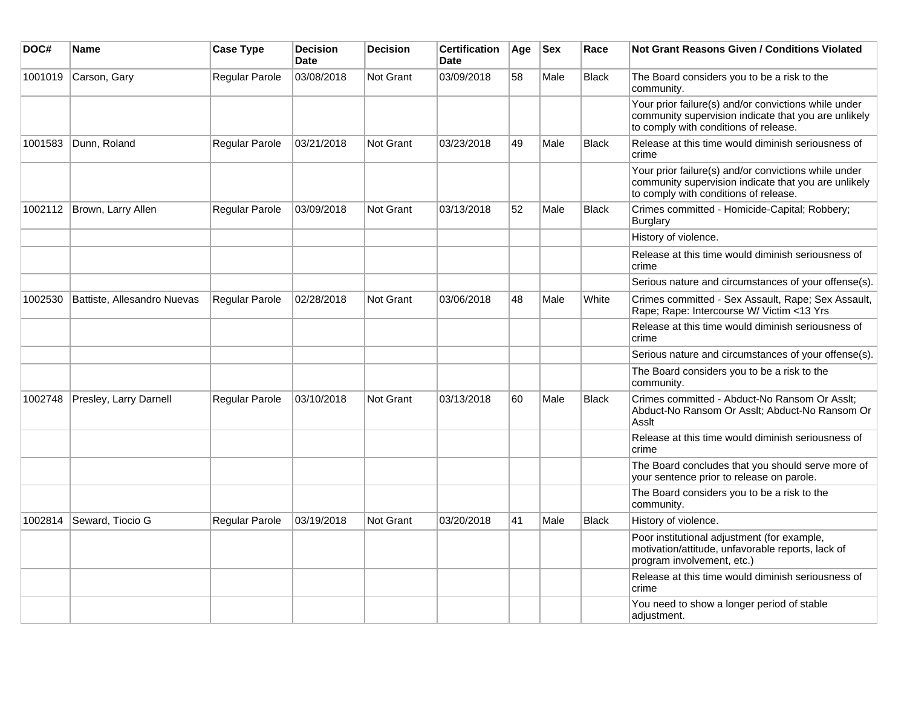| DOC#    | Name                        | <b>Case Type</b> | <b>Decision</b><br><b>Date</b> | <b>Decision</b>  | <b>Certification</b><br><b>Date</b> | Age | <b>Sex</b> | Race         | <b>Not Grant Reasons Given / Conditions Violated</b>                                                                                                  |
|---------|-----------------------------|------------------|--------------------------------|------------------|-------------------------------------|-----|------------|--------------|-------------------------------------------------------------------------------------------------------------------------------------------------------|
| 1001019 | Carson, Gary                | Regular Parole   | 03/08/2018                     | <b>Not Grant</b> | 03/09/2018                          | 58  | Male       | <b>Black</b> | The Board considers you to be a risk to the<br>community.                                                                                             |
|         |                             |                  |                                |                  |                                     |     |            |              | Your prior failure(s) and/or convictions while under<br>community supervision indicate that you are unlikely<br>to comply with conditions of release. |
| 1001583 | Dunn, Roland                | Regular Parole   | 03/21/2018                     | <b>Not Grant</b> | 03/23/2018                          | 49  | Male       | <b>Black</b> | Release at this time would diminish seriousness of<br>crime                                                                                           |
|         |                             |                  |                                |                  |                                     |     |            |              | Your prior failure(s) and/or convictions while under<br>community supervision indicate that you are unlikely<br>to comply with conditions of release. |
|         | 1002112 Brown, Larry Allen  | Regular Parole   | 03/09/2018                     | <b>Not Grant</b> | 03/13/2018                          | 52  | Male       | <b>Black</b> | Crimes committed - Homicide-Capital; Robbery;<br><b>Burglary</b>                                                                                      |
|         |                             |                  |                                |                  |                                     |     |            |              | History of violence.                                                                                                                                  |
|         |                             |                  |                                |                  |                                     |     |            |              | Release at this time would diminish seriousness of<br>crime                                                                                           |
|         |                             |                  |                                |                  |                                     |     |            |              | Serious nature and circumstances of your offense(s).                                                                                                  |
| 1002530 | Battiste, Allesandro Nuevas | Regular Parole   | 02/28/2018                     | <b>Not Grant</b> | 03/06/2018                          | 48  | Male       | White        | Crimes committed - Sex Assault, Rape; Sex Assault,<br>Rape; Rape: Intercourse W/ Victim <13 Yrs                                                       |
|         |                             |                  |                                |                  |                                     |     |            |              | Release at this time would diminish seriousness of<br>crime                                                                                           |
|         |                             |                  |                                |                  |                                     |     |            |              | Serious nature and circumstances of your offense(s).                                                                                                  |
|         |                             |                  |                                |                  |                                     |     |            |              | The Board considers you to be a risk to the<br>community.                                                                                             |
| 1002748 | Presley, Larry Darnell      | Regular Parole   | 03/10/2018                     | Not Grant        | 03/13/2018                          | 60  | Male       | <b>Black</b> | Crimes committed - Abduct-No Ransom Or Asslt;<br>Abduct-No Ransom Or Asslt; Abduct-No Ransom Or<br>Asslt                                              |
|         |                             |                  |                                |                  |                                     |     |            |              | Release at this time would diminish seriousness of<br>crime                                                                                           |
|         |                             |                  |                                |                  |                                     |     |            |              | The Board concludes that you should serve more of<br>your sentence prior to release on parole.                                                        |
|         |                             |                  |                                |                  |                                     |     |            |              | The Board considers you to be a risk to the<br>community.                                                                                             |
| 1002814 | Seward, Tiocio G            | Regular Parole   | 03/19/2018                     | Not Grant        | 03/20/2018                          | 41  | Male       | <b>Black</b> | History of violence.                                                                                                                                  |
|         |                             |                  |                                |                  |                                     |     |            |              | Poor institutional adjustment (for example,<br>motivation/attitude, unfavorable reports, lack of<br>program involvement, etc.)                        |
|         |                             |                  |                                |                  |                                     |     |            |              | Release at this time would diminish seriousness of<br>crime                                                                                           |
|         |                             |                  |                                |                  |                                     |     |            |              | You need to show a longer period of stable<br>adjustment.                                                                                             |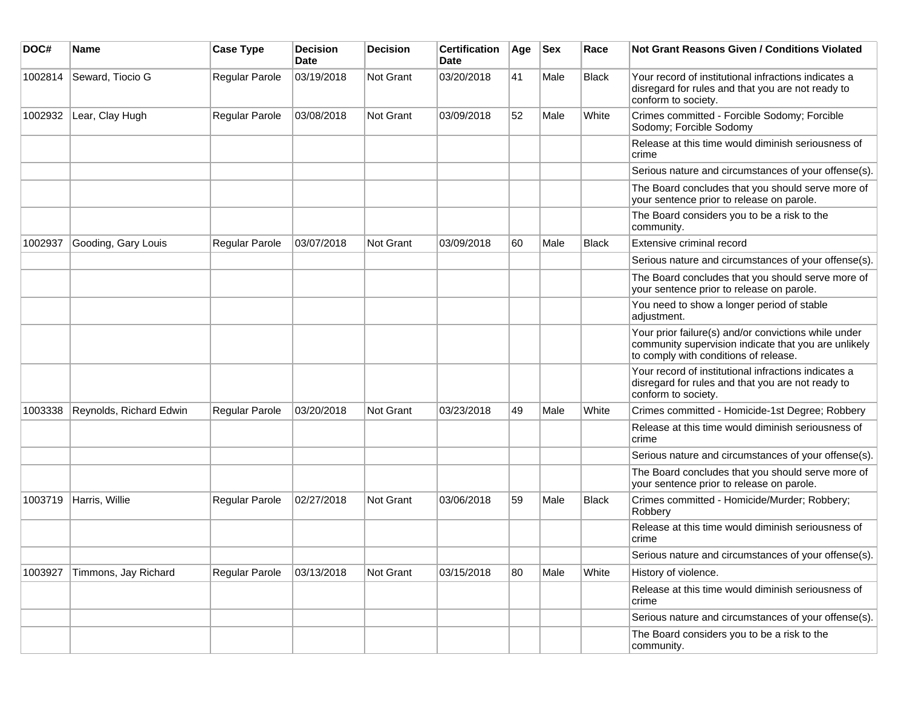| DOC#    | Name                    | <b>Case Type</b>      | <b>Decision</b><br><b>Date</b> | <b>Decision</b>  | <b>Certification</b><br>Date | Age | <b>Sex</b> | Race         | <b>Not Grant Reasons Given / Conditions Violated</b>                                                                                                  |
|---------|-------------------------|-----------------------|--------------------------------|------------------|------------------------------|-----|------------|--------------|-------------------------------------------------------------------------------------------------------------------------------------------------------|
| 1002814 | Seward, Tiocio G        | Regular Parole        | 03/19/2018                     | Not Grant        | 03/20/2018                   | 41  | Male       | Black        | Your record of institutional infractions indicates a<br>disregard for rules and that you are not ready to<br>conform to society.                      |
| 1002932 | Lear, Clay Hugh         | Regular Parole        | 03/08/2018                     | Not Grant        | 03/09/2018                   | 52  | Male       | White        | Crimes committed - Forcible Sodomy; Forcible<br>Sodomy; Forcible Sodomy                                                                               |
|         |                         |                       |                                |                  |                              |     |            |              | Release at this time would diminish seriousness of<br>crime                                                                                           |
|         |                         |                       |                                |                  |                              |     |            |              | Serious nature and circumstances of your offense(s).                                                                                                  |
|         |                         |                       |                                |                  |                              |     |            |              | The Board concludes that you should serve more of<br>your sentence prior to release on parole.                                                        |
|         |                         |                       |                                |                  |                              |     |            |              | The Board considers you to be a risk to the<br>community.                                                                                             |
| 1002937 | Gooding, Gary Louis     | Regular Parole        | 03/07/2018                     | <b>Not Grant</b> | 03/09/2018                   | 60  | Male       | <b>Black</b> | Extensive criminal record                                                                                                                             |
|         |                         |                       |                                |                  |                              |     |            |              | Serious nature and circumstances of your offense(s).                                                                                                  |
|         |                         |                       |                                |                  |                              |     |            |              | The Board concludes that you should serve more of<br>your sentence prior to release on parole.                                                        |
|         |                         |                       |                                |                  |                              |     |            |              | You need to show a longer period of stable<br>adjustment.                                                                                             |
|         |                         |                       |                                |                  |                              |     |            |              | Your prior failure(s) and/or convictions while under<br>community supervision indicate that you are unlikely<br>to comply with conditions of release. |
|         |                         |                       |                                |                  |                              |     |            |              | Your record of institutional infractions indicates a<br>disregard for rules and that you are not ready to<br>conform to society.                      |
| 1003338 | Reynolds, Richard Edwin | Regular Parole        | 03/20/2018                     | <b>Not Grant</b> | 03/23/2018                   | 49  | Male       | White        | Crimes committed - Homicide-1st Degree; Robbery                                                                                                       |
|         |                         |                       |                                |                  |                              |     |            |              | Release at this time would diminish seriousness of<br>crime                                                                                           |
|         |                         |                       |                                |                  |                              |     |            |              | Serious nature and circumstances of your offense(s).                                                                                                  |
|         |                         |                       |                                |                  |                              |     |            |              | The Board concludes that you should serve more of<br>your sentence prior to release on parole.                                                        |
| 1003719 | Harris, Willie          | Regular Parole        | 02/27/2018                     | Not Grant        | 03/06/2018                   | 59  | Male       | <b>Black</b> | Crimes committed - Homicide/Murder; Robbery;<br>Robbery                                                                                               |
|         |                         |                       |                                |                  |                              |     |            |              | Release at this time would diminish seriousness of<br>crime                                                                                           |
|         |                         |                       |                                |                  |                              |     |            |              | Serious nature and circumstances of your offense(s).                                                                                                  |
| 1003927 | Timmons, Jay Richard    | <b>Regular Parole</b> | 03/13/2018                     | Not Grant        | 03/15/2018                   | 80  | Male       | White        | History of violence.                                                                                                                                  |
|         |                         |                       |                                |                  |                              |     |            |              | Release at this time would diminish seriousness of<br>crime                                                                                           |
|         |                         |                       |                                |                  |                              |     |            |              | Serious nature and circumstances of your offense(s).                                                                                                  |
|         |                         |                       |                                |                  |                              |     |            |              | The Board considers you to be a risk to the<br>community.                                                                                             |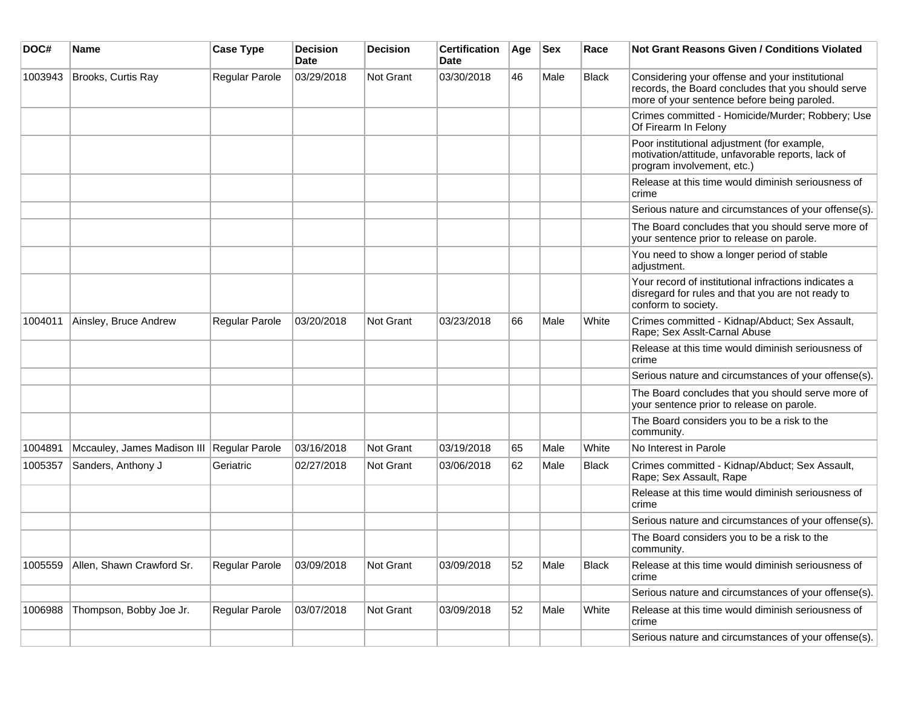| DOC#    | <b>Name</b>                 | <b>Case Type</b> | <b>Decision</b><br><b>Date</b> | <b>Decision</b>  | <b>Certification</b><br><b>Date</b> | Age | $ $ Sex | Race         | <b>Not Grant Reasons Given / Conditions Violated</b>                                                                                                 |
|---------|-----------------------------|------------------|--------------------------------|------------------|-------------------------------------|-----|---------|--------------|------------------------------------------------------------------------------------------------------------------------------------------------------|
| 1003943 | Brooks, Curtis Ray          | Regular Parole   | 03/29/2018                     | Not Grant        | 03/30/2018                          | 46  | Male    | <b>Black</b> | Considering your offense and your institutional<br>records, the Board concludes that you should serve<br>more of your sentence before being paroled. |
|         |                             |                  |                                |                  |                                     |     |         |              | Crimes committed - Homicide/Murder; Robbery; Use<br>Of Firearm In Felony                                                                             |
|         |                             |                  |                                |                  |                                     |     |         |              | Poor institutional adjustment (for example,<br>motivation/attitude, unfavorable reports, lack of<br>program involvement, etc.)                       |
|         |                             |                  |                                |                  |                                     |     |         |              | Release at this time would diminish seriousness of<br>crime                                                                                          |
|         |                             |                  |                                |                  |                                     |     |         |              | Serious nature and circumstances of your offense(s).                                                                                                 |
|         |                             |                  |                                |                  |                                     |     |         |              | The Board concludes that you should serve more of<br>your sentence prior to release on parole.                                                       |
|         |                             |                  |                                |                  |                                     |     |         |              | You need to show a longer period of stable<br>adjustment.                                                                                            |
|         |                             |                  |                                |                  |                                     |     |         |              | Your record of institutional infractions indicates a<br>disregard for rules and that you are not ready to<br>conform to society.                     |
| 1004011 | Ainsley, Bruce Andrew       | Regular Parole   | 03/20/2018                     | Not Grant        | 03/23/2018                          | 66  | Male    | White        | Crimes committed - Kidnap/Abduct; Sex Assault,<br>Rape; Sex Asslt-Carnal Abuse                                                                       |
|         |                             |                  |                                |                  |                                     |     |         |              | Release at this time would diminish seriousness of<br>crime                                                                                          |
|         |                             |                  |                                |                  |                                     |     |         |              | Serious nature and circumstances of your offense(s).                                                                                                 |
|         |                             |                  |                                |                  |                                     |     |         |              | The Board concludes that you should serve more of<br>your sentence prior to release on parole.                                                       |
|         |                             |                  |                                |                  |                                     |     |         |              | The Board considers you to be a risk to the<br>community.                                                                                            |
| 1004891 | Mccauley, James Madison III | Regular Parole   | 03/16/2018                     | <b>Not Grant</b> | 03/19/2018                          | 65  | Male    | White        | No Interest in Parole                                                                                                                                |
| 1005357 | Sanders, Anthony J          | Geriatric        | 02/27/2018                     | Not Grant        | 03/06/2018                          | 62  | Male    | <b>Black</b> | Crimes committed - Kidnap/Abduct; Sex Assault,<br>Rape; Sex Assault, Rape                                                                            |
|         |                             |                  |                                |                  |                                     |     |         |              | Release at this time would diminish seriousness of<br>crime                                                                                          |
|         |                             |                  |                                |                  |                                     |     |         |              | Serious nature and circumstances of your offense(s).                                                                                                 |
|         |                             |                  |                                |                  |                                     |     |         |              | The Board considers you to be a risk to the<br>community.                                                                                            |
| 1005559 | Allen, Shawn Crawford Sr.   | Regular Parole   | 03/09/2018                     | Not Grant        | 03/09/2018                          | 52  | Male    | <b>Black</b> | Release at this time would diminish seriousness of<br>crime                                                                                          |
|         |                             |                  |                                |                  |                                     |     |         |              | Serious nature and circumstances of your offense(s).                                                                                                 |
| 1006988 | Thompson, Bobby Joe Jr.     | Regular Parole   | 03/07/2018                     | Not Grant        | 03/09/2018                          | 52  | Male    | White        | Release at this time would diminish seriousness of<br>crime                                                                                          |
|         |                             |                  |                                |                  |                                     |     |         |              | Serious nature and circumstances of your offense(s).                                                                                                 |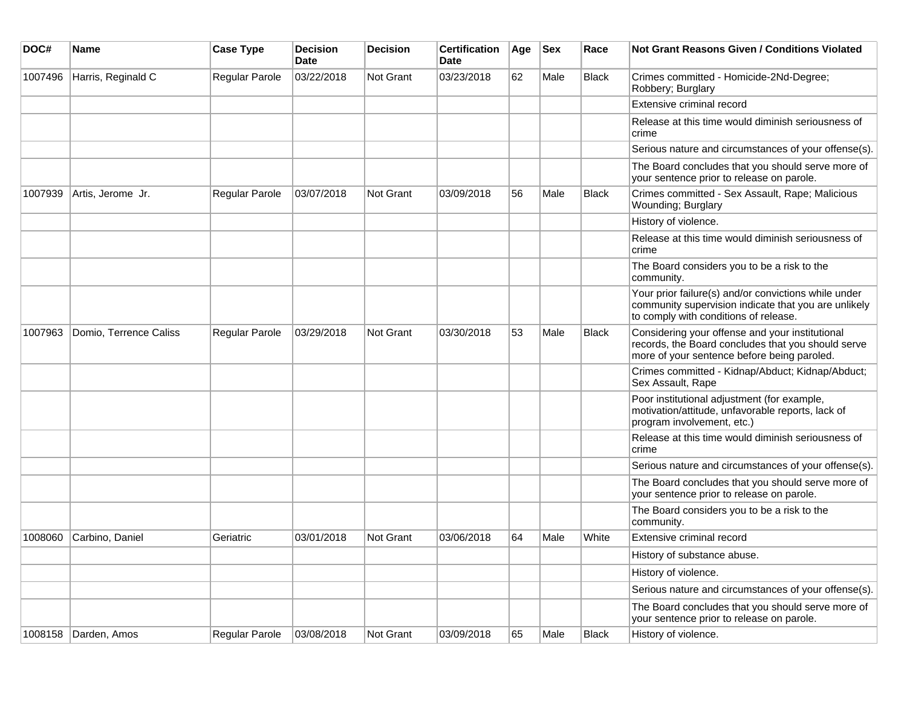| DOC#    | <b>Name</b>            | <b>Case Type</b>      | <b>Decision</b><br><b>Date</b> | <b>Decision</b> | <b>Certification</b><br>Date | Age | <b>Sex</b> | Race         | Not Grant Reasons Given / Conditions Violated                                                                                                         |
|---------|------------------------|-----------------------|--------------------------------|-----------------|------------------------------|-----|------------|--------------|-------------------------------------------------------------------------------------------------------------------------------------------------------|
| 1007496 | Harris, Reginald C     | Regular Parole        | 03/22/2018                     | Not Grant       | 03/23/2018                   | 62  | Male       | Black        | Crimes committed - Homicide-2Nd-Degree;<br>Robbery; Burglary                                                                                          |
|         |                        |                       |                                |                 |                              |     |            |              | Extensive criminal record                                                                                                                             |
|         |                        |                       |                                |                 |                              |     |            |              | Release at this time would diminish seriousness of<br>crime                                                                                           |
|         |                        |                       |                                |                 |                              |     |            |              | Serious nature and circumstances of your offense(s).                                                                                                  |
|         |                        |                       |                                |                 |                              |     |            |              | The Board concludes that you should serve more of<br>your sentence prior to release on parole.                                                        |
| 1007939 | Artis, Jerome Jr.      | Regular Parole        | 03/07/2018                     | Not Grant       | 03/09/2018                   | 56  | Male       | <b>Black</b> | Crimes committed - Sex Assault, Rape; Malicious<br>Wounding; Burglary                                                                                 |
|         |                        |                       |                                |                 |                              |     |            |              | History of violence.                                                                                                                                  |
|         |                        |                       |                                |                 |                              |     |            |              | Release at this time would diminish seriousness of<br>crime                                                                                           |
|         |                        |                       |                                |                 |                              |     |            |              | The Board considers you to be a risk to the<br>community.                                                                                             |
|         |                        |                       |                                |                 |                              |     |            |              | Your prior failure(s) and/or convictions while under<br>community supervision indicate that you are unlikely<br>to comply with conditions of release. |
| 1007963 | Domio, Terrence Caliss | <b>Regular Parole</b> | 03/29/2018                     | Not Grant       | 03/30/2018                   | 53  | Male       | <b>Black</b> | Considering your offense and your institutional<br>records, the Board concludes that you should serve<br>more of your sentence before being paroled.  |
|         |                        |                       |                                |                 |                              |     |            |              | Crimes committed - Kidnap/Abduct; Kidnap/Abduct;<br>Sex Assault, Rape                                                                                 |
|         |                        |                       |                                |                 |                              |     |            |              | Poor institutional adjustment (for example,<br>motivation/attitude, unfavorable reports, lack of<br>program involvement, etc.)                        |
|         |                        |                       |                                |                 |                              |     |            |              | Release at this time would diminish seriousness of<br>crime                                                                                           |
|         |                        |                       |                                |                 |                              |     |            |              | Serious nature and circumstances of your offense(s).                                                                                                  |
|         |                        |                       |                                |                 |                              |     |            |              | The Board concludes that you should serve more of<br>your sentence prior to release on parole.                                                        |
|         |                        |                       |                                |                 |                              |     |            |              | The Board considers you to be a risk to the<br>community.                                                                                             |
| 1008060 | Carbino, Daniel        | Geriatric             | 03/01/2018                     | Not Grant       | 03/06/2018                   | 64  | Male       | White        | Extensive criminal record                                                                                                                             |
|         |                        |                       |                                |                 |                              |     |            |              | History of substance abuse.                                                                                                                           |
|         |                        |                       |                                |                 |                              |     |            |              | History of violence.                                                                                                                                  |
|         |                        |                       |                                |                 |                              |     |            |              | Serious nature and circumstances of your offense(s).                                                                                                  |
|         |                        |                       |                                |                 |                              |     |            |              | The Board concludes that you should serve more of<br>your sentence prior to release on parole.                                                        |
|         | 1008158 Darden, Amos   | Regular Parole        | 03/08/2018                     | Not Grant       | 03/09/2018                   | 65  | Male       | Black        | History of violence.                                                                                                                                  |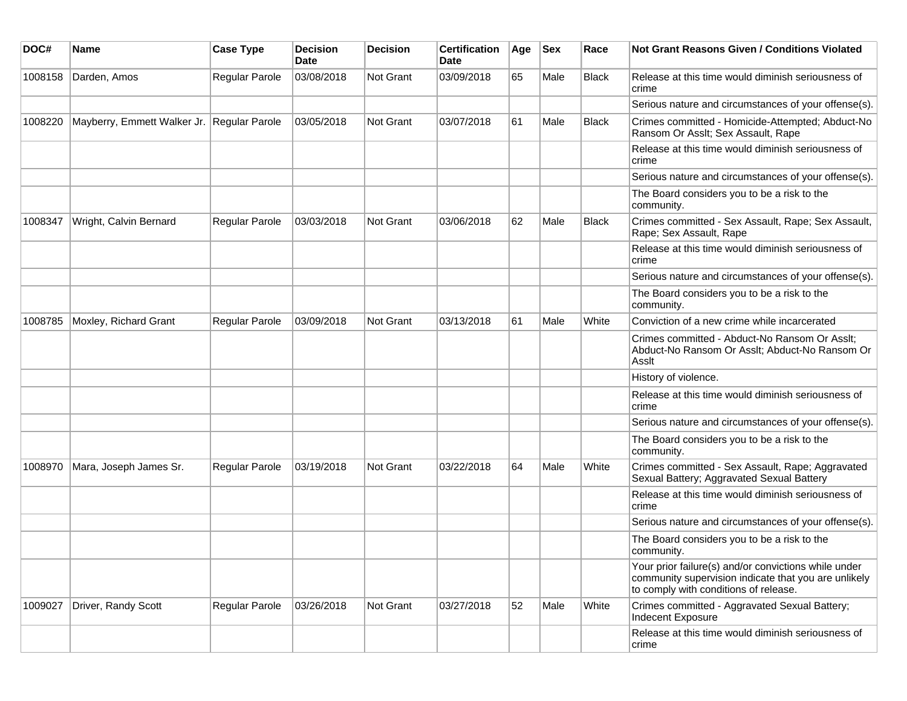| DOC#    | Name                                       | <b>Case Type</b>      | <b>Decision</b><br>Date | <b>Decision</b> | <b>Certification</b><br>Date | Age | <b>Sex</b> | Race         | <b>Not Grant Reasons Given / Conditions Violated</b>                                                                                                  |
|---------|--------------------------------------------|-----------------------|-------------------------|-----------------|------------------------------|-----|------------|--------------|-------------------------------------------------------------------------------------------------------------------------------------------------------|
| 1008158 | Darden, Amos                               | Regular Parole        | 03/08/2018              | Not Grant       | 03/09/2018                   | 65  | Male       | <b>Black</b> | Release at this time would diminish seriousness of<br>crime                                                                                           |
|         |                                            |                       |                         |                 |                              |     |            |              | Serious nature and circumstances of your offense(s).                                                                                                  |
| 1008220 | Mayberry, Emmett Walker Jr. Regular Parole |                       | 03/05/2018              | Not Grant       | 03/07/2018                   | 61  | Male       | <b>Black</b> | Crimes committed - Homicide-Attempted; Abduct-No<br>Ransom Or Asslt; Sex Assault, Rape                                                                |
|         |                                            |                       |                         |                 |                              |     |            |              | Release at this time would diminish seriousness of<br>crime                                                                                           |
|         |                                            |                       |                         |                 |                              |     |            |              | Serious nature and circumstances of your offense(s).                                                                                                  |
|         |                                            |                       |                         |                 |                              |     |            |              | The Board considers you to be a risk to the<br>community.                                                                                             |
| 1008347 | Wright, Calvin Bernard                     | Regular Parole        | 03/03/2018              | Not Grant       | 03/06/2018                   | 62  | Male       | <b>Black</b> | Crimes committed - Sex Assault, Rape; Sex Assault,<br>Rape; Sex Assault, Rape                                                                         |
|         |                                            |                       |                         |                 |                              |     |            |              | Release at this time would diminish seriousness of<br>crime                                                                                           |
|         |                                            |                       |                         |                 |                              |     |            |              | Serious nature and circumstances of your offense(s).                                                                                                  |
|         |                                            |                       |                         |                 |                              |     |            |              | The Board considers you to be a risk to the<br>community.                                                                                             |
| 1008785 | Moxley, Richard Grant                      | Regular Parole        | 03/09/2018              | Not Grant       | 03/13/2018                   | 61  | Male       | White        | Conviction of a new crime while incarcerated                                                                                                          |
|         |                                            |                       |                         |                 |                              |     |            |              | Crimes committed - Abduct-No Ransom Or Asslt;<br>Abduct-No Ransom Or Asslt; Abduct-No Ransom Or<br>Asslt                                              |
|         |                                            |                       |                         |                 |                              |     |            |              | History of violence.                                                                                                                                  |
|         |                                            |                       |                         |                 |                              |     |            |              | Release at this time would diminish seriousness of<br>crime                                                                                           |
|         |                                            |                       |                         |                 |                              |     |            |              | Serious nature and circumstances of your offense(s).                                                                                                  |
|         |                                            |                       |                         |                 |                              |     |            |              | The Board considers you to be a risk to the<br>community.                                                                                             |
| 1008970 | Mara, Joseph James Sr.                     | <b>Regular Parole</b> | 03/19/2018              | Not Grant       | 03/22/2018                   | 64  | Male       | White        | Crimes committed - Sex Assault, Rape; Aggravated<br>Sexual Battery; Aggravated Sexual Battery                                                         |
|         |                                            |                       |                         |                 |                              |     |            |              | Release at this time would diminish seriousness of<br>crime                                                                                           |
|         |                                            |                       |                         |                 |                              |     |            |              | Serious nature and circumstances of your offense(s).                                                                                                  |
|         |                                            |                       |                         |                 |                              |     |            |              | The Board considers you to be a risk to the<br>community.                                                                                             |
|         |                                            |                       |                         |                 |                              |     |            |              | Your prior failure(s) and/or convictions while under<br>community supervision indicate that you are unlikely<br>to comply with conditions of release. |
| 1009027 | Driver, Randy Scott                        | Regular Parole        | 03/26/2018              | Not Grant       | 03/27/2018                   | 52  | Male       | White        | Crimes committed - Aggravated Sexual Battery;<br>Indecent Exposure                                                                                    |
|         |                                            |                       |                         |                 |                              |     |            |              | Release at this time would diminish seriousness of<br>crime                                                                                           |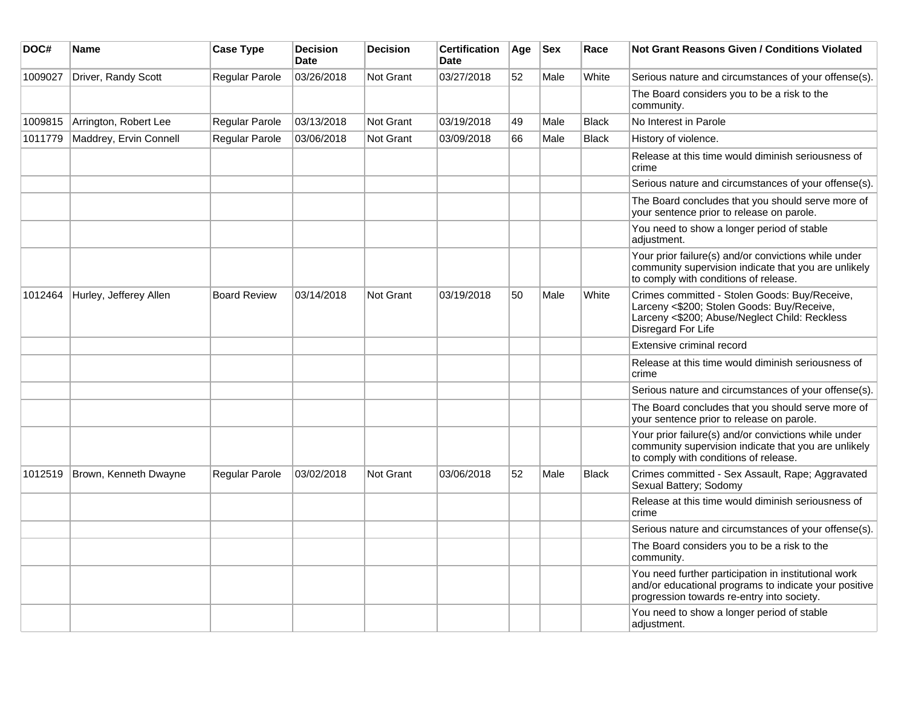| DOC#    | <b>Name</b>            | <b>Case Type</b>    | <b>Decision</b><br><b>Date</b> | <b>Decision</b>  | <b>Certification</b><br><b>Date</b> | Age | <b>Sex</b> | Race         | <b>Not Grant Reasons Given / Conditions Violated</b>                                                                                                               |
|---------|------------------------|---------------------|--------------------------------|------------------|-------------------------------------|-----|------------|--------------|--------------------------------------------------------------------------------------------------------------------------------------------------------------------|
| 1009027 | Driver, Randy Scott    | Regular Parole      | 03/26/2018                     | Not Grant        | 03/27/2018                          | 52  | Male       | White        | Serious nature and circumstances of your offense(s).                                                                                                               |
|         |                        |                     |                                |                  |                                     |     |            |              | The Board considers you to be a risk to the<br>community.                                                                                                          |
| 1009815 | Arrington, Robert Lee  | Regular Parole      | 03/13/2018                     | Not Grant        | 03/19/2018                          | 49  | Male       | <b>Black</b> | No Interest in Parole                                                                                                                                              |
| 1011779 | Maddrey, Ervin Connell | Regular Parole      | 03/06/2018                     | Not Grant        | 03/09/2018                          | 66  | Male       | <b>Black</b> | History of violence.                                                                                                                                               |
|         |                        |                     |                                |                  |                                     |     |            |              | Release at this time would diminish seriousness of<br>crime                                                                                                        |
|         |                        |                     |                                |                  |                                     |     |            |              | Serious nature and circumstances of your offense(s).                                                                                                               |
|         |                        |                     |                                |                  |                                     |     |            |              | The Board concludes that you should serve more of<br>your sentence prior to release on parole.                                                                     |
|         |                        |                     |                                |                  |                                     |     |            |              | You need to show a longer period of stable<br>adjustment.                                                                                                          |
|         |                        |                     |                                |                  |                                     |     |            |              | Your prior failure(s) and/or convictions while under<br>community supervision indicate that you are unlikely<br>to comply with conditions of release.              |
| 1012464 | Hurley, Jefferey Allen | <b>Board Review</b> | 03/14/2018                     | <b>Not Grant</b> | 03/19/2018                          | 50  | Male       | White        | Crimes committed - Stolen Goods: Buy/Receive,<br>Larceny <\$200; Stolen Goods: Buy/Receive,<br>Larceny <\$200; Abuse/Neglect Child: Reckless<br>Disregard For Life |
|         |                        |                     |                                |                  |                                     |     |            |              | Extensive criminal record                                                                                                                                          |
|         |                        |                     |                                |                  |                                     |     |            |              | Release at this time would diminish seriousness of<br>crime                                                                                                        |
|         |                        |                     |                                |                  |                                     |     |            |              | Serious nature and circumstances of your offense(s).                                                                                                               |
|         |                        |                     |                                |                  |                                     |     |            |              | The Board concludes that you should serve more of<br>your sentence prior to release on parole.                                                                     |
|         |                        |                     |                                |                  |                                     |     |            |              | Your prior failure(s) and/or convictions while under<br>community supervision indicate that you are unlikely<br>to comply with conditions of release.              |
| 1012519 | Brown, Kenneth Dwayne  | Regular Parole      | 03/02/2018                     | Not Grant        | 03/06/2018                          | 52  | Male       | <b>Black</b> | Crimes committed - Sex Assault, Rape; Aggravated<br>Sexual Battery; Sodomy                                                                                         |
|         |                        |                     |                                |                  |                                     |     |            |              | Release at this time would diminish seriousness of<br>crime                                                                                                        |
|         |                        |                     |                                |                  |                                     |     |            |              | Serious nature and circumstances of your offense(s).                                                                                                               |
|         |                        |                     |                                |                  |                                     |     |            |              | The Board considers you to be a risk to the<br>community.                                                                                                          |
|         |                        |                     |                                |                  |                                     |     |            |              | You need further participation in institutional work<br>and/or educational programs to indicate your positive<br>progression towards re-entry into society.        |
|         |                        |                     |                                |                  |                                     |     |            |              | You need to show a longer period of stable<br>adjustment.                                                                                                          |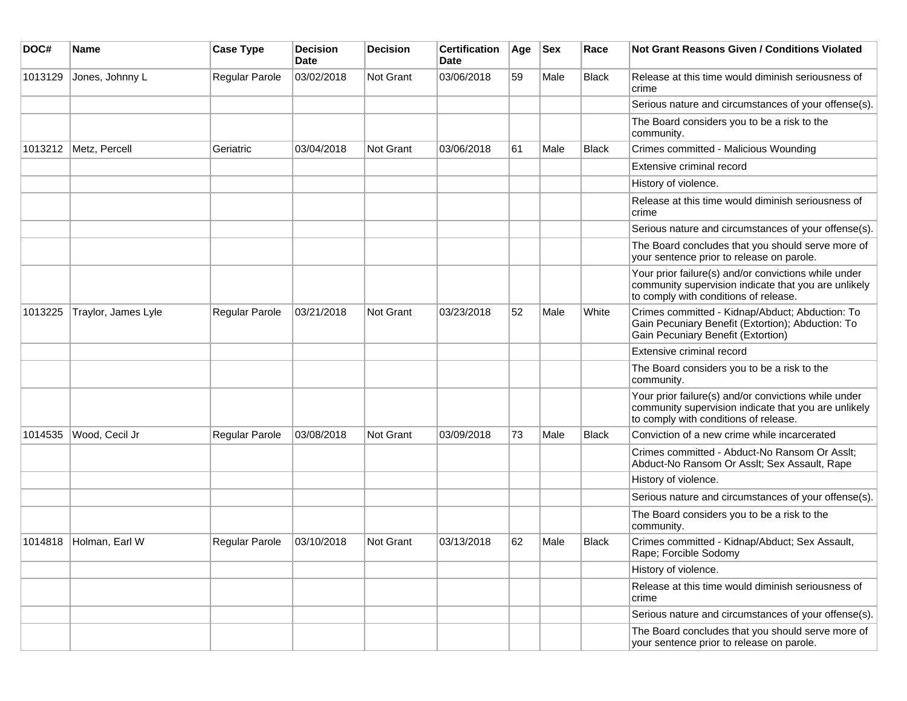| DOC#    | Name                | <b>Case Type</b>      | <b>Decision</b><br>Date | <b>Decision</b>  | <b>Certification</b><br>Date | Age | <b>Sex</b> | Race         | <b>Not Grant Reasons Given / Conditions Violated</b>                                                                                                  |
|---------|---------------------|-----------------------|-------------------------|------------------|------------------------------|-----|------------|--------------|-------------------------------------------------------------------------------------------------------------------------------------------------------|
| 1013129 | Jones, Johnny L     | Regular Parole        | 03/02/2018              | <b>Not Grant</b> | 03/06/2018                   | 59  | Male       | <b>Black</b> | Release at this time would diminish seriousness of<br>crime                                                                                           |
|         |                     |                       |                         |                  |                              |     |            |              | Serious nature and circumstances of your offense(s).                                                                                                  |
|         |                     |                       |                         |                  |                              |     |            |              | The Board considers you to be a risk to the<br>community.                                                                                             |
| 1013212 | Metz, Percell       | Geriatric             | 03/04/2018              | Not Grant        | 03/06/2018                   | 61  | Male       | <b>Black</b> | Crimes committed - Malicious Wounding                                                                                                                 |
|         |                     |                       |                         |                  |                              |     |            |              | Extensive criminal record                                                                                                                             |
|         |                     |                       |                         |                  |                              |     |            |              | History of violence.                                                                                                                                  |
|         |                     |                       |                         |                  |                              |     |            |              | Release at this time would diminish seriousness of<br>crime                                                                                           |
|         |                     |                       |                         |                  |                              |     |            |              | Serious nature and circumstances of your offense(s).                                                                                                  |
|         |                     |                       |                         |                  |                              |     |            |              | The Board concludes that you should serve more of<br>your sentence prior to release on parole.                                                        |
|         |                     |                       |                         |                  |                              |     |            |              | Your prior failure(s) and/or convictions while under<br>community supervision indicate that you are unlikely<br>to comply with conditions of release. |
| 1013225 | Traylor, James Lyle | <b>Regular Parole</b> | 03/21/2018              | Not Grant        | 03/23/2018                   | 52  | Male       | White        | Crimes committed - Kidnap/Abduct; Abduction: To<br>Gain Pecuniary Benefit (Extortion); Abduction: To<br>Gain Pecuniary Benefit (Extortion)            |
|         |                     |                       |                         |                  |                              |     |            |              | Extensive criminal record                                                                                                                             |
|         |                     |                       |                         |                  |                              |     |            |              | The Board considers you to be a risk to the<br>community.                                                                                             |
|         |                     |                       |                         |                  |                              |     |            |              | Your prior failure(s) and/or convictions while under<br>community supervision indicate that you are unlikely<br>to comply with conditions of release. |
| 1014535 | Wood, Cecil Jr      | Regular Parole        | 03/08/2018              | Not Grant        | 03/09/2018                   | 73  | Male       | <b>Black</b> | Conviction of a new crime while incarcerated                                                                                                          |
|         |                     |                       |                         |                  |                              |     |            |              | Crimes committed - Abduct-No Ransom Or Asslt;<br>Abduct-No Ransom Or Asslt; Sex Assault, Rape                                                         |
|         |                     |                       |                         |                  |                              |     |            |              | History of violence.                                                                                                                                  |
|         |                     |                       |                         |                  |                              |     |            |              | Serious nature and circumstances of your offense(s).                                                                                                  |
|         |                     |                       |                         |                  |                              |     |            |              | The Board considers you to be a risk to the<br>community.                                                                                             |
| 1014818 | Holman, Earl W      | Regular Parole        | 03/10/2018              | Not Grant        | 03/13/2018                   | 62  | Male       | <b>Black</b> | Crimes committed - Kidnap/Abduct; Sex Assault,<br>Rape; Forcible Sodomy                                                                               |
|         |                     |                       |                         |                  |                              |     |            |              | History of violence.                                                                                                                                  |
|         |                     |                       |                         |                  |                              |     |            |              | Release at this time would diminish seriousness of<br>crime                                                                                           |
|         |                     |                       |                         |                  |                              |     |            |              | Serious nature and circumstances of your offense(s).                                                                                                  |
|         |                     |                       |                         |                  |                              |     |            |              | The Board concludes that you should serve more of<br>your sentence prior to release on parole.                                                        |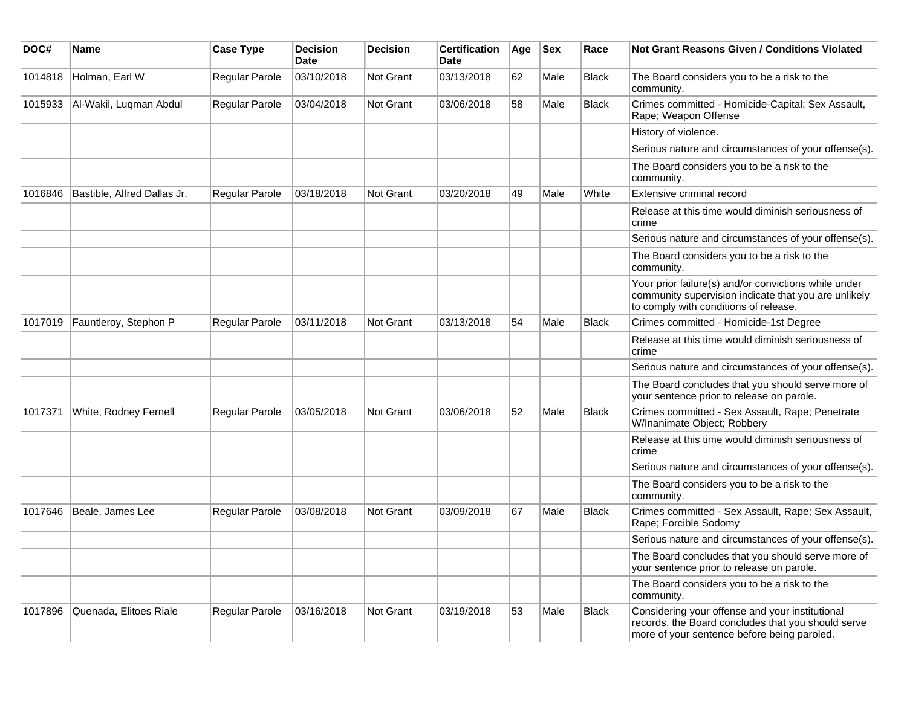| DOC#    | Name                        | <b>Case Type</b>      | <b>Decision</b><br>Date | <b>Decision</b>  | <b>Certification</b><br>Date | Age | <b>Sex</b> | Race         | <b>Not Grant Reasons Given / Conditions Violated</b>                                                                                                  |
|---------|-----------------------------|-----------------------|-------------------------|------------------|------------------------------|-----|------------|--------------|-------------------------------------------------------------------------------------------------------------------------------------------------------|
| 1014818 | Holman, Earl W              | Regular Parole        | 03/10/2018              | Not Grant        | 03/13/2018                   | 62  | Male       | <b>Black</b> | The Board considers you to be a risk to the<br>community.                                                                                             |
| 1015933 | Al-Wakil, Luqman Abdul      | Regular Parole        | 03/04/2018              | Not Grant        | 03/06/2018                   | 58  | Male       | <b>Black</b> | Crimes committed - Homicide-Capital; Sex Assault,<br>Rape; Weapon Offense                                                                             |
|         |                             |                       |                         |                  |                              |     |            |              | History of violence.                                                                                                                                  |
|         |                             |                       |                         |                  |                              |     |            |              | Serious nature and circumstances of your offense(s).                                                                                                  |
|         |                             |                       |                         |                  |                              |     |            |              | The Board considers you to be a risk to the<br>community.                                                                                             |
| 1016846 | Bastible, Alfred Dallas Jr. | <b>Regular Parole</b> | 03/18/2018              | <b>Not Grant</b> | 03/20/2018                   | 49  | Male       | White        | Extensive criminal record                                                                                                                             |
|         |                             |                       |                         |                  |                              |     |            |              | Release at this time would diminish seriousness of<br>crime                                                                                           |
|         |                             |                       |                         |                  |                              |     |            |              | Serious nature and circumstances of your offense(s).                                                                                                  |
|         |                             |                       |                         |                  |                              |     |            |              | The Board considers you to be a risk to the<br>community.                                                                                             |
|         |                             |                       |                         |                  |                              |     |            |              | Your prior failure(s) and/or convictions while under<br>community supervision indicate that you are unlikely<br>to comply with conditions of release. |
| 1017019 | Fauntleroy, Stephon P       | Regular Parole        | 03/11/2018              | Not Grant        | 03/13/2018                   | 54  | Male       | <b>Black</b> | Crimes committed - Homicide-1st Degree                                                                                                                |
|         |                             |                       |                         |                  |                              |     |            |              | Release at this time would diminish seriousness of<br>crime                                                                                           |
|         |                             |                       |                         |                  |                              |     |            |              | Serious nature and circumstances of your offense(s).                                                                                                  |
|         |                             |                       |                         |                  |                              |     |            |              | The Board concludes that you should serve more of<br>your sentence prior to release on parole.                                                        |
| 1017371 | White, Rodney Fernell       | Regular Parole        | 03/05/2018              | Not Grant        | 03/06/2018                   | 52  | Male       | <b>Black</b> | Crimes committed - Sex Assault, Rape; Penetrate<br>W/Inanimate Object; Robbery                                                                        |
|         |                             |                       |                         |                  |                              |     |            |              | Release at this time would diminish seriousness of<br>crime                                                                                           |
|         |                             |                       |                         |                  |                              |     |            |              | Serious nature and circumstances of your offense(s).                                                                                                  |
|         |                             |                       |                         |                  |                              |     |            |              | The Board considers you to be a risk to the<br>community.                                                                                             |
| 1017646 | Beale, James Lee            | Regular Parole        | 03/08/2018              | <b>Not Grant</b> | 03/09/2018                   | 67  | Male       | Black        | Crimes committed - Sex Assault, Rape; Sex Assault,<br>Rape; Forcible Sodomy                                                                           |
|         |                             |                       |                         |                  |                              |     |            |              | Serious nature and circumstances of your offense(s).                                                                                                  |
|         |                             |                       |                         |                  |                              |     |            |              | The Board concludes that you should serve more of<br>your sentence prior to release on parole.                                                        |
|         |                             |                       |                         |                  |                              |     |            |              | The Board considers you to be a risk to the<br>community.                                                                                             |
| 1017896 | Quenada, Elitoes Riale      | Regular Parole        | 03/16/2018              | <b>Not Grant</b> | 03/19/2018                   | 53  | Male       | Black        | Considering your offense and your institutional<br>records, the Board concludes that you should serve<br>more of your sentence before being paroled.  |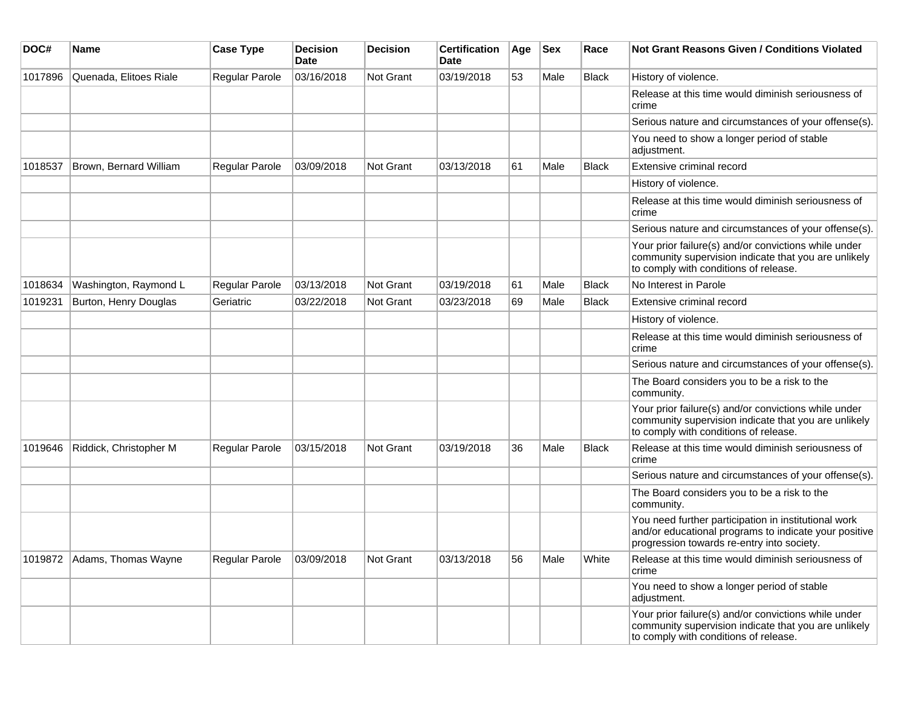| DOC#    | <b>Name</b>                 | <b>Case Type</b>      | <b>Decision</b><br><b>Date</b> | <b>Decision</b>  | <b>Certification</b><br>Date | Age | <b>Sex</b> | Race         | <b>Not Grant Reasons Given / Conditions Violated</b>                                                                                                        |
|---------|-----------------------------|-----------------------|--------------------------------|------------------|------------------------------|-----|------------|--------------|-------------------------------------------------------------------------------------------------------------------------------------------------------------|
| 1017896 | Quenada, Elitoes Riale      | Regular Parole        | 03/16/2018                     | <b>Not Grant</b> | 03/19/2018                   | 53  | Male       | Black        | History of violence.                                                                                                                                        |
|         |                             |                       |                                |                  |                              |     |            |              | Release at this time would diminish seriousness of<br>crime                                                                                                 |
|         |                             |                       |                                |                  |                              |     |            |              | Serious nature and circumstances of your offense(s).                                                                                                        |
|         |                             |                       |                                |                  |                              |     |            |              | You need to show a longer period of stable<br>adjustment.                                                                                                   |
| 1018537 | Brown, Bernard William      | <b>Regular Parole</b> | 03/09/2018                     | <b>Not Grant</b> | 03/13/2018                   | 61  | Male       | Black        | Extensive criminal record                                                                                                                                   |
|         |                             |                       |                                |                  |                              |     |            |              | History of violence.                                                                                                                                        |
|         |                             |                       |                                |                  |                              |     |            |              | Release at this time would diminish seriousness of<br>crime                                                                                                 |
|         |                             |                       |                                |                  |                              |     |            |              | Serious nature and circumstances of your offense(s).                                                                                                        |
|         |                             |                       |                                |                  |                              |     |            |              | Your prior failure(s) and/or convictions while under<br>community supervision indicate that you are unlikely<br>to comply with conditions of release.       |
| 1018634 | Washington, Raymond L       | Regular Parole        | 03/13/2018                     | <b>Not Grant</b> | 03/19/2018                   | 61  | Male       | <b>Black</b> | No Interest in Parole                                                                                                                                       |
| 1019231 | Burton, Henry Douglas       | Geriatric             | 03/22/2018                     | <b>Not Grant</b> | 03/23/2018                   | 69  | Male       | <b>Black</b> | Extensive criminal record                                                                                                                                   |
|         |                             |                       |                                |                  |                              |     |            |              | History of violence.                                                                                                                                        |
|         |                             |                       |                                |                  |                              |     |            |              | Release at this time would diminish seriousness of<br>crime                                                                                                 |
|         |                             |                       |                                |                  |                              |     |            |              | Serious nature and circumstances of your offense(s).                                                                                                        |
|         |                             |                       |                                |                  |                              |     |            |              | The Board considers you to be a risk to the<br>community.                                                                                                   |
|         |                             |                       |                                |                  |                              |     |            |              | Your prior failure(s) and/or convictions while under<br>community supervision indicate that you are unlikely<br>to comply with conditions of release.       |
| 1019646 | Riddick, Christopher M      | Regular Parole        | 03/15/2018                     | Not Grant        | 03/19/2018                   | 36  | Male       | <b>Black</b> | Release at this time would diminish seriousness of<br>crime                                                                                                 |
|         |                             |                       |                                |                  |                              |     |            |              | Serious nature and circumstances of your offense(s).                                                                                                        |
|         |                             |                       |                                |                  |                              |     |            |              | The Board considers you to be a risk to the<br>community.                                                                                                   |
|         |                             |                       |                                |                  |                              |     |            |              | You need further participation in institutional work<br>and/or educational programs to indicate your positive<br>progression towards re-entry into society. |
|         | 1019872 Adams, Thomas Wayne | Regular Parole        | 03/09/2018                     | Not Grant        | 03/13/2018                   | 56  | Male       | White        | Release at this time would diminish seriousness of<br>crime                                                                                                 |
|         |                             |                       |                                |                  |                              |     |            |              | You need to show a longer period of stable<br>adjustment.                                                                                                   |
|         |                             |                       |                                |                  |                              |     |            |              | Your prior failure(s) and/or convictions while under<br>community supervision indicate that you are unlikely<br>to comply with conditions of release.       |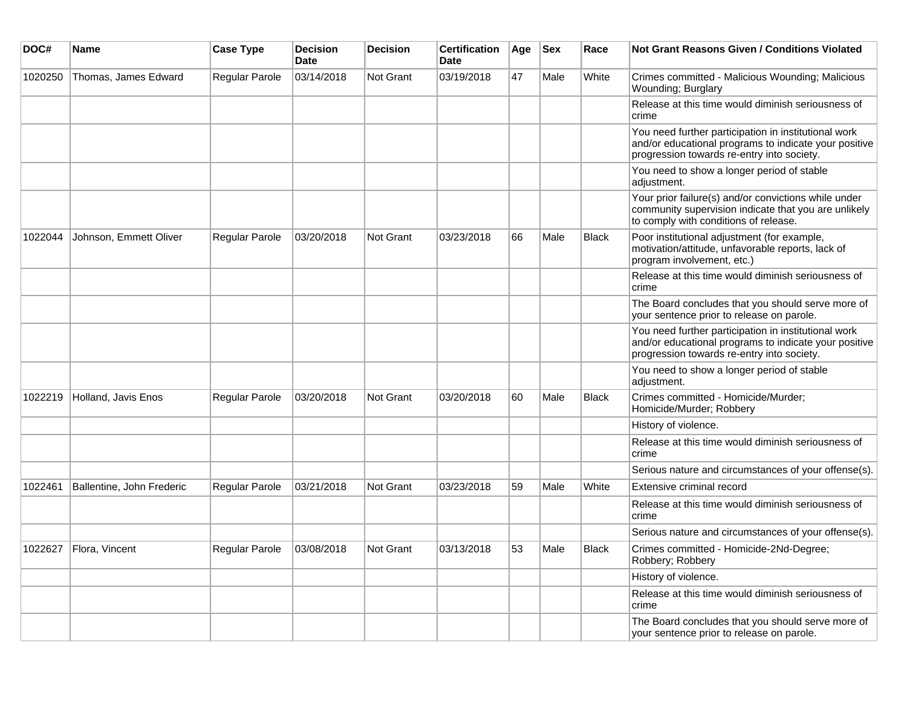| DOC#    | <b>Name</b>               | <b>Case Type</b>      | <b>Decision</b><br>Date | <b>Decision</b>  | <b>Certification</b><br><b>Date</b> | Age | <b>Sex</b> | Race         | Not Grant Reasons Given / Conditions Violated                                                                                                               |
|---------|---------------------------|-----------------------|-------------------------|------------------|-------------------------------------|-----|------------|--------------|-------------------------------------------------------------------------------------------------------------------------------------------------------------|
| 1020250 | Thomas, James Edward      | Regular Parole        | 03/14/2018              | <b>Not Grant</b> | 03/19/2018                          | 47  | Male       | White        | Crimes committed - Malicious Wounding; Malicious<br>Wounding; Burglary                                                                                      |
|         |                           |                       |                         |                  |                                     |     |            |              | Release at this time would diminish seriousness of<br>crime                                                                                                 |
|         |                           |                       |                         |                  |                                     |     |            |              | You need further participation in institutional work<br>and/or educational programs to indicate your positive<br>progression towards re-entry into society. |
|         |                           |                       |                         |                  |                                     |     |            |              | You need to show a longer period of stable<br>adjustment.                                                                                                   |
|         |                           |                       |                         |                  |                                     |     |            |              | Your prior failure(s) and/or convictions while under<br>community supervision indicate that you are unlikely<br>to comply with conditions of release.       |
| 1022044 | Johnson, Emmett Oliver    | Regular Parole        | 03/20/2018              | Not Grant        | 03/23/2018                          | 66  | Male       | <b>Black</b> | Poor institutional adjustment (for example,<br>motivation/attitude, unfavorable reports, lack of<br>program involvement, etc.)                              |
|         |                           |                       |                         |                  |                                     |     |            |              | Release at this time would diminish seriousness of<br>crime                                                                                                 |
|         |                           |                       |                         |                  |                                     |     |            |              | The Board concludes that you should serve more of<br>your sentence prior to release on parole.                                                              |
|         |                           |                       |                         |                  |                                     |     |            |              | You need further participation in institutional work<br>and/or educational programs to indicate your positive<br>progression towards re-entry into society. |
|         |                           |                       |                         |                  |                                     |     |            |              | You need to show a longer period of stable<br>adjustment.                                                                                                   |
| 1022219 | Holland, Javis Enos       | Regular Parole        | 03/20/2018              | <b>Not Grant</b> | 03/20/2018                          | 60  | Male       | <b>Black</b> | Crimes committed - Homicide/Murder;<br>Homicide/Murder; Robbery                                                                                             |
|         |                           |                       |                         |                  |                                     |     |            |              | History of violence.                                                                                                                                        |
|         |                           |                       |                         |                  |                                     |     |            |              | Release at this time would diminish seriousness of<br>crime                                                                                                 |
|         |                           |                       |                         |                  |                                     |     |            |              | Serious nature and circumstances of your offense(s).                                                                                                        |
| 1022461 | Ballentine, John Frederic | Regular Parole        | 03/21/2018              | <b>Not Grant</b> | 03/23/2018                          | 59  | Male       | White        | Extensive criminal record                                                                                                                                   |
|         |                           |                       |                         |                  |                                     |     |            |              | Release at this time would diminish seriousness of<br>crime                                                                                                 |
|         |                           |                       |                         |                  |                                     |     |            |              | Serious nature and circumstances of your offense(s).                                                                                                        |
| 1022627 | Flora, Vincent            | <b>Regular Parole</b> | 03/08/2018              | Not Grant        | 03/13/2018                          | 53  | Male       | <b>Black</b> | Crimes committed - Homicide-2Nd-Degree:<br>Robbery; Robbery                                                                                                 |
|         |                           |                       |                         |                  |                                     |     |            |              | History of violence.                                                                                                                                        |
|         |                           |                       |                         |                  |                                     |     |            |              | Release at this time would diminish seriousness of<br>crime                                                                                                 |
|         |                           |                       |                         |                  |                                     |     |            |              | The Board concludes that you should serve more of<br>your sentence prior to release on parole.                                                              |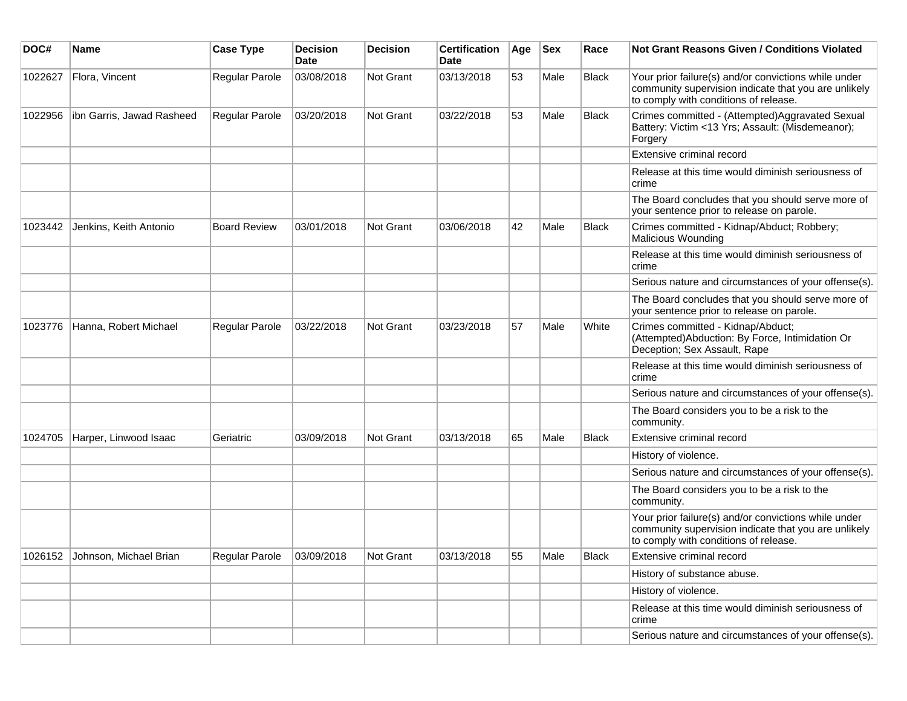| DOC#    | <b>Name</b>                    | <b>Case Type</b>      | <b>Decision</b><br><b>Date</b> | <b>Decision</b> | <b>Certification</b><br>Date | Age | <b>Sex</b> | Race         | Not Grant Reasons Given / Conditions Violated                                                                                                         |
|---------|--------------------------------|-----------------------|--------------------------------|-----------------|------------------------------|-----|------------|--------------|-------------------------------------------------------------------------------------------------------------------------------------------------------|
| 1022627 | Flora, Vincent                 | Regular Parole        | 03/08/2018                     | Not Grant       | 03/13/2018                   | 53  | Male       | <b>Black</b> | Your prior failure(s) and/or convictions while under<br>community supervision indicate that you are unlikely<br>to comply with conditions of release. |
| 1022956 | ibn Garris, Jawad Rasheed      | Regular Parole        | 03/20/2018                     | Not Grant       | 03/22/2018                   | 53  | Male       | <b>Black</b> | Crimes committed - (Attempted)Aggravated Sexual<br>Battery: Victim <13 Yrs; Assault: (Misdemeanor);<br>Forgery                                        |
|         |                                |                       |                                |                 |                              |     |            |              | Extensive criminal record                                                                                                                             |
|         |                                |                       |                                |                 |                              |     |            |              | Release at this time would diminish seriousness of<br>crime                                                                                           |
|         |                                |                       |                                |                 |                              |     |            |              | The Board concludes that you should serve more of<br>your sentence prior to release on parole.                                                        |
| 1023442 | Jenkins, Keith Antonio         | <b>Board Review</b>   | 03/01/2018                     | Not Grant       | 03/06/2018                   | 42  | Male       | <b>Black</b> | Crimes committed - Kidnap/Abduct; Robbery;<br>Malicious Wounding                                                                                      |
|         |                                |                       |                                |                 |                              |     |            |              | Release at this time would diminish seriousness of<br>crime                                                                                           |
|         |                                |                       |                                |                 |                              |     |            |              | Serious nature and circumstances of your offense(s).                                                                                                  |
|         |                                |                       |                                |                 |                              |     |            |              | The Board concludes that you should serve more of<br>your sentence prior to release on parole.                                                        |
| 1023776 | Hanna, Robert Michael          | <b>Regular Parole</b> | 03/22/2018                     | Not Grant       | 03/23/2018                   | 57  | Male       | White        | Crimes committed - Kidnap/Abduct;<br>(Attempted)Abduction: By Force, Intimidation Or<br>Deception; Sex Assault, Rape                                  |
|         |                                |                       |                                |                 |                              |     |            |              | Release at this time would diminish seriousness of<br>crime                                                                                           |
|         |                                |                       |                                |                 |                              |     |            |              | Serious nature and circumstances of your offense(s).                                                                                                  |
|         |                                |                       |                                |                 |                              |     |            |              | The Board considers you to be a risk to the<br>community.                                                                                             |
| 1024705 | Harper, Linwood Isaac          | Geriatric             | 03/09/2018                     | Not Grant       | 03/13/2018                   | 65  | Male       | <b>Black</b> | Extensive criminal record                                                                                                                             |
|         |                                |                       |                                |                 |                              |     |            |              | History of violence.                                                                                                                                  |
|         |                                |                       |                                |                 |                              |     |            |              | Serious nature and circumstances of your offense(s).                                                                                                  |
|         |                                |                       |                                |                 |                              |     |            |              | The Board considers you to be a risk to the<br>community.                                                                                             |
|         |                                |                       |                                |                 |                              |     |            |              | Your prior failure(s) and/or convictions while under<br>community supervision indicate that you are unlikely<br>to comply with conditions of release. |
|         | 1026152 Johnson, Michael Brian | Regular Parole        | 03/09/2018                     | Not Grant       | 03/13/2018                   | 55  | Male       | <b>Black</b> | Extensive criminal record                                                                                                                             |
|         |                                |                       |                                |                 |                              |     |            |              | History of substance abuse.                                                                                                                           |
|         |                                |                       |                                |                 |                              |     |            |              | History of violence.                                                                                                                                  |
|         |                                |                       |                                |                 |                              |     |            |              | Release at this time would diminish seriousness of<br>crime                                                                                           |
|         |                                |                       |                                |                 |                              |     |            |              | Serious nature and circumstances of your offense(s).                                                                                                  |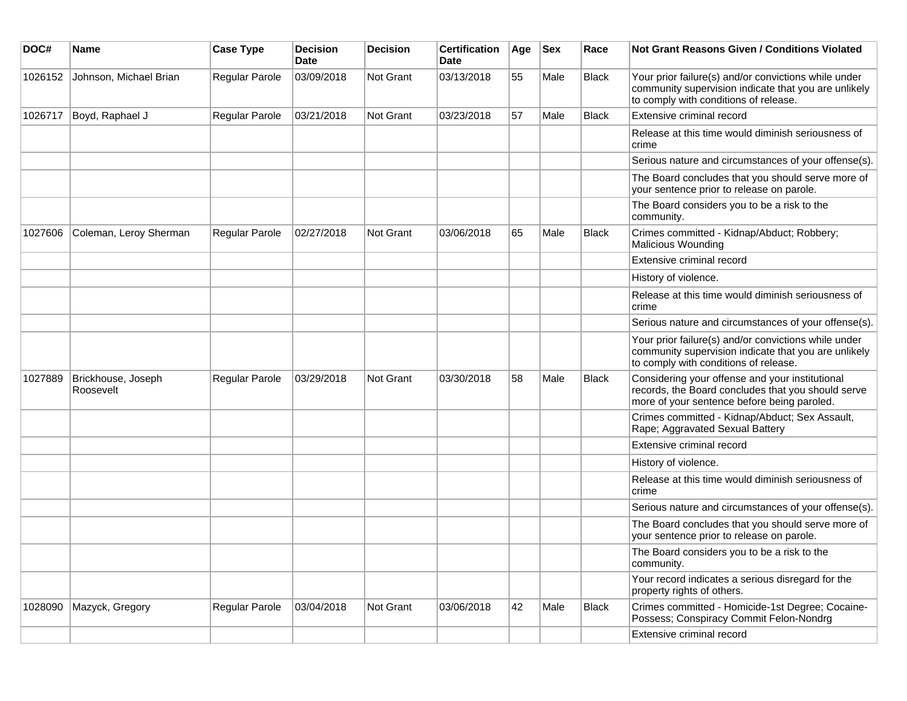| DOC#    | <b>Name</b>                     | <b>Case Type</b> | <b>Decision</b><br><b>Date</b> | Decision  | <b>Certification</b><br>Date | Age | <b>Sex</b> | Race         | Not Grant Reasons Given / Conditions Violated                                                                                                         |
|---------|---------------------------------|------------------|--------------------------------|-----------|------------------------------|-----|------------|--------------|-------------------------------------------------------------------------------------------------------------------------------------------------------|
| 1026152 | Johnson, Michael Brian          | Regular Parole   | 03/09/2018                     | Not Grant | 03/13/2018                   | 55  | Male       | <b>Black</b> | Your prior failure(s) and/or convictions while under<br>community supervision indicate that you are unlikely<br>to comply with conditions of release. |
| 1026717 | Boyd, Raphael J                 | Regular Parole   | 03/21/2018                     | Not Grant | 03/23/2018                   | 57  | Male       | <b>Black</b> | Extensive criminal record                                                                                                                             |
|         |                                 |                  |                                |           |                              |     |            |              | Release at this time would diminish seriousness of<br>crime                                                                                           |
|         |                                 |                  |                                |           |                              |     |            |              | Serious nature and circumstances of your offense(s).                                                                                                  |
|         |                                 |                  |                                |           |                              |     |            |              | The Board concludes that you should serve more of<br>your sentence prior to release on parole.                                                        |
|         |                                 |                  |                                |           |                              |     |            |              | The Board considers you to be a risk to the<br>community.                                                                                             |
| 1027606 | Coleman, Leroy Sherman          | Regular Parole   | 02/27/2018                     | Not Grant | 03/06/2018                   | 65  | Male       | Black        | Crimes committed - Kidnap/Abduct; Robbery;<br>Malicious Wounding                                                                                      |
|         |                                 |                  |                                |           |                              |     |            |              | Extensive criminal record                                                                                                                             |
|         |                                 |                  |                                |           |                              |     |            |              | History of violence.                                                                                                                                  |
|         |                                 |                  |                                |           |                              |     |            |              | Release at this time would diminish seriousness of<br>crime                                                                                           |
|         |                                 |                  |                                |           |                              |     |            |              | Serious nature and circumstances of your offense(s).                                                                                                  |
|         |                                 |                  |                                |           |                              |     |            |              | Your prior failure(s) and/or convictions while under<br>community supervision indicate that you are unlikely<br>to comply with conditions of release. |
| 1027889 | Brickhouse, Joseph<br>Roosevelt | Regular Parole   | 03/29/2018                     | Not Grant | 03/30/2018                   | 58  | Male       | <b>Black</b> | Considering your offense and your institutional<br>records, the Board concludes that you should serve<br>more of your sentence before being paroled.  |
|         |                                 |                  |                                |           |                              |     |            |              | Crimes committed - Kidnap/Abduct; Sex Assault,<br>Rape; Aggravated Sexual Battery                                                                     |
|         |                                 |                  |                                |           |                              |     |            |              | Extensive criminal record                                                                                                                             |
|         |                                 |                  |                                |           |                              |     |            |              | History of violence.                                                                                                                                  |
|         |                                 |                  |                                |           |                              |     |            |              | Release at this time would diminish seriousness of<br>crime                                                                                           |
|         |                                 |                  |                                |           |                              |     |            |              | Serious nature and circumstances of your offense(s).                                                                                                  |
|         |                                 |                  |                                |           |                              |     |            |              | The Board concludes that you should serve more of<br>your sentence prior to release on parole.                                                        |
|         |                                 |                  |                                |           |                              |     |            |              | The Board considers you to be a risk to the<br>community.                                                                                             |
|         |                                 |                  |                                |           |                              |     |            |              | Your record indicates a serious disregard for the<br>property rights of others.                                                                       |
| 1028090 | Mazyck, Gregory                 | Regular Parole   | 03/04/2018                     | Not Grant | 03/06/2018                   | 42  | Male       | Black        | Crimes committed - Homicide-1st Degree; Cocaine-<br>Possess; Conspiracy Commit Felon-Nondrg                                                           |
|         |                                 |                  |                                |           |                              |     |            |              | Extensive criminal record                                                                                                                             |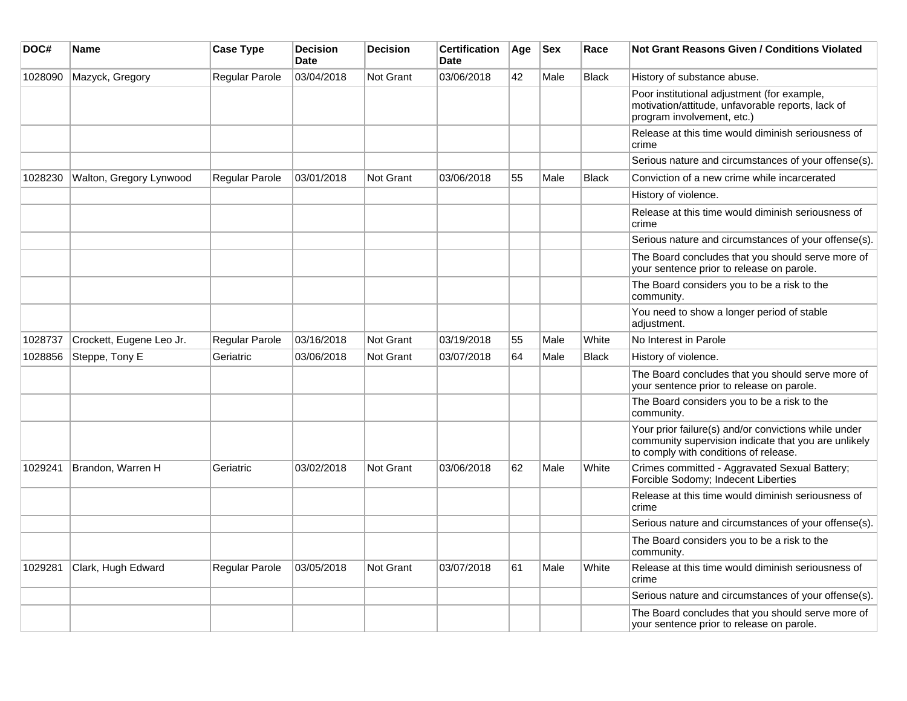| DOC#    | <b>Name</b>              | <b>Case Type</b> | <b>Decision</b><br>Date | <b>Decision</b>  | <b>Certification</b><br><b>Date</b> | Age | <b>Sex</b> | Race         | Not Grant Reasons Given / Conditions Violated                                                                                                         |
|---------|--------------------------|------------------|-------------------------|------------------|-------------------------------------|-----|------------|--------------|-------------------------------------------------------------------------------------------------------------------------------------------------------|
| 1028090 | Mazyck, Gregory          | Regular Parole   | 03/04/2018              | <b>Not Grant</b> | 03/06/2018                          | 42  | Male       | <b>Black</b> | History of substance abuse.                                                                                                                           |
|         |                          |                  |                         |                  |                                     |     |            |              | Poor institutional adjustment (for example,<br>motivation/attitude, unfavorable reports, lack of<br>program involvement, etc.)                        |
|         |                          |                  |                         |                  |                                     |     |            |              | Release at this time would diminish seriousness of<br>crime                                                                                           |
|         |                          |                  |                         |                  |                                     |     |            |              | Serious nature and circumstances of your offense(s).                                                                                                  |
| 1028230 | Walton, Gregory Lynwood  | Regular Parole   | 03/01/2018              | Not Grant        | 03/06/2018                          | 55  | Male       | <b>Black</b> | Conviction of a new crime while incarcerated                                                                                                          |
|         |                          |                  |                         |                  |                                     |     |            |              | History of violence.                                                                                                                                  |
|         |                          |                  |                         |                  |                                     |     |            |              | Release at this time would diminish seriousness of<br>crime                                                                                           |
|         |                          |                  |                         |                  |                                     |     |            |              | Serious nature and circumstances of your offense(s).                                                                                                  |
|         |                          |                  |                         |                  |                                     |     |            |              | The Board concludes that you should serve more of<br>your sentence prior to release on parole.                                                        |
|         |                          |                  |                         |                  |                                     |     |            |              | The Board considers you to be a risk to the<br>community.                                                                                             |
|         |                          |                  |                         |                  |                                     |     |            |              | You need to show a longer period of stable<br>adjustment.                                                                                             |
| 1028737 | Crockett, Eugene Leo Jr. | Regular Parole   | 03/16/2018              | Not Grant        | 03/19/2018                          | 55  | Male       | White        | No Interest in Parole                                                                                                                                 |
| 1028856 | Steppe, Tony E           | Geriatric        | 03/06/2018              | <b>Not Grant</b> | 03/07/2018                          | 64  | Male       | <b>Black</b> | History of violence.                                                                                                                                  |
|         |                          |                  |                         |                  |                                     |     |            |              | The Board concludes that you should serve more of<br>your sentence prior to release on parole.                                                        |
|         |                          |                  |                         |                  |                                     |     |            |              | The Board considers you to be a risk to the<br>community.                                                                                             |
|         |                          |                  |                         |                  |                                     |     |            |              | Your prior failure(s) and/or convictions while under<br>community supervision indicate that you are unlikely<br>to comply with conditions of release. |
| 1029241 | Brandon, Warren H        | Geriatric        | 03/02/2018              | <b>Not Grant</b> | 03/06/2018                          | 62  | Male       | White        | Crimes committed - Aggravated Sexual Battery;<br>Forcible Sodomy; Indecent Liberties                                                                  |
|         |                          |                  |                         |                  |                                     |     |            |              | Release at this time would diminish seriousness of<br>crime                                                                                           |
|         |                          |                  |                         |                  |                                     |     |            |              | Serious nature and circumstances of your offense(s).                                                                                                  |
|         |                          |                  |                         |                  |                                     |     |            |              | The Board considers you to be a risk to the<br>community.                                                                                             |
| 1029281 | Clark, Hugh Edward       | Regular Parole   | 03/05/2018              | <b>Not Grant</b> | 03/07/2018                          | 61  | Male       | White        | Release at this time would diminish seriousness of<br>crime                                                                                           |
|         |                          |                  |                         |                  |                                     |     |            |              | Serious nature and circumstances of your offense(s).                                                                                                  |
|         |                          |                  |                         |                  |                                     |     |            |              | The Board concludes that you should serve more of<br>your sentence prior to release on parole.                                                        |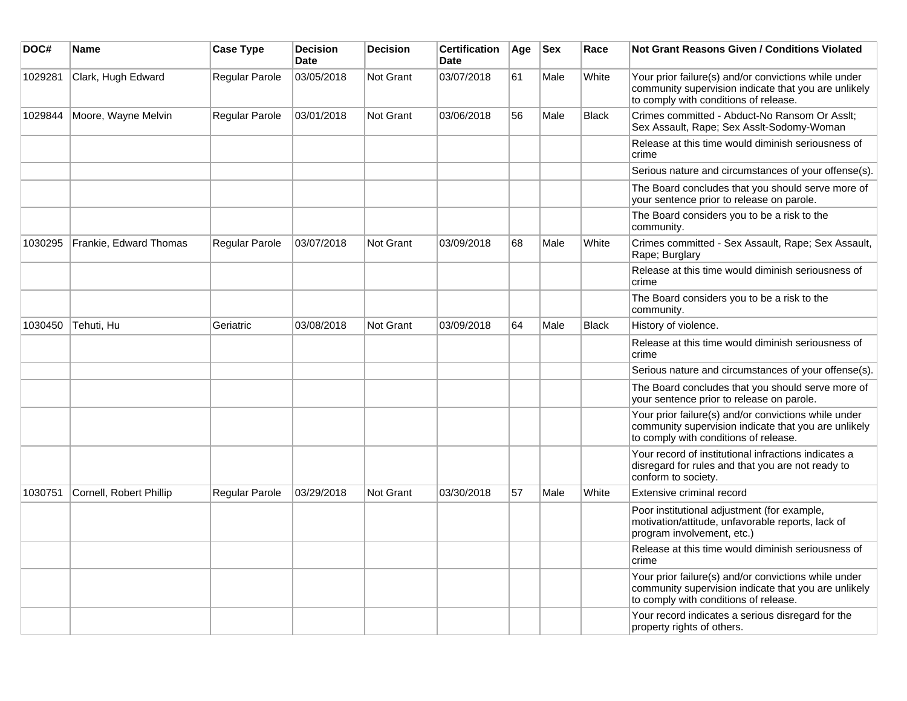| DOC#    | Name                    | <b>Case Type</b>      | <b>Decision</b><br><b>Date</b> | <b>Decision</b>  | <b>Certification</b><br><b>Date</b> | Age | $ $ Sex | Race         | Not Grant Reasons Given / Conditions Violated                                                                                                         |
|---------|-------------------------|-----------------------|--------------------------------|------------------|-------------------------------------|-----|---------|--------------|-------------------------------------------------------------------------------------------------------------------------------------------------------|
| 1029281 | Clark, Hugh Edward      | Regular Parole        | 03/05/2018                     | Not Grant        | 03/07/2018                          | 61  | Male    | White        | Your prior failure(s) and/or convictions while under<br>community supervision indicate that you are unlikely<br>to comply with conditions of release. |
| 1029844 | Moore, Wayne Melvin     | <b>Regular Parole</b> | 03/01/2018                     | Not Grant        | 03/06/2018                          | 56  | Male    | <b>Black</b> | Crimes committed - Abduct-No Ransom Or Asslt;<br>Sex Assault, Rape; Sex Asslt-Sodomy-Woman                                                            |
|         |                         |                       |                                |                  |                                     |     |         |              | Release at this time would diminish seriousness of<br>crime                                                                                           |
|         |                         |                       |                                |                  |                                     |     |         |              | Serious nature and circumstances of your offense(s).                                                                                                  |
|         |                         |                       |                                |                  |                                     |     |         |              | The Board concludes that you should serve more of<br>your sentence prior to release on parole.                                                        |
|         |                         |                       |                                |                  |                                     |     |         |              | The Board considers you to be a risk to the<br>community.                                                                                             |
| 1030295 | Frankie, Edward Thomas  | Regular Parole        | 03/07/2018                     | Not Grant        | 03/09/2018                          | 68  | Male    | White        | Crimes committed - Sex Assault, Rape; Sex Assault,<br>Rape; Burglary                                                                                  |
|         |                         |                       |                                |                  |                                     |     |         |              | Release at this time would diminish seriousness of<br>crime                                                                                           |
|         |                         |                       |                                |                  |                                     |     |         |              | The Board considers you to be a risk to the<br>community.                                                                                             |
| 1030450 | Tehuti, Hu              | Geriatric             | 03/08/2018                     | <b>Not Grant</b> | 03/09/2018                          | 64  | Male    | <b>Black</b> | History of violence.                                                                                                                                  |
|         |                         |                       |                                |                  |                                     |     |         |              | Release at this time would diminish seriousness of<br>crime                                                                                           |
|         |                         |                       |                                |                  |                                     |     |         |              | Serious nature and circumstances of your offense(s).                                                                                                  |
|         |                         |                       |                                |                  |                                     |     |         |              | The Board concludes that you should serve more of<br>your sentence prior to release on parole.                                                        |
|         |                         |                       |                                |                  |                                     |     |         |              | Your prior failure(s) and/or convictions while under<br>community supervision indicate that you are unlikely<br>to comply with conditions of release. |
|         |                         |                       |                                |                  |                                     |     |         |              | Your record of institutional infractions indicates a<br>disregard for rules and that you are not ready to<br>conform to society.                      |
| 1030751 | Cornell, Robert Phillip | <b>Regular Parole</b> | 03/29/2018                     | Not Grant        | 03/30/2018                          | 57  | Male    | White        | Extensive criminal record                                                                                                                             |
|         |                         |                       |                                |                  |                                     |     |         |              | Poor institutional adjustment (for example,<br>motivation/attitude, unfavorable reports, lack of<br>program involvement, etc.)                        |
|         |                         |                       |                                |                  |                                     |     |         |              | Release at this time would diminish seriousness of<br>crime                                                                                           |
|         |                         |                       |                                |                  |                                     |     |         |              | Your prior failure(s) and/or convictions while under<br>community supervision indicate that you are unlikely<br>to comply with conditions of release. |
|         |                         |                       |                                |                  |                                     |     |         |              | Your record indicates a serious disregard for the<br>property rights of others.                                                                       |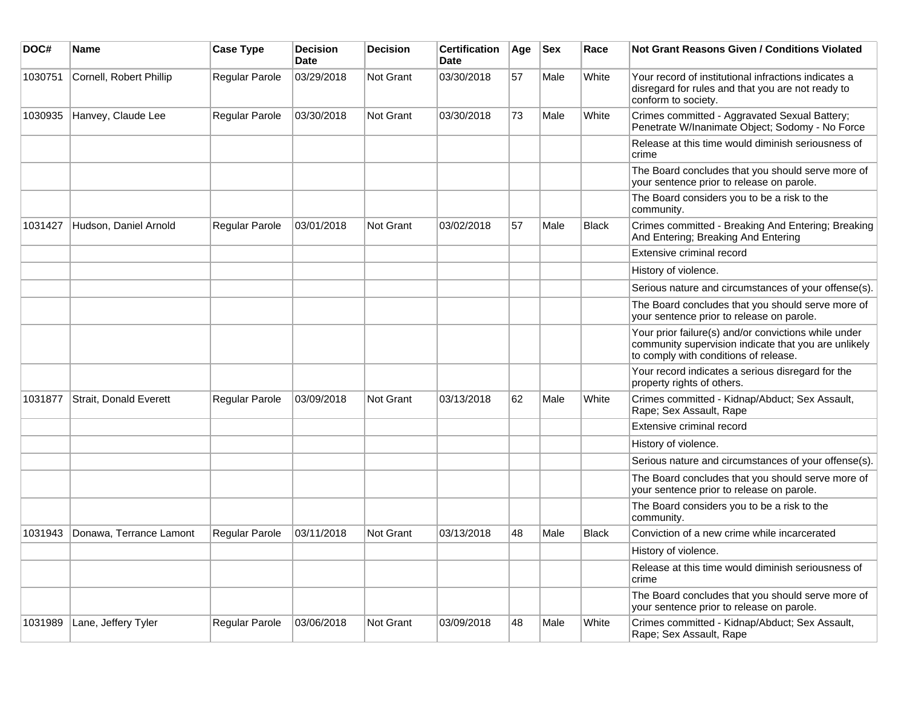| DOC#    | <b>Name</b>             | <b>Case Type</b>      | <b>Decision</b><br><b>Date</b> | <b>Decision</b>  | <b>Certification</b><br><b>Date</b> | Age | <b>Sex</b> | Race         | Not Grant Reasons Given / Conditions Violated                                                                                                         |
|---------|-------------------------|-----------------------|--------------------------------|------------------|-------------------------------------|-----|------------|--------------|-------------------------------------------------------------------------------------------------------------------------------------------------------|
| 1030751 | Cornell, Robert Phillip | Regular Parole        | 03/29/2018                     | <b>Not Grant</b> | 03/30/2018                          | 57  | Male       | White        | Your record of institutional infractions indicates a<br>disregard for rules and that you are not ready to<br>conform to society.                      |
| 1030935 | Hanvey, Claude Lee      | Regular Parole        | 03/30/2018                     | Not Grant        | 03/30/2018                          | 73  | Male       | White        | Crimes committed - Aggravated Sexual Battery;<br>Penetrate W/Inanimate Object; Sodomy - No Force                                                      |
|         |                         |                       |                                |                  |                                     |     |            |              | Release at this time would diminish seriousness of<br>crime                                                                                           |
|         |                         |                       |                                |                  |                                     |     |            |              | The Board concludes that you should serve more of<br>your sentence prior to release on parole.                                                        |
|         |                         |                       |                                |                  |                                     |     |            |              | The Board considers you to be a risk to the<br>community.                                                                                             |
| 1031427 | Hudson, Daniel Arnold   | Regular Parole        | 03/01/2018                     | Not Grant        | 03/02/2018                          | 57  | Male       | Black        | Crimes committed - Breaking And Entering; Breaking<br>And Entering; Breaking And Entering                                                             |
|         |                         |                       |                                |                  |                                     |     |            |              | Extensive criminal record                                                                                                                             |
|         |                         |                       |                                |                  |                                     |     |            |              | History of violence.                                                                                                                                  |
|         |                         |                       |                                |                  |                                     |     |            |              | Serious nature and circumstances of your offense(s).                                                                                                  |
|         |                         |                       |                                |                  |                                     |     |            |              | The Board concludes that you should serve more of<br>your sentence prior to release on parole.                                                        |
|         |                         |                       |                                |                  |                                     |     |            |              | Your prior failure(s) and/or convictions while under<br>community supervision indicate that you are unlikely<br>to comply with conditions of release. |
|         |                         |                       |                                |                  |                                     |     |            |              | Your record indicates a serious disregard for the<br>property rights of others.                                                                       |
| 1031877 | Strait, Donald Everett  | Regular Parole        | 03/09/2018                     | Not Grant        | 03/13/2018                          | 62  | Male       | White        | Crimes committed - Kidnap/Abduct; Sex Assault,<br>Rape; Sex Assault, Rape                                                                             |
|         |                         |                       |                                |                  |                                     |     |            |              | Extensive criminal record                                                                                                                             |
|         |                         |                       |                                |                  |                                     |     |            |              | History of violence.                                                                                                                                  |
|         |                         |                       |                                |                  |                                     |     |            |              | Serious nature and circumstances of your offense(s).                                                                                                  |
|         |                         |                       |                                |                  |                                     |     |            |              | The Board concludes that you should serve more of<br>your sentence prior to release on parole.                                                        |
|         |                         |                       |                                |                  |                                     |     |            |              | The Board considers you to be a risk to the<br>community.                                                                                             |
| 1031943 | Donawa, Terrance Lamont | <b>Regular Parole</b> | 03/11/2018                     | <b>Not Grant</b> | 03/13/2018                          | 48  | Male       | <b>Black</b> | Conviction of a new crime while incarcerated                                                                                                          |
|         |                         |                       |                                |                  |                                     |     |            |              | History of violence.                                                                                                                                  |
|         |                         |                       |                                |                  |                                     |     |            |              | Release at this time would diminish seriousness of<br>crime                                                                                           |
|         |                         |                       |                                |                  |                                     |     |            |              | The Board concludes that you should serve more of<br>your sentence prior to release on parole.                                                        |
| 1031989 | Lane, Jeffery Tyler     | Regular Parole        | 03/06/2018                     | Not Grant        | 03/09/2018                          | 48  | Male       | White        | Crimes committed - Kidnap/Abduct; Sex Assault,<br>Rape; Sex Assault, Rape                                                                             |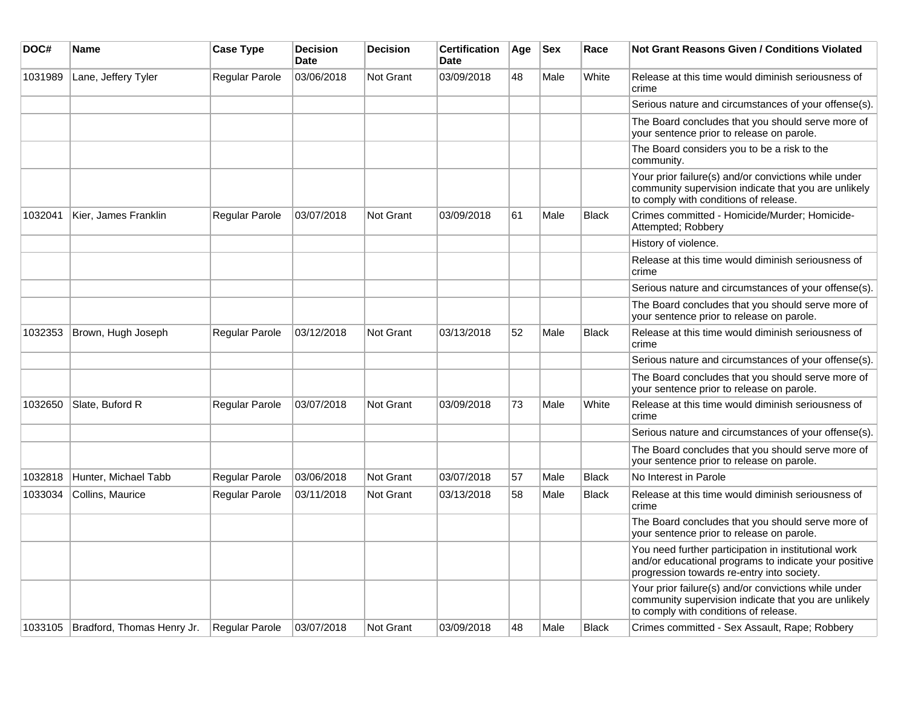| DOC#    | Name                                 | <b>Case Type</b>      | <b>Decision</b><br><b>Date</b> | <b>Decision</b>  | <b>Certification</b><br><b>Date</b> | Age | <b>Sex</b> | Race         | Not Grant Reasons Given / Conditions Violated                                                                                                               |
|---------|--------------------------------------|-----------------------|--------------------------------|------------------|-------------------------------------|-----|------------|--------------|-------------------------------------------------------------------------------------------------------------------------------------------------------------|
| 1031989 | Lane, Jeffery Tyler                  | <b>Regular Parole</b> | 03/06/2018                     | Not Grant        | 03/09/2018                          | 48  | Male       | White        | Release at this time would diminish seriousness of<br>crime                                                                                                 |
|         |                                      |                       |                                |                  |                                     |     |            |              | Serious nature and circumstances of your offense(s).                                                                                                        |
|         |                                      |                       |                                |                  |                                     |     |            |              | The Board concludes that you should serve more of<br>your sentence prior to release on parole.                                                              |
|         |                                      |                       |                                |                  |                                     |     |            |              | The Board considers you to be a risk to the<br>community.                                                                                                   |
|         |                                      |                       |                                |                  |                                     |     |            |              | Your prior failure(s) and/or convictions while under<br>community supervision indicate that you are unlikely<br>to comply with conditions of release.       |
| 1032041 | Kier, James Franklin                 | <b>Regular Parole</b> | 03/07/2018                     | Not Grant        | 03/09/2018                          | 61  | Male       | <b>Black</b> | Crimes committed - Homicide/Murder; Homicide-<br>Attempted; Robbery                                                                                         |
|         |                                      |                       |                                |                  |                                     |     |            |              | History of violence.                                                                                                                                        |
|         |                                      |                       |                                |                  |                                     |     |            |              | Release at this time would diminish seriousness of<br>crime                                                                                                 |
|         |                                      |                       |                                |                  |                                     |     |            |              | Serious nature and circumstances of your offense(s).                                                                                                        |
|         |                                      |                       |                                |                  |                                     |     |            |              | The Board concludes that you should serve more of<br>your sentence prior to release on parole.                                                              |
| 1032353 | Brown, Hugh Joseph                   | Regular Parole        | 03/12/2018                     | Not Grant        | 03/13/2018                          | 52  | Male       | <b>Black</b> | Release at this time would diminish seriousness of<br>crime                                                                                                 |
|         |                                      |                       |                                |                  |                                     |     |            |              | Serious nature and circumstances of your offense(s).                                                                                                        |
|         |                                      |                       |                                |                  |                                     |     |            |              | The Board concludes that you should serve more of<br>your sentence prior to release on parole.                                                              |
| 1032650 | Slate, Buford R                      | Regular Parole        | 03/07/2018                     | <b>Not Grant</b> | 03/09/2018                          | 73  | Male       | White        | Release at this time would diminish seriousness of<br>crime                                                                                                 |
|         |                                      |                       |                                |                  |                                     |     |            |              | Serious nature and circumstances of your offense(s).                                                                                                        |
|         |                                      |                       |                                |                  |                                     |     |            |              | The Board concludes that you should serve more of<br>your sentence prior to release on parole.                                                              |
| 1032818 | Hunter, Michael Tabb                 | Regular Parole        | 03/06/2018                     | <b>Not Grant</b> | 03/07/2018                          | 57  | Male       | <b>Black</b> | No Interest in Parole                                                                                                                                       |
| 1033034 | Collins, Maurice                     | Regular Parole        | 03/11/2018                     | Not Grant        | 03/13/2018                          | 58  | Male       | <b>Black</b> | Release at this time would diminish seriousness of<br>crime                                                                                                 |
|         |                                      |                       |                                |                  |                                     |     |            |              | The Board concludes that you should serve more of<br>your sentence prior to release on parole.                                                              |
|         |                                      |                       |                                |                  |                                     |     |            |              | You need further participation in institutional work<br>and/or educational programs to indicate your positive<br>progression towards re-entry into society. |
|         |                                      |                       |                                |                  |                                     |     |            |              | Your prior failure(s) and/or convictions while under<br>community supervision indicate that you are unlikely<br>to comply with conditions of release.       |
|         | 1033105   Bradford, Thomas Henry Jr. | Regular Parole        | 03/07/2018                     | <b>Not Grant</b> | 03/09/2018                          | 48  | Male       | <b>Black</b> | Crimes committed - Sex Assault, Rape; Robbery                                                                                                               |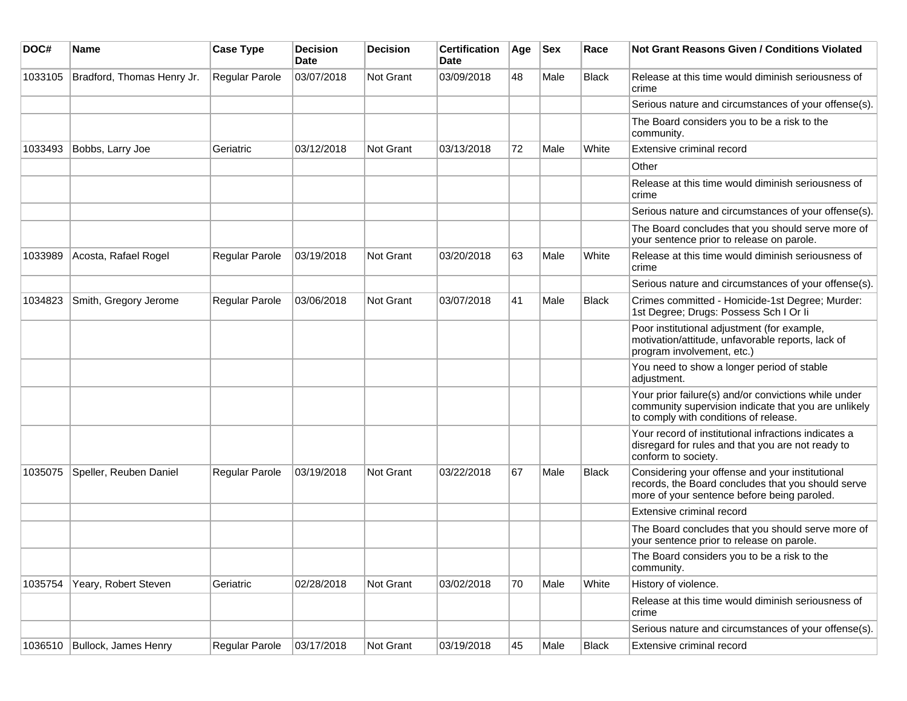| DOC#    | <b>Name</b>                | <b>Case Type</b> | <b>Decision</b><br><b>Date</b> | <b>Decision</b> | <b>Certification</b><br>Date | Age | <b>Sex</b> | Race         | <b>Not Grant Reasons Given / Conditions Violated</b>                                                                                                  |
|---------|----------------------------|------------------|--------------------------------|-----------------|------------------------------|-----|------------|--------------|-------------------------------------------------------------------------------------------------------------------------------------------------------|
| 1033105 | Bradford, Thomas Henry Jr. | Regular Parole   | 03/07/2018                     | Not Grant       | 03/09/2018                   | 48  | Male       | <b>Black</b> | Release at this time would diminish seriousness of<br>crime                                                                                           |
|         |                            |                  |                                |                 |                              |     |            |              | Serious nature and circumstances of your offense(s).                                                                                                  |
|         |                            |                  |                                |                 |                              |     |            |              | The Board considers you to be a risk to the<br>community.                                                                                             |
| 1033493 | Bobbs, Larry Joe           | Geriatric        | 03/12/2018                     | Not Grant       | 03/13/2018                   | 72  | Male       | White        | Extensive criminal record                                                                                                                             |
|         |                            |                  |                                |                 |                              |     |            |              | Other                                                                                                                                                 |
|         |                            |                  |                                |                 |                              |     |            |              | Release at this time would diminish seriousness of<br>crime                                                                                           |
|         |                            |                  |                                |                 |                              |     |            |              | Serious nature and circumstances of your offense(s).                                                                                                  |
|         |                            |                  |                                |                 |                              |     |            |              | The Board concludes that you should serve more of<br>your sentence prior to release on parole.                                                        |
| 1033989 | Acosta, Rafael Rogel       | Regular Parole   | 03/19/2018                     | Not Grant       | 03/20/2018                   | 63  | Male       | White        | Release at this time would diminish seriousness of<br>crime                                                                                           |
|         |                            |                  |                                |                 |                              |     |            |              | Serious nature and circumstances of your offense(s).                                                                                                  |
| 1034823 | Smith, Gregory Jerome      | Regular Parole   | 03/06/2018                     | Not Grant       | 03/07/2018                   | 41  | Male       | <b>Black</b> | Crimes committed - Homicide-1st Degree; Murder:<br>1st Degree; Drugs: Possess Sch I Or Ii                                                             |
|         |                            |                  |                                |                 |                              |     |            |              | Poor institutional adjustment (for example,<br>motivation/attitude, unfavorable reports, lack of<br>program involvement, etc.)                        |
|         |                            |                  |                                |                 |                              |     |            |              | You need to show a longer period of stable<br>adjustment.                                                                                             |
|         |                            |                  |                                |                 |                              |     |            |              | Your prior failure(s) and/or convictions while under<br>community supervision indicate that you are unlikely<br>to comply with conditions of release. |
|         |                            |                  |                                |                 |                              |     |            |              | Your record of institutional infractions indicates a<br>disregard for rules and that you are not ready to<br>conform to society.                      |
| 1035075 | Speller, Reuben Daniel     | Regular Parole   | 03/19/2018                     | Not Grant       | 03/22/2018                   | 67  | Male       | <b>Black</b> | Considering your offense and your institutional<br>records, the Board concludes that you should serve<br>more of your sentence before being paroled.  |
|         |                            |                  |                                |                 |                              |     |            |              | Extensive criminal record                                                                                                                             |
|         |                            |                  |                                |                 |                              |     |            |              | The Board concludes that you should serve more of<br>your sentence prior to release on parole.                                                        |
|         |                            |                  |                                |                 |                              |     |            |              | The Board considers you to be a risk to the<br>community.                                                                                             |
| 1035754 | Yeary, Robert Steven       | Geriatric        | 02/28/2018                     | Not Grant       | 03/02/2018                   | 70  | Male       | White        | History of violence.                                                                                                                                  |
|         |                            |                  |                                |                 |                              |     |            |              | Release at this time would diminish seriousness of<br>crime                                                                                           |
|         |                            |                  |                                |                 |                              |     |            |              | Serious nature and circumstances of your offense(s).                                                                                                  |
| 1036510 | Bullock, James Henry       | Regular Parole   | 03/17/2018                     | Not Grant       | 03/19/2018                   | 45  | Male       | Black        | Extensive criminal record                                                                                                                             |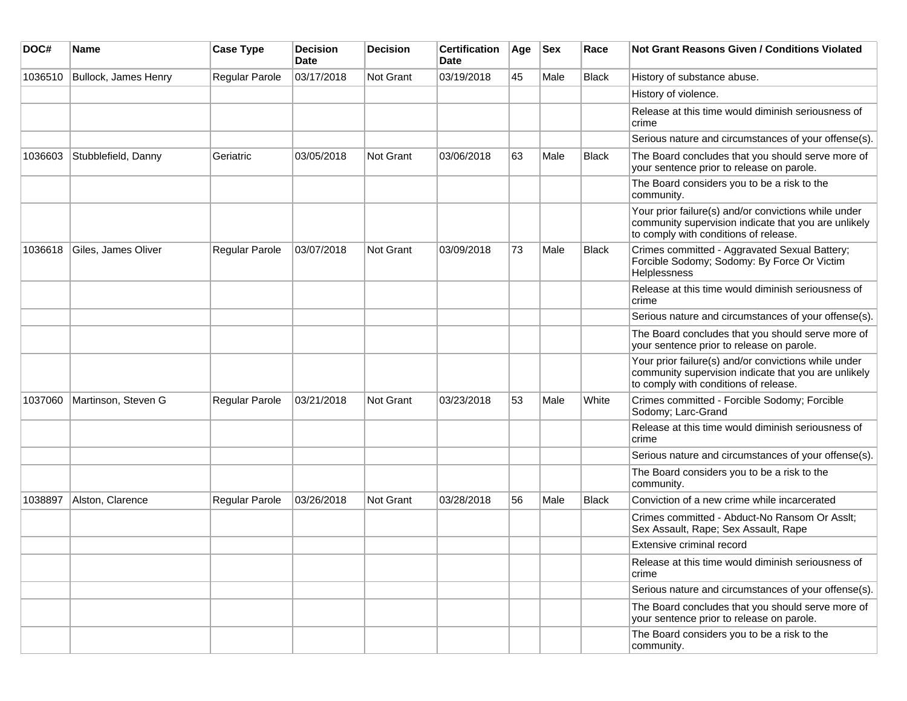| DOC#    | <b>Name</b>          | <b>Case Type</b> | <b>Decision</b><br><b>Date</b> | <b>Decision</b> | <b>Certification</b><br>Date | Age | <b>Sex</b> | Race         | <b>Not Grant Reasons Given / Conditions Violated</b>                                                                                                  |
|---------|----------------------|------------------|--------------------------------|-----------------|------------------------------|-----|------------|--------------|-------------------------------------------------------------------------------------------------------------------------------------------------------|
| 1036510 | Bullock, James Henry | Regular Parole   | 03/17/2018                     | Not Grant       | 03/19/2018                   | 45  | Male       | Black        | History of substance abuse.                                                                                                                           |
|         |                      |                  |                                |                 |                              |     |            |              | History of violence.                                                                                                                                  |
|         |                      |                  |                                |                 |                              |     |            |              | Release at this time would diminish seriousness of<br>crime                                                                                           |
|         |                      |                  |                                |                 |                              |     |            |              | Serious nature and circumstances of your offense(s).                                                                                                  |
| 1036603 | Stubblefield, Danny  | Geriatric        | 03/05/2018                     | Not Grant       | 03/06/2018                   | 63  | Male       | <b>Black</b> | The Board concludes that you should serve more of<br>your sentence prior to release on parole.                                                        |
|         |                      |                  |                                |                 |                              |     |            |              | The Board considers you to be a risk to the<br>community.                                                                                             |
|         |                      |                  |                                |                 |                              |     |            |              | Your prior failure(s) and/or convictions while under<br>community supervision indicate that you are unlikely<br>to comply with conditions of release. |
| 1036618 | Giles, James Oliver  | Regular Parole   | 03/07/2018                     | Not Grant       | 03/09/2018                   | 73  | Male       | <b>Black</b> | Crimes committed - Aggravated Sexual Battery;<br>Forcible Sodomy; Sodomy: By Force Or Victim<br>Helplessness                                          |
|         |                      |                  |                                |                 |                              |     |            |              | Release at this time would diminish seriousness of<br>crime                                                                                           |
|         |                      |                  |                                |                 |                              |     |            |              | Serious nature and circumstances of your offense(s).                                                                                                  |
|         |                      |                  |                                |                 |                              |     |            |              | The Board concludes that you should serve more of<br>your sentence prior to release on parole.                                                        |
|         |                      |                  |                                |                 |                              |     |            |              | Your prior failure(s) and/or convictions while under<br>community supervision indicate that you are unlikely<br>to comply with conditions of release. |
| 1037060 | Martinson, Steven G  | Regular Parole   | 03/21/2018                     | Not Grant       | 03/23/2018                   | 53  | Male       | White        | Crimes committed - Forcible Sodomy; Forcible<br>Sodomy; Larc-Grand                                                                                    |
|         |                      |                  |                                |                 |                              |     |            |              | Release at this time would diminish seriousness of<br>crime                                                                                           |
|         |                      |                  |                                |                 |                              |     |            |              | Serious nature and circumstances of your offense(s).                                                                                                  |
|         |                      |                  |                                |                 |                              |     |            |              | The Board considers you to be a risk to the<br>community.                                                                                             |
| 1038897 | Alston, Clarence     | Regular Parole   | 03/26/2018                     | Not Grant       | 03/28/2018                   | 56  | Male       | <b>Black</b> | Conviction of a new crime while incarcerated                                                                                                          |
|         |                      |                  |                                |                 |                              |     |            |              | Crimes committed - Abduct-No Ransom Or Asslt;<br>Sex Assault, Rape; Sex Assault, Rape                                                                 |
|         |                      |                  |                                |                 |                              |     |            |              | Extensive criminal record                                                                                                                             |
|         |                      |                  |                                |                 |                              |     |            |              | Release at this time would diminish seriousness of<br>crime                                                                                           |
|         |                      |                  |                                |                 |                              |     |            |              | Serious nature and circumstances of your offense(s).                                                                                                  |
|         |                      |                  |                                |                 |                              |     |            |              | The Board concludes that you should serve more of<br>your sentence prior to release on parole.                                                        |
|         |                      |                  |                                |                 |                              |     |            |              | The Board considers you to be a risk to the<br>community.                                                                                             |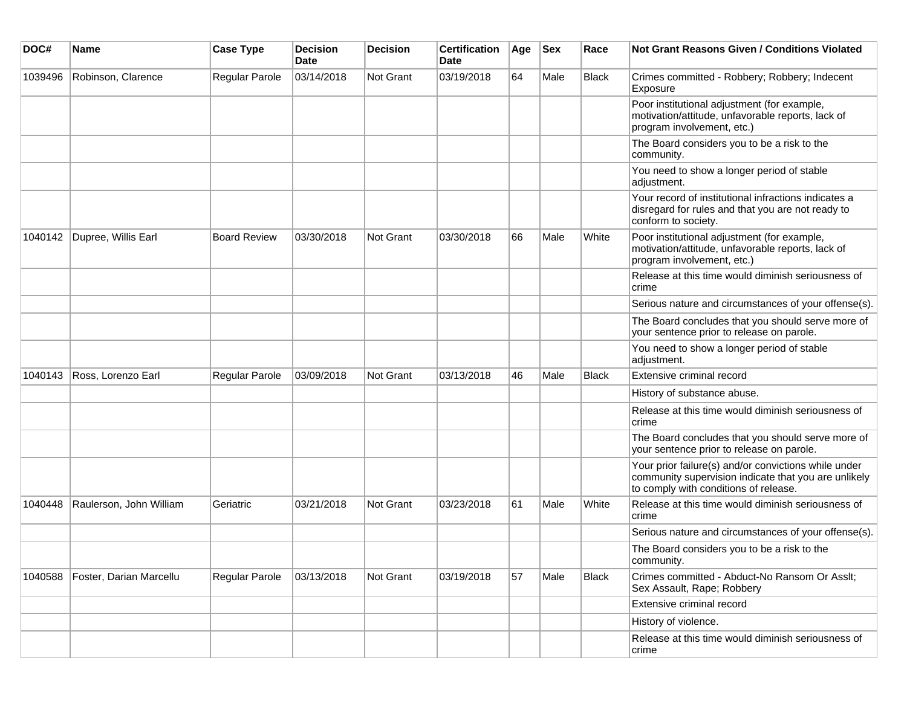| DOC#    | <b>Name</b>             | <b>Case Type</b>    | <b>Decision</b><br><b>Date</b> | <b>Decision</b> | <b>Certification</b><br><b>Date</b> | Age | <b>Sex</b> | Race         | Not Grant Reasons Given / Conditions Violated                                                                                                         |
|---------|-------------------------|---------------------|--------------------------------|-----------------|-------------------------------------|-----|------------|--------------|-------------------------------------------------------------------------------------------------------------------------------------------------------|
| 1039496 | Robinson, Clarence      | Regular Parole      | 03/14/2018                     | Not Grant       | 03/19/2018                          | 64  | Male       | Black        | Crimes committed - Robbery; Robbery; Indecent<br>Exposure                                                                                             |
|         |                         |                     |                                |                 |                                     |     |            |              | Poor institutional adjustment (for example,<br>motivation/attitude, unfavorable reports, lack of<br>program involvement, etc.)                        |
|         |                         |                     |                                |                 |                                     |     |            |              | The Board considers you to be a risk to the<br>community.                                                                                             |
|         |                         |                     |                                |                 |                                     |     |            |              | You need to show a longer period of stable<br>adjustment.                                                                                             |
|         |                         |                     |                                |                 |                                     |     |            |              | Your record of institutional infractions indicates a<br>disregard for rules and that you are not ready to<br>conform to society.                      |
| 1040142 | Dupree, Willis Earl     | <b>Board Review</b> | 03/30/2018                     | Not Grant       | 03/30/2018                          | 66  | Male       | White        | Poor institutional adjustment (for example,<br>motivation/attitude, unfavorable reports, lack of<br>program involvement, etc.)                        |
|         |                         |                     |                                |                 |                                     |     |            |              | Release at this time would diminish seriousness of<br>crime                                                                                           |
|         |                         |                     |                                |                 |                                     |     |            |              | Serious nature and circumstances of your offense(s).                                                                                                  |
|         |                         |                     |                                |                 |                                     |     |            |              | The Board concludes that you should serve more of<br>your sentence prior to release on parole.                                                        |
|         |                         |                     |                                |                 |                                     |     |            |              | You need to show a longer period of stable<br>adjustment.                                                                                             |
| 1040143 | Ross, Lorenzo Earl      | Regular Parole      | 03/09/2018                     | Not Grant       | 03/13/2018                          | 46  | Male       | <b>Black</b> | Extensive criminal record                                                                                                                             |
|         |                         |                     |                                |                 |                                     |     |            |              | History of substance abuse.                                                                                                                           |
|         |                         |                     |                                |                 |                                     |     |            |              | Release at this time would diminish seriousness of<br>crime                                                                                           |
|         |                         |                     |                                |                 |                                     |     |            |              | The Board concludes that you should serve more of<br>your sentence prior to release on parole.                                                        |
|         |                         |                     |                                |                 |                                     |     |            |              | Your prior failure(s) and/or convictions while under<br>community supervision indicate that you are unlikely<br>to comply with conditions of release. |
| 1040448 | Raulerson, John William | Geriatric           | 03/21/2018                     | Not Grant       | 03/23/2018                          | 61  | Male       | White        | Release at this time would diminish seriousness of<br>crime                                                                                           |
|         |                         |                     |                                |                 |                                     |     |            |              | Serious nature and circumstances of your offense(s).                                                                                                  |
|         |                         |                     |                                |                 |                                     |     |            |              | The Board considers you to be a risk to the<br>community.                                                                                             |
| 1040588 | Foster, Darian Marcellu | Regular Parole      | 03/13/2018                     | Not Grant       | 03/19/2018                          | 57  | Male       | Black        | Crimes committed - Abduct-No Ransom Or Asslt;<br>Sex Assault, Rape; Robbery                                                                           |
|         |                         |                     |                                |                 |                                     |     |            |              | Extensive criminal record                                                                                                                             |
|         |                         |                     |                                |                 |                                     |     |            |              | History of violence.                                                                                                                                  |
|         |                         |                     |                                |                 |                                     |     |            |              | Release at this time would diminish seriousness of<br>crime                                                                                           |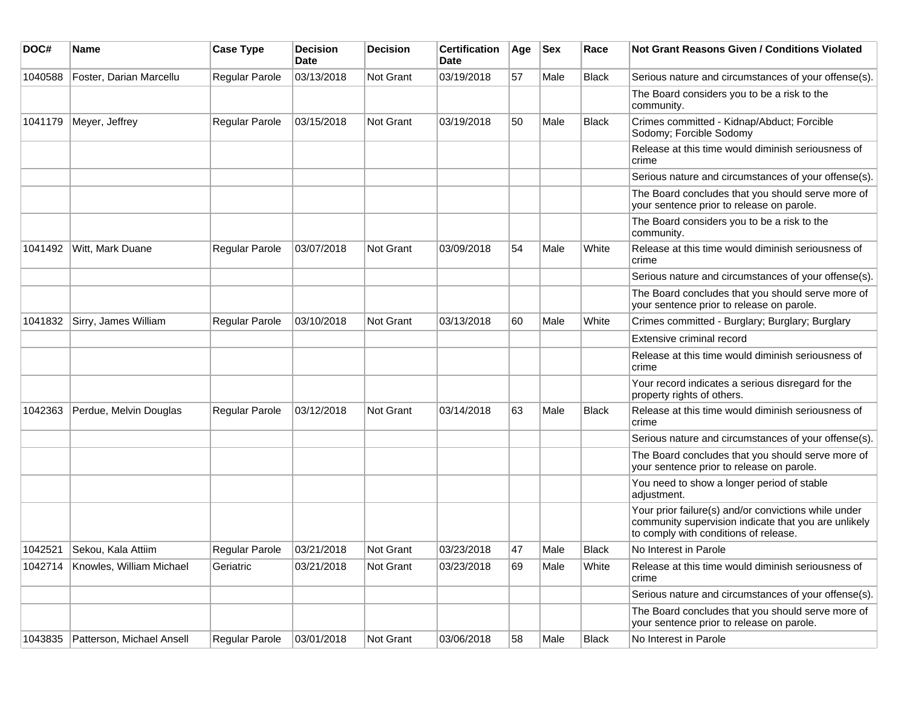| DOC#    | <b>Name</b>               | <b>Case Type</b>      | <b>Decision</b><br><b>Date</b> | <b>Decision</b> | <b>Certification</b><br>Date | Age | <b>Sex</b> | Race         | Not Grant Reasons Given / Conditions Violated                                                                                                         |
|---------|---------------------------|-----------------------|--------------------------------|-----------------|------------------------------|-----|------------|--------------|-------------------------------------------------------------------------------------------------------------------------------------------------------|
| 1040588 | Foster, Darian Marcellu   | Regular Parole        | 03/13/2018                     | Not Grant       | 03/19/2018                   | 57  | Male       | Black        | Serious nature and circumstances of your offense(s).                                                                                                  |
|         |                           |                       |                                |                 |                              |     |            |              | The Board considers you to be a risk to the<br>community.                                                                                             |
| 1041179 | Meyer, Jeffrey            | Regular Parole        | 03/15/2018                     | Not Grant       | 03/19/2018                   | 50  | Male       | <b>Black</b> | Crimes committed - Kidnap/Abduct; Forcible<br>Sodomy; Forcible Sodomy                                                                                 |
|         |                           |                       |                                |                 |                              |     |            |              | Release at this time would diminish seriousness of<br>crime                                                                                           |
|         |                           |                       |                                |                 |                              |     |            |              | Serious nature and circumstances of your offense(s).                                                                                                  |
|         |                           |                       |                                |                 |                              |     |            |              | The Board concludes that you should serve more of<br>your sentence prior to release on parole.                                                        |
|         |                           |                       |                                |                 |                              |     |            |              | The Board considers you to be a risk to the<br>community.                                                                                             |
| 1041492 | Witt, Mark Duane          | Regular Parole        | 03/07/2018                     | Not Grant       | 03/09/2018                   | 54  | Male       | White        | Release at this time would diminish seriousness of<br>crime                                                                                           |
|         |                           |                       |                                |                 |                              |     |            |              | Serious nature and circumstances of your offense(s).                                                                                                  |
|         |                           |                       |                                |                 |                              |     |            |              | The Board concludes that you should serve more of<br>your sentence prior to release on parole.                                                        |
| 1041832 | Sirry, James William      | <b>Regular Parole</b> | 03/10/2018                     | Not Grant       | 03/13/2018                   | 60  | Male       | White        | Crimes committed - Burglary; Burglary; Burglary                                                                                                       |
|         |                           |                       |                                |                 |                              |     |            |              | Extensive criminal record                                                                                                                             |
|         |                           |                       |                                |                 |                              |     |            |              | Release at this time would diminish seriousness of<br>crime                                                                                           |
|         |                           |                       |                                |                 |                              |     |            |              | Your record indicates a serious disregard for the<br>property rights of others.                                                                       |
| 1042363 | Perdue, Melvin Douglas    | <b>Regular Parole</b> | 03/12/2018                     | Not Grant       | 03/14/2018                   | 63  | Male       | Black        | Release at this time would diminish seriousness of<br>crime                                                                                           |
|         |                           |                       |                                |                 |                              |     |            |              | Serious nature and circumstances of your offense(s).                                                                                                  |
|         |                           |                       |                                |                 |                              |     |            |              | The Board concludes that you should serve more of<br>your sentence prior to release on parole.                                                        |
|         |                           |                       |                                |                 |                              |     |            |              | You need to show a longer period of stable<br>adjustment.                                                                                             |
|         |                           |                       |                                |                 |                              |     |            |              | Your prior failure(s) and/or convictions while under<br>community supervision indicate that you are unlikely<br>to comply with conditions of release. |
| 1042521 | Sekou, Kala Attiim        | <b>Regular Parole</b> | 03/21/2018                     | Not Grant       | 03/23/2018                   | 47  | Male       | <b>Black</b> | No Interest in Parole                                                                                                                                 |
| 1042714 | Knowles, William Michael  | Geriatric             | 03/21/2018                     | Not Grant       | 03/23/2018                   | 69  | Male       | White        | Release at this time would diminish seriousness of<br>crime                                                                                           |
|         |                           |                       |                                |                 |                              |     |            |              | Serious nature and circumstances of your offense(s).                                                                                                  |
|         |                           |                       |                                |                 |                              |     |            |              | The Board concludes that you should serve more of<br>your sentence prior to release on parole.                                                        |
| 1043835 | Patterson, Michael Ansell | Regular Parole        | 03/01/2018                     | Not Grant       | 03/06/2018                   | 58  | Male       | Black        | No Interest in Parole                                                                                                                                 |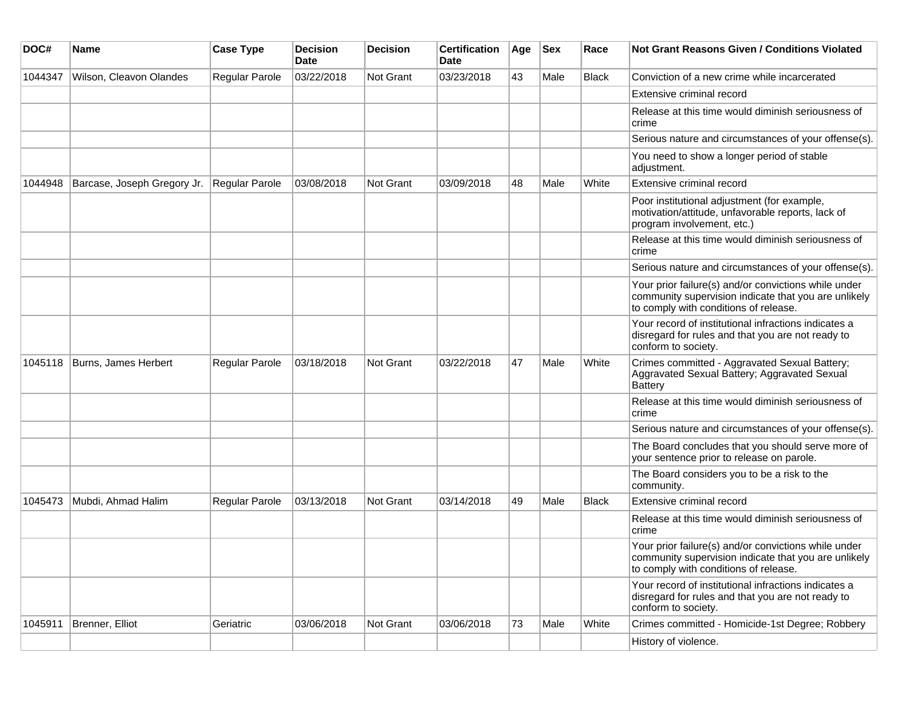| DOC#    | <b>Name</b>                 | <b>Case Type</b>      | <b>Decision</b><br><b>Date</b> | <b>Decision</b> | <b>Certification</b><br>Date | Age | <b>Sex</b> | Race         | <b>Not Grant Reasons Given / Conditions Violated</b>                                                                                                  |
|---------|-----------------------------|-----------------------|--------------------------------|-----------------|------------------------------|-----|------------|--------------|-------------------------------------------------------------------------------------------------------------------------------------------------------|
| 1044347 | Wilson, Cleavon Olandes     | Regular Parole        | 03/22/2018                     | Not Grant       | 03/23/2018                   | 43  | Male       | <b>Black</b> | Conviction of a new crime while incarcerated                                                                                                          |
|         |                             |                       |                                |                 |                              |     |            |              | Extensive criminal record                                                                                                                             |
|         |                             |                       |                                |                 |                              |     |            |              | Release at this time would diminish seriousness of<br>crime                                                                                           |
|         |                             |                       |                                |                 |                              |     |            |              | Serious nature and circumstances of your offense(s).                                                                                                  |
|         |                             |                       |                                |                 |                              |     |            |              | You need to show a longer period of stable<br>adjustment.                                                                                             |
| 1044948 | Barcase, Joseph Gregory Jr. | <b>Regular Parole</b> | 03/08/2018                     | Not Grant       | 03/09/2018                   | 48  | Male       | White        | Extensive criminal record                                                                                                                             |
|         |                             |                       |                                |                 |                              |     |            |              | Poor institutional adjustment (for example,<br>motivation/attitude, unfavorable reports, lack of<br>program involvement, etc.)                        |
|         |                             |                       |                                |                 |                              |     |            |              | Release at this time would diminish seriousness of<br>crime                                                                                           |
|         |                             |                       |                                |                 |                              |     |            |              | Serious nature and circumstances of your offense(s).                                                                                                  |
|         |                             |                       |                                |                 |                              |     |            |              | Your prior failure(s) and/or convictions while under<br>community supervision indicate that you are unlikely<br>to comply with conditions of release. |
|         |                             |                       |                                |                 |                              |     |            |              | Your record of institutional infractions indicates a<br>disregard for rules and that you are not ready to<br>conform to society.                      |
| 1045118 | Burns, James Herbert        | Regular Parole        | 03/18/2018                     | Not Grant       | 03/22/2018                   | 47  | Male       | White        | Crimes committed - Aggravated Sexual Battery;<br>Aggravated Sexual Battery; Aggravated Sexual<br>Battery                                              |
|         |                             |                       |                                |                 |                              |     |            |              | Release at this time would diminish seriousness of<br>crime                                                                                           |
|         |                             |                       |                                |                 |                              |     |            |              | Serious nature and circumstances of your offense(s).                                                                                                  |
|         |                             |                       |                                |                 |                              |     |            |              | The Board concludes that you should serve more of<br>your sentence prior to release on parole.                                                        |
|         |                             |                       |                                |                 |                              |     |            |              | The Board considers you to be a risk to the<br>community.                                                                                             |
| 1045473 | Mubdi, Ahmad Halim          | Regular Parole        | 03/13/2018                     | Not Grant       | 03/14/2018                   | 49  | Male       | Black        | Extensive criminal record                                                                                                                             |
|         |                             |                       |                                |                 |                              |     |            |              | Release at this time would diminish seriousness of<br>crime                                                                                           |
|         |                             |                       |                                |                 |                              |     |            |              | Your prior failure(s) and/or convictions while under<br>community supervision indicate that you are unlikely<br>to comply with conditions of release. |
|         |                             |                       |                                |                 |                              |     |            |              | Your record of institutional infractions indicates a<br>disregard for rules and that you are not ready to<br>conform to society.                      |
| 1045911 | Brenner, Elliot             | Geriatric             | 03/06/2018                     | Not Grant       | 03/06/2018                   | 73  | Male       | White        | Crimes committed - Homicide-1st Degree; Robbery                                                                                                       |
|         |                             |                       |                                |                 |                              |     |            |              | History of violence.                                                                                                                                  |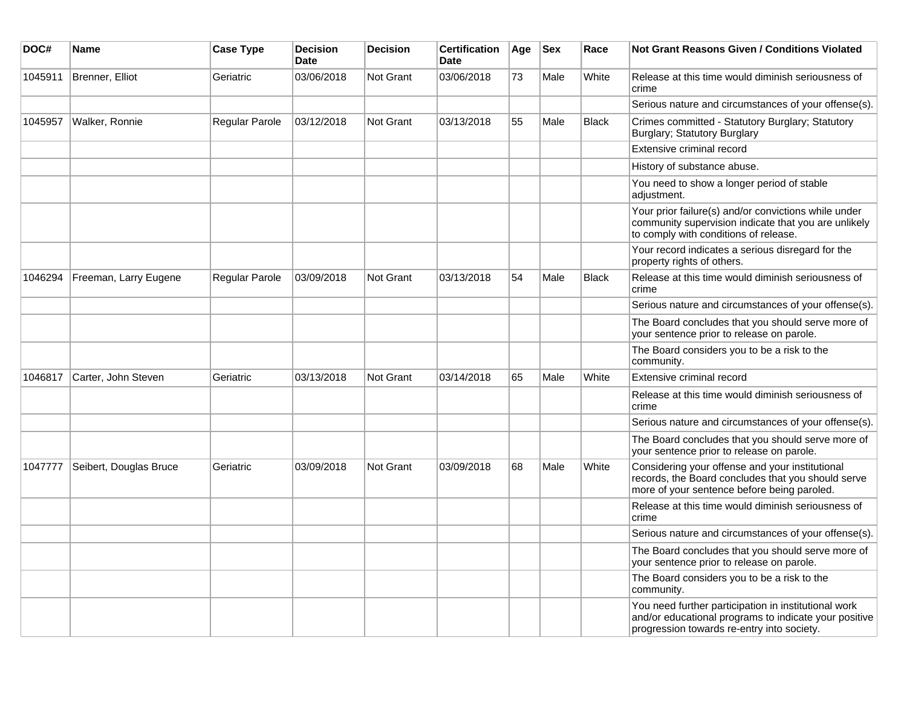| DOC#    | Name                   | <b>Case Type</b>      | <b>Decision</b><br><b>Date</b> | <b>Decision</b>  | <b>Certification</b><br><b>Date</b> | Age | <b>Sex</b> | Race         | <b>Not Grant Reasons Given / Conditions Violated</b>                                                                                                        |
|---------|------------------------|-----------------------|--------------------------------|------------------|-------------------------------------|-----|------------|--------------|-------------------------------------------------------------------------------------------------------------------------------------------------------------|
| 1045911 | Brenner, Elliot        | Geriatric             | 03/06/2018                     | Not Grant        | 03/06/2018                          | 73  | Male       | White        | Release at this time would diminish seriousness of<br>crime                                                                                                 |
|         |                        |                       |                                |                  |                                     |     |            |              | Serious nature and circumstances of your offense(s).                                                                                                        |
| 1045957 | Walker, Ronnie         | Regular Parole        | 03/12/2018                     | <b>Not Grant</b> | 03/13/2018                          | 55  | Male       | <b>Black</b> | Crimes committed - Statutory Burglary; Statutory<br>Burglary; Statutory Burglary                                                                            |
|         |                        |                       |                                |                  |                                     |     |            |              | Extensive criminal record                                                                                                                                   |
|         |                        |                       |                                |                  |                                     |     |            |              | History of substance abuse.                                                                                                                                 |
|         |                        |                       |                                |                  |                                     |     |            |              | You need to show a longer period of stable<br>adjustment.                                                                                                   |
|         |                        |                       |                                |                  |                                     |     |            |              | Your prior failure(s) and/or convictions while under<br>community supervision indicate that you are unlikely<br>to comply with conditions of release.       |
|         |                        |                       |                                |                  |                                     |     |            |              | Your record indicates a serious disregard for the<br>property rights of others.                                                                             |
| 1046294 | Freeman, Larry Eugene  | <b>Regular Parole</b> | 03/09/2018                     | Not Grant        | 03/13/2018                          | 54  | Male       | <b>Black</b> | Release at this time would diminish seriousness of<br>crime                                                                                                 |
|         |                        |                       |                                |                  |                                     |     |            |              | Serious nature and circumstances of your offense(s).                                                                                                        |
|         |                        |                       |                                |                  |                                     |     |            |              | The Board concludes that you should serve more of<br>your sentence prior to release on parole.                                                              |
|         |                        |                       |                                |                  |                                     |     |            |              | The Board considers you to be a risk to the<br>community.                                                                                                   |
| 1046817 | Carter, John Steven    | Geriatric             | 03/13/2018                     | Not Grant        | 03/14/2018                          | 65  | Male       | White        | Extensive criminal record                                                                                                                                   |
|         |                        |                       |                                |                  |                                     |     |            |              | Release at this time would diminish seriousness of<br>crime                                                                                                 |
|         |                        |                       |                                |                  |                                     |     |            |              | Serious nature and circumstances of your offense(s).                                                                                                        |
|         |                        |                       |                                |                  |                                     |     |            |              | The Board concludes that you should serve more of<br>your sentence prior to release on parole.                                                              |
| 1047777 | Seibert, Douglas Bruce | Geriatric             | 03/09/2018                     | Not Grant        | 03/09/2018                          | 68  | Male       | White        | Considering your offense and your institutional<br>records, the Board concludes that you should serve<br>more of your sentence before being paroled.        |
|         |                        |                       |                                |                  |                                     |     |            |              | Release at this time would diminish seriousness of<br>crime                                                                                                 |
|         |                        |                       |                                |                  |                                     |     |            |              | Serious nature and circumstances of your offense(s).                                                                                                        |
|         |                        |                       |                                |                  |                                     |     |            |              | The Board concludes that you should serve more of<br>your sentence prior to release on parole.                                                              |
|         |                        |                       |                                |                  |                                     |     |            |              | The Board considers you to be a risk to the<br>community.                                                                                                   |
|         |                        |                       |                                |                  |                                     |     |            |              | You need further participation in institutional work<br>and/or educational programs to indicate your positive<br>progression towards re-entry into society. |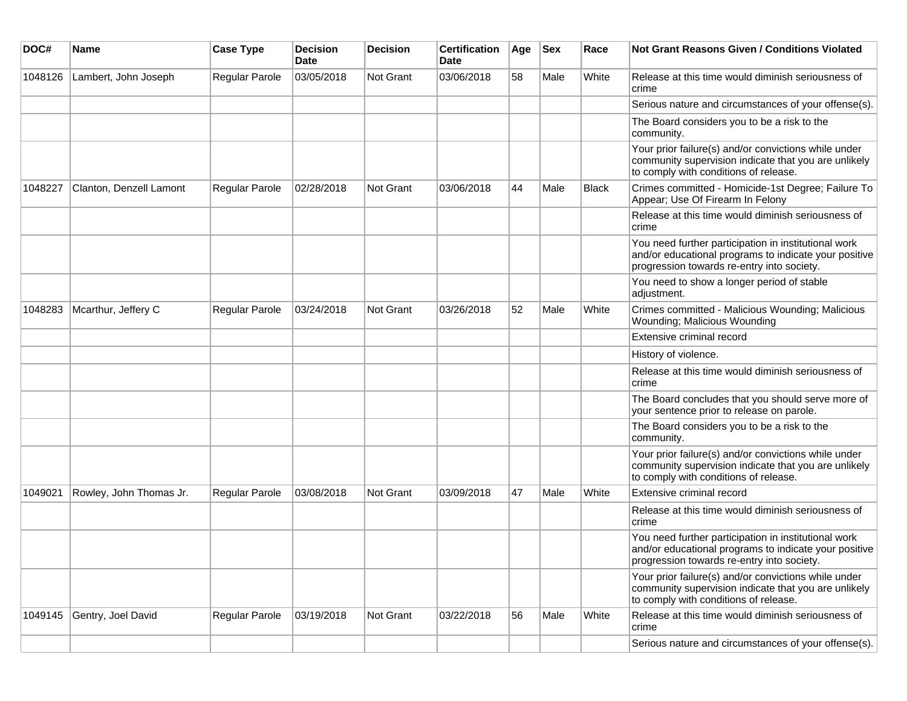| DOC#    | Name                    | <b>Case Type</b>      | <b>Decision</b><br>Date | <b>Decision</b>  | <b>Certification</b><br>Date | Age | <b>Sex</b> | Race         | Not Grant Reasons Given / Conditions Violated                                                                                                               |
|---------|-------------------------|-----------------------|-------------------------|------------------|------------------------------|-----|------------|--------------|-------------------------------------------------------------------------------------------------------------------------------------------------------------|
| 1048126 | Lambert, John Joseph    | Regular Parole        | 03/05/2018              | Not Grant        | 03/06/2018                   | 58  | Male       | White        | Release at this time would diminish seriousness of<br>crime                                                                                                 |
|         |                         |                       |                         |                  |                              |     |            |              | Serious nature and circumstances of your offense(s).                                                                                                        |
|         |                         |                       |                         |                  |                              |     |            |              | The Board considers you to be a risk to the<br>community.                                                                                                   |
|         |                         |                       |                         |                  |                              |     |            |              | Your prior failure(s) and/or convictions while under<br>community supervision indicate that you are unlikely<br>to comply with conditions of release.       |
| 1048227 | Clanton, Denzell Lamont | Regular Parole        | 02/28/2018              | Not Grant        | 03/06/2018                   | 44  | Male       | <b>Black</b> | Crimes committed - Homicide-1st Degree; Failure To<br>Appear; Use Of Firearm In Felony                                                                      |
|         |                         |                       |                         |                  |                              |     |            |              | Release at this time would diminish seriousness of<br>crime                                                                                                 |
|         |                         |                       |                         |                  |                              |     |            |              | You need further participation in institutional work<br>and/or educational programs to indicate your positive<br>progression towards re-entry into society. |
|         |                         |                       |                         |                  |                              |     |            |              | You need to show a longer period of stable<br>adjustment.                                                                                                   |
| 1048283 | Mcarthur, Jeffery C     | <b>Regular Parole</b> | 03/24/2018              | <b>Not Grant</b> | 03/26/2018                   | 52  | Male       | White        | Crimes committed - Malicious Wounding; Malicious<br>Wounding; Malicious Wounding                                                                            |
|         |                         |                       |                         |                  |                              |     |            |              | Extensive criminal record                                                                                                                                   |
|         |                         |                       |                         |                  |                              |     |            |              | History of violence.                                                                                                                                        |
|         |                         |                       |                         |                  |                              |     |            |              | Release at this time would diminish seriousness of<br>crime                                                                                                 |
|         |                         |                       |                         |                  |                              |     |            |              | The Board concludes that you should serve more of<br>your sentence prior to release on parole.                                                              |
|         |                         |                       |                         |                  |                              |     |            |              | The Board considers you to be a risk to the<br>community.                                                                                                   |
|         |                         |                       |                         |                  |                              |     |            |              | Your prior failure(s) and/or convictions while under<br>community supervision indicate that you are unlikely<br>to comply with conditions of release.       |
| 1049021 | Rowley, John Thomas Jr. | Regular Parole        | 03/08/2018              | <b>Not Grant</b> | 03/09/2018                   | 47  | Male       | White        | Extensive criminal record                                                                                                                                   |
|         |                         |                       |                         |                  |                              |     |            |              | Release at this time would diminish seriousness of<br>crime                                                                                                 |
|         |                         |                       |                         |                  |                              |     |            |              | You need further participation in institutional work<br>and/or educational programs to indicate your positive<br>progression towards re-entry into society. |
|         |                         |                       |                         |                  |                              |     |            |              | Your prior failure(s) and/or convictions while under<br>community supervision indicate that you are unlikely<br>to comply with conditions of release.       |
| 1049145 | Gentry, Joel David      | Regular Parole        | 03/19/2018              | Not Grant        | 03/22/2018                   | 56  | Male       | White        | Release at this time would diminish seriousness of<br>crime                                                                                                 |
|         |                         |                       |                         |                  |                              |     |            |              | Serious nature and circumstances of your offense(s).                                                                                                        |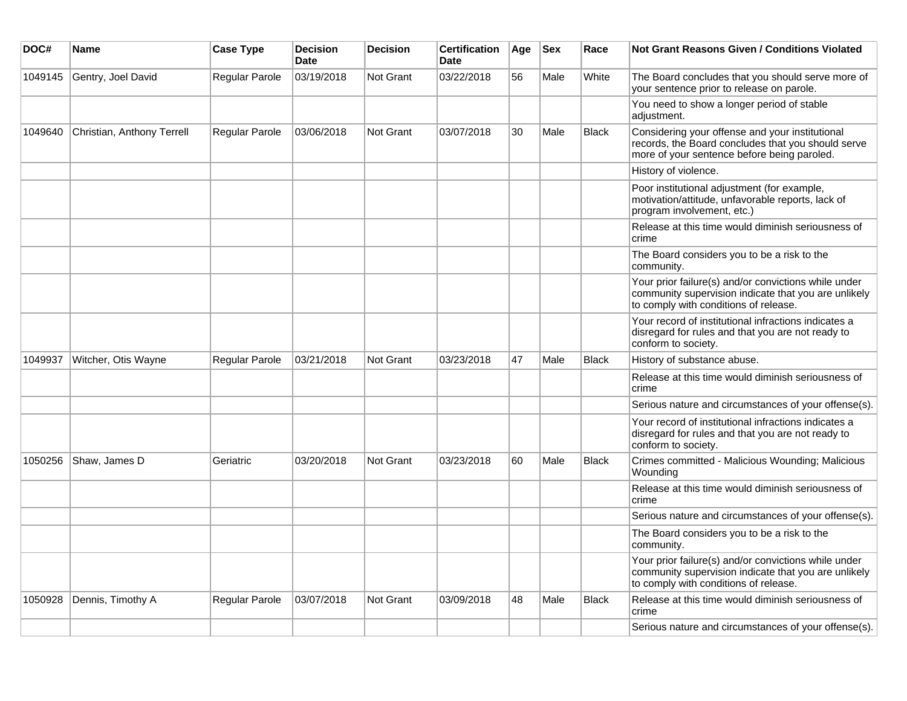| DOC#    | Name                       | <b>Case Type</b>      | <b>Decision</b><br><b>Date</b> | <b>Decision</b>  | <b>Certification</b><br>Date | Age | <b>Sex</b> | Race         | <b>Not Grant Reasons Given / Conditions Violated</b>                                                                                                  |
|---------|----------------------------|-----------------------|--------------------------------|------------------|------------------------------|-----|------------|--------------|-------------------------------------------------------------------------------------------------------------------------------------------------------|
| 1049145 | Gentry, Joel David         | Regular Parole        | 03/19/2018                     | Not Grant        | 03/22/2018                   | 56  | Male       | White        | The Board concludes that you should serve more of<br>your sentence prior to release on parole.                                                        |
|         |                            |                       |                                |                  |                              |     |            |              | You need to show a longer period of stable<br>adjustment.                                                                                             |
| 1049640 | Christian, Anthony Terrell | <b>Regular Parole</b> | 03/06/2018                     | Not Grant        | 03/07/2018                   | 30  | Male       | <b>Black</b> | Considering your offense and your institutional<br>records, the Board concludes that you should serve<br>more of your sentence before being paroled.  |
|         |                            |                       |                                |                  |                              |     |            |              | History of violence.                                                                                                                                  |
|         |                            |                       |                                |                  |                              |     |            |              | Poor institutional adjustment (for example,<br>motivation/attitude, unfavorable reports, lack of<br>program involvement, etc.)                        |
|         |                            |                       |                                |                  |                              |     |            |              | Release at this time would diminish seriousness of<br>crime                                                                                           |
|         |                            |                       |                                |                  |                              |     |            |              | The Board considers you to be a risk to the<br>community.                                                                                             |
|         |                            |                       |                                |                  |                              |     |            |              | Your prior failure(s) and/or convictions while under<br>community supervision indicate that you are unlikely<br>to comply with conditions of release. |
|         |                            |                       |                                |                  |                              |     |            |              | Your record of institutional infractions indicates a<br>disregard for rules and that you are not ready to<br>conform to society.                      |
| 1049937 | Witcher, Otis Wayne        | Regular Parole        | 03/21/2018                     | <b>Not Grant</b> | 03/23/2018                   | 47  | Male       | <b>Black</b> | History of substance abuse.                                                                                                                           |
|         |                            |                       |                                |                  |                              |     |            |              | Release at this time would diminish seriousness of<br>crime                                                                                           |
|         |                            |                       |                                |                  |                              |     |            |              | Serious nature and circumstances of your offense(s).                                                                                                  |
|         |                            |                       |                                |                  |                              |     |            |              | Your record of institutional infractions indicates a<br>disregard for rules and that you are not ready to<br>conform to society.                      |
| 1050256 | Shaw, James D              | Geriatric             | 03/20/2018                     | Not Grant        | 03/23/2018                   | 60  | Male       | <b>Black</b> | Crimes committed - Malicious Wounding: Malicious<br>Wounding                                                                                          |
|         |                            |                       |                                |                  |                              |     |            |              | Release at this time would diminish seriousness of<br>crime                                                                                           |
|         |                            |                       |                                |                  |                              |     |            |              | Serious nature and circumstances of your offense(s).                                                                                                  |
|         |                            |                       |                                |                  |                              |     |            |              | The Board considers you to be a risk to the<br>community.                                                                                             |
|         |                            |                       |                                |                  |                              |     |            |              | Your prior failure(s) and/or convictions while under<br>community supervision indicate that you are unlikely<br>to comply with conditions of release. |
| 1050928 | Dennis, Timothy A          | <b>Regular Parole</b> | 03/07/2018                     | <b>Not Grant</b> | 03/09/2018                   | 48  | Male       | <b>Black</b> | Release at this time would diminish seriousness of<br>crime                                                                                           |
|         |                            |                       |                                |                  |                              |     |            |              | Serious nature and circumstances of your offense(s).                                                                                                  |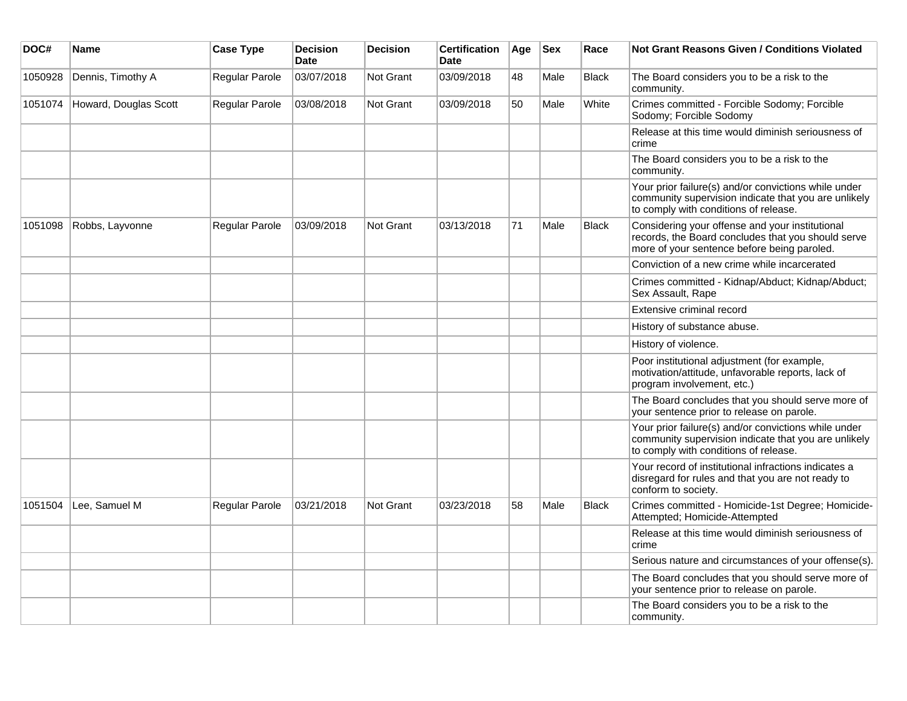| DOC#    | <b>Name</b>           | <b>Case Type</b> | <b>Decision</b><br><b>Date</b> | <b>Decision</b>  | <b>Certification</b><br><b>Date</b> | Age | <b>Sex</b> | Race         | <b>Not Grant Reasons Given / Conditions Violated</b>                                                                                                  |
|---------|-----------------------|------------------|--------------------------------|------------------|-------------------------------------|-----|------------|--------------|-------------------------------------------------------------------------------------------------------------------------------------------------------|
| 1050928 | Dennis, Timothy A     | Regular Parole   | 03/07/2018                     | <b>Not Grant</b> | 03/09/2018                          | 48  | Male       | <b>Black</b> | The Board considers you to be a risk to the<br>community.                                                                                             |
| 1051074 | Howard, Douglas Scott | Regular Parole   | 03/08/2018                     | <b>Not Grant</b> | 03/09/2018                          | 50  | Male       | White        | Crimes committed - Forcible Sodomy; Forcible<br>Sodomy; Forcible Sodomy                                                                               |
|         |                       |                  |                                |                  |                                     |     |            |              | Release at this time would diminish seriousness of<br>crime                                                                                           |
|         |                       |                  |                                |                  |                                     |     |            |              | The Board considers you to be a risk to the<br>community.                                                                                             |
|         |                       |                  |                                |                  |                                     |     |            |              | Your prior failure(s) and/or convictions while under<br>community supervision indicate that you are unlikely<br>to comply with conditions of release. |
| 1051098 | Robbs, Layvonne       | Regular Parole   | 03/09/2018                     | <b>Not Grant</b> | 03/13/2018                          | 71  | Male       | <b>Black</b> | Considering your offense and your institutional<br>records, the Board concludes that you should serve<br>more of your sentence before being paroled.  |
|         |                       |                  |                                |                  |                                     |     |            |              | Conviction of a new crime while incarcerated                                                                                                          |
|         |                       |                  |                                |                  |                                     |     |            |              | Crimes committed - Kidnap/Abduct; Kidnap/Abduct;<br>Sex Assault, Rape                                                                                 |
|         |                       |                  |                                |                  |                                     |     |            |              | Extensive criminal record                                                                                                                             |
|         |                       |                  |                                |                  |                                     |     |            |              | History of substance abuse.                                                                                                                           |
|         |                       |                  |                                |                  |                                     |     |            |              | History of violence.                                                                                                                                  |
|         |                       |                  |                                |                  |                                     |     |            |              | Poor institutional adjustment (for example,<br>motivation/attitude, unfavorable reports, lack of<br>program involvement, etc.)                        |
|         |                       |                  |                                |                  |                                     |     |            |              | The Board concludes that you should serve more of<br>your sentence prior to release on parole.                                                        |
|         |                       |                  |                                |                  |                                     |     |            |              | Your prior failure(s) and/or convictions while under<br>community supervision indicate that you are unlikely<br>to comply with conditions of release. |
|         |                       |                  |                                |                  |                                     |     |            |              | Your record of institutional infractions indicates a<br>disregard for rules and that you are not ready to<br>conform to society.                      |
| 1051504 | Lee, Samuel M         | Regular Parole   | 03/21/2018                     | Not Grant        | 03/23/2018                          | 58  | Male       | <b>Black</b> | Crimes committed - Homicide-1st Degree; Homicide-<br>Attempted; Homicide-Attempted                                                                    |
|         |                       |                  |                                |                  |                                     |     |            |              | Release at this time would diminish seriousness of<br>crime                                                                                           |
|         |                       |                  |                                |                  |                                     |     |            |              | Serious nature and circumstances of your offense(s).                                                                                                  |
|         |                       |                  |                                |                  |                                     |     |            |              | The Board concludes that you should serve more of<br>your sentence prior to release on parole.                                                        |
|         |                       |                  |                                |                  |                                     |     |            |              | The Board considers you to be a risk to the<br>community.                                                                                             |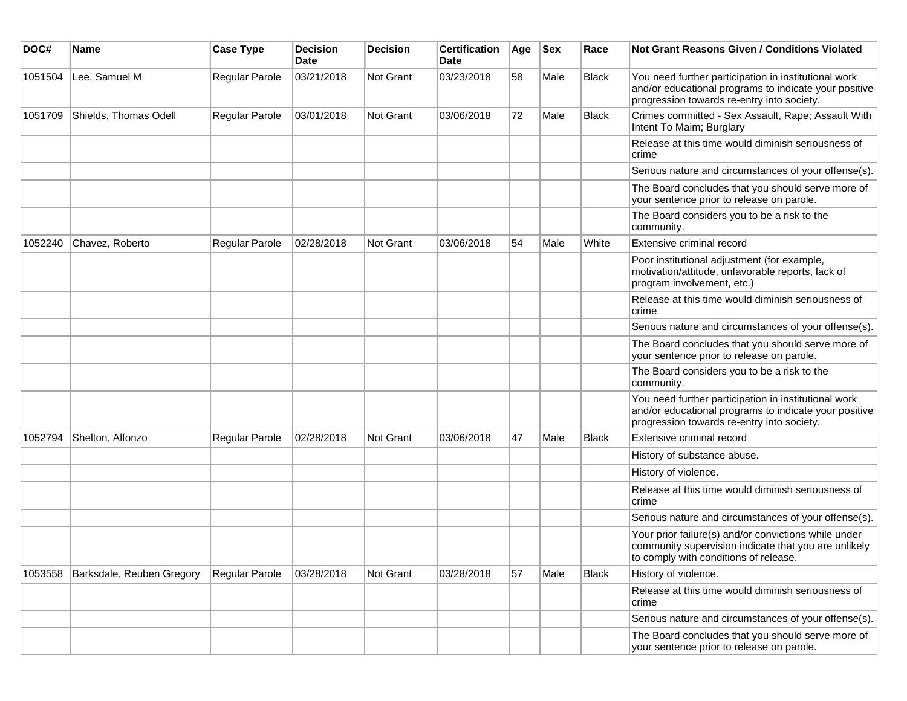| DOC#    | <b>Name</b>               | <b>Case Type</b> | <b>Decision</b><br><b>Date</b> | <b>Decision</b> | <b>Certification</b><br>Date | Age | <b>Sex</b> | Race         | Not Grant Reasons Given / Conditions Violated                                                                                                               |
|---------|---------------------------|------------------|--------------------------------|-----------------|------------------------------|-----|------------|--------------|-------------------------------------------------------------------------------------------------------------------------------------------------------------|
| 1051504 | Lee, Samuel M             | Regular Parole   | 03/21/2018                     | Not Grant       | 03/23/2018                   | 58  | Male       | Black        | You need further participation in institutional work<br>and/or educational programs to indicate your positive<br>progression towards re-entry into society. |
| 1051709 | Shields, Thomas Odell     | Regular Parole   | 03/01/2018                     | Not Grant       | 03/06/2018                   | 72  | Male       | Black        | Crimes committed - Sex Assault, Rape; Assault With<br>Intent To Maim; Burglary                                                                              |
|         |                           |                  |                                |                 |                              |     |            |              | Release at this time would diminish seriousness of<br>crime                                                                                                 |
|         |                           |                  |                                |                 |                              |     |            |              | Serious nature and circumstances of your offense(s).                                                                                                        |
|         |                           |                  |                                |                 |                              |     |            |              | The Board concludes that you should serve more of<br>your sentence prior to release on parole.                                                              |
|         |                           |                  |                                |                 |                              |     |            |              | The Board considers you to be a risk to the<br>community.                                                                                                   |
| 1052240 | Chavez, Roberto           | Regular Parole   | 02/28/2018                     | Not Grant       | 03/06/2018                   | 54  | Male       | White        | Extensive criminal record                                                                                                                                   |
|         |                           |                  |                                |                 |                              |     |            |              | Poor institutional adjustment (for example,<br>motivation/attitude, unfavorable reports, lack of<br>program involvement, etc.)                              |
|         |                           |                  |                                |                 |                              |     |            |              | Release at this time would diminish seriousness of<br>crime                                                                                                 |
|         |                           |                  |                                |                 |                              |     |            |              | Serious nature and circumstances of your offense(s).                                                                                                        |
|         |                           |                  |                                |                 |                              |     |            |              | The Board concludes that you should serve more of<br>your sentence prior to release on parole.                                                              |
|         |                           |                  |                                |                 |                              |     |            |              | The Board considers you to be a risk to the<br>community.                                                                                                   |
|         |                           |                  |                                |                 |                              |     |            |              | You need further participation in institutional work<br>and/or educational programs to indicate your positive<br>progression towards re-entry into society. |
| 1052794 | Shelton, Alfonzo          | Regular Parole   | 02/28/2018                     | Not Grant       | 03/06/2018                   | 47  | Male       | <b>Black</b> | Extensive criminal record                                                                                                                                   |
|         |                           |                  |                                |                 |                              |     |            |              | History of substance abuse.                                                                                                                                 |
|         |                           |                  |                                |                 |                              |     |            |              | History of violence.                                                                                                                                        |
|         |                           |                  |                                |                 |                              |     |            |              | Release at this time would diminish seriousness of<br>crime                                                                                                 |
|         |                           |                  |                                |                 |                              |     |            |              | Serious nature and circumstances of your offense(s).                                                                                                        |
|         |                           |                  |                                |                 |                              |     |            |              | Your prior failure(s) and/or convictions while under<br>community supervision indicate that you are unlikely<br>to comply with conditions of release.       |
| 1053558 | Barksdale, Reuben Gregory | Regular Parole   | 03/28/2018                     | Not Grant       | 03/28/2018                   | 57  | Male       | Black        | History of violence.                                                                                                                                        |
|         |                           |                  |                                |                 |                              |     |            |              | Release at this time would diminish seriousness of<br>crime                                                                                                 |
|         |                           |                  |                                |                 |                              |     |            |              | Serious nature and circumstances of your offense(s).                                                                                                        |
|         |                           |                  |                                |                 |                              |     |            |              | The Board concludes that you should serve more of<br>your sentence prior to release on parole.                                                              |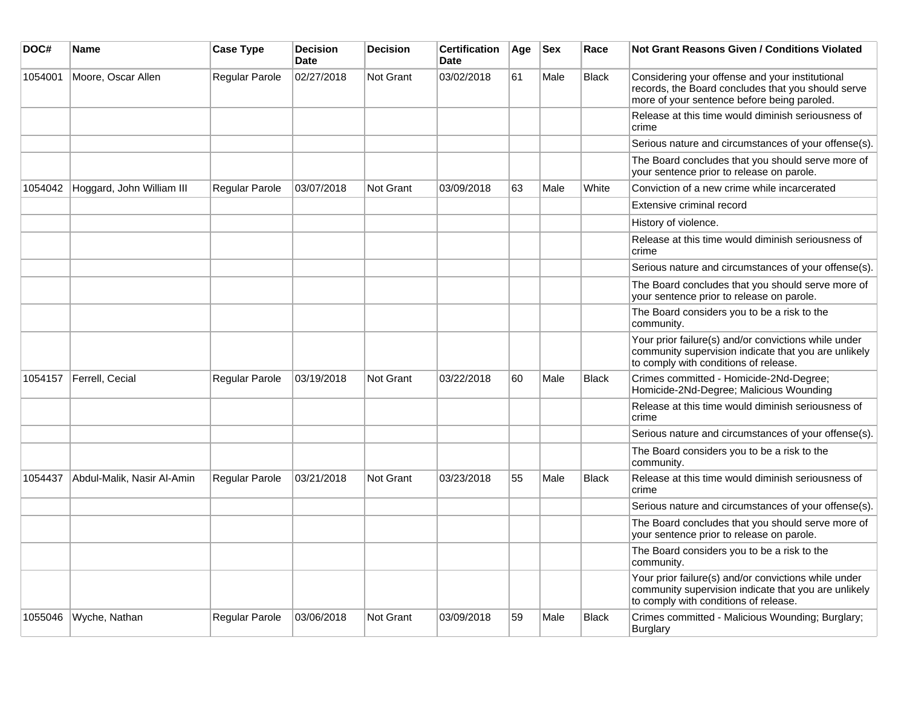| DOC#    | Name                       | <b>Case Type</b>      | <b>Decision</b><br><b>Date</b> | <b>Decision</b>  | <b>Certification</b><br><b>Date</b> | Age | <b>Sex</b> | Race         | <b>Not Grant Reasons Given / Conditions Violated</b>                                                                                                  |
|---------|----------------------------|-----------------------|--------------------------------|------------------|-------------------------------------|-----|------------|--------------|-------------------------------------------------------------------------------------------------------------------------------------------------------|
| 1054001 | Moore, Oscar Allen         | <b>Regular Parole</b> | 02/27/2018                     | Not Grant        | 03/02/2018                          | 61  | Male       | <b>Black</b> | Considering your offense and your institutional<br>records, the Board concludes that you should serve<br>more of your sentence before being paroled.  |
|         |                            |                       |                                |                  |                                     |     |            |              | Release at this time would diminish seriousness of<br>crime                                                                                           |
|         |                            |                       |                                |                  |                                     |     |            |              | Serious nature and circumstances of your offense(s).                                                                                                  |
|         |                            |                       |                                |                  |                                     |     |            |              | The Board concludes that you should serve more of<br>your sentence prior to release on parole.                                                        |
| 1054042 | Hoggard, John William III  | <b>Regular Parole</b> | 03/07/2018                     | Not Grant        | 03/09/2018                          | 63  | Male       | White        | Conviction of a new crime while incarcerated                                                                                                          |
|         |                            |                       |                                |                  |                                     |     |            |              | Extensive criminal record                                                                                                                             |
|         |                            |                       |                                |                  |                                     |     |            |              | History of violence.                                                                                                                                  |
|         |                            |                       |                                |                  |                                     |     |            |              | Release at this time would diminish seriousness of<br>crime                                                                                           |
|         |                            |                       |                                |                  |                                     |     |            |              | Serious nature and circumstances of your offense(s).                                                                                                  |
|         |                            |                       |                                |                  |                                     |     |            |              | The Board concludes that you should serve more of<br>your sentence prior to release on parole.                                                        |
|         |                            |                       |                                |                  |                                     |     |            |              | The Board considers you to be a risk to the<br>community.                                                                                             |
|         |                            |                       |                                |                  |                                     |     |            |              | Your prior failure(s) and/or convictions while under<br>community supervision indicate that you are unlikely<br>to comply with conditions of release. |
| 1054157 | Ferrell, Cecial            | Regular Parole        | 03/19/2018                     | Not Grant        | 03/22/2018                          | 60  | Male       | <b>Black</b> | Crimes committed - Homicide-2Nd-Degree;<br>Homicide-2Nd-Degree; Malicious Wounding                                                                    |
|         |                            |                       |                                |                  |                                     |     |            |              | Release at this time would diminish seriousness of<br>crime                                                                                           |
|         |                            |                       |                                |                  |                                     |     |            |              | Serious nature and circumstances of your offense(s).                                                                                                  |
|         |                            |                       |                                |                  |                                     |     |            |              | The Board considers you to be a risk to the<br>community.                                                                                             |
| 1054437 | Abdul-Malik, Nasir Al-Amin | <b>Regular Parole</b> | 03/21/2018                     | Not Grant        | 03/23/2018                          | 55  | Male       | <b>Black</b> | Release at this time would diminish seriousness of<br>crime                                                                                           |
|         |                            |                       |                                |                  |                                     |     |            |              | Serious nature and circumstances of your offense(s).                                                                                                  |
|         |                            |                       |                                |                  |                                     |     |            |              | The Board concludes that you should serve more of<br>your sentence prior to release on parole.                                                        |
|         |                            |                       |                                |                  |                                     |     |            |              | The Board considers you to be a risk to the<br>community.                                                                                             |
|         |                            |                       |                                |                  |                                     |     |            |              | Your prior failure(s) and/or convictions while under<br>community supervision indicate that you are unlikely<br>to comply with conditions of release. |
| 1055046 | Wyche, Nathan              | Regular Parole        | 03/06/2018                     | <b>Not Grant</b> | 03/09/2018                          | 59  | Male       | <b>Black</b> | Crimes committed - Malicious Wounding; Burglary;<br><b>Burglary</b>                                                                                   |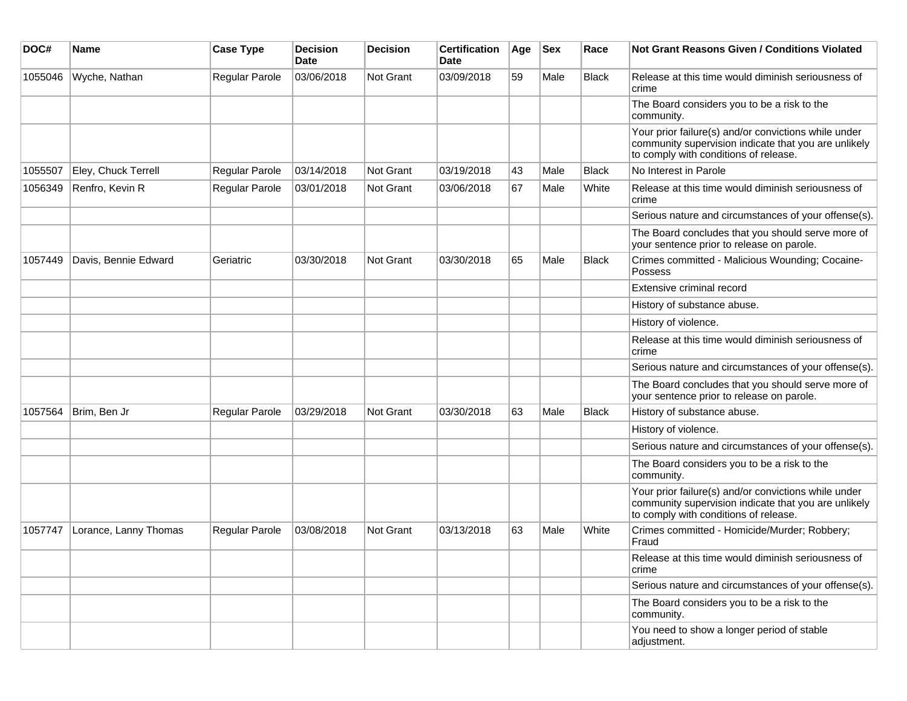| DOC#    | <b>Name</b>           | <b>Case Type</b> | <b>Decision</b><br><b>Date</b> | <b>Decision</b> | <b>Certification</b><br><b>Date</b> | Age | <b>Sex</b> | Race  | <b>Not Grant Reasons Given / Conditions Violated</b>                                                                                                  |
|---------|-----------------------|------------------|--------------------------------|-----------------|-------------------------------------|-----|------------|-------|-------------------------------------------------------------------------------------------------------------------------------------------------------|
| 1055046 | Wyche, Nathan         | Regular Parole   | 03/06/2018                     | Not Grant       | 03/09/2018                          | 59  | Male       | Black | Release at this time would diminish seriousness of<br>crime                                                                                           |
|         |                       |                  |                                |                 |                                     |     |            |       | The Board considers you to be a risk to the<br>community.                                                                                             |
|         |                       |                  |                                |                 |                                     |     |            |       | Your prior failure(s) and/or convictions while under<br>community supervision indicate that you are unlikely<br>to comply with conditions of release. |
| 1055507 | Eley, Chuck Terrell   | Regular Parole   | 03/14/2018                     | Not Grant       | 03/19/2018                          | 43  | Male       | Black | No Interest in Parole                                                                                                                                 |
| 1056349 | Renfro, Kevin R       | Regular Parole   | 03/01/2018                     | Not Grant       | 03/06/2018                          | 67  | Male       | White | Release at this time would diminish seriousness of<br>crime                                                                                           |
|         |                       |                  |                                |                 |                                     |     |            |       | Serious nature and circumstances of your offense(s).                                                                                                  |
|         |                       |                  |                                |                 |                                     |     |            |       | The Board concludes that you should serve more of<br>your sentence prior to release on parole.                                                        |
| 1057449 | Davis, Bennie Edward  | Geriatric        | 03/30/2018                     | Not Grant       | 03/30/2018                          | 65  | Male       | Black | Crimes committed - Malicious Wounding; Cocaine-<br>Possess                                                                                            |
|         |                       |                  |                                |                 |                                     |     |            |       | Extensive criminal record                                                                                                                             |
|         |                       |                  |                                |                 |                                     |     |            |       | History of substance abuse.                                                                                                                           |
|         |                       |                  |                                |                 |                                     |     |            |       | History of violence.                                                                                                                                  |
|         |                       |                  |                                |                 |                                     |     |            |       | Release at this time would diminish seriousness of<br>crime                                                                                           |
|         |                       |                  |                                |                 |                                     |     |            |       | Serious nature and circumstances of your offense(s).                                                                                                  |
|         |                       |                  |                                |                 |                                     |     |            |       | The Board concludes that you should serve more of<br>your sentence prior to release on parole.                                                        |
| 1057564 | Brim, Ben Jr          | Regular Parole   | 03/29/2018                     | Not Grant       | 03/30/2018                          | 63  | Male       | Black | History of substance abuse.                                                                                                                           |
|         |                       |                  |                                |                 |                                     |     |            |       | History of violence.                                                                                                                                  |
|         |                       |                  |                                |                 |                                     |     |            |       | Serious nature and circumstances of your offense(s).                                                                                                  |
|         |                       |                  |                                |                 |                                     |     |            |       | The Board considers you to be a risk to the<br>community.                                                                                             |
|         |                       |                  |                                |                 |                                     |     |            |       | Your prior failure(s) and/or convictions while under<br>community supervision indicate that you are unlikely<br>to comply with conditions of release. |
| 1057747 | Lorance, Lanny Thomas | Regular Parole   | 03/08/2018                     | Not Grant       | 03/13/2018                          | 63  | Male       | White | Crimes committed - Homicide/Murder; Robbery;<br>Fraud                                                                                                 |
|         |                       |                  |                                |                 |                                     |     |            |       | Release at this time would diminish seriousness of<br>crime                                                                                           |
|         |                       |                  |                                |                 |                                     |     |            |       | Serious nature and circumstances of your offense(s).                                                                                                  |
|         |                       |                  |                                |                 |                                     |     |            |       | The Board considers you to be a risk to the<br>community.                                                                                             |
|         |                       |                  |                                |                 |                                     |     |            |       | You need to show a longer period of stable<br>adjustment.                                                                                             |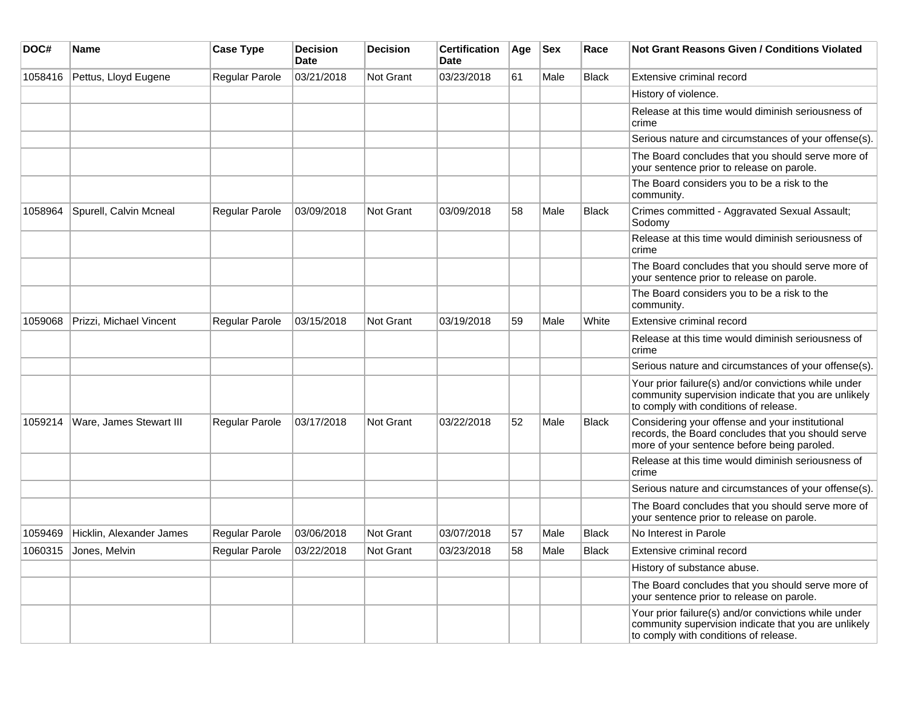| DOC#    | Name                     | <b>Case Type</b>      | <b>Decision</b><br>Date | <b>Decision</b>  | <b>Certification</b><br>Date | Age | <b>Sex</b> | Race         | Not Grant Reasons Given / Conditions Violated                                                                                                         |
|---------|--------------------------|-----------------------|-------------------------|------------------|------------------------------|-----|------------|--------------|-------------------------------------------------------------------------------------------------------------------------------------------------------|
| 1058416 | Pettus, Lloyd Eugene     | Regular Parole        | 03/21/2018              | Not Grant        | 03/23/2018                   | 61  | Male       | <b>Black</b> | Extensive criminal record                                                                                                                             |
|         |                          |                       |                         |                  |                              |     |            |              | History of violence.                                                                                                                                  |
|         |                          |                       |                         |                  |                              |     |            |              | Release at this time would diminish seriousness of<br>crime                                                                                           |
|         |                          |                       |                         |                  |                              |     |            |              | Serious nature and circumstances of your offense(s).                                                                                                  |
|         |                          |                       |                         |                  |                              |     |            |              | The Board concludes that you should serve more of<br>your sentence prior to release on parole.                                                        |
|         |                          |                       |                         |                  |                              |     |            |              | The Board considers you to be a risk to the<br>community.                                                                                             |
| 1058964 | Spurell, Calvin Mcneal   | <b>Regular Parole</b> | 03/09/2018              | Not Grant        | 03/09/2018                   | 58  | Male       | <b>Black</b> | Crimes committed - Aggravated Sexual Assault;<br>Sodomy                                                                                               |
|         |                          |                       |                         |                  |                              |     |            |              | Release at this time would diminish seriousness of<br>crime                                                                                           |
|         |                          |                       |                         |                  |                              |     |            |              | The Board concludes that you should serve more of<br>your sentence prior to release on parole.                                                        |
|         |                          |                       |                         |                  |                              |     |            |              | The Board considers you to be a risk to the<br>community.                                                                                             |
| 1059068 | Prizzi, Michael Vincent  | <b>Regular Parole</b> | 03/15/2018              | Not Grant        | 03/19/2018                   | 59  | Male       | White        | Extensive criminal record                                                                                                                             |
|         |                          |                       |                         |                  |                              |     |            |              | Release at this time would diminish seriousness of<br>crime                                                                                           |
|         |                          |                       |                         |                  |                              |     |            |              | Serious nature and circumstances of your offense(s).                                                                                                  |
|         |                          |                       |                         |                  |                              |     |            |              | Your prior failure(s) and/or convictions while under<br>community supervision indicate that you are unlikely<br>to comply with conditions of release. |
| 1059214 | Ware, James Stewart III  | <b>Regular Parole</b> | 03/17/2018              | Not Grant        | 03/22/2018                   | 52  | Male       | <b>Black</b> | Considering your offense and your institutional<br>records, the Board concludes that you should serve<br>more of your sentence before being paroled.  |
|         |                          |                       |                         |                  |                              |     |            |              | Release at this time would diminish seriousness of<br>crime                                                                                           |
|         |                          |                       |                         |                  |                              |     |            |              | Serious nature and circumstances of your offense(s).                                                                                                  |
|         |                          |                       |                         |                  |                              |     |            |              | The Board concludes that you should serve more of<br>your sentence prior to release on parole.                                                        |
| 1059469 | Hicklin, Alexander James | Regular Parole        | 03/06/2018              | Not Grant        | 03/07/2018                   | 57  | Male       | Black        | No Interest in Parole                                                                                                                                 |
| 1060315 | Jones, Melvin            | Regular Parole        | 03/22/2018              | <b>Not Grant</b> | 03/23/2018                   | 58  | Male       | Black        | Extensive criminal record                                                                                                                             |
|         |                          |                       |                         |                  |                              |     |            |              | History of substance abuse.                                                                                                                           |
|         |                          |                       |                         |                  |                              |     |            |              | The Board concludes that you should serve more of<br>your sentence prior to release on parole.                                                        |
|         |                          |                       |                         |                  |                              |     |            |              | Your prior failure(s) and/or convictions while under<br>community supervision indicate that you are unlikely<br>to comply with conditions of release. |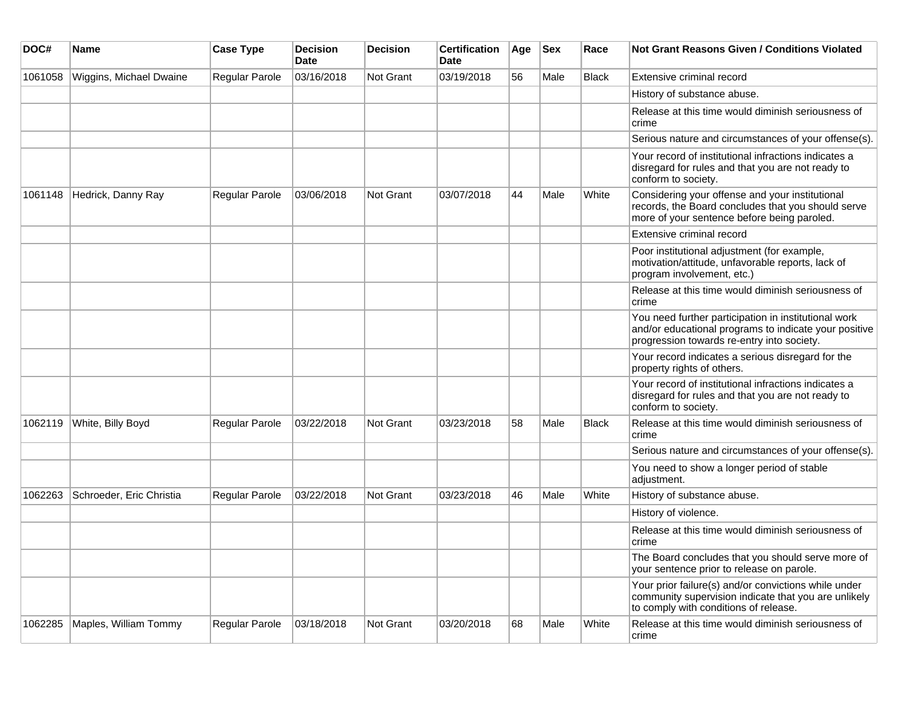| DOC#    | <b>Name</b>              | <b>Case Type</b> | <b>Decision</b><br><b>Date</b> | <b>Decision</b>  | <b>Certification</b><br>Date | Age | <b>Sex</b> | Race  | <b>Not Grant Reasons Given / Conditions Violated</b>                                                                                                        |
|---------|--------------------------|------------------|--------------------------------|------------------|------------------------------|-----|------------|-------|-------------------------------------------------------------------------------------------------------------------------------------------------------------|
| 1061058 | Wiggins, Michael Dwaine  | Regular Parole   | 03/16/2018                     | Not Grant        | 03/19/2018                   | 56  | Male       | Black | Extensive criminal record                                                                                                                                   |
|         |                          |                  |                                |                  |                              |     |            |       | History of substance abuse.                                                                                                                                 |
|         |                          |                  |                                |                  |                              |     |            |       | Release at this time would diminish seriousness of<br>crime                                                                                                 |
|         |                          |                  |                                |                  |                              |     |            |       | Serious nature and circumstances of your offense(s).                                                                                                        |
|         |                          |                  |                                |                  |                              |     |            |       | Your record of institutional infractions indicates a<br>disregard for rules and that you are not ready to<br>conform to society.                            |
| 1061148 | Hedrick, Danny Ray       | Regular Parole   | 03/06/2018                     | <b>Not Grant</b> | 03/07/2018                   | 44  | Male       | White | Considering your offense and your institutional<br>records, the Board concludes that you should serve<br>more of your sentence before being paroled.        |
|         |                          |                  |                                |                  |                              |     |            |       | Extensive criminal record                                                                                                                                   |
|         |                          |                  |                                |                  |                              |     |            |       | Poor institutional adjustment (for example,<br>motivation/attitude, unfavorable reports, lack of<br>program involvement, etc.)                              |
|         |                          |                  |                                |                  |                              |     |            |       | Release at this time would diminish seriousness of<br>crime                                                                                                 |
|         |                          |                  |                                |                  |                              |     |            |       | You need further participation in institutional work<br>and/or educational programs to indicate your positive<br>progression towards re-entry into society. |
|         |                          |                  |                                |                  |                              |     |            |       | Your record indicates a serious disregard for the<br>property rights of others.                                                                             |
|         |                          |                  |                                |                  |                              |     |            |       | Your record of institutional infractions indicates a<br>disregard for rules and that you are not ready to<br>conform to society.                            |
| 1062119 | White, Billy Boyd        | Regular Parole   | 03/22/2018                     | <b>Not Grant</b> | 03/23/2018                   | 58  | Male       | Black | Release at this time would diminish seriousness of<br>crime                                                                                                 |
|         |                          |                  |                                |                  |                              |     |            |       | Serious nature and circumstances of your offense(s).                                                                                                        |
|         |                          |                  |                                |                  |                              |     |            |       | You need to show a longer period of stable<br>adjustment.                                                                                                   |
| 1062263 | Schroeder, Eric Christia | Regular Parole   | 03/22/2018                     | Not Grant        | 03/23/2018                   | 46  | Male       | White | History of substance abuse.                                                                                                                                 |
|         |                          |                  |                                |                  |                              |     |            |       | History of violence.                                                                                                                                        |
|         |                          |                  |                                |                  |                              |     |            |       | Release at this time would diminish seriousness of<br>crime                                                                                                 |
|         |                          |                  |                                |                  |                              |     |            |       | The Board concludes that you should serve more of<br>your sentence prior to release on parole.                                                              |
|         |                          |                  |                                |                  |                              |     |            |       | Your prior failure(s) and/or convictions while under<br>community supervision indicate that you are unlikely<br>to comply with conditions of release.       |
| 1062285 | Maples, William Tommy    | Regular Parole   | 03/18/2018                     | Not Grant        | 03/20/2018                   | 68  | Male       | White | Release at this time would diminish seriousness of<br>crime                                                                                                 |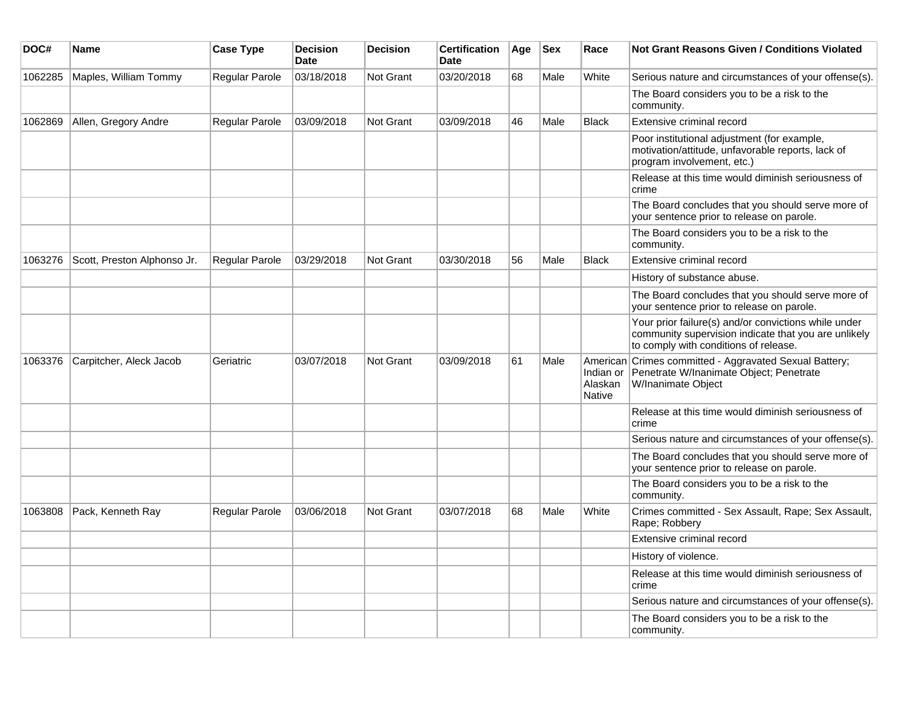| DOC#    | <b>Name</b>                 | <b>Case Type</b> | <b>Decision</b><br><b>Date</b> | <b>Decision</b> | <b>Certification</b><br><b>Date</b> | Age | <b>Sex</b> | Race                     | <b>Not Grant Reasons Given / Conditions Violated</b>                                                                                                  |
|---------|-----------------------------|------------------|--------------------------------|-----------------|-------------------------------------|-----|------------|--------------------------|-------------------------------------------------------------------------------------------------------------------------------------------------------|
| 1062285 | Maples, William Tommy       | Regular Parole   | 03/18/2018                     | Not Grant       | 03/20/2018                          | 68  | Male       | White                    | Serious nature and circumstances of your offense(s).                                                                                                  |
|         |                             |                  |                                |                 |                                     |     |            |                          | The Board considers you to be a risk to the<br>community.                                                                                             |
| 1062869 | Allen, Gregory Andre        | Regular Parole   | 03/09/2018                     | Not Grant       | 03/09/2018                          | 46  | Male       | <b>Black</b>             | Extensive criminal record                                                                                                                             |
|         |                             |                  |                                |                 |                                     |     |            |                          | Poor institutional adjustment (for example,<br>motivation/attitude, unfavorable reports, lack of<br>program involvement, etc.)                        |
|         |                             |                  |                                |                 |                                     |     |            |                          | Release at this time would diminish seriousness of<br>crime                                                                                           |
|         |                             |                  |                                |                 |                                     |     |            |                          | The Board concludes that you should serve more of<br>your sentence prior to release on parole.                                                        |
|         |                             |                  |                                |                 |                                     |     |            |                          | The Board considers you to be a risk to the<br>community.                                                                                             |
| 1063276 | Scott, Preston Alphonso Jr. | Regular Parole   | 03/29/2018                     | Not Grant       | 03/30/2018                          | 56  | Male       | <b>Black</b>             | <b>Extensive criminal record</b>                                                                                                                      |
|         |                             |                  |                                |                 |                                     |     |            |                          | History of substance abuse.                                                                                                                           |
|         |                             |                  |                                |                 |                                     |     |            |                          | The Board concludes that you should serve more of<br>your sentence prior to release on parole.                                                        |
|         |                             |                  |                                |                 |                                     |     |            |                          | Your prior failure(s) and/or convictions while under<br>community supervision indicate that you are unlikely<br>to comply with conditions of release. |
| 1063376 | Carpitcher, Aleck Jacob     | Geriatric        | 03/07/2018                     | Not Grant       | 03/09/2018                          | 61  | Male       | Alaskan<br><b>Native</b> | American Crimes committed - Aggravated Sexual Battery;<br>Indian or Penetrate W/Inanimate Object; Penetrate<br>W/Inanimate Object                     |
|         |                             |                  |                                |                 |                                     |     |            |                          | Release at this time would diminish seriousness of<br>crime                                                                                           |
|         |                             |                  |                                |                 |                                     |     |            |                          | Serious nature and circumstances of your offense(s).                                                                                                  |
|         |                             |                  |                                |                 |                                     |     |            |                          | The Board concludes that you should serve more of<br>your sentence prior to release on parole.                                                        |
|         |                             |                  |                                |                 |                                     |     |            |                          | The Board considers you to be a risk to the<br>community.                                                                                             |
| 1063808 | Pack, Kenneth Ray           | Regular Parole   | 03/06/2018                     | Not Grant       | 03/07/2018                          | 68  | Male       | White                    | Crimes committed - Sex Assault, Rape; Sex Assault,<br>Rape; Robbery                                                                                   |
|         |                             |                  |                                |                 |                                     |     |            |                          | Extensive criminal record                                                                                                                             |
|         |                             |                  |                                |                 |                                     |     |            |                          | History of violence.                                                                                                                                  |
|         |                             |                  |                                |                 |                                     |     |            |                          | Release at this time would diminish seriousness of<br>crime                                                                                           |
|         |                             |                  |                                |                 |                                     |     |            |                          | Serious nature and circumstances of your offense(s).                                                                                                  |
|         |                             |                  |                                |                 |                                     |     |            |                          | The Board considers you to be a risk to the<br>community.                                                                                             |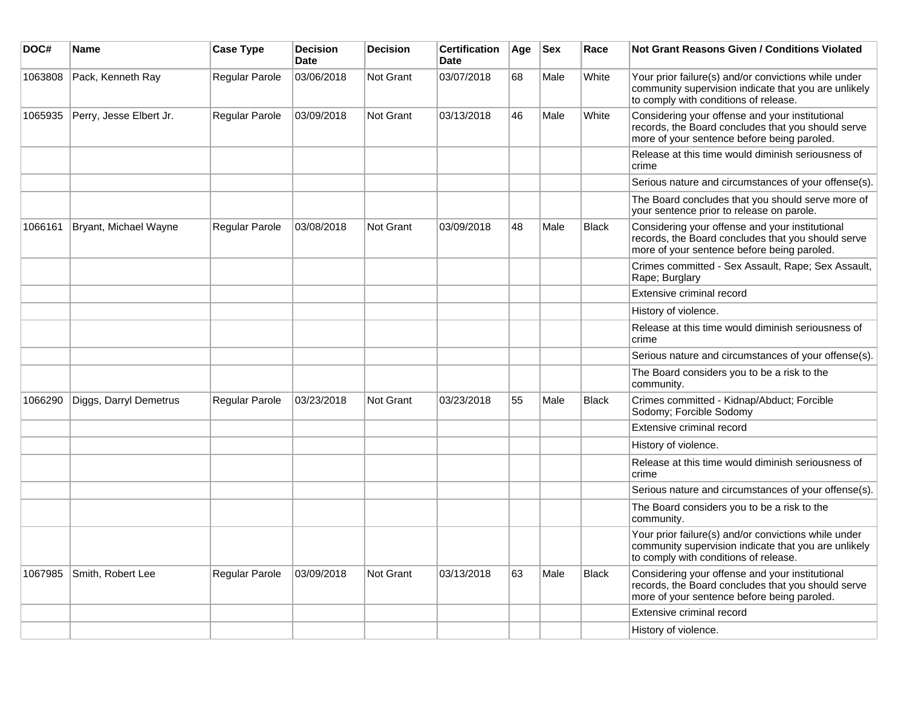| DOC#    | Name                    | <b>Case Type</b> | <b>Decision</b><br><b>Date</b> | <b>Decision</b> | <b>Certification</b><br><b>Date</b> | Age | <b>Sex</b> | Race         | <b>Not Grant Reasons Given / Conditions Violated</b>                                                                                                  |
|---------|-------------------------|------------------|--------------------------------|-----------------|-------------------------------------|-----|------------|--------------|-------------------------------------------------------------------------------------------------------------------------------------------------------|
| 1063808 | Pack, Kenneth Ray       | Regular Parole   | 03/06/2018                     | Not Grant       | 03/07/2018                          | 68  | Male       | White        | Your prior failure(s) and/or convictions while under<br>community supervision indicate that you are unlikely<br>to comply with conditions of release. |
| 1065935 | Perry, Jesse Elbert Jr. | Regular Parole   | 03/09/2018                     | Not Grant       | 03/13/2018                          | 46  | Male       | White        | Considering your offense and your institutional<br>records, the Board concludes that you should serve<br>more of your sentence before being paroled.  |
|         |                         |                  |                                |                 |                                     |     |            |              | Release at this time would diminish seriousness of<br>crime                                                                                           |
|         |                         |                  |                                |                 |                                     |     |            |              | Serious nature and circumstances of your offense(s).                                                                                                  |
|         |                         |                  |                                |                 |                                     |     |            |              | The Board concludes that you should serve more of<br>your sentence prior to release on parole.                                                        |
| 1066161 | Bryant, Michael Wayne   | Regular Parole   | 03/08/2018                     | Not Grant       | 03/09/2018                          | 48  | Male       | <b>Black</b> | Considering your offense and your institutional<br>records, the Board concludes that you should serve<br>more of your sentence before being paroled.  |
|         |                         |                  |                                |                 |                                     |     |            |              | Crimes committed - Sex Assault, Rape; Sex Assault,<br>Rape; Burglary                                                                                  |
|         |                         |                  |                                |                 |                                     |     |            |              | Extensive criminal record                                                                                                                             |
|         |                         |                  |                                |                 |                                     |     |            |              | History of violence.                                                                                                                                  |
|         |                         |                  |                                |                 |                                     |     |            |              | Release at this time would diminish seriousness of<br>crime                                                                                           |
|         |                         |                  |                                |                 |                                     |     |            |              | Serious nature and circumstances of your offense(s).                                                                                                  |
|         |                         |                  |                                |                 |                                     |     |            |              | The Board considers you to be a risk to the<br>community.                                                                                             |
| 1066290 | Diggs, Darryl Demetrus  | Regular Parole   | 03/23/2018                     | Not Grant       | 03/23/2018                          | 55  | Male       | <b>Black</b> | Crimes committed - Kidnap/Abduct; Forcible<br>Sodomy; Forcible Sodomy                                                                                 |
|         |                         |                  |                                |                 |                                     |     |            |              | Extensive criminal record                                                                                                                             |
|         |                         |                  |                                |                 |                                     |     |            |              | History of violence.                                                                                                                                  |
|         |                         |                  |                                |                 |                                     |     |            |              | Release at this time would diminish seriousness of<br>crime                                                                                           |
|         |                         |                  |                                |                 |                                     |     |            |              | Serious nature and circumstances of your offense(s).                                                                                                  |
|         |                         |                  |                                |                 |                                     |     |            |              | The Board considers you to be a risk to the<br>community.                                                                                             |
|         |                         |                  |                                |                 |                                     |     |            |              | Your prior failure(s) and/or convictions while under<br>community supervision indicate that you are unlikely<br>to comply with conditions of release. |
| 1067985 | Smith, Robert Lee       | Regular Parole   | 03/09/2018                     | Not Grant       | 03/13/2018                          | 63  | Male       | <b>Black</b> | Considering your offense and your institutional<br>records, the Board concludes that you should serve<br>more of your sentence before being paroled.  |
|         |                         |                  |                                |                 |                                     |     |            |              | Extensive criminal record                                                                                                                             |
|         |                         |                  |                                |                 |                                     |     |            |              | History of violence.                                                                                                                                  |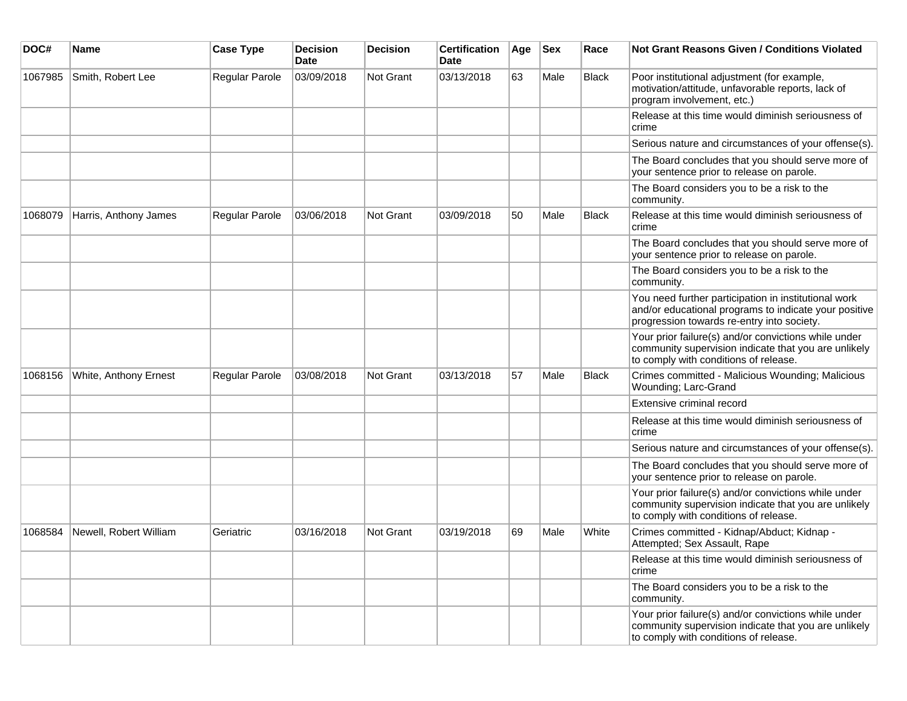| DOC#    | <b>Name</b>            | <b>Case Type</b> | <b>Decision</b><br>Date | <b>Decision</b> | <b>Certification</b><br><b>Date</b> | Age | <b>Sex</b> | Race         | <b>Not Grant Reasons Given / Conditions Violated</b>                                                                                                        |
|---------|------------------------|------------------|-------------------------|-----------------|-------------------------------------|-----|------------|--------------|-------------------------------------------------------------------------------------------------------------------------------------------------------------|
| 1067985 | Smith, Robert Lee      | Regular Parole   | 03/09/2018              | Not Grant       | 03/13/2018                          | 63  | Male       | Black        | Poor institutional adjustment (for example,<br>motivation/attitude, unfavorable reports, lack of<br>program involvement, etc.)                              |
|         |                        |                  |                         |                 |                                     |     |            |              | Release at this time would diminish seriousness of<br>crime                                                                                                 |
|         |                        |                  |                         |                 |                                     |     |            |              | Serious nature and circumstances of your offense(s).                                                                                                        |
|         |                        |                  |                         |                 |                                     |     |            |              | The Board concludes that you should serve more of<br>your sentence prior to release on parole.                                                              |
|         |                        |                  |                         |                 |                                     |     |            |              | The Board considers you to be a risk to the<br>community.                                                                                                   |
| 1068079 | Harris, Anthony James  | Regular Parole   | 03/06/2018              | Not Grant       | 03/09/2018                          | 50  | Male       | <b>Black</b> | Release at this time would diminish seriousness of<br>crime                                                                                                 |
|         |                        |                  |                         |                 |                                     |     |            |              | The Board concludes that you should serve more of<br>your sentence prior to release on parole.                                                              |
|         |                        |                  |                         |                 |                                     |     |            |              | The Board considers you to be a risk to the<br>community.                                                                                                   |
|         |                        |                  |                         |                 |                                     |     |            |              | You need further participation in institutional work<br>and/or educational programs to indicate your positive<br>progression towards re-entry into society. |
|         |                        |                  |                         |                 |                                     |     |            |              | Your prior failure(s) and/or convictions while under<br>community supervision indicate that you are unlikely<br>to comply with conditions of release.       |
| 1068156 | White, Anthony Ernest  | Regular Parole   | 03/08/2018              | Not Grant       | 03/13/2018                          | 57  | Male       | <b>Black</b> | Crimes committed - Malicious Wounding; Malicious<br>Wounding; Larc-Grand                                                                                    |
|         |                        |                  |                         |                 |                                     |     |            |              | Extensive criminal record                                                                                                                                   |
|         |                        |                  |                         |                 |                                     |     |            |              | Release at this time would diminish seriousness of<br>crime                                                                                                 |
|         |                        |                  |                         |                 |                                     |     |            |              | Serious nature and circumstances of your offense(s).                                                                                                        |
|         |                        |                  |                         |                 |                                     |     |            |              | The Board concludes that you should serve more of<br>your sentence prior to release on parole.                                                              |
|         |                        |                  |                         |                 |                                     |     |            |              | Your prior failure(s) and/or convictions while under<br>community supervision indicate that you are unlikely<br>to comply with conditions of release.       |
| 1068584 | Newell, Robert William | Geriatric        | 03/16/2018              | Not Grant       | 03/19/2018                          | 69  | Male       | White        | Crimes committed - Kidnap/Abduct; Kidnap -<br>Attempted; Sex Assault, Rape                                                                                  |
|         |                        |                  |                         |                 |                                     |     |            |              | Release at this time would diminish seriousness of<br>crime                                                                                                 |
|         |                        |                  |                         |                 |                                     |     |            |              | The Board considers you to be a risk to the<br>community.                                                                                                   |
|         |                        |                  |                         |                 |                                     |     |            |              | Your prior failure(s) and/or convictions while under<br>community supervision indicate that you are unlikely<br>to comply with conditions of release.       |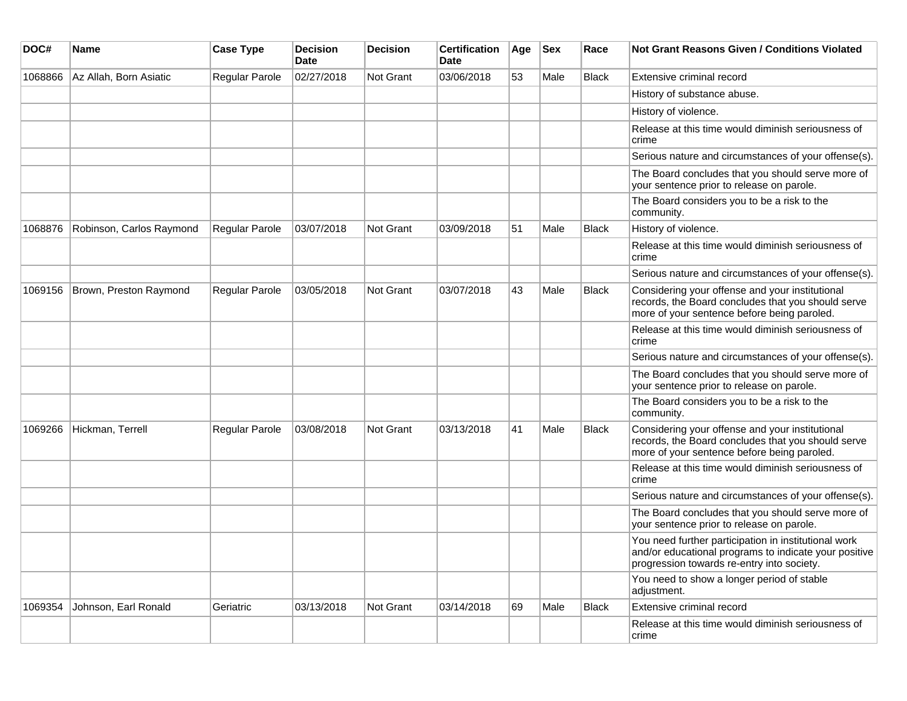| DOC#    | Name                     | <b>Case Type</b> | <b>Decision</b><br>Date | <b>Decision</b> | <b>Certification</b><br><b>Date</b> | Age | <b>Sex</b> | Race         | <b>Not Grant Reasons Given / Conditions Violated</b>                                                                                                        |
|---------|--------------------------|------------------|-------------------------|-----------------|-------------------------------------|-----|------------|--------------|-------------------------------------------------------------------------------------------------------------------------------------------------------------|
| 1068866 | Az Allah, Born Asiatic   | Regular Parole   | 02/27/2018              | Not Grant       | 03/06/2018                          | 53  | Male       | <b>Black</b> | Extensive criminal record                                                                                                                                   |
|         |                          |                  |                         |                 |                                     |     |            |              | History of substance abuse.                                                                                                                                 |
|         |                          |                  |                         |                 |                                     |     |            |              | History of violence.                                                                                                                                        |
|         |                          |                  |                         |                 |                                     |     |            |              | Release at this time would diminish seriousness of<br>crime                                                                                                 |
|         |                          |                  |                         |                 |                                     |     |            |              | Serious nature and circumstances of your offense(s).                                                                                                        |
|         |                          |                  |                         |                 |                                     |     |            |              | The Board concludes that you should serve more of<br>your sentence prior to release on parole.                                                              |
|         |                          |                  |                         |                 |                                     |     |            |              | The Board considers you to be a risk to the<br>community.                                                                                                   |
| 1068876 | Robinson, Carlos Raymond | Regular Parole   | 03/07/2018              | Not Grant       | 03/09/2018                          | 51  | Male       | <b>Black</b> | History of violence.                                                                                                                                        |
|         |                          |                  |                         |                 |                                     |     |            |              | Release at this time would diminish seriousness of<br>crime                                                                                                 |
|         |                          |                  |                         |                 |                                     |     |            |              | Serious nature and circumstances of your offense(s).                                                                                                        |
| 1069156 | Brown, Preston Raymond   | Regular Parole   | 03/05/2018              | Not Grant       | 03/07/2018                          | 43  | Male       | <b>Black</b> | Considering your offense and your institutional<br>records, the Board concludes that you should serve<br>more of your sentence before being paroled.        |
|         |                          |                  |                         |                 |                                     |     |            |              | Release at this time would diminish seriousness of<br>crime                                                                                                 |
|         |                          |                  |                         |                 |                                     |     |            |              | Serious nature and circumstances of your offense(s).                                                                                                        |
|         |                          |                  |                         |                 |                                     |     |            |              | The Board concludes that you should serve more of<br>your sentence prior to release on parole.                                                              |
|         |                          |                  |                         |                 |                                     |     |            |              | The Board considers you to be a risk to the<br>community.                                                                                                   |
| 1069266 | Hickman, Terrell         | Regular Parole   | 03/08/2018              | Not Grant       | 03/13/2018                          | 41  | Male       | <b>Black</b> | Considering your offense and your institutional<br>records, the Board concludes that you should serve<br>more of your sentence before being paroled.        |
|         |                          |                  |                         |                 |                                     |     |            |              | Release at this time would diminish seriousness of<br>crime                                                                                                 |
|         |                          |                  |                         |                 |                                     |     |            |              | Serious nature and circumstances of your offense(s).                                                                                                        |
|         |                          |                  |                         |                 |                                     |     |            |              | The Board concludes that you should serve more of<br>your sentence prior to release on parole.                                                              |
|         |                          |                  |                         |                 |                                     |     |            |              | You need further participation in institutional work<br>and/or educational programs to indicate your positive<br>progression towards re-entry into society. |
|         |                          |                  |                         |                 |                                     |     |            |              | You need to show a longer period of stable<br>adjustment.                                                                                                   |
| 1069354 | Johnson, Earl Ronald     | Geriatric        | 03/13/2018              | Not Grant       | 03/14/2018                          | 69  | Male       | <b>Black</b> | Extensive criminal record                                                                                                                                   |
|         |                          |                  |                         |                 |                                     |     |            |              | Release at this time would diminish seriousness of<br>crime                                                                                                 |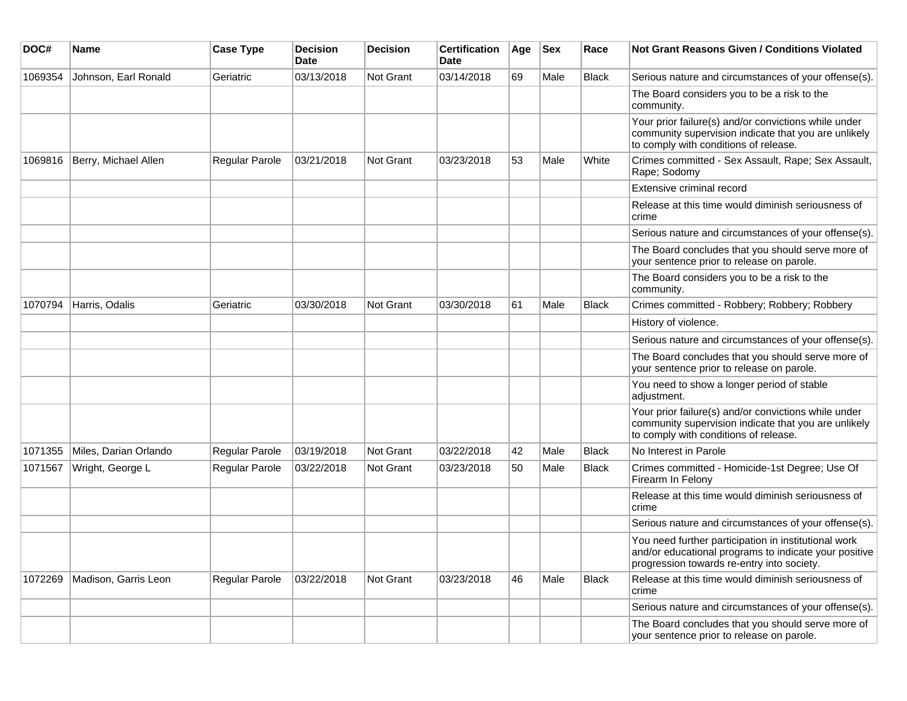| DOC#    | <b>Name</b>           | <b>Case Type</b> | <b>Decision</b><br><b>Date</b> | <b>Decision</b> | <b>Certification</b><br>Date | Age | <b>Sex</b> | Race         | Not Grant Reasons Given / Conditions Violated                                                                                                               |
|---------|-----------------------|------------------|--------------------------------|-----------------|------------------------------|-----|------------|--------------|-------------------------------------------------------------------------------------------------------------------------------------------------------------|
| 1069354 | Johnson, Earl Ronald  | Geriatric        | 03/13/2018                     | Not Grant       | 03/14/2018                   | 69  | Male       | <b>Black</b> | Serious nature and circumstances of your offense(s).                                                                                                        |
|         |                       |                  |                                |                 |                              |     |            |              | The Board considers you to be a risk to the<br>community.                                                                                                   |
|         |                       |                  |                                |                 |                              |     |            |              | Your prior failure(s) and/or convictions while under<br>community supervision indicate that you are unlikely<br>to comply with conditions of release.       |
| 1069816 | Berry, Michael Allen  | Regular Parole   | 03/21/2018                     | Not Grant       | 03/23/2018                   | 53  | Male       | White        | Crimes committed - Sex Assault, Rape; Sex Assault,<br>Rape; Sodomy                                                                                          |
|         |                       |                  |                                |                 |                              |     |            |              | Extensive criminal record                                                                                                                                   |
|         |                       |                  |                                |                 |                              |     |            |              | Release at this time would diminish seriousness of<br>crime                                                                                                 |
|         |                       |                  |                                |                 |                              |     |            |              | Serious nature and circumstances of your offense(s).                                                                                                        |
|         |                       |                  |                                |                 |                              |     |            |              | The Board concludes that you should serve more of<br>your sentence prior to release on parole.                                                              |
|         |                       |                  |                                |                 |                              |     |            |              | The Board considers you to be a risk to the<br>community.                                                                                                   |
| 1070794 | Harris, Odalis        | Geriatric        | 03/30/2018                     | Not Grant       | 03/30/2018                   | 61  | Male       | <b>Black</b> | Crimes committed - Robbery; Robbery; Robbery                                                                                                                |
|         |                       |                  |                                |                 |                              |     |            |              | History of violence.                                                                                                                                        |
|         |                       |                  |                                |                 |                              |     |            |              | Serious nature and circumstances of your offense(s).                                                                                                        |
|         |                       |                  |                                |                 |                              |     |            |              | The Board concludes that you should serve more of<br>your sentence prior to release on parole.                                                              |
|         |                       |                  |                                |                 |                              |     |            |              | You need to show a longer period of stable<br>adjustment.                                                                                                   |
|         |                       |                  |                                |                 |                              |     |            |              | Your prior failure(s) and/or convictions while under<br>community supervision indicate that you are unlikely<br>to comply with conditions of release.       |
| 1071355 | Miles, Darian Orlando | Regular Parole   | 03/19/2018                     | Not Grant       | 03/22/2018                   | 42  | Male       | <b>Black</b> | No Interest in Parole                                                                                                                                       |
| 1071567 | Wright, George L      | Regular Parole   | 03/22/2018                     | Not Grant       | 03/23/2018                   | 50  | Male       | <b>Black</b> | Crimes committed - Homicide-1st Degree; Use Of<br>Firearm In Felony                                                                                         |
|         |                       |                  |                                |                 |                              |     |            |              | Release at this time would diminish seriousness of<br>crime                                                                                                 |
|         |                       |                  |                                |                 |                              |     |            |              | Serious nature and circumstances of your offense(s).                                                                                                        |
|         |                       |                  |                                |                 |                              |     |            |              | You need further participation in institutional work<br>and/or educational programs to indicate your positive<br>progression towards re-entry into society. |
| 1072269 | Madison, Garris Leon  | Regular Parole   | 03/22/2018                     | Not Grant       | 03/23/2018                   | 46  | Male       | <b>Black</b> | Release at this time would diminish seriousness of<br>crime                                                                                                 |
|         |                       |                  |                                |                 |                              |     |            |              | Serious nature and circumstances of your offense(s).                                                                                                        |
|         |                       |                  |                                |                 |                              |     |            |              | The Board concludes that you should serve more of<br>your sentence prior to release on parole.                                                              |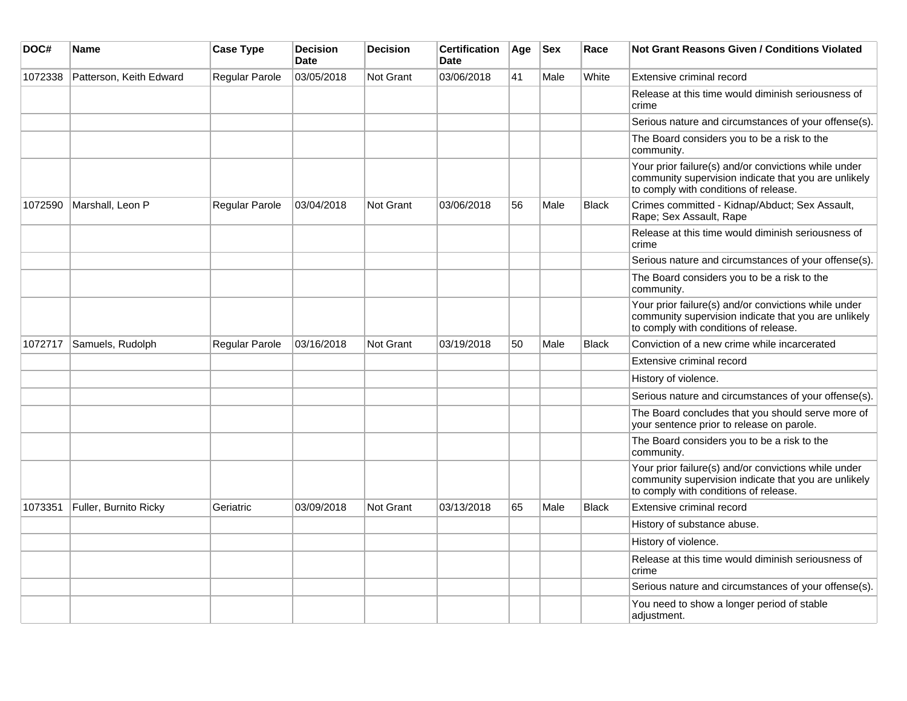| DOC#    | Name                    | <b>Case Type</b> | <b>Decision</b><br><b>Date</b> | <b>Decision</b>  | <b>Certification</b><br><b>Date</b> | Age | <b>Sex</b> | Race         | <b>Not Grant Reasons Given / Conditions Violated</b>                                                                                                  |
|---------|-------------------------|------------------|--------------------------------|------------------|-------------------------------------|-----|------------|--------------|-------------------------------------------------------------------------------------------------------------------------------------------------------|
| 1072338 | Patterson, Keith Edward | Regular Parole   | 03/05/2018                     | <b>Not Grant</b> | 03/06/2018                          | 41  | Male       | White        | Extensive criminal record                                                                                                                             |
|         |                         |                  |                                |                  |                                     |     |            |              | Release at this time would diminish seriousness of<br>crime                                                                                           |
|         |                         |                  |                                |                  |                                     |     |            |              | Serious nature and circumstances of your offense(s).                                                                                                  |
|         |                         |                  |                                |                  |                                     |     |            |              | The Board considers you to be a risk to the<br>community.                                                                                             |
|         |                         |                  |                                |                  |                                     |     |            |              | Your prior failure(s) and/or convictions while under<br>community supervision indicate that you are unlikely<br>to comply with conditions of release. |
| 1072590 | Marshall, Leon P        | Regular Parole   | 03/04/2018                     | Not Grant        | 03/06/2018                          | 56  | Male       | <b>Black</b> | Crimes committed - Kidnap/Abduct; Sex Assault,<br>Rape; Sex Assault, Rape                                                                             |
|         |                         |                  |                                |                  |                                     |     |            |              | Release at this time would diminish seriousness of<br>crime                                                                                           |
|         |                         |                  |                                |                  |                                     |     |            |              | Serious nature and circumstances of your offense(s).                                                                                                  |
|         |                         |                  |                                |                  |                                     |     |            |              | The Board considers you to be a risk to the<br>community.                                                                                             |
|         |                         |                  |                                |                  |                                     |     |            |              | Your prior failure(s) and/or convictions while under<br>community supervision indicate that you are unlikely<br>to comply with conditions of release. |
| 1072717 | Samuels, Rudolph        | Regular Parole   | 03/16/2018                     | <b>Not Grant</b> | 03/19/2018                          | 50  | Male       | <b>Black</b> | Conviction of a new crime while incarcerated                                                                                                          |
|         |                         |                  |                                |                  |                                     |     |            |              | Extensive criminal record                                                                                                                             |
|         |                         |                  |                                |                  |                                     |     |            |              | History of violence.                                                                                                                                  |
|         |                         |                  |                                |                  |                                     |     |            |              | Serious nature and circumstances of your offense(s).                                                                                                  |
|         |                         |                  |                                |                  |                                     |     |            |              | The Board concludes that you should serve more of<br>your sentence prior to release on parole.                                                        |
|         |                         |                  |                                |                  |                                     |     |            |              | The Board considers you to be a risk to the<br>community.                                                                                             |
|         |                         |                  |                                |                  |                                     |     |            |              | Your prior failure(s) and/or convictions while under<br>community supervision indicate that you are unlikely<br>to comply with conditions of release. |
| 1073351 | Fuller, Burnito Ricky   | Geriatric        | 03/09/2018                     | Not Grant        | 03/13/2018                          | 65  | Male       | <b>Black</b> | Extensive criminal record                                                                                                                             |
|         |                         |                  |                                |                  |                                     |     |            |              | History of substance abuse.                                                                                                                           |
|         |                         |                  |                                |                  |                                     |     |            |              | History of violence.                                                                                                                                  |
|         |                         |                  |                                |                  |                                     |     |            |              | Release at this time would diminish seriousness of<br>crime                                                                                           |
|         |                         |                  |                                |                  |                                     |     |            |              | Serious nature and circumstances of your offense(s).                                                                                                  |
|         |                         |                  |                                |                  |                                     |     |            |              | You need to show a longer period of stable<br>adjustment.                                                                                             |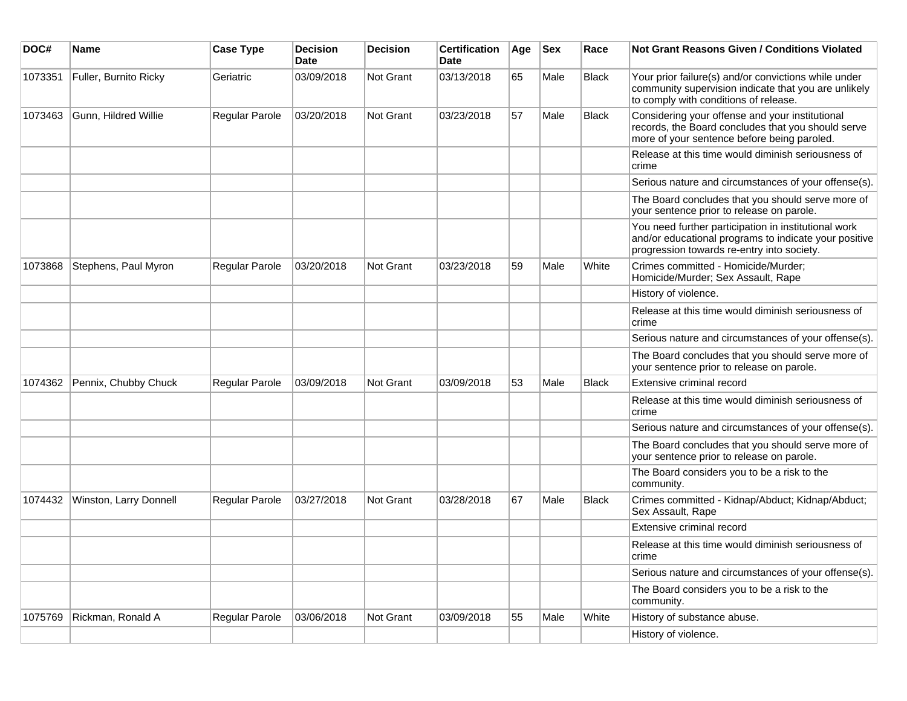| DOC#    | Name                   | <b>Case Type</b> | Decision<br><b>Date</b> | <b>Decision</b> | <b>Certification</b><br>Date | Age | <b>Sex</b> | Race         | <b>Not Grant Reasons Given / Conditions Violated</b>                                                                                                        |
|---------|------------------------|------------------|-------------------------|-----------------|------------------------------|-----|------------|--------------|-------------------------------------------------------------------------------------------------------------------------------------------------------------|
| 1073351 | Fuller, Burnito Ricky  | Geriatric        | 03/09/2018              | Not Grant       | 03/13/2018                   | 65  | Male       | <b>Black</b> | Your prior failure(s) and/or convictions while under<br>community supervision indicate that you are unlikely<br>to comply with conditions of release.       |
| 1073463 | Gunn, Hildred Willie   | Regular Parole   | 03/20/2018              | Not Grant       | 03/23/2018                   | 57  | Male       | <b>Black</b> | Considering your offense and your institutional<br>records, the Board concludes that you should serve<br>more of your sentence before being paroled.        |
|         |                        |                  |                         |                 |                              |     |            |              | Release at this time would diminish seriousness of<br>crime                                                                                                 |
|         |                        |                  |                         |                 |                              |     |            |              | Serious nature and circumstances of your offense(s).                                                                                                        |
|         |                        |                  |                         |                 |                              |     |            |              | The Board concludes that you should serve more of<br>your sentence prior to release on parole.                                                              |
|         |                        |                  |                         |                 |                              |     |            |              | You need further participation in institutional work<br>and/or educational programs to indicate your positive<br>progression towards re-entry into society. |
| 1073868 | Stephens, Paul Myron   | Regular Parole   | 03/20/2018              | Not Grant       | 03/23/2018                   | 59  | Male       | White        | Crimes committed - Homicide/Murder;<br>Homicide/Murder; Sex Assault, Rape                                                                                   |
|         |                        |                  |                         |                 |                              |     |            |              | History of violence.                                                                                                                                        |
|         |                        |                  |                         |                 |                              |     |            |              | Release at this time would diminish seriousness of<br>crime                                                                                                 |
|         |                        |                  |                         |                 |                              |     |            |              | Serious nature and circumstances of your offense(s).                                                                                                        |
|         |                        |                  |                         |                 |                              |     |            |              | The Board concludes that you should serve more of<br>your sentence prior to release on parole.                                                              |
| 1074362 | Pennix, Chubby Chuck   | Regular Parole   | 03/09/2018              | Not Grant       | 03/09/2018                   | 53  | Male       | <b>Black</b> | Extensive criminal record                                                                                                                                   |
|         |                        |                  |                         |                 |                              |     |            |              | Release at this time would diminish seriousness of<br>crime                                                                                                 |
|         |                        |                  |                         |                 |                              |     |            |              | Serious nature and circumstances of your offense(s).                                                                                                        |
|         |                        |                  |                         |                 |                              |     |            |              | The Board concludes that you should serve more of<br>your sentence prior to release on parole.                                                              |
|         |                        |                  |                         |                 |                              |     |            |              | The Board considers you to be a risk to the<br>community.                                                                                                   |
| 1074432 | Winston, Larry Donnell | Regular Parole   | 03/27/2018              | Not Grant       | 03/28/2018                   | 67  | Male       | <b>Black</b> | Crimes committed - Kidnap/Abduct; Kidnap/Abduct;<br>Sex Assault, Rape                                                                                       |
|         |                        |                  |                         |                 |                              |     |            |              | Extensive criminal record                                                                                                                                   |
|         |                        |                  |                         |                 |                              |     |            |              | Release at this time would diminish seriousness of<br>crime                                                                                                 |
|         |                        |                  |                         |                 |                              |     |            |              | Serious nature and circumstances of your offense(s).                                                                                                        |
|         |                        |                  |                         |                 |                              |     |            |              | The Board considers you to be a risk to the<br>community.                                                                                                   |
| 1075769 | Rickman, Ronald A      | Regular Parole   | 03/06/2018              | Not Grant       | 03/09/2018                   | 55  | Male       | White        | History of substance abuse.                                                                                                                                 |
|         |                        |                  |                         |                 |                              |     |            |              | History of violence.                                                                                                                                        |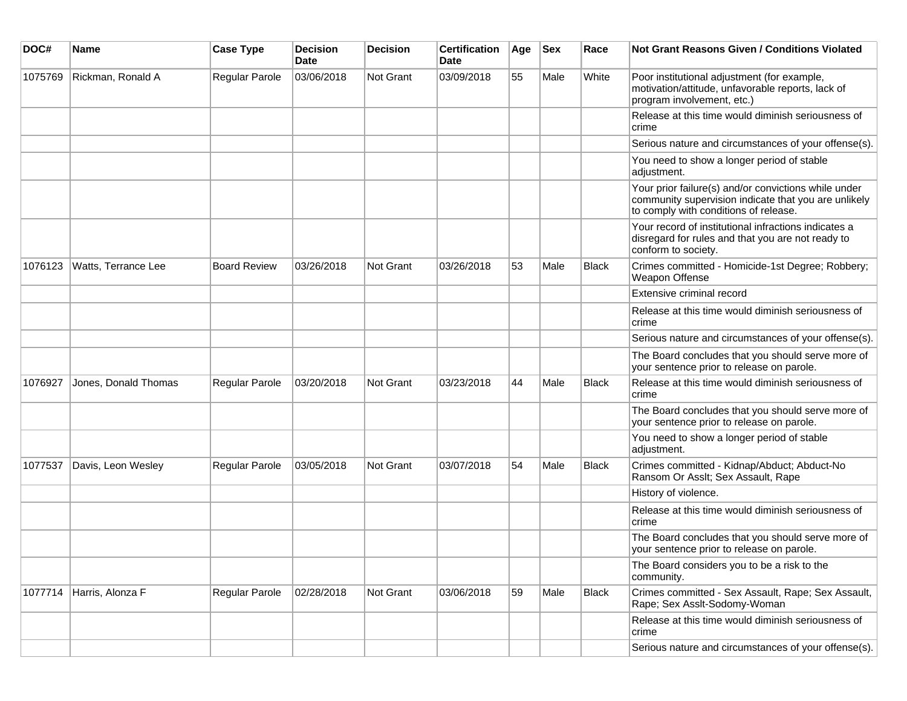| DOC#    | <b>Name</b>          | <b>Case Type</b>    | <b>Decision</b><br><b>Date</b> | <b>Decision</b>  | <b>Certification</b><br><b>Date</b> | Age | <b>Sex</b> | Race         | Not Grant Reasons Given / Conditions Violated                                                                                                         |
|---------|----------------------|---------------------|--------------------------------|------------------|-------------------------------------|-----|------------|--------------|-------------------------------------------------------------------------------------------------------------------------------------------------------|
| 1075769 | Rickman, Ronald A    | Regular Parole      | 03/06/2018                     | Not Grant        | 03/09/2018                          | 55  | Male       | White        | Poor institutional adjustment (for example,<br>motivation/attitude, unfavorable reports, lack of<br>program involvement, etc.)                        |
|         |                      |                     |                                |                  |                                     |     |            |              | Release at this time would diminish seriousness of<br>crime                                                                                           |
|         |                      |                     |                                |                  |                                     |     |            |              | Serious nature and circumstances of your offense(s).                                                                                                  |
|         |                      |                     |                                |                  |                                     |     |            |              | You need to show a longer period of stable<br>adjustment.                                                                                             |
|         |                      |                     |                                |                  |                                     |     |            |              | Your prior failure(s) and/or convictions while under<br>community supervision indicate that you are unlikely<br>to comply with conditions of release. |
|         |                      |                     |                                |                  |                                     |     |            |              | Your record of institutional infractions indicates a<br>disregard for rules and that you are not ready to<br>conform to society.                      |
| 1076123 | Watts, Terrance Lee  | <b>Board Review</b> | 03/26/2018                     | <b>Not Grant</b> | 03/26/2018                          | 53  | Male       | <b>Black</b> | Crimes committed - Homicide-1st Degree; Robbery;<br>Weapon Offense                                                                                    |
|         |                      |                     |                                |                  |                                     |     |            |              | Extensive criminal record                                                                                                                             |
|         |                      |                     |                                |                  |                                     |     |            |              | Release at this time would diminish seriousness of<br>crime                                                                                           |
|         |                      |                     |                                |                  |                                     |     |            |              | Serious nature and circumstances of your offense(s).                                                                                                  |
|         |                      |                     |                                |                  |                                     |     |            |              | The Board concludes that you should serve more of<br>your sentence prior to release on parole.                                                        |
| 1076927 | Jones, Donald Thomas | Regular Parole      | 03/20/2018                     | Not Grant        | 03/23/2018                          | 44  | Male       | <b>Black</b> | Release at this time would diminish seriousness of<br>crime                                                                                           |
|         |                      |                     |                                |                  |                                     |     |            |              | The Board concludes that you should serve more of<br>your sentence prior to release on parole.                                                        |
|         |                      |                     |                                |                  |                                     |     |            |              | You need to show a longer period of stable<br>adjustment.                                                                                             |
| 1077537 | Davis, Leon Wesley   | Regular Parole      | 03/05/2018                     | Not Grant        | 03/07/2018                          | 54  | Male       | <b>Black</b> | Crimes committed - Kidnap/Abduct; Abduct-No<br>Ransom Or Asslt; Sex Assault, Rape                                                                     |
|         |                      |                     |                                |                  |                                     |     |            |              | History of violence.                                                                                                                                  |
|         |                      |                     |                                |                  |                                     |     |            |              | Release at this time would diminish seriousness of<br>crime                                                                                           |
|         |                      |                     |                                |                  |                                     |     |            |              | The Board concludes that you should serve more of<br>your sentence prior to release on parole.                                                        |
|         |                      |                     |                                |                  |                                     |     |            |              | The Board considers you to be a risk to the<br>community.                                                                                             |
| 1077714 | Harris, Alonza F     | Regular Parole      | 02/28/2018                     | Not Grant        | 03/06/2018                          | 59  | Male       | <b>Black</b> | Crimes committed - Sex Assault, Rape; Sex Assault,<br>Rape; Sex Asslt-Sodomy-Woman                                                                    |
|         |                      |                     |                                |                  |                                     |     |            |              | Release at this time would diminish seriousness of<br>crime                                                                                           |
|         |                      |                     |                                |                  |                                     |     |            |              | Serious nature and circumstances of your offense(s).                                                                                                  |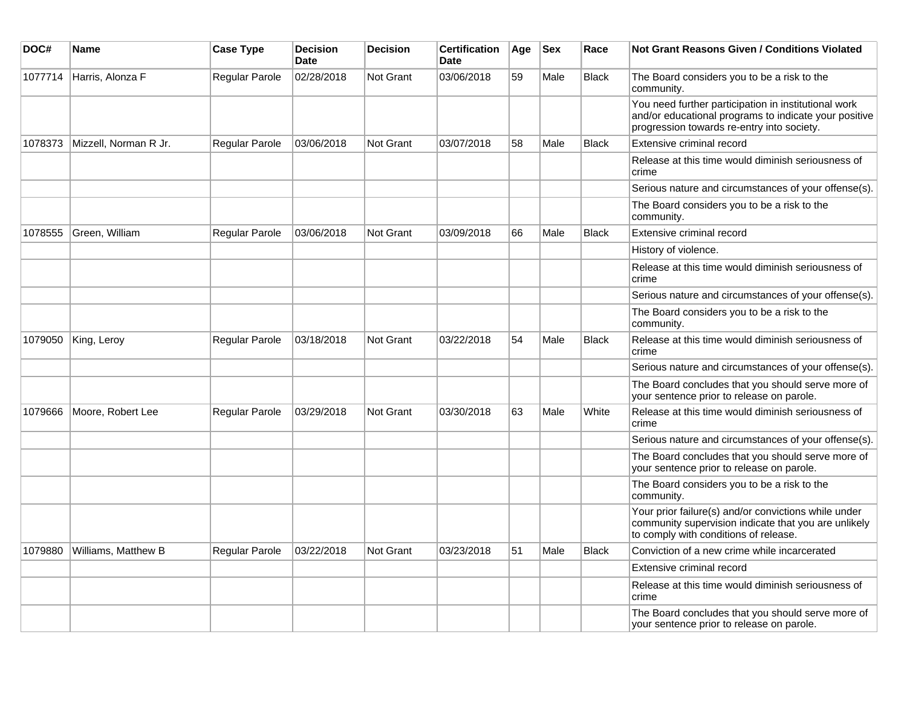| DOC#    | Name                  | <b>Case Type</b>      | <b>Decision</b><br><b>Date</b> | <b>Decision</b>  | <b>Certification</b><br>Date | Age | <b>Sex</b> | Race         | Not Grant Reasons Given / Conditions Violated                                                                                                               |
|---------|-----------------------|-----------------------|--------------------------------|------------------|------------------------------|-----|------------|--------------|-------------------------------------------------------------------------------------------------------------------------------------------------------------|
| 1077714 | Harris, Alonza F      | Regular Parole        | 02/28/2018                     | Not Grant        | 03/06/2018                   | 59  | Male       | <b>Black</b> | The Board considers you to be a risk to the<br>community.                                                                                                   |
|         |                       |                       |                                |                  |                              |     |            |              | You need further participation in institutional work<br>and/or educational programs to indicate your positive<br>progression towards re-entry into society. |
| 1078373 | Mizzell, Norman R Jr. | Regular Parole        | 03/06/2018                     | Not Grant        | 03/07/2018                   | 58  | Male       | <b>Black</b> | Extensive criminal record                                                                                                                                   |
|         |                       |                       |                                |                  |                              |     |            |              | Release at this time would diminish seriousness of<br>crime                                                                                                 |
|         |                       |                       |                                |                  |                              |     |            |              | Serious nature and circumstances of your offense(s).                                                                                                        |
|         |                       |                       |                                |                  |                              |     |            |              | The Board considers you to be a risk to the<br>community.                                                                                                   |
| 1078555 | Green, William        | <b>Regular Parole</b> | 03/06/2018                     | <b>Not Grant</b> | 03/09/2018                   | 66  | Male       | <b>Black</b> | Extensive criminal record                                                                                                                                   |
|         |                       |                       |                                |                  |                              |     |            |              | History of violence.                                                                                                                                        |
|         |                       |                       |                                |                  |                              |     |            |              | Release at this time would diminish seriousness of<br>crime                                                                                                 |
|         |                       |                       |                                |                  |                              |     |            |              | Serious nature and circumstances of your offense(s).                                                                                                        |
|         |                       |                       |                                |                  |                              |     |            |              | The Board considers you to be a risk to the<br>community.                                                                                                   |
| 1079050 | King, Leroy           | <b>Regular Parole</b> | 03/18/2018                     | <b>Not Grant</b> | 03/22/2018                   | 54  | Male       | <b>Black</b> | Release at this time would diminish seriousness of<br>crime                                                                                                 |
|         |                       |                       |                                |                  |                              |     |            |              | Serious nature and circumstances of your offense(s).                                                                                                        |
|         |                       |                       |                                |                  |                              |     |            |              | The Board concludes that you should serve more of<br>your sentence prior to release on parole.                                                              |
| 1079666 | Moore, Robert Lee     | Regular Parole        | 03/29/2018                     | <b>Not Grant</b> | 03/30/2018                   | 63  | Male       | White        | Release at this time would diminish seriousness of<br>crime                                                                                                 |
|         |                       |                       |                                |                  |                              |     |            |              | Serious nature and circumstances of your offense(s).                                                                                                        |
|         |                       |                       |                                |                  |                              |     |            |              | The Board concludes that you should serve more of<br>your sentence prior to release on parole.                                                              |
|         |                       |                       |                                |                  |                              |     |            |              | The Board considers you to be a risk to the<br>community.                                                                                                   |
|         |                       |                       |                                |                  |                              |     |            |              | Your prior failure(s) and/or convictions while under<br>community supervision indicate that you are unlikely<br>to comply with conditions of release.       |
| 1079880 | Williams, Matthew B   | <b>Regular Parole</b> | 03/22/2018                     | <b>Not Grant</b> | 03/23/2018                   | 51  | Male       | <b>Black</b> | Conviction of a new crime while incarcerated                                                                                                                |
|         |                       |                       |                                |                  |                              |     |            |              | Extensive criminal record                                                                                                                                   |
|         |                       |                       |                                |                  |                              |     |            |              | Release at this time would diminish seriousness of<br>crime                                                                                                 |
|         |                       |                       |                                |                  |                              |     |            |              | The Board concludes that you should serve more of<br>your sentence prior to release on parole.                                                              |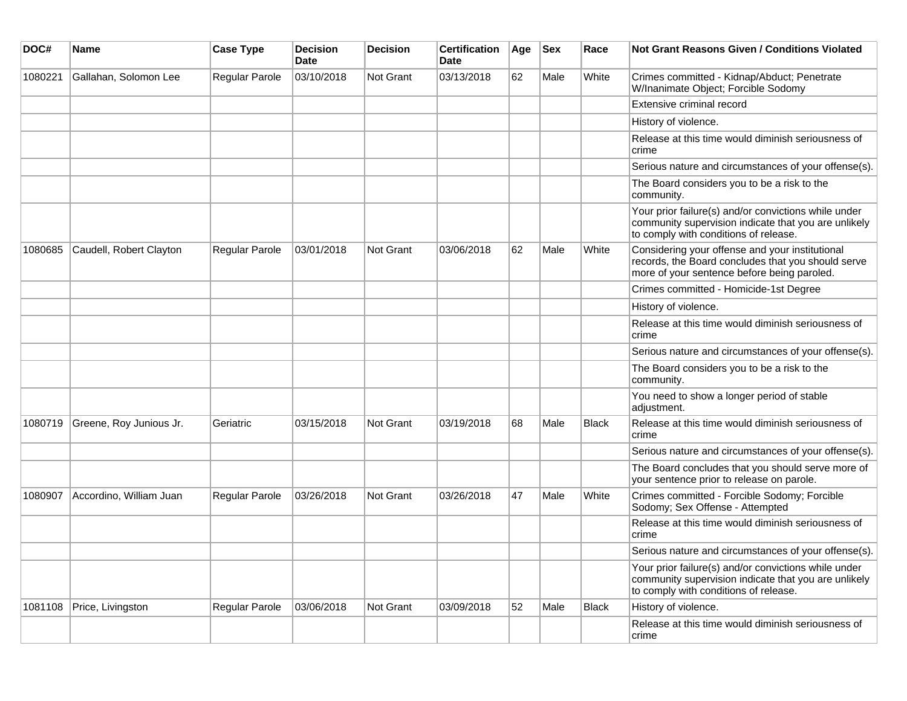| DOC#    | <b>Name</b>             | <b>Case Type</b> | <b>Decision</b><br><b>Date</b> | <b>Decision</b>  | <b>Certification</b><br>Date | Age | <b>Sex</b> | Race         | <b>Not Grant Reasons Given / Conditions Violated</b>                                                                                                  |
|---------|-------------------------|------------------|--------------------------------|------------------|------------------------------|-----|------------|--------------|-------------------------------------------------------------------------------------------------------------------------------------------------------|
| 1080221 | Gallahan, Solomon Lee   | Regular Parole   | 03/10/2018                     | <b>Not Grant</b> | 03/13/2018                   | 62  | Male       | White        | Crimes committed - Kidnap/Abduct; Penetrate<br>W/Inanimate Object; Forcible Sodomy                                                                    |
|         |                         |                  |                                |                  |                              |     |            |              | Extensive criminal record                                                                                                                             |
|         |                         |                  |                                |                  |                              |     |            |              | History of violence.                                                                                                                                  |
|         |                         |                  |                                |                  |                              |     |            |              | Release at this time would diminish seriousness of<br>crime                                                                                           |
|         |                         |                  |                                |                  |                              |     |            |              | Serious nature and circumstances of your offense(s).                                                                                                  |
|         |                         |                  |                                |                  |                              |     |            |              | The Board considers you to be a risk to the<br>community.                                                                                             |
|         |                         |                  |                                |                  |                              |     |            |              | Your prior failure(s) and/or convictions while under<br>community supervision indicate that you are unlikely<br>to comply with conditions of release. |
| 1080685 | Caudell, Robert Clayton | Regular Parole   | 03/01/2018                     | <b>Not Grant</b> | 03/06/2018                   | 62  | Male       | White        | Considering your offense and your institutional<br>records, the Board concludes that you should serve<br>more of your sentence before being paroled.  |
|         |                         |                  |                                |                  |                              |     |            |              | Crimes committed - Homicide-1st Degree                                                                                                                |
|         |                         |                  |                                |                  |                              |     |            |              | History of violence.                                                                                                                                  |
|         |                         |                  |                                |                  |                              |     |            |              | Release at this time would diminish seriousness of<br>crime                                                                                           |
|         |                         |                  |                                |                  |                              |     |            |              | Serious nature and circumstances of your offense(s).                                                                                                  |
|         |                         |                  |                                |                  |                              |     |            |              | The Board considers you to be a risk to the<br>community.                                                                                             |
|         |                         |                  |                                |                  |                              |     |            |              | You need to show a longer period of stable<br>adjustment.                                                                                             |
| 1080719 | Greene, Roy Junious Jr. | Geriatric        | 03/15/2018                     | <b>Not Grant</b> | 03/19/2018                   | 68  | Male       | <b>Black</b> | Release at this time would diminish seriousness of<br>crime                                                                                           |
|         |                         |                  |                                |                  |                              |     |            |              | Serious nature and circumstances of your offense(s).                                                                                                  |
|         |                         |                  |                                |                  |                              |     |            |              | The Board concludes that you should serve more of<br>your sentence prior to release on parole.                                                        |
| 1080907 | Accordino, William Juan | Regular Parole   | 03/26/2018                     | <b>Not Grant</b> | 03/26/2018                   | 47  | Male       | White        | Crimes committed - Forcible Sodomy; Forcible<br>Sodomy; Sex Offense - Attempted                                                                       |
|         |                         |                  |                                |                  |                              |     |            |              | Release at this time would diminish seriousness of<br>crime                                                                                           |
|         |                         |                  |                                |                  |                              |     |            |              | Serious nature and circumstances of your offense(s).                                                                                                  |
|         |                         |                  |                                |                  |                              |     |            |              | Your prior failure(s) and/or convictions while under<br>community supervision indicate that you are unlikely<br>to comply with conditions of release. |
| 1081108 | Price, Livingston       | Regular Parole   | 03/06/2018                     | Not Grant        | 03/09/2018                   | 52  | Male       | <b>Black</b> | History of violence.                                                                                                                                  |
|         |                         |                  |                                |                  |                              |     |            |              | Release at this time would diminish seriousness of<br>crime                                                                                           |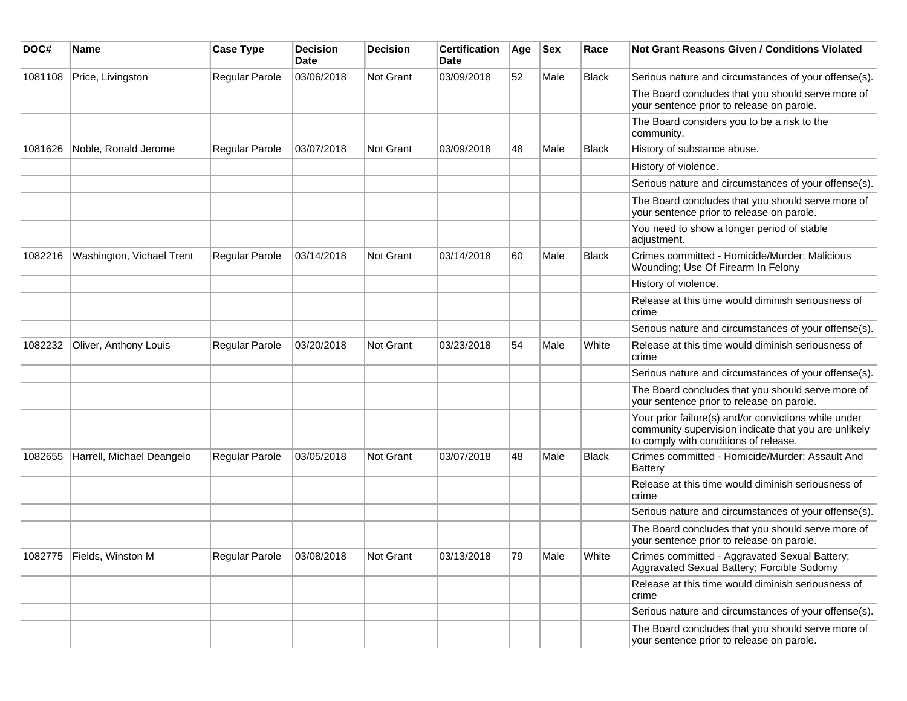| DOC#    | Name                      | <b>Case Type</b>      | <b>Decision</b><br><b>Date</b> | <b>Decision</b>  | <b>Certification</b><br>Date | Age | <b>Sex</b> | Race         | Not Grant Reasons Given / Conditions Violated                                                                                                         |
|---------|---------------------------|-----------------------|--------------------------------|------------------|------------------------------|-----|------------|--------------|-------------------------------------------------------------------------------------------------------------------------------------------------------|
| 1081108 | Price, Livingston         | Regular Parole        | 03/06/2018                     | Not Grant        | 03/09/2018                   | 52  | Male       | <b>Black</b> | Serious nature and circumstances of your offense(s).                                                                                                  |
|         |                           |                       |                                |                  |                              |     |            |              | The Board concludes that you should serve more of<br>your sentence prior to release on parole.                                                        |
|         |                           |                       |                                |                  |                              |     |            |              | The Board considers you to be a risk to the<br>community.                                                                                             |
| 1081626 | Noble, Ronald Jerome      | <b>Regular Parole</b> | 03/07/2018                     | Not Grant        | 03/09/2018                   | 48  | Male       | <b>Black</b> | History of substance abuse.                                                                                                                           |
|         |                           |                       |                                |                  |                              |     |            |              | History of violence.                                                                                                                                  |
|         |                           |                       |                                |                  |                              |     |            |              | Serious nature and circumstances of your offense(s).                                                                                                  |
|         |                           |                       |                                |                  |                              |     |            |              | The Board concludes that you should serve more of<br>your sentence prior to release on parole.                                                        |
|         |                           |                       |                                |                  |                              |     |            |              | You need to show a longer period of stable<br>adjustment.                                                                                             |
| 1082216 | Washington, Vichael Trent | Regular Parole        | 03/14/2018                     | Not Grant        | 03/14/2018                   | 60  | Male       | <b>Black</b> | Crimes committed - Homicide/Murder; Malicious<br>Wounding; Use Of Firearm In Felony                                                                   |
|         |                           |                       |                                |                  |                              |     |            |              | History of violence.                                                                                                                                  |
|         |                           |                       |                                |                  |                              |     |            |              | Release at this time would diminish seriousness of<br>crime                                                                                           |
|         |                           |                       |                                |                  |                              |     |            |              | Serious nature and circumstances of your offense(s).                                                                                                  |
| 1082232 | Oliver, Anthony Louis     | <b>Regular Parole</b> | 03/20/2018                     | Not Grant        | 03/23/2018                   | 54  | Male       | White        | Release at this time would diminish seriousness of<br>crime                                                                                           |
|         |                           |                       |                                |                  |                              |     |            |              | Serious nature and circumstances of your offense(s).                                                                                                  |
|         |                           |                       |                                |                  |                              |     |            |              | The Board concludes that you should serve more of<br>your sentence prior to release on parole.                                                        |
|         |                           |                       |                                |                  |                              |     |            |              | Your prior failure(s) and/or convictions while under<br>community supervision indicate that you are unlikely<br>to comply with conditions of release. |
| 1082655 | Harrell, Michael Deangelo | <b>Regular Parole</b> | 03/05/2018                     | Not Grant        | 03/07/2018                   | 48  | Male       | <b>Black</b> | Crimes committed - Homicide/Murder; Assault And<br><b>Battery</b>                                                                                     |
|         |                           |                       |                                |                  |                              |     |            |              | Release at this time would diminish seriousness of<br>crime                                                                                           |
|         |                           |                       |                                |                  |                              |     |            |              | Serious nature and circumstances of your offense(s).                                                                                                  |
|         |                           |                       |                                |                  |                              |     |            |              | The Board concludes that you should serve more of<br>your sentence prior to release on parole.                                                        |
|         | 1082775 Fields, Winston M | Regular Parole        | 03/08/2018                     | <b>Not Grant</b> | 03/13/2018                   | 79  | Male       | White        | Crimes committed - Aggravated Sexual Battery;<br>Aggravated Sexual Battery; Forcible Sodomy                                                           |
|         |                           |                       |                                |                  |                              |     |            |              | Release at this time would diminish seriousness of<br>crime                                                                                           |
|         |                           |                       |                                |                  |                              |     |            |              | Serious nature and circumstances of your offense(s).                                                                                                  |
|         |                           |                       |                                |                  |                              |     |            |              | The Board concludes that you should serve more of<br>your sentence prior to release on parole.                                                        |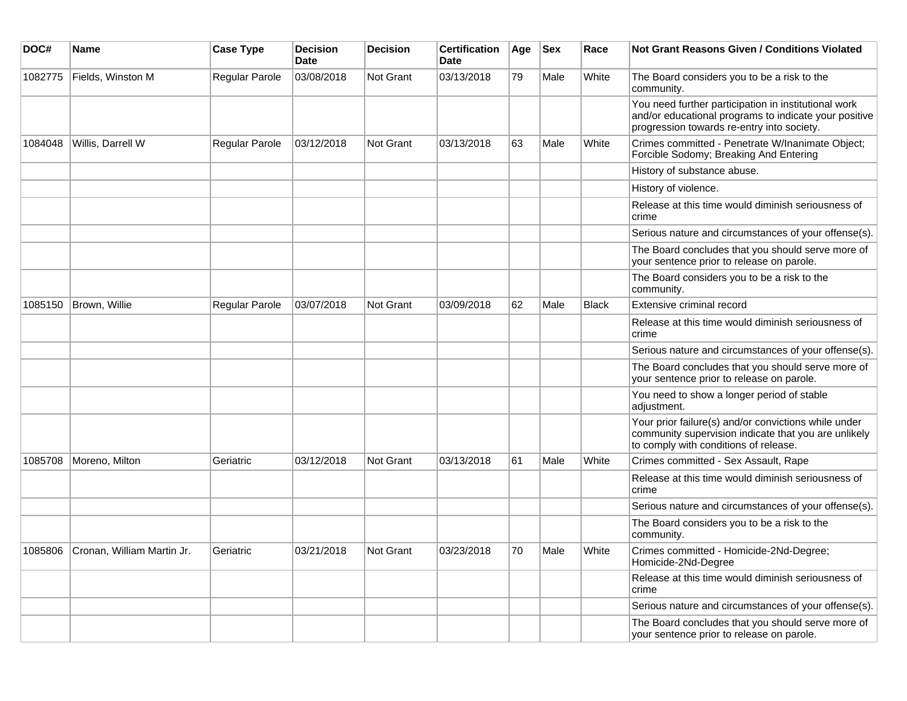| DOC#    | <b>Name</b>                        | <b>Case Type</b> | <b>Decision</b><br><b>Date</b> | <b>Decision</b>  | <b>Certification</b><br>Date | Age | <b>Sex</b> | Race         | <b>Not Grant Reasons Given / Conditions Violated</b>                                                                                                        |
|---------|------------------------------------|------------------|--------------------------------|------------------|------------------------------|-----|------------|--------------|-------------------------------------------------------------------------------------------------------------------------------------------------------------|
| 1082775 | Fields, Winston M                  | Regular Parole   | 03/08/2018                     | Not Grant        | 03/13/2018                   | 79  | Male       | White        | The Board considers you to be a risk to the<br>community.                                                                                                   |
|         |                                    |                  |                                |                  |                              |     |            |              | You need further participation in institutional work<br>and/or educational programs to indicate your positive<br>progression towards re-entry into society. |
| 1084048 | Willis, Darrell W                  | Regular Parole   | 03/12/2018                     | Not Grant        | 03/13/2018                   | 63  | Male       | White        | Crimes committed - Penetrate W/Inanimate Object;<br>Forcible Sodomy; Breaking And Entering                                                                  |
|         |                                    |                  |                                |                  |                              |     |            |              | History of substance abuse.                                                                                                                                 |
|         |                                    |                  |                                |                  |                              |     |            |              | History of violence.                                                                                                                                        |
|         |                                    |                  |                                |                  |                              |     |            |              | Release at this time would diminish seriousness of<br>crime                                                                                                 |
|         |                                    |                  |                                |                  |                              |     |            |              | Serious nature and circumstances of your offense(s).                                                                                                        |
|         |                                    |                  |                                |                  |                              |     |            |              | The Board concludes that you should serve more of<br>your sentence prior to release on parole.                                                              |
|         |                                    |                  |                                |                  |                              |     |            |              | The Board considers you to be a risk to the<br>community.                                                                                                   |
| 1085150 | Brown, Willie                      | Regular Parole   | 03/07/2018                     | <b>Not Grant</b> | 03/09/2018                   | 62  | Male       | <b>Black</b> | Extensive criminal record                                                                                                                                   |
|         |                                    |                  |                                |                  |                              |     |            |              | Release at this time would diminish seriousness of<br>crime                                                                                                 |
|         |                                    |                  |                                |                  |                              |     |            |              | Serious nature and circumstances of your offense(s).                                                                                                        |
|         |                                    |                  |                                |                  |                              |     |            |              | The Board concludes that you should serve more of<br>your sentence prior to release on parole.                                                              |
|         |                                    |                  |                                |                  |                              |     |            |              | You need to show a longer period of stable<br>adjustment.                                                                                                   |
|         |                                    |                  |                                |                  |                              |     |            |              | Your prior failure(s) and/or convictions while under<br>community supervision indicate that you are unlikely<br>to comply with conditions of release.       |
| 1085708 | Moreno, Milton                     | Geriatric        | 03/12/2018                     | <b>Not Grant</b> | 03/13/2018                   | 61  | Male       | White        | Crimes committed - Sex Assault, Rape                                                                                                                        |
|         |                                    |                  |                                |                  |                              |     |            |              | Release at this time would diminish seriousness of<br>crime                                                                                                 |
|         |                                    |                  |                                |                  |                              |     |            |              | Serious nature and circumstances of your offense(s).                                                                                                        |
|         |                                    |                  |                                |                  |                              |     |            |              | The Board considers you to be a risk to the<br>community.                                                                                                   |
|         | 1085806 Cronan, William Martin Jr. | Geriatric        | 03/21/2018                     | <b>Not Grant</b> | 03/23/2018                   | 70  | Male       | White        | Crimes committed - Homicide-2Nd-Degree;<br>Homicide-2Nd-Degree                                                                                              |
|         |                                    |                  |                                |                  |                              |     |            |              | Release at this time would diminish seriousness of<br>crime                                                                                                 |
|         |                                    |                  |                                |                  |                              |     |            |              | Serious nature and circumstances of your offense(s).                                                                                                        |
|         |                                    |                  |                                |                  |                              |     |            |              | The Board concludes that you should serve more of<br>your sentence prior to release on parole.                                                              |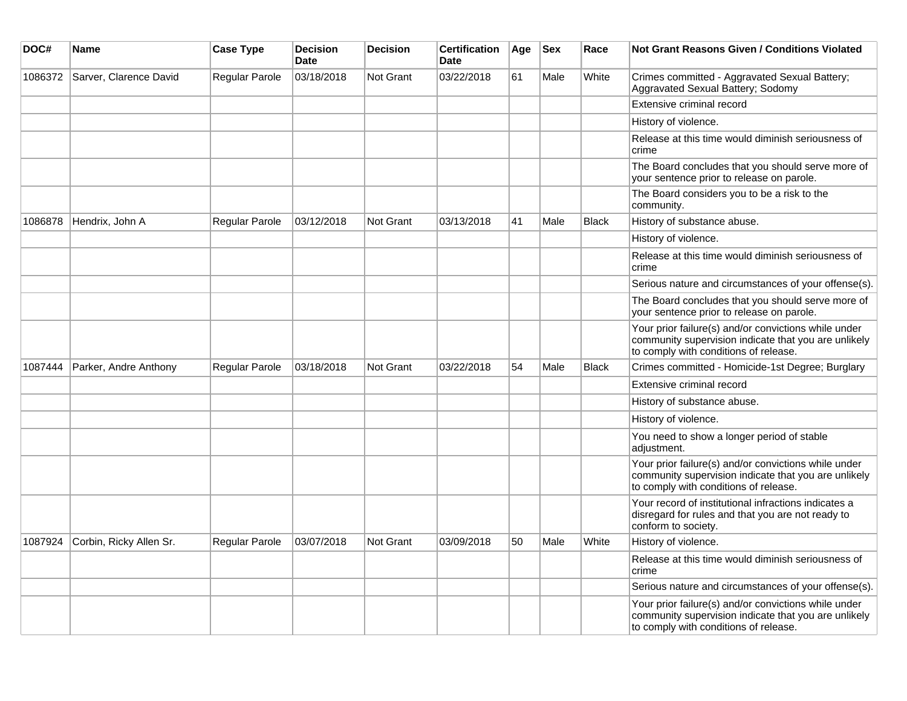| DOC#    | Name                    | <b>Case Type</b> | <b>Decision</b><br><b>Date</b> | <b>Decision</b>  | <b>Certification</b><br><b>Date</b> | Age | <b>Sex</b> | Race         | <b>Not Grant Reasons Given / Conditions Violated</b>                                                                                                  |
|---------|-------------------------|------------------|--------------------------------|------------------|-------------------------------------|-----|------------|--------------|-------------------------------------------------------------------------------------------------------------------------------------------------------|
| 1086372 | Sarver, Clarence David  | Regular Parole   | 03/18/2018                     | Not Grant        | 03/22/2018                          | 61  | Male       | White        | Crimes committed - Aggravated Sexual Battery;<br>Aggravated Sexual Battery; Sodomy                                                                    |
|         |                         |                  |                                |                  |                                     |     |            |              | Extensive criminal record                                                                                                                             |
|         |                         |                  |                                |                  |                                     |     |            |              | History of violence.                                                                                                                                  |
|         |                         |                  |                                |                  |                                     |     |            |              | Release at this time would diminish seriousness of<br>crime                                                                                           |
|         |                         |                  |                                |                  |                                     |     |            |              | The Board concludes that you should serve more of<br>your sentence prior to release on parole.                                                        |
|         |                         |                  |                                |                  |                                     |     |            |              | The Board considers you to be a risk to the<br>community.                                                                                             |
| 1086878 | Hendrix, John A         | Regular Parole   | 03/12/2018                     | <b>Not Grant</b> | 03/13/2018                          | 41  | Male       | <b>Black</b> | History of substance abuse.                                                                                                                           |
|         |                         |                  |                                |                  |                                     |     |            |              | History of violence.                                                                                                                                  |
|         |                         |                  |                                |                  |                                     |     |            |              | Release at this time would diminish seriousness of<br>crime                                                                                           |
|         |                         |                  |                                |                  |                                     |     |            |              | Serious nature and circumstances of your offense(s).                                                                                                  |
|         |                         |                  |                                |                  |                                     |     |            |              | The Board concludes that you should serve more of<br>your sentence prior to release on parole.                                                        |
|         |                         |                  |                                |                  |                                     |     |            |              | Your prior failure(s) and/or convictions while under<br>community supervision indicate that you are unlikely<br>to comply with conditions of release. |
| 1087444 | Parker, Andre Anthony   | Regular Parole   | 03/18/2018                     | <b>Not Grant</b> | 03/22/2018                          | 54  | Male       | <b>Black</b> | Crimes committed - Homicide-1st Degree; Burglary                                                                                                      |
|         |                         |                  |                                |                  |                                     |     |            |              | Extensive criminal record                                                                                                                             |
|         |                         |                  |                                |                  |                                     |     |            |              | History of substance abuse.                                                                                                                           |
|         |                         |                  |                                |                  |                                     |     |            |              | History of violence.                                                                                                                                  |
|         |                         |                  |                                |                  |                                     |     |            |              | You need to show a longer period of stable<br>adjustment.                                                                                             |
|         |                         |                  |                                |                  |                                     |     |            |              | Your prior failure(s) and/or convictions while under<br>community supervision indicate that you are unlikely<br>to comply with conditions of release. |
|         |                         |                  |                                |                  |                                     |     |            |              | Your record of institutional infractions indicates a<br>disregard for rules and that you are not ready to<br>conform to society.                      |
| 1087924 | Corbin, Ricky Allen Sr. | Regular Parole   | 03/07/2018                     | <b>Not Grant</b> | 03/09/2018                          | 50  | Male       | White        | History of violence.                                                                                                                                  |
|         |                         |                  |                                |                  |                                     |     |            |              | Release at this time would diminish seriousness of<br>crime                                                                                           |
|         |                         |                  |                                |                  |                                     |     |            |              | Serious nature and circumstances of your offense(s).                                                                                                  |
|         |                         |                  |                                |                  |                                     |     |            |              | Your prior failure(s) and/or convictions while under<br>community supervision indicate that you are unlikely<br>to comply with conditions of release. |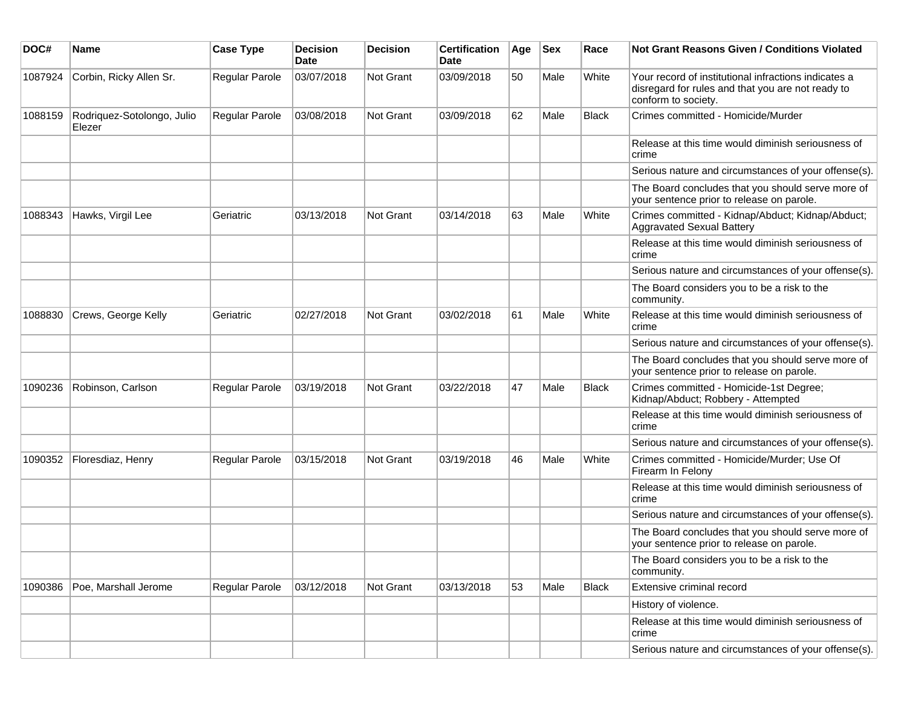| DOC#    | Name                                 | <b>Case Type</b> | <b>Decision</b><br><b>Date</b> | <b>Decision</b> | <b>Certification</b><br>Date | Age | <b>Sex</b> | Race         | <b>Not Grant Reasons Given / Conditions Violated</b>                                                                             |
|---------|--------------------------------------|------------------|--------------------------------|-----------------|------------------------------|-----|------------|--------------|----------------------------------------------------------------------------------------------------------------------------------|
| 1087924 | Corbin, Ricky Allen Sr.              | Regular Parole   | 03/07/2018                     | Not Grant       | 03/09/2018                   | 50  | Male       | White        | Your record of institutional infractions indicates a<br>disregard for rules and that you are not ready to<br>conform to society. |
| 1088159 | Rodriquez-Sotolongo, Julio<br>Elezer | Regular Parole   | 03/08/2018                     | Not Grant       | 03/09/2018                   | 62  | Male       | <b>Black</b> | Crimes committed - Homicide/Murder                                                                                               |
|         |                                      |                  |                                |                 |                              |     |            |              | Release at this time would diminish seriousness of<br>crime                                                                      |
|         |                                      |                  |                                |                 |                              |     |            |              | Serious nature and circumstances of your offense(s).                                                                             |
|         |                                      |                  |                                |                 |                              |     |            |              | The Board concludes that you should serve more of<br>your sentence prior to release on parole.                                   |
| 1088343 | Hawks, Virgil Lee                    | Geriatric        | 03/13/2018                     | Not Grant       | 03/14/2018                   | 63  | Male       | White        | Crimes committed - Kidnap/Abduct; Kidnap/Abduct;<br><b>Aggravated Sexual Battery</b>                                             |
|         |                                      |                  |                                |                 |                              |     |            |              | Release at this time would diminish seriousness of<br>crime                                                                      |
|         |                                      |                  |                                |                 |                              |     |            |              | Serious nature and circumstances of your offense(s).                                                                             |
|         |                                      |                  |                                |                 |                              |     |            |              | The Board considers you to be a risk to the<br>community.                                                                        |
| 1088830 | Crews, George Kelly                  | Geriatric        | 02/27/2018                     | Not Grant       | 03/02/2018                   | 61  | Male       | White        | Release at this time would diminish seriousness of<br>crime                                                                      |
|         |                                      |                  |                                |                 |                              |     |            |              | Serious nature and circumstances of your offense(s).                                                                             |
|         |                                      |                  |                                |                 |                              |     |            |              | The Board concludes that you should serve more of<br>your sentence prior to release on parole.                                   |
| 1090236 | Robinson, Carlson                    | Regular Parole   | 03/19/2018                     | Not Grant       | 03/22/2018                   | 47  | Male       | <b>Black</b> | Crimes committed - Homicide-1st Degree;<br>Kidnap/Abduct; Robbery - Attempted                                                    |
|         |                                      |                  |                                |                 |                              |     |            |              | Release at this time would diminish seriousness of<br>crime                                                                      |
|         |                                      |                  |                                |                 |                              |     |            |              | Serious nature and circumstances of your offense(s).                                                                             |
| 1090352 | Floresdiaz, Henry                    | Regular Parole   | 03/15/2018                     | Not Grant       | 03/19/2018                   | 46  | Male       | White        | Crimes committed - Homicide/Murder; Use Of<br>Firearm In Felony                                                                  |
|         |                                      |                  |                                |                 |                              |     |            |              | Release at this time would diminish seriousness of<br>crime                                                                      |
|         |                                      |                  |                                |                 |                              |     |            |              | Serious nature and circumstances of your offense(s).                                                                             |
|         |                                      |                  |                                |                 |                              |     |            |              | The Board concludes that you should serve more of<br>your sentence prior to release on parole.                                   |
|         |                                      |                  |                                |                 |                              |     |            |              | The Board considers you to be a risk to the<br>community.                                                                        |
| 1090386 | Poe, Marshall Jerome                 | Regular Parole   | 03/12/2018                     | Not Grant       | 03/13/2018                   | 53  | Male       | <b>Black</b> | Extensive criminal record                                                                                                        |
|         |                                      |                  |                                |                 |                              |     |            |              | History of violence.                                                                                                             |
|         |                                      |                  |                                |                 |                              |     |            |              | Release at this time would diminish seriousness of<br>crime                                                                      |
|         |                                      |                  |                                |                 |                              |     |            |              | Serious nature and circumstances of your offense(s).                                                                             |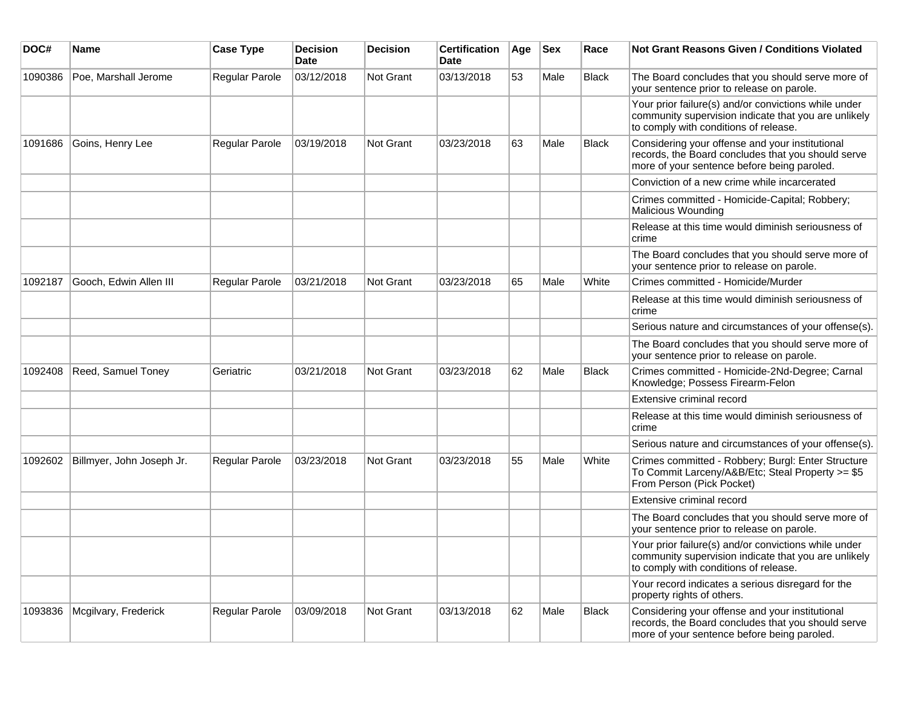| DOC#    | Name                      | <b>Case Type</b>      | <b>Decision</b><br><b>Date</b> | <b>Decision</b> | <b>Certification</b><br>Date | Age | <b>Sex</b> | Race         | <b>Not Grant Reasons Given / Conditions Violated</b>                                                                                                  |
|---------|---------------------------|-----------------------|--------------------------------|-----------------|------------------------------|-----|------------|--------------|-------------------------------------------------------------------------------------------------------------------------------------------------------|
| 1090386 | Poe, Marshall Jerome      | Regular Parole        | 03/12/2018                     | Not Grant       | 03/13/2018                   | 53  | Male       | <b>Black</b> | The Board concludes that you should serve more of<br>your sentence prior to release on parole.                                                        |
|         |                           |                       |                                |                 |                              |     |            |              | Your prior failure(s) and/or convictions while under<br>community supervision indicate that you are unlikely<br>to comply with conditions of release. |
| 1091686 | Goins, Henry Lee          | Regular Parole        | 03/19/2018                     | Not Grant       | 03/23/2018                   | 63  | Male       | <b>Black</b> | Considering your offense and your institutional<br>records, the Board concludes that you should serve<br>more of your sentence before being paroled.  |
|         |                           |                       |                                |                 |                              |     |            |              | Conviction of a new crime while incarcerated                                                                                                          |
|         |                           |                       |                                |                 |                              |     |            |              | Crimes committed - Homicide-Capital; Robbery;<br><b>Malicious Wounding</b>                                                                            |
|         |                           |                       |                                |                 |                              |     |            |              | Release at this time would diminish seriousness of<br>crime                                                                                           |
|         |                           |                       |                                |                 |                              |     |            |              | The Board concludes that you should serve more of<br>your sentence prior to release on parole.                                                        |
| 1092187 | Gooch, Edwin Allen III    | <b>Regular Parole</b> | 03/21/2018                     | Not Grant       | 03/23/2018                   | 65  | Male       | White        | Crimes committed - Homicide/Murder                                                                                                                    |
|         |                           |                       |                                |                 |                              |     |            |              | Release at this time would diminish seriousness of<br>crime                                                                                           |
|         |                           |                       |                                |                 |                              |     |            |              | Serious nature and circumstances of your offense(s).                                                                                                  |
|         |                           |                       |                                |                 |                              |     |            |              | The Board concludes that you should serve more of<br>your sentence prior to release on parole.                                                        |
| 1092408 | Reed, Samuel Toney        | Geriatric             | 03/21/2018                     | Not Grant       | 03/23/2018                   | 62  | Male       | <b>Black</b> | Crimes committed - Homicide-2Nd-Degree; Carnal<br>Knowledge; Possess Firearm-Felon                                                                    |
|         |                           |                       |                                |                 |                              |     |            |              | Extensive criminal record                                                                                                                             |
|         |                           |                       |                                |                 |                              |     |            |              | Release at this time would diminish seriousness of<br>crime                                                                                           |
|         |                           |                       |                                |                 |                              |     |            |              | Serious nature and circumstances of your offense(s).                                                                                                  |
| 1092602 | Billmyer, John Joseph Jr. | Regular Parole        | 03/23/2018                     | Not Grant       | 03/23/2018                   | 55  | Male       | White        | Crimes committed - Robbery; Burgl: Enter Structure<br>To Commit Larceny/A&B/Etc; Steal Property >= \$5<br>From Person (Pick Pocket)                   |
|         |                           |                       |                                |                 |                              |     |            |              | Extensive criminal record                                                                                                                             |
|         |                           |                       |                                |                 |                              |     |            |              | The Board concludes that you should serve more of<br>your sentence prior to release on parole.                                                        |
|         |                           |                       |                                |                 |                              |     |            |              | Your prior failure(s) and/or convictions while under<br>community supervision indicate that you are unlikely<br>to comply with conditions of release. |
|         |                           |                       |                                |                 |                              |     |            |              | Your record indicates a serious disregard for the<br>property rights of others.                                                                       |
| 1093836 | Mcgilvary, Frederick      | Regular Parole        | 03/09/2018                     | Not Grant       | 03/13/2018                   | 62  | Male       | Black        | Considering your offense and your institutional<br>records, the Board concludes that you should serve<br>more of your sentence before being paroled.  |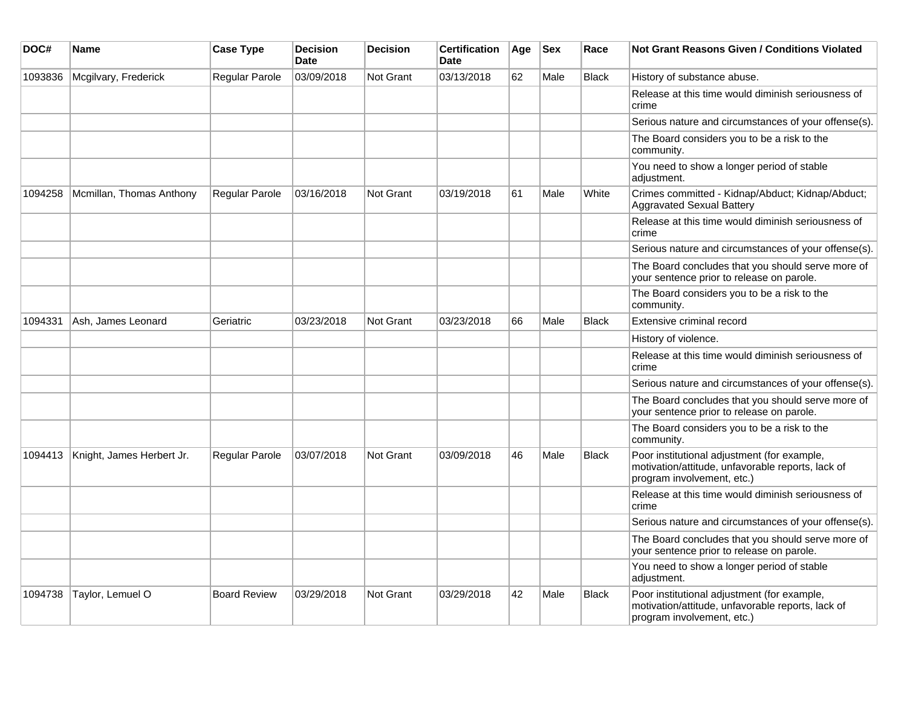| DOC#    | Name                      | <b>Case Type</b>    | <b>Decision</b><br><b>Date</b> | <b>Decision</b>  | <b>Certification</b><br><b>Date</b> | Age | <b>Sex</b> | Race         | <b>Not Grant Reasons Given / Conditions Violated</b>                                                                           |
|---------|---------------------------|---------------------|--------------------------------|------------------|-------------------------------------|-----|------------|--------------|--------------------------------------------------------------------------------------------------------------------------------|
| 1093836 | Mcgilvary, Frederick      | Regular Parole      | 03/09/2018                     | <b>Not Grant</b> | 03/13/2018                          | 62  | Male       | <b>Black</b> | History of substance abuse.                                                                                                    |
|         |                           |                     |                                |                  |                                     |     |            |              | Release at this time would diminish seriousness of<br>crime                                                                    |
|         |                           |                     |                                |                  |                                     |     |            |              | Serious nature and circumstances of your offense(s).                                                                           |
|         |                           |                     |                                |                  |                                     |     |            |              | The Board considers you to be a risk to the<br>community.                                                                      |
|         |                           |                     |                                |                  |                                     |     |            |              | You need to show a longer period of stable<br>adjustment.                                                                      |
| 1094258 | Mcmillan, Thomas Anthony  | Regular Parole      | 03/16/2018                     | Not Grant        | 03/19/2018                          | 61  | Male       | White        | Crimes committed - Kidnap/Abduct; Kidnap/Abduct;<br><b>Aggravated Sexual Battery</b>                                           |
|         |                           |                     |                                |                  |                                     |     |            |              | Release at this time would diminish seriousness of<br>crime                                                                    |
|         |                           |                     |                                |                  |                                     |     |            |              | Serious nature and circumstances of your offense(s).                                                                           |
|         |                           |                     |                                |                  |                                     |     |            |              | The Board concludes that you should serve more of<br>your sentence prior to release on parole.                                 |
|         |                           |                     |                                |                  |                                     |     |            |              | The Board considers you to be a risk to the<br>community.                                                                      |
| 1094331 | Ash, James Leonard        | Geriatric           | 03/23/2018                     | Not Grant        | 03/23/2018                          | 66  | Male       | <b>Black</b> | Extensive criminal record                                                                                                      |
|         |                           |                     |                                |                  |                                     |     |            |              | History of violence.                                                                                                           |
|         |                           |                     |                                |                  |                                     |     |            |              | Release at this time would diminish seriousness of<br>crime                                                                    |
|         |                           |                     |                                |                  |                                     |     |            |              | Serious nature and circumstances of your offense(s).                                                                           |
|         |                           |                     |                                |                  |                                     |     |            |              | The Board concludes that you should serve more of<br>your sentence prior to release on parole.                                 |
|         |                           |                     |                                |                  |                                     |     |            |              | The Board considers you to be a risk to the<br>community.                                                                      |
| 1094413 | Knight, James Herbert Jr. | Regular Parole      | 03/07/2018                     | <b>Not Grant</b> | 03/09/2018                          | 46  | Male       | Black        | Poor institutional adjustment (for example,<br>motivation/attitude, unfavorable reports, lack of<br>program involvement, etc.) |
|         |                           |                     |                                |                  |                                     |     |            |              | Release at this time would diminish seriousness of<br>crime                                                                    |
|         |                           |                     |                                |                  |                                     |     |            |              | Serious nature and circumstances of your offense(s).                                                                           |
|         |                           |                     |                                |                  |                                     |     |            |              | The Board concludes that you should serve more of<br>your sentence prior to release on parole.                                 |
|         |                           |                     |                                |                  |                                     |     |            |              | You need to show a longer period of stable<br>adjustment.                                                                      |
| 1094738 | Taylor, Lemuel O          | <b>Board Review</b> | 03/29/2018                     | <b>Not Grant</b> | 03/29/2018                          | 42  | Male       | <b>Black</b> | Poor institutional adjustment (for example,<br>motivation/attitude, unfavorable reports, lack of<br>program involvement, etc.) |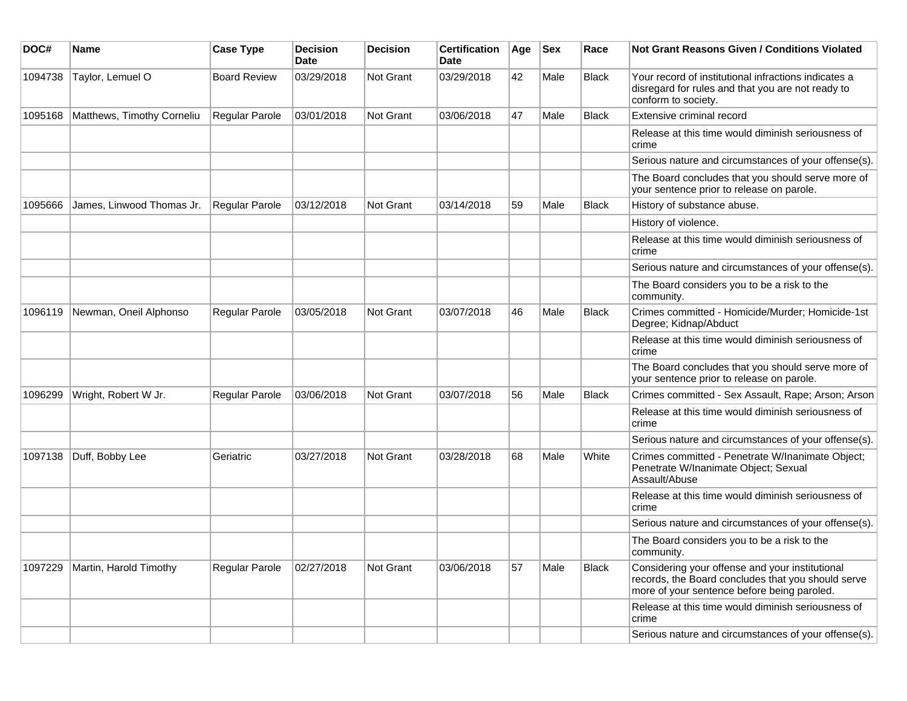| DOC#    | <b>Name</b>                | <b>Case Type</b>    | <b>Decision</b><br>Date | <b>Decision</b>  | <b>Certification</b><br>Date | Age | <b>Sex</b> | Race         | Not Grant Reasons Given / Conditions Violated                                                                                                        |
|---------|----------------------------|---------------------|-------------------------|------------------|------------------------------|-----|------------|--------------|------------------------------------------------------------------------------------------------------------------------------------------------------|
| 1094738 | Taylor, Lemuel O           | <b>Board Review</b> | 03/29/2018              | Not Grant        | 03/29/2018                   | 42  | Male       | <b>Black</b> | Your record of institutional infractions indicates a<br>disregard for rules and that you are not ready to<br>conform to society.                     |
| 1095168 | Matthews, Timothy Corneliu | Regular Parole      | 03/01/2018              | Not Grant        | 03/06/2018                   | 47  | Male       | <b>Black</b> | Extensive criminal record                                                                                                                            |
|         |                            |                     |                         |                  |                              |     |            |              | Release at this time would diminish seriousness of<br>crime                                                                                          |
|         |                            |                     |                         |                  |                              |     |            |              | Serious nature and circumstances of your offense(s).                                                                                                 |
|         |                            |                     |                         |                  |                              |     |            |              | The Board concludes that you should serve more of<br>your sentence prior to release on parole.                                                       |
| 1095666 | James, Linwood Thomas Jr.  | Regular Parole      | 03/12/2018              | Not Grant        | 03/14/2018                   | 59  | Male       | <b>Black</b> | History of substance abuse.                                                                                                                          |
|         |                            |                     |                         |                  |                              |     |            |              | History of violence.                                                                                                                                 |
|         |                            |                     |                         |                  |                              |     |            |              | Release at this time would diminish seriousness of<br>crime                                                                                          |
|         |                            |                     |                         |                  |                              |     |            |              | Serious nature and circumstances of your offense(s).                                                                                                 |
|         |                            |                     |                         |                  |                              |     |            |              | The Board considers you to be a risk to the<br>community.                                                                                            |
| 1096119 | Newman, Oneil Alphonso     | Regular Parole      | 03/05/2018              | <b>Not Grant</b> | 03/07/2018                   | 46  | Male       | Black        | Crimes committed - Homicide/Murder; Homicide-1st<br>Degree; Kidnap/Abduct                                                                            |
|         |                            |                     |                         |                  |                              |     |            |              | Release at this time would diminish seriousness of<br>crime                                                                                          |
|         |                            |                     |                         |                  |                              |     |            |              | The Board concludes that you should serve more of<br>your sentence prior to release on parole.                                                       |
| 1096299 | Wright, Robert W Jr.       | Regular Parole      | 03/06/2018              | <b>Not Grant</b> | 03/07/2018                   | 56  | Male       | Black        | Crimes committed - Sex Assault, Rape; Arson; Arson                                                                                                   |
|         |                            |                     |                         |                  |                              |     |            |              | Release at this time would diminish seriousness of<br>crime                                                                                          |
|         |                            |                     |                         |                  |                              |     |            |              | Serious nature and circumstances of your offense(s).                                                                                                 |
| 1097138 | Duff, Bobby Lee            | Geriatric           | 03/27/2018              | <b>Not Grant</b> | 03/28/2018                   | 68  | Male       | White        | Crimes committed - Penetrate W/Inanimate Object;<br>Penetrate W/Inanimate Object; Sexual<br>Assault/Abuse                                            |
|         |                            |                     |                         |                  |                              |     |            |              | Release at this time would diminish seriousness of<br>crime                                                                                          |
|         |                            |                     |                         |                  |                              |     |            |              | Serious nature and circumstances of your offense(s).                                                                                                 |
|         |                            |                     |                         |                  |                              |     |            |              | The Board considers you to be a risk to the<br>community.                                                                                            |
| 1097229 | Martin, Harold Timothy     | Regular Parole      | 02/27/2018              | Not Grant        | 03/06/2018                   | 57  | Male       | Black        | Considering your offense and your institutional<br>records, the Board concludes that you should serve<br>more of your sentence before being paroled. |
|         |                            |                     |                         |                  |                              |     |            |              | Release at this time would diminish seriousness of<br>crime                                                                                          |
|         |                            |                     |                         |                  |                              |     |            |              | Serious nature and circumstances of your offense(s).                                                                                                 |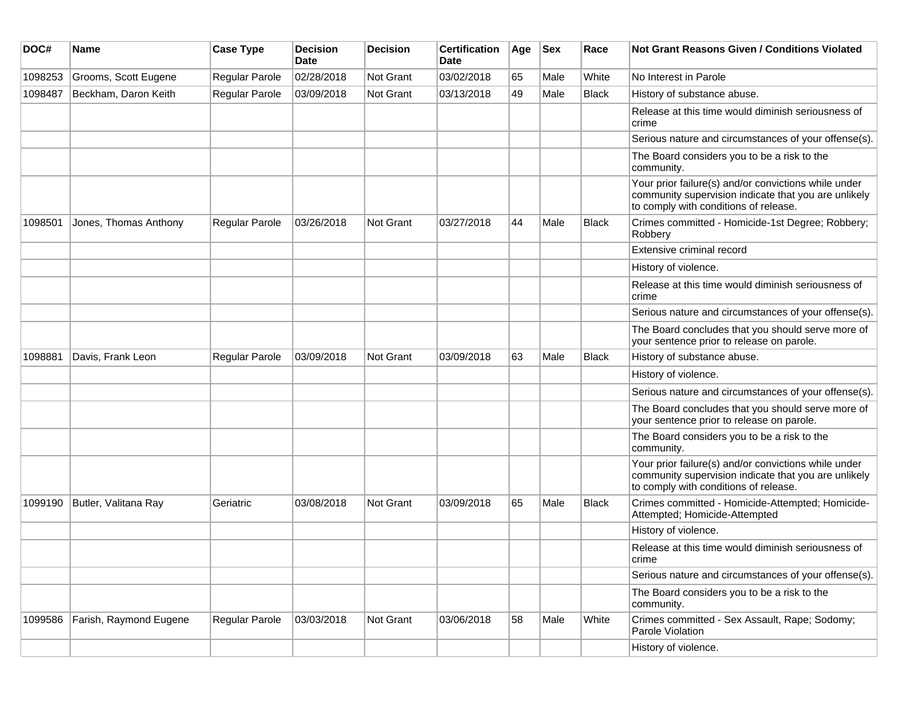| DOC#    | <b>Name</b>            | <b>Case Type</b> | <b>Decision</b><br>Date | <b>Decision</b> | <b>Certification</b><br>Date | Age | <b>Sex</b> | Race         | <b>Not Grant Reasons Given / Conditions Violated</b>                                                                                                  |
|---------|------------------------|------------------|-------------------------|-----------------|------------------------------|-----|------------|--------------|-------------------------------------------------------------------------------------------------------------------------------------------------------|
| 1098253 | Grooms, Scott Eugene   | Regular Parole   | 02/28/2018              | Not Grant       | 03/02/2018                   | 65  | Male       | White        | No Interest in Parole                                                                                                                                 |
| 1098487 | Beckham, Daron Keith   | Regular Parole   | 03/09/2018              | Not Grant       | 03/13/2018                   | 49  | Male       | <b>Black</b> | History of substance abuse.                                                                                                                           |
|         |                        |                  |                         |                 |                              |     |            |              | Release at this time would diminish seriousness of<br>crime                                                                                           |
|         |                        |                  |                         |                 |                              |     |            |              | Serious nature and circumstances of your offense(s).                                                                                                  |
|         |                        |                  |                         |                 |                              |     |            |              | The Board considers you to be a risk to the<br>community.                                                                                             |
|         |                        |                  |                         |                 |                              |     |            |              | Your prior failure(s) and/or convictions while under<br>community supervision indicate that you are unlikely<br>to comply with conditions of release. |
| 1098501 | Jones, Thomas Anthony  | Regular Parole   | 03/26/2018              | Not Grant       | 03/27/2018                   | 44  | Male       | <b>Black</b> | Crimes committed - Homicide-1st Degree; Robbery;<br>Robbery                                                                                           |
|         |                        |                  |                         |                 |                              |     |            |              | Extensive criminal record                                                                                                                             |
|         |                        |                  |                         |                 |                              |     |            |              | History of violence.                                                                                                                                  |
|         |                        |                  |                         |                 |                              |     |            |              | Release at this time would diminish seriousness of<br>crime                                                                                           |
|         |                        |                  |                         |                 |                              |     |            |              | Serious nature and circumstances of your offense(s).                                                                                                  |
|         |                        |                  |                         |                 |                              |     |            |              | The Board concludes that you should serve more of<br>your sentence prior to release on parole.                                                        |
| 1098881 | Davis, Frank Leon      | Regular Parole   | 03/09/2018              | Not Grant       | 03/09/2018                   | 63  | Male       | Black        | History of substance abuse.                                                                                                                           |
|         |                        |                  |                         |                 |                              |     |            |              | History of violence.                                                                                                                                  |
|         |                        |                  |                         |                 |                              |     |            |              | Serious nature and circumstances of your offense(s).                                                                                                  |
|         |                        |                  |                         |                 |                              |     |            |              | The Board concludes that you should serve more of<br>your sentence prior to release on parole.                                                        |
|         |                        |                  |                         |                 |                              |     |            |              | The Board considers you to be a risk to the<br>community.                                                                                             |
|         |                        |                  |                         |                 |                              |     |            |              | Your prior failure(s) and/or convictions while under<br>community supervision indicate that you are unlikely<br>to comply with conditions of release. |
| 1099190 | Butler, Valitana Ray   | Geriatric        | 03/08/2018              | Not Grant       | 03/09/2018                   | 65  | Male       | <b>Black</b> | Crimes committed - Homicide-Attempted; Homicide-<br>Attempted; Homicide-Attempted                                                                     |
|         |                        |                  |                         |                 |                              |     |            |              | History of violence.                                                                                                                                  |
|         |                        |                  |                         |                 |                              |     |            |              | Release at this time would diminish seriousness of<br>crime                                                                                           |
|         |                        |                  |                         |                 |                              |     |            |              | Serious nature and circumstances of your offense(s).                                                                                                  |
|         |                        |                  |                         |                 |                              |     |            |              | The Board considers you to be a risk to the<br>community.                                                                                             |
| 1099586 | Farish, Raymond Eugene | Regular Parole   | 03/03/2018              | Not Grant       | 03/06/2018                   | 58  | Male       | White        | Crimes committed - Sex Assault, Rape; Sodomy;<br>Parole Violation                                                                                     |
|         |                        |                  |                         |                 |                              |     |            |              | History of violence.                                                                                                                                  |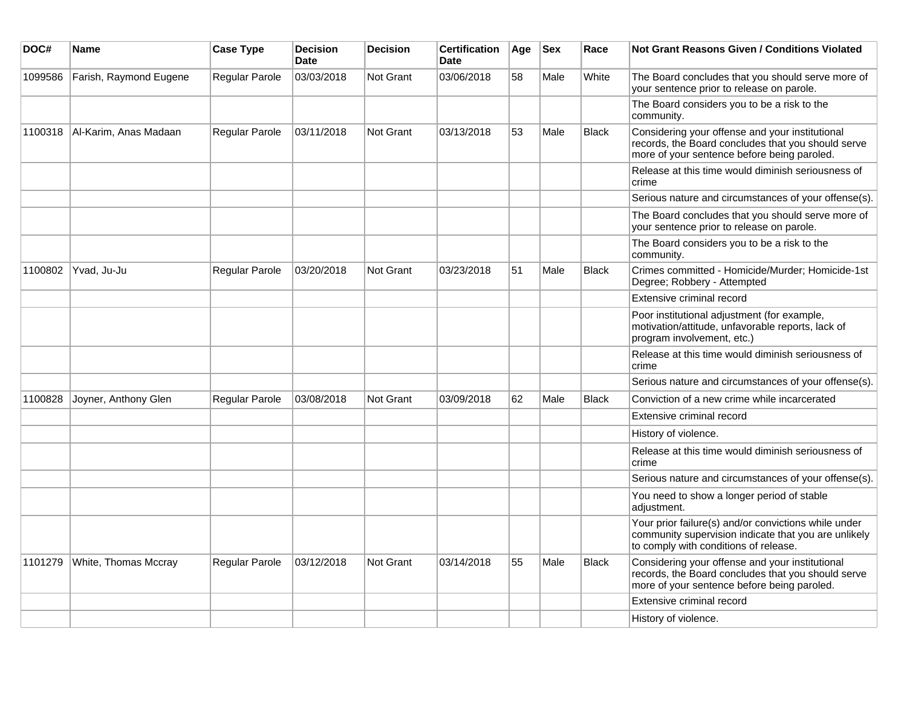| DOC#    | <b>Name</b>            | <b>Case Type</b> | <b>Decision</b><br><b>Date</b> | <b>Decision</b> | <b>Certification</b><br>Date | Age | <b>Sex</b> | Race         | <b>Not Grant Reasons Given / Conditions Violated</b>                                                                                                  |
|---------|------------------------|------------------|--------------------------------|-----------------|------------------------------|-----|------------|--------------|-------------------------------------------------------------------------------------------------------------------------------------------------------|
| 1099586 | Farish, Raymond Eugene | Regular Parole   | 03/03/2018                     | Not Grant       | 03/06/2018                   | 58  | Male       | White        | The Board concludes that you should serve more of<br>your sentence prior to release on parole.                                                        |
|         |                        |                  |                                |                 |                              |     |            |              | The Board considers you to be a risk to the<br>community.                                                                                             |
| 1100318 | Al-Karim, Anas Madaan  | Regular Parole   | 03/11/2018                     | Not Grant       | 03/13/2018                   | 53  | Male       | <b>Black</b> | Considering your offense and your institutional<br>records, the Board concludes that you should serve<br>more of your sentence before being paroled.  |
|         |                        |                  |                                |                 |                              |     |            |              | Release at this time would diminish seriousness of<br>crime                                                                                           |
|         |                        |                  |                                |                 |                              |     |            |              | Serious nature and circumstances of your offense(s).                                                                                                  |
|         |                        |                  |                                |                 |                              |     |            |              | The Board concludes that you should serve more of<br>your sentence prior to release on parole.                                                        |
|         |                        |                  |                                |                 |                              |     |            |              | The Board considers you to be a risk to the<br>community.                                                                                             |
| 1100802 | Yvad, Ju-Ju            | Regular Parole   | 03/20/2018                     | Not Grant       | 03/23/2018                   | 51  | Male       | Black        | Crimes committed - Homicide/Murder; Homicide-1st<br>Degree; Robbery - Attempted                                                                       |
|         |                        |                  |                                |                 |                              |     |            |              | Extensive criminal record                                                                                                                             |
|         |                        |                  |                                |                 |                              |     |            |              | Poor institutional adjustment (for example,<br>motivation/attitude, unfavorable reports, lack of<br>program involvement, etc.)                        |
|         |                        |                  |                                |                 |                              |     |            |              | Release at this time would diminish seriousness of<br>crime                                                                                           |
|         |                        |                  |                                |                 |                              |     |            |              | Serious nature and circumstances of your offense(s).                                                                                                  |
| 1100828 | Joyner, Anthony Glen   | Regular Parole   | 03/08/2018                     | Not Grant       | 03/09/2018                   | 62  | Male       | <b>Black</b> | Conviction of a new crime while incarcerated                                                                                                          |
|         |                        |                  |                                |                 |                              |     |            |              | Extensive criminal record                                                                                                                             |
|         |                        |                  |                                |                 |                              |     |            |              | History of violence.                                                                                                                                  |
|         |                        |                  |                                |                 |                              |     |            |              | Release at this time would diminish seriousness of<br>crime                                                                                           |
|         |                        |                  |                                |                 |                              |     |            |              | Serious nature and circumstances of your offense(s).                                                                                                  |
|         |                        |                  |                                |                 |                              |     |            |              | You need to show a longer period of stable<br>adjustment.                                                                                             |
|         |                        |                  |                                |                 |                              |     |            |              | Your prior failure(s) and/or convictions while under<br>community supervision indicate that you are unlikely<br>to comply with conditions of release. |
| 1101279 | White, Thomas Mccray   | Regular Parole   | 03/12/2018                     | Not Grant       | 03/14/2018                   | 55  | Male       | Black        | Considering your offense and your institutional<br>records, the Board concludes that you should serve<br>more of your sentence before being paroled.  |
|         |                        |                  |                                |                 |                              |     |            |              | Extensive criminal record                                                                                                                             |
|         |                        |                  |                                |                 |                              |     |            |              | History of violence.                                                                                                                                  |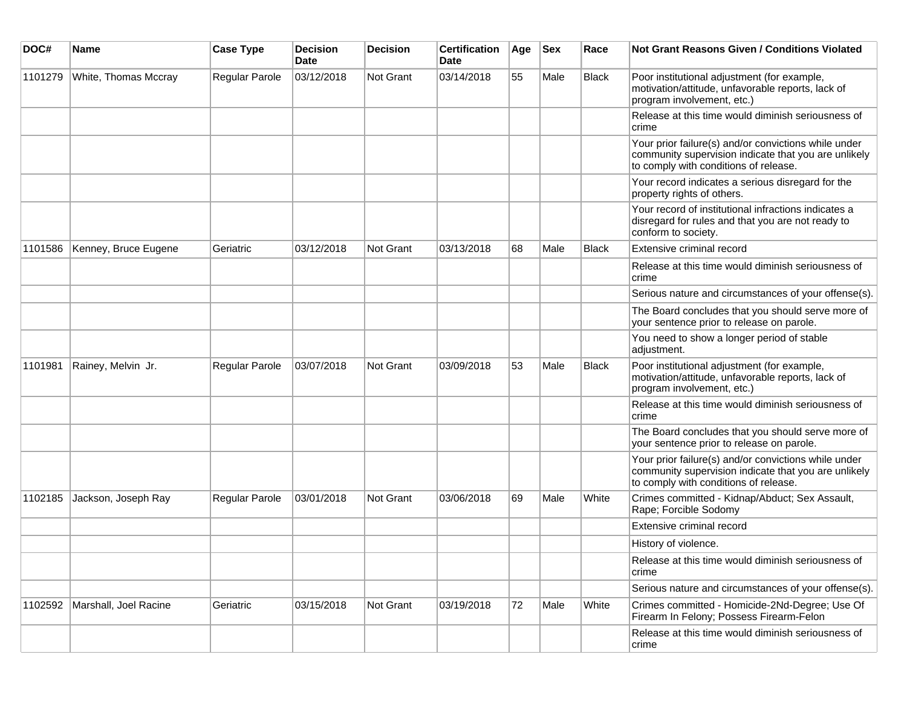| DOC#    | <b>Name</b>           | <b>Case Type</b> | <b>Decision</b><br><b>Date</b> | <b>Decision</b> | <b>Certification</b><br>Date | Age | <b>Sex</b> | Race         | <b>Not Grant Reasons Given / Conditions Violated</b>                                                                                                  |
|---------|-----------------------|------------------|--------------------------------|-----------------|------------------------------|-----|------------|--------------|-------------------------------------------------------------------------------------------------------------------------------------------------------|
| 1101279 | White, Thomas Mccray  | Regular Parole   | 03/12/2018                     | Not Grant       | 03/14/2018                   | 55  | Male       | Black        | Poor institutional adjustment (for example,<br>motivation/attitude, unfavorable reports, lack of<br>program involvement, etc.)                        |
|         |                       |                  |                                |                 |                              |     |            |              | Release at this time would diminish seriousness of<br>crime                                                                                           |
|         |                       |                  |                                |                 |                              |     |            |              | Your prior failure(s) and/or convictions while under<br>community supervision indicate that you are unlikely<br>to comply with conditions of release. |
|         |                       |                  |                                |                 |                              |     |            |              | Your record indicates a serious disregard for the<br>property rights of others.                                                                       |
|         |                       |                  |                                |                 |                              |     |            |              | Your record of institutional infractions indicates a<br>disregard for rules and that you are not ready to<br>conform to society.                      |
| 1101586 | Kenney, Bruce Eugene  | Geriatric        | 03/12/2018                     | Not Grant       | 03/13/2018                   | 68  | Male       | <b>Black</b> | Extensive criminal record                                                                                                                             |
|         |                       |                  |                                |                 |                              |     |            |              | Release at this time would diminish seriousness of<br>crime                                                                                           |
|         |                       |                  |                                |                 |                              |     |            |              | Serious nature and circumstances of your offense(s).                                                                                                  |
|         |                       |                  |                                |                 |                              |     |            |              | The Board concludes that you should serve more of<br>your sentence prior to release on parole.                                                        |
|         |                       |                  |                                |                 |                              |     |            |              | You need to show a longer period of stable<br>adjustment.                                                                                             |
| 1101981 | Rainey, Melvin Jr.    | Regular Parole   | 03/07/2018                     | Not Grant       | 03/09/2018                   | 53  | Male       | <b>Black</b> | Poor institutional adjustment (for example,<br>motivation/attitude, unfavorable reports, lack of<br>program involvement, etc.)                        |
|         |                       |                  |                                |                 |                              |     |            |              | Release at this time would diminish seriousness of<br>crime                                                                                           |
|         |                       |                  |                                |                 |                              |     |            |              | The Board concludes that you should serve more of<br>your sentence prior to release on parole.                                                        |
|         |                       |                  |                                |                 |                              |     |            |              | Your prior failure(s) and/or convictions while under<br>community supervision indicate that you are unlikely<br>to comply with conditions of release. |
| 1102185 | Jackson, Joseph Ray   | Regular Parole   | 03/01/2018                     | Not Grant       | 03/06/2018                   | 69  | Male       | White        | Crimes committed - Kidnap/Abduct; Sex Assault,<br>Rape; Forcible Sodomy                                                                               |
|         |                       |                  |                                |                 |                              |     |            |              | Extensive criminal record                                                                                                                             |
|         |                       |                  |                                |                 |                              |     |            |              | History of violence.                                                                                                                                  |
|         |                       |                  |                                |                 |                              |     |            |              | Release at this time would diminish seriousness of<br>crime                                                                                           |
|         |                       |                  |                                |                 |                              |     |            |              | Serious nature and circumstances of your offense(s).                                                                                                  |
| 1102592 | Marshall, Joel Racine | Geriatric        | 03/15/2018                     | Not Grant       | 03/19/2018                   | 72  | Male       | White        | Crimes committed - Homicide-2Nd-Degree; Use Of<br>Firearm In Felony; Possess Firearm-Felon                                                            |
|         |                       |                  |                                |                 |                              |     |            |              | Release at this time would diminish seriousness of<br>crime                                                                                           |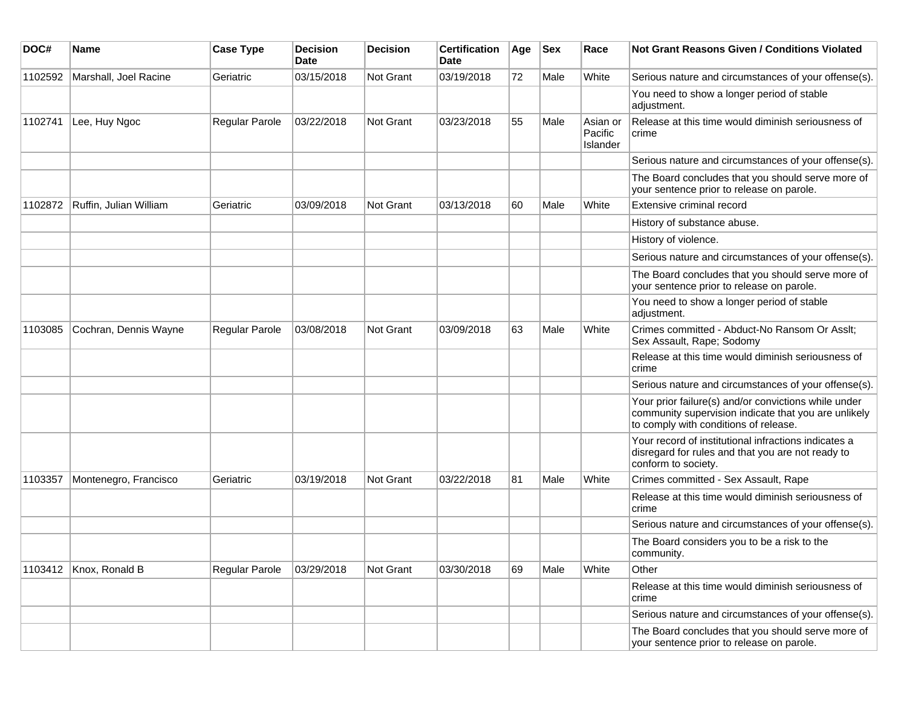| DOC#    | Name                   | <b>Case Type</b> | <b>Decision</b><br><b>Date</b> | <b>Decision</b>  | <b>Certification</b><br>Date | Age | <b>Sex</b> | Race                            | <b>Not Grant Reasons Given / Conditions Violated</b>                                                                                                  |
|---------|------------------------|------------------|--------------------------------|------------------|------------------------------|-----|------------|---------------------------------|-------------------------------------------------------------------------------------------------------------------------------------------------------|
| 1102592 | Marshall, Joel Racine  | Geriatric        | 03/15/2018                     | Not Grant        | 03/19/2018                   | 72  | Male       | White                           | Serious nature and circumstances of your offense(s).                                                                                                  |
|         |                        |                  |                                |                  |                              |     |            |                                 | You need to show a longer period of stable<br>adjustment.                                                                                             |
| 1102741 | Lee, Huy Ngoc          | Regular Parole   | 03/22/2018                     | Not Grant        | 03/23/2018                   | 55  | Male       | Asian or<br>Pacific<br>Islander | Release at this time would diminish seriousness of<br>crime                                                                                           |
|         |                        |                  |                                |                  |                              |     |            |                                 | Serious nature and circumstances of your offense(s).                                                                                                  |
|         |                        |                  |                                |                  |                              |     |            |                                 | The Board concludes that you should serve more of<br>your sentence prior to release on parole.                                                        |
| 1102872 | Ruffin, Julian William | Geriatric        | 03/09/2018                     | <b>Not Grant</b> | 03/13/2018                   | 60  | Male       | White                           | Extensive criminal record                                                                                                                             |
|         |                        |                  |                                |                  |                              |     |            |                                 | History of substance abuse.                                                                                                                           |
|         |                        |                  |                                |                  |                              |     |            |                                 | History of violence.                                                                                                                                  |
|         |                        |                  |                                |                  |                              |     |            |                                 | Serious nature and circumstances of your offense(s).                                                                                                  |
|         |                        |                  |                                |                  |                              |     |            |                                 | The Board concludes that you should serve more of<br>your sentence prior to release on parole.                                                        |
|         |                        |                  |                                |                  |                              |     |            |                                 | You need to show a longer period of stable<br>adjustment.                                                                                             |
| 1103085 | Cochran, Dennis Wayne  | Regular Parole   | 03/08/2018                     | Not Grant        | 03/09/2018                   | 63  | Male       | White                           | Crimes committed - Abduct-No Ransom Or Asslt;<br>Sex Assault, Rape; Sodomy                                                                            |
|         |                        |                  |                                |                  |                              |     |            |                                 | Release at this time would diminish seriousness of<br>crime                                                                                           |
|         |                        |                  |                                |                  |                              |     |            |                                 | Serious nature and circumstances of your offense(s).                                                                                                  |
|         |                        |                  |                                |                  |                              |     |            |                                 | Your prior failure(s) and/or convictions while under<br>community supervision indicate that you are unlikely<br>to comply with conditions of release. |
|         |                        |                  |                                |                  |                              |     |            |                                 | Your record of institutional infractions indicates a<br>disregard for rules and that you are not ready to<br>conform to society.                      |
| 1103357 | Montenegro, Francisco  | Geriatric        | 03/19/2018                     | <b>Not Grant</b> | 03/22/2018                   | 81  | Male       | White                           | Crimes committed - Sex Assault, Rape                                                                                                                  |
|         |                        |                  |                                |                  |                              |     |            |                                 | Release at this time would diminish seriousness of<br>crime                                                                                           |
|         |                        |                  |                                |                  |                              |     |            |                                 | Serious nature and circumstances of your offense(s).                                                                                                  |
|         |                        |                  |                                |                  |                              |     |            |                                 | The Board considers you to be a risk to the<br>community.                                                                                             |
|         | 1103412 Knox, Ronald B | Regular Parole   | 03/29/2018                     | Not Grant        | 03/30/2018                   | 69  | Male       | White                           | Other                                                                                                                                                 |
|         |                        |                  |                                |                  |                              |     |            |                                 | Release at this time would diminish seriousness of<br>crime                                                                                           |
|         |                        |                  |                                |                  |                              |     |            |                                 | Serious nature and circumstances of your offense(s).                                                                                                  |
|         |                        |                  |                                |                  |                              |     |            |                                 | The Board concludes that you should serve more of<br>your sentence prior to release on parole.                                                        |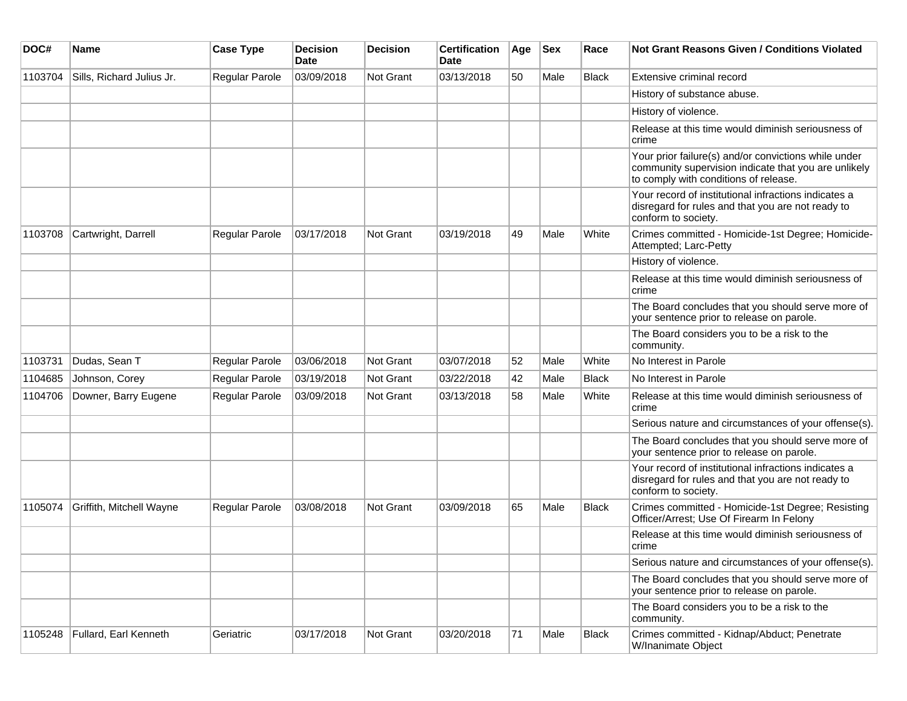| DOC#    | <b>Name</b>               | <b>Case Type</b> | <b>Decision</b><br><b>Date</b> | <b>Decision</b>  | <b>Certification</b><br>Date | Age | <b>Sex</b> | Race         | <b>Not Grant Reasons Given / Conditions Violated</b>                                                                                                  |
|---------|---------------------------|------------------|--------------------------------|------------------|------------------------------|-----|------------|--------------|-------------------------------------------------------------------------------------------------------------------------------------------------------|
| 1103704 | Sills, Richard Julius Jr. | Regular Parole   | 03/09/2018                     | <b>Not Grant</b> | 03/13/2018                   | 50  | Male       | <b>Black</b> | Extensive criminal record                                                                                                                             |
|         |                           |                  |                                |                  |                              |     |            |              | History of substance abuse.                                                                                                                           |
|         |                           |                  |                                |                  |                              |     |            |              | History of violence.                                                                                                                                  |
|         |                           |                  |                                |                  |                              |     |            |              | Release at this time would diminish seriousness of<br>crime                                                                                           |
|         |                           |                  |                                |                  |                              |     |            |              | Your prior failure(s) and/or convictions while under<br>community supervision indicate that you are unlikely<br>to comply with conditions of release. |
|         |                           |                  |                                |                  |                              |     |            |              | Your record of institutional infractions indicates a<br>disregard for rules and that you are not ready to<br>conform to society.                      |
| 1103708 | Cartwright, Darrell       | Regular Parole   | 03/17/2018                     | <b>Not Grant</b> | 03/19/2018                   | 49  | Male       | White        | Crimes committed - Homicide-1st Degree; Homicide-<br>Attempted; Larc-Petty                                                                            |
|         |                           |                  |                                |                  |                              |     |            |              | History of violence.                                                                                                                                  |
|         |                           |                  |                                |                  |                              |     |            |              | Release at this time would diminish seriousness of<br>crime                                                                                           |
|         |                           |                  |                                |                  |                              |     |            |              | The Board concludes that you should serve more of<br>your sentence prior to release on parole.                                                        |
|         |                           |                  |                                |                  |                              |     |            |              | The Board considers you to be a risk to the<br>community.                                                                                             |
| 1103731 | Dudas, Sean T             | Regular Parole   | 03/06/2018                     | <b>Not Grant</b> | 03/07/2018                   | 52  | Male       | White        | No Interest in Parole                                                                                                                                 |
| 1104685 | Johnson, Corey            | Regular Parole   | 03/19/2018                     | <b>Not Grant</b> | 03/22/2018                   | 42  | Male       | <b>Black</b> | No Interest in Parole                                                                                                                                 |
| 1104706 | Downer, Barry Eugene      | Regular Parole   | 03/09/2018                     | <b>Not Grant</b> | 03/13/2018                   | 58  | Male       | White        | Release at this time would diminish seriousness of<br>crime                                                                                           |
|         |                           |                  |                                |                  |                              |     |            |              | Serious nature and circumstances of your offense(s).                                                                                                  |
|         |                           |                  |                                |                  |                              |     |            |              | The Board concludes that you should serve more of<br>your sentence prior to release on parole.                                                        |
|         |                           |                  |                                |                  |                              |     |            |              | Your record of institutional infractions indicates a<br>disregard for rules and that you are not ready to<br>conform to society.                      |
| 1105074 | Griffith, Mitchell Wayne  | Regular Parole   | 03/08/2018                     | <b>Not Grant</b> | 03/09/2018                   | 65  | Male       | Black        | Crimes committed - Homicide-1st Degree; Resisting<br>Officer/Arrest; Use Of Firearm In Felony                                                         |
|         |                           |                  |                                |                  |                              |     |            |              | Release at this time would diminish seriousness of<br>crime                                                                                           |
|         |                           |                  |                                |                  |                              |     |            |              | Serious nature and circumstances of your offense(s).                                                                                                  |
|         |                           |                  |                                |                  |                              |     |            |              | The Board concludes that you should serve more of<br>your sentence prior to release on parole.                                                        |
|         |                           |                  |                                |                  |                              |     |            |              | The Board considers you to be a risk to the<br>community.                                                                                             |
| 1105248 | Fullard, Earl Kenneth     | Geriatric        | 03/17/2018                     | Not Grant        | 03/20/2018                   | 71  | Male       | Black        | Crimes committed - Kidnap/Abduct; Penetrate<br>W/Inanimate Object                                                                                     |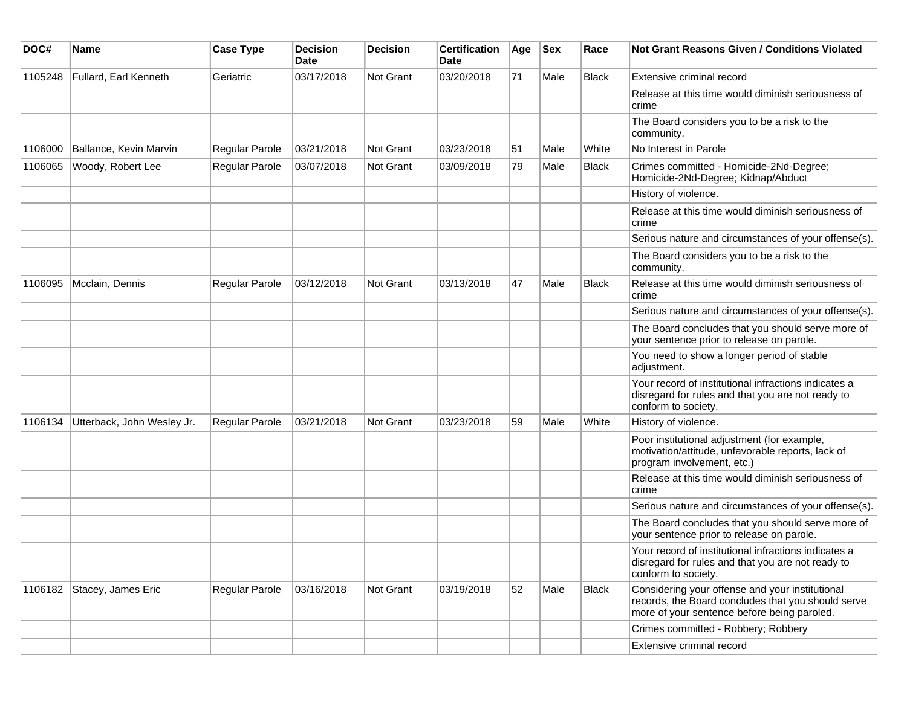| DOC#    | <b>Name</b>                | <b>Case Type</b> | <b>Decision</b><br><b>Date</b> | <b>Decision</b> | <b>Certification</b><br>Date | Age | <b>Sex</b> | Race         | Not Grant Reasons Given / Conditions Violated                                                                                                        |
|---------|----------------------------|------------------|--------------------------------|-----------------|------------------------------|-----|------------|--------------|------------------------------------------------------------------------------------------------------------------------------------------------------|
| 1105248 | Fullard, Earl Kenneth      | Geriatric        | 03/17/2018                     | Not Grant       | 03/20/2018                   | 71  | Male       | <b>Black</b> | Extensive criminal record                                                                                                                            |
|         |                            |                  |                                |                 |                              |     |            |              | Release at this time would diminish seriousness of<br>crime                                                                                          |
|         |                            |                  |                                |                 |                              |     |            |              | The Board considers you to be a risk to the<br>community.                                                                                            |
| 1106000 | Ballance, Kevin Marvin     | Regular Parole   | 03/21/2018                     | Not Grant       | 03/23/2018                   | 51  | Male       | White        | No Interest in Parole                                                                                                                                |
| 1106065 | Woody, Robert Lee          | Regular Parole   | 03/07/2018                     | Not Grant       | 03/09/2018                   | 79  | Male       | Black        | Crimes committed - Homicide-2Nd-Degree;<br>Homicide-2Nd-Degree; Kidnap/Abduct                                                                        |
|         |                            |                  |                                |                 |                              |     |            |              | History of violence.                                                                                                                                 |
|         |                            |                  |                                |                 |                              |     |            |              | Release at this time would diminish seriousness of<br>crime                                                                                          |
|         |                            |                  |                                |                 |                              |     |            |              | Serious nature and circumstances of your offense(s).                                                                                                 |
|         |                            |                  |                                |                 |                              |     |            |              | The Board considers you to be a risk to the<br>community.                                                                                            |
| 1106095 | Mcclain, Dennis            | Regular Parole   | 03/12/2018                     | Not Grant       | 03/13/2018                   | 47  | Male       | <b>Black</b> | Release at this time would diminish seriousness of<br>crime                                                                                          |
|         |                            |                  |                                |                 |                              |     |            |              | Serious nature and circumstances of your offense(s).                                                                                                 |
|         |                            |                  |                                |                 |                              |     |            |              | The Board concludes that you should serve more of<br>your sentence prior to release on parole.                                                       |
|         |                            |                  |                                |                 |                              |     |            |              | You need to show a longer period of stable<br>adjustment.                                                                                            |
|         |                            |                  |                                |                 |                              |     |            |              | Your record of institutional infractions indicates a<br>disregard for rules and that you are not ready to<br>conform to society.                     |
| 1106134 | Utterback, John Wesley Jr. | Regular Parole   | 03/21/2018                     | Not Grant       | 03/23/2018                   | 59  | Male       | White        | History of violence.                                                                                                                                 |
|         |                            |                  |                                |                 |                              |     |            |              | Poor institutional adjustment (for example,<br>motivation/attitude, unfavorable reports, lack of<br>program involvement, etc.)                       |
|         |                            |                  |                                |                 |                              |     |            |              | Release at this time would diminish seriousness of<br>crime                                                                                          |
|         |                            |                  |                                |                 |                              |     |            |              | Serious nature and circumstances of your offense(s).                                                                                                 |
|         |                            |                  |                                |                 |                              |     |            |              | The Board concludes that you should serve more of<br>your sentence prior to release on parole.                                                       |
|         |                            |                  |                                |                 |                              |     |            |              | Your record of institutional infractions indicates a<br>disregard for rules and that you are not ready to<br>conform to society.                     |
| 1106182 | Stacey, James Eric         | Regular Parole   | 03/16/2018                     | Not Grant       | 03/19/2018                   | 52  | Male       | Black        | Considering your offense and your institutional<br>records, the Board concludes that you should serve<br>more of your sentence before being paroled. |
|         |                            |                  |                                |                 |                              |     |            |              | Crimes committed - Robbery; Robbery                                                                                                                  |
|         |                            |                  |                                |                 |                              |     |            |              | Extensive criminal record                                                                                                                            |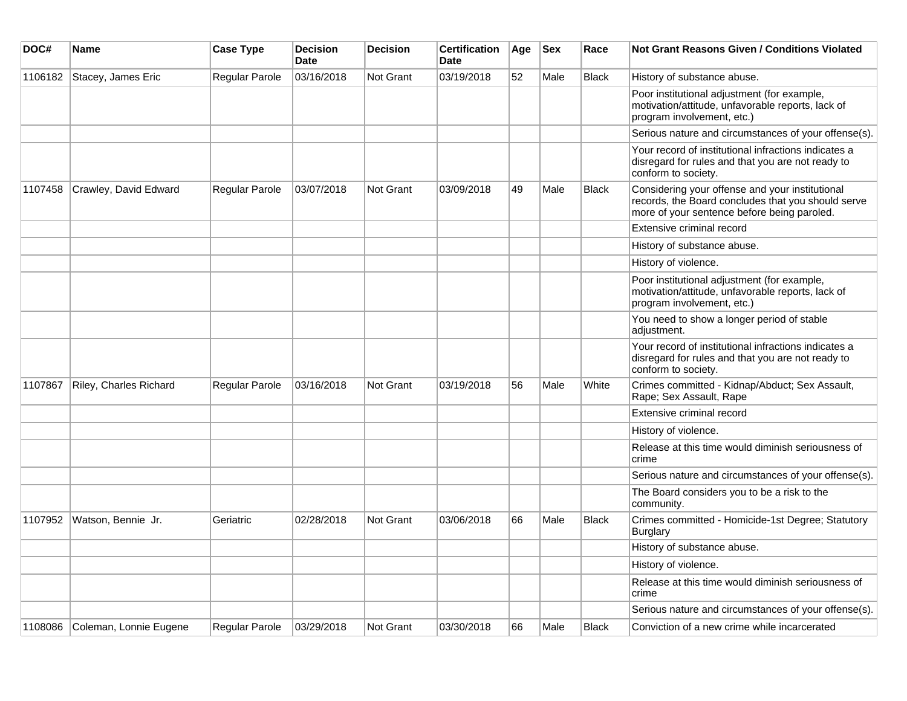| DOC#    | <b>Name</b>            | <b>Case Type</b> | <b>Decision</b><br><b>Date</b> | <b>Decision</b>  | <b>Certification</b><br><b>Date</b> | Age | <b>Sex</b> | Race         | Not Grant Reasons Given / Conditions Violated                                                                                                        |
|---------|------------------------|------------------|--------------------------------|------------------|-------------------------------------|-----|------------|--------------|------------------------------------------------------------------------------------------------------------------------------------------------------|
| 1106182 | Stacey, James Eric     | Regular Parole   | 03/16/2018                     | Not Grant        | 03/19/2018                          | 52  | Male       | <b>Black</b> | History of substance abuse.                                                                                                                          |
|         |                        |                  |                                |                  |                                     |     |            |              | Poor institutional adjustment (for example,<br>motivation/attitude, unfavorable reports, lack of<br>program involvement, etc.)                       |
|         |                        |                  |                                |                  |                                     |     |            |              | Serious nature and circumstances of your offense(s).                                                                                                 |
|         |                        |                  |                                |                  |                                     |     |            |              | Your record of institutional infractions indicates a<br>disregard for rules and that you are not ready to<br>conform to society.                     |
| 1107458 | Crawley, David Edward  | Regular Parole   | 03/07/2018                     | <b>Not Grant</b> | 03/09/2018                          | 49  | Male       | <b>Black</b> | Considering your offense and your institutional<br>records, the Board concludes that you should serve<br>more of your sentence before being paroled. |
|         |                        |                  |                                |                  |                                     |     |            |              | Extensive criminal record                                                                                                                            |
|         |                        |                  |                                |                  |                                     |     |            |              | History of substance abuse.                                                                                                                          |
|         |                        |                  |                                |                  |                                     |     |            |              | History of violence.                                                                                                                                 |
|         |                        |                  |                                |                  |                                     |     |            |              | Poor institutional adjustment (for example,<br>motivation/attitude, unfavorable reports, lack of<br>program involvement, etc.)                       |
|         |                        |                  |                                |                  |                                     |     |            |              | You need to show a longer period of stable<br>adjustment.                                                                                            |
|         |                        |                  |                                |                  |                                     |     |            |              | Your record of institutional infractions indicates a<br>disregard for rules and that you are not ready to<br>conform to society.                     |
| 1107867 | Riley, Charles Richard | Regular Parole   | 03/16/2018                     | <b>Not Grant</b> | 03/19/2018                          | 56  | Male       | White        | Crimes committed - Kidnap/Abduct; Sex Assault,<br>Rape; Sex Assault, Rape                                                                            |
|         |                        |                  |                                |                  |                                     |     |            |              | Extensive criminal record                                                                                                                            |
|         |                        |                  |                                |                  |                                     |     |            |              | History of violence.                                                                                                                                 |
|         |                        |                  |                                |                  |                                     |     |            |              | Release at this time would diminish seriousness of<br>crime                                                                                          |
|         |                        |                  |                                |                  |                                     |     |            |              | Serious nature and circumstances of your offense(s).                                                                                                 |
|         |                        |                  |                                |                  |                                     |     |            |              | The Board considers you to be a risk to the<br>community.                                                                                            |
| 1107952 | Watson, Bennie Jr.     | Geriatric        | 02/28/2018                     | <b>Not Grant</b> | 03/06/2018                          | 66  | Male       | Black        | Crimes committed - Homicide-1st Degree; Statutory<br>Burglary                                                                                        |
|         |                        |                  |                                |                  |                                     |     |            |              | History of substance abuse.                                                                                                                          |
|         |                        |                  |                                |                  |                                     |     |            |              | History of violence.                                                                                                                                 |
|         |                        |                  |                                |                  |                                     |     |            |              | Release at this time would diminish seriousness of<br>crime                                                                                          |
|         |                        |                  |                                |                  |                                     |     |            |              | Serious nature and circumstances of your offense(s).                                                                                                 |
| 1108086 | Coleman, Lonnie Eugene | Regular Parole   | 03/29/2018                     | Not Grant        | 03/30/2018                          | 66  | Male       | <b>Black</b> | Conviction of a new crime while incarcerated                                                                                                         |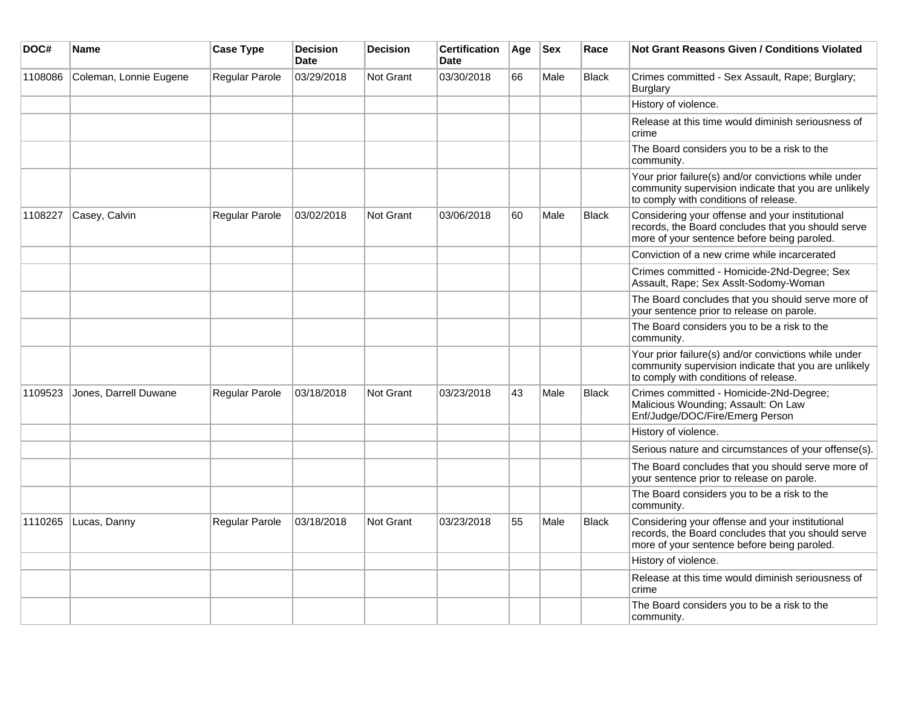| DOC#    | Name                   | <b>Case Type</b>      | <b>Decision</b><br><b>Date</b> | <b>Decision</b>  | <b>Certification</b><br><b>Date</b> | Age | <b>Sex</b> | Race         | <b>Not Grant Reasons Given / Conditions Violated</b>                                                                                                  |
|---------|------------------------|-----------------------|--------------------------------|------------------|-------------------------------------|-----|------------|--------------|-------------------------------------------------------------------------------------------------------------------------------------------------------|
| 1108086 | Coleman, Lonnie Eugene | Regular Parole        | 03/29/2018                     | <b>Not Grant</b> | 03/30/2018                          | 66  | Male       | <b>Black</b> | Crimes committed - Sex Assault, Rape; Burglary;<br>Burglary                                                                                           |
|         |                        |                       |                                |                  |                                     |     |            |              | History of violence.                                                                                                                                  |
|         |                        |                       |                                |                  |                                     |     |            |              | Release at this time would diminish seriousness of<br>crime                                                                                           |
|         |                        |                       |                                |                  |                                     |     |            |              | The Board considers you to be a risk to the<br>community.                                                                                             |
|         |                        |                       |                                |                  |                                     |     |            |              | Your prior failure(s) and/or convictions while under<br>community supervision indicate that you are unlikely<br>to comply with conditions of release. |
| 1108227 | Casey, Calvin          | Regular Parole        | 03/02/2018                     | <b>Not Grant</b> | 03/06/2018                          | 60  | Male       | <b>Black</b> | Considering your offense and your institutional<br>records, the Board concludes that you should serve<br>more of your sentence before being paroled.  |
|         |                        |                       |                                |                  |                                     |     |            |              | Conviction of a new crime while incarcerated                                                                                                          |
|         |                        |                       |                                |                  |                                     |     |            |              | Crimes committed - Homicide-2Nd-Degree; Sex<br>Assault, Rape; Sex Asslt-Sodomy-Woman                                                                  |
|         |                        |                       |                                |                  |                                     |     |            |              | The Board concludes that you should serve more of<br>your sentence prior to release on parole.                                                        |
|         |                        |                       |                                |                  |                                     |     |            |              | The Board considers you to be a risk to the<br>community.                                                                                             |
|         |                        |                       |                                |                  |                                     |     |            |              | Your prior failure(s) and/or convictions while under<br>community supervision indicate that you are unlikely<br>to comply with conditions of release. |
| 1109523 | Jones, Darrell Duwane  | Regular Parole        | 03/18/2018                     | <b>Not Grant</b> | 03/23/2018                          | 43  | Male       | <b>Black</b> | Crimes committed - Homicide-2Nd-Degree;<br>Malicious Wounding; Assault: On Law<br>Enf/Judge/DOC/Fire/Emerg Person                                     |
|         |                        |                       |                                |                  |                                     |     |            |              | History of violence.                                                                                                                                  |
|         |                        |                       |                                |                  |                                     |     |            |              | Serious nature and circumstances of your offense(s).                                                                                                  |
|         |                        |                       |                                |                  |                                     |     |            |              | The Board concludes that you should serve more of<br>your sentence prior to release on parole.                                                        |
|         |                        |                       |                                |                  |                                     |     |            |              | The Board considers you to be a risk to the<br>community.                                                                                             |
| 1110265 | Lucas, Danny           | <b>Regular Parole</b> | 03/18/2018                     | Not Grant        | 03/23/2018                          | 55  | Male       | Black        | Considering your offense and your institutional<br>records, the Board concludes that you should serve<br>more of your sentence before being paroled.  |
|         |                        |                       |                                |                  |                                     |     |            |              | History of violence.                                                                                                                                  |
|         |                        |                       |                                |                  |                                     |     |            |              | Release at this time would diminish seriousness of<br>crime                                                                                           |
|         |                        |                       |                                |                  |                                     |     |            |              | The Board considers you to be a risk to the<br>community.                                                                                             |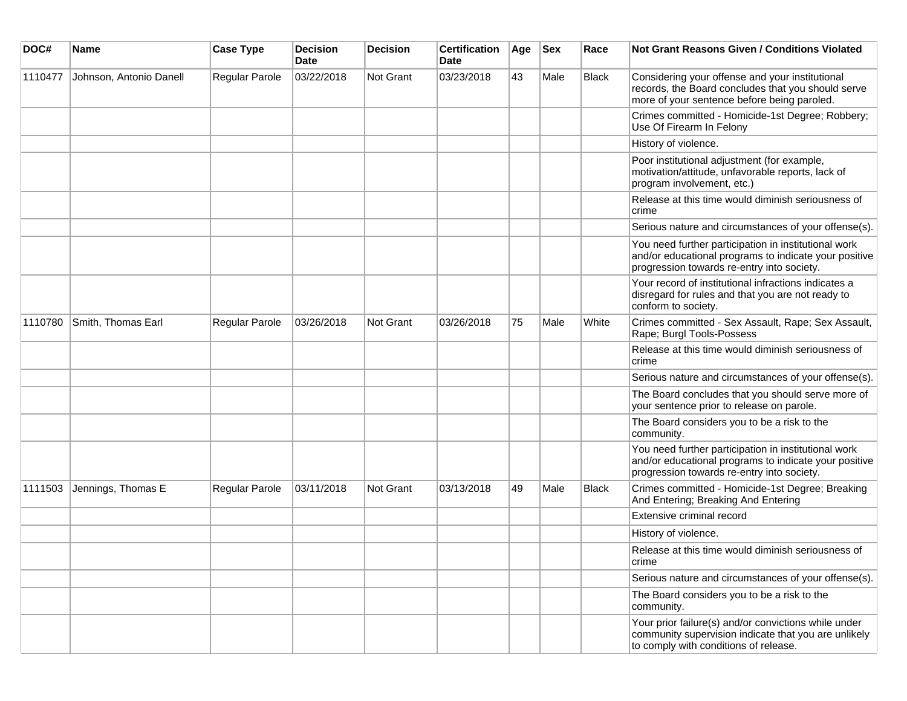| DOC#    | <b>Name</b>             | <b>Case Type</b> | <b>Decision</b><br><b>Date</b> | <b>Decision</b> | <b>Certification</b><br>Date | Age | <b>Sex</b> | Race         | <b>Not Grant Reasons Given / Conditions Violated</b>                                                                                                        |
|---------|-------------------------|------------------|--------------------------------|-----------------|------------------------------|-----|------------|--------------|-------------------------------------------------------------------------------------------------------------------------------------------------------------|
| 1110477 | Johnson, Antonio Danell | Regular Parole   | 03/22/2018                     | Not Grant       | 03/23/2018                   | 43  | Male       | <b>Black</b> | Considering your offense and your institutional<br>records, the Board concludes that you should serve<br>more of your sentence before being paroled.        |
|         |                         |                  |                                |                 |                              |     |            |              | Crimes committed - Homicide-1st Degree; Robbery;<br>Use Of Firearm In Felony                                                                                |
|         |                         |                  |                                |                 |                              |     |            |              | History of violence.                                                                                                                                        |
|         |                         |                  |                                |                 |                              |     |            |              | Poor institutional adjustment (for example,<br>motivation/attitude, unfavorable reports, lack of<br>program involvement, etc.)                              |
|         |                         |                  |                                |                 |                              |     |            |              | Release at this time would diminish seriousness of<br>crime                                                                                                 |
|         |                         |                  |                                |                 |                              |     |            |              | Serious nature and circumstances of your offense(s).                                                                                                        |
|         |                         |                  |                                |                 |                              |     |            |              | You need further participation in institutional work<br>and/or educational programs to indicate your positive<br>progression towards re-entry into society. |
|         |                         |                  |                                |                 |                              |     |            |              | Your record of institutional infractions indicates a<br>disregard for rules and that you are not ready to<br>conform to society.                            |
| 1110780 | Smith, Thomas Earl      | Regular Parole   | 03/26/2018                     | Not Grant       | 03/26/2018                   | 75  | Male       | White        | Crimes committed - Sex Assault, Rape; Sex Assault,<br>Rape; Burgl Tools-Possess                                                                             |
|         |                         |                  |                                |                 |                              |     |            |              | Release at this time would diminish seriousness of<br>crime                                                                                                 |
|         |                         |                  |                                |                 |                              |     |            |              | Serious nature and circumstances of your offense(s).                                                                                                        |
|         |                         |                  |                                |                 |                              |     |            |              | The Board concludes that you should serve more of<br>your sentence prior to release on parole.                                                              |
|         |                         |                  |                                |                 |                              |     |            |              | The Board considers you to be a risk to the<br>community.                                                                                                   |
|         |                         |                  |                                |                 |                              |     |            |              | You need further participation in institutional work<br>and/or educational programs to indicate your positive<br>progression towards re-entry into society. |
| 1111503 | Jennings, Thomas E      | Regular Parole   | 03/11/2018                     | Not Grant       | 03/13/2018                   | 49  | Male       | <b>Black</b> | Crimes committed - Homicide-1st Degree; Breaking<br>And Entering; Breaking And Entering                                                                     |
|         |                         |                  |                                |                 |                              |     |            |              | Extensive criminal record                                                                                                                                   |
|         |                         |                  |                                |                 |                              |     |            |              | History of violence.                                                                                                                                        |
|         |                         |                  |                                |                 |                              |     |            |              | Release at this time would diminish seriousness of<br>crime                                                                                                 |
|         |                         |                  |                                |                 |                              |     |            |              | Serious nature and circumstances of your offense(s).                                                                                                        |
|         |                         |                  |                                |                 |                              |     |            |              | The Board considers you to be a risk to the<br>community.                                                                                                   |
|         |                         |                  |                                |                 |                              |     |            |              | Your prior failure(s) and/or convictions while under<br>community supervision indicate that you are unlikely<br>to comply with conditions of release.       |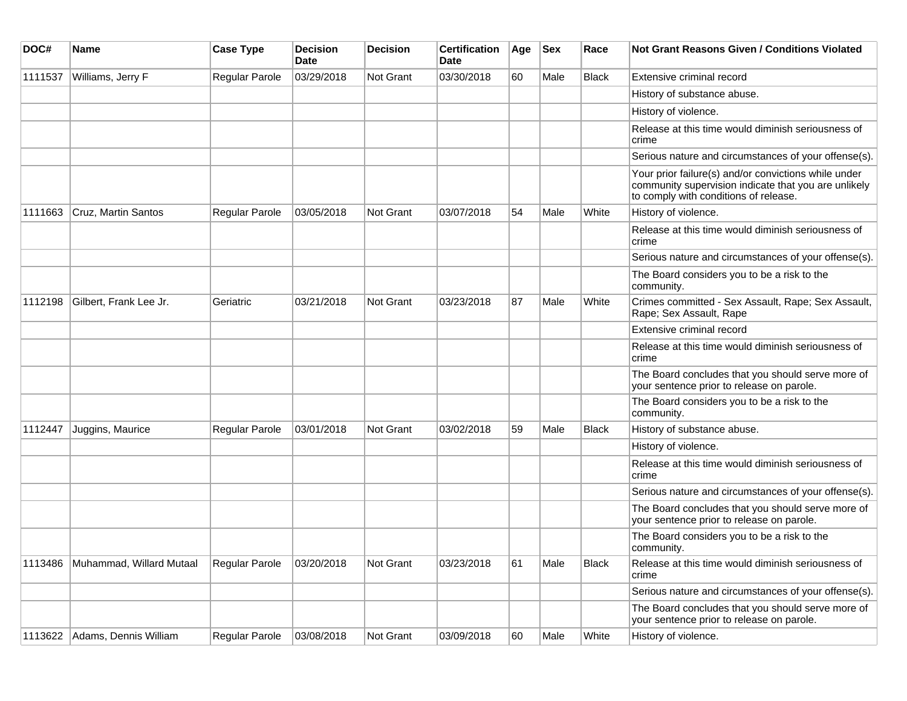| DOC#    | Name                          | <b>Case Type</b> | <b>Decision</b><br><b>Date</b> | <b>Decision</b> | <b>Certification</b><br>Date | Age | <b>Sex</b> | Race         | <b>Not Grant Reasons Given / Conditions Violated</b>                                                                                                  |
|---------|-------------------------------|------------------|--------------------------------|-----------------|------------------------------|-----|------------|--------------|-------------------------------------------------------------------------------------------------------------------------------------------------------|
| 1111537 | Williams, Jerry F             | Regular Parole   | 03/29/2018                     | Not Grant       | 03/30/2018                   | 60  | Male       | <b>Black</b> | Extensive criminal record                                                                                                                             |
|         |                               |                  |                                |                 |                              |     |            |              | History of substance abuse.                                                                                                                           |
|         |                               |                  |                                |                 |                              |     |            |              | History of violence.                                                                                                                                  |
|         |                               |                  |                                |                 |                              |     |            |              | Release at this time would diminish seriousness of<br>crime                                                                                           |
|         |                               |                  |                                |                 |                              |     |            |              | Serious nature and circumstances of your offense(s).                                                                                                  |
|         |                               |                  |                                |                 |                              |     |            |              | Your prior failure(s) and/or convictions while under<br>community supervision indicate that you are unlikely<br>to comply with conditions of release. |
| 1111663 | Cruz, Martin Santos           | Regular Parole   | 03/05/2018                     | Not Grant       | 03/07/2018                   | 54  | Male       | White        | History of violence.                                                                                                                                  |
|         |                               |                  |                                |                 |                              |     |            |              | Release at this time would diminish seriousness of<br>crime                                                                                           |
|         |                               |                  |                                |                 |                              |     |            |              | Serious nature and circumstances of your offense(s).                                                                                                  |
|         |                               |                  |                                |                 |                              |     |            |              | The Board considers you to be a risk to the<br>community.                                                                                             |
| 1112198 | Gilbert, Frank Lee Jr.        | Geriatric        | 03/21/2018                     | Not Grant       | 03/23/2018                   | 87  | Male       | White        | Crimes committed - Sex Assault, Rape; Sex Assault,<br>Rape; Sex Assault, Rape                                                                         |
|         |                               |                  |                                |                 |                              |     |            |              | Extensive criminal record                                                                                                                             |
|         |                               |                  |                                |                 |                              |     |            |              | Release at this time would diminish seriousness of<br>crime                                                                                           |
|         |                               |                  |                                |                 |                              |     |            |              | The Board concludes that you should serve more of<br>your sentence prior to release on parole.                                                        |
|         |                               |                  |                                |                 |                              |     |            |              | The Board considers you to be a risk to the<br>community.                                                                                             |
| 1112447 | Juggins, Maurice              | Regular Parole   | 03/01/2018                     | Not Grant       | 03/02/2018                   | 59  | Male       | <b>Black</b> | History of substance abuse.                                                                                                                           |
|         |                               |                  |                                |                 |                              |     |            |              | History of violence.                                                                                                                                  |
|         |                               |                  |                                |                 |                              |     |            |              | Release at this time would diminish seriousness of<br>crime                                                                                           |
|         |                               |                  |                                |                 |                              |     |            |              | Serious nature and circumstances of your offense(s).                                                                                                  |
|         |                               |                  |                                |                 |                              |     |            |              | The Board concludes that you should serve more of<br>your sentence prior to release on parole.                                                        |
|         |                               |                  |                                |                 |                              |     |            |              | The Board considers you to be a risk to the<br>community.                                                                                             |
| 1113486 | Muhammad, Willard Mutaal      | Regular Parole   | 03/20/2018                     | Not Grant       | 03/23/2018                   | 61  | Male       | <b>Black</b> | Release at this time would diminish seriousness of<br>crime                                                                                           |
|         |                               |                  |                                |                 |                              |     |            |              | Serious nature and circumstances of your offense(s).                                                                                                  |
|         |                               |                  |                                |                 |                              |     |            |              | The Board concludes that you should serve more of<br>your sentence prior to release on parole.                                                        |
|         | 1113622 Adams, Dennis William | Regular Parole   | 03/08/2018                     | Not Grant       | 03/09/2018                   | 60  | Male       | White        | History of violence.                                                                                                                                  |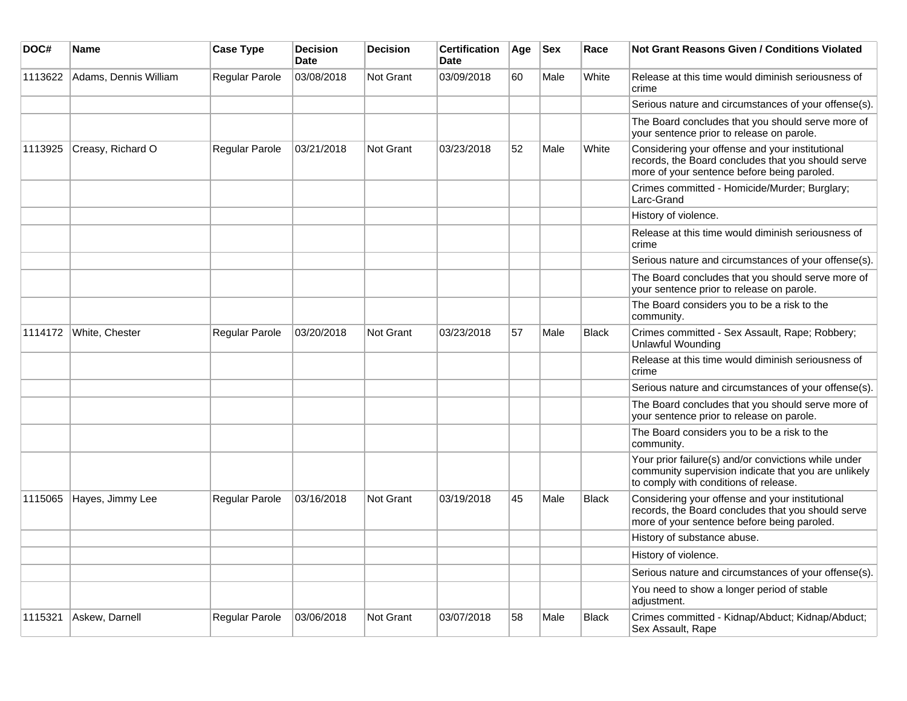| DOC#    | <b>Name</b>           | <b>Case Type</b> | <b>Decision</b><br><b>Date</b> | <b>Decision</b> | <b>Certification</b><br><b>Date</b> | Age | <b>Sex</b> | Race         | <b>Not Grant Reasons Given / Conditions Violated</b>                                                                                                  |
|---------|-----------------------|------------------|--------------------------------|-----------------|-------------------------------------|-----|------------|--------------|-------------------------------------------------------------------------------------------------------------------------------------------------------|
| 1113622 | Adams, Dennis William | Regular Parole   | 03/08/2018                     | Not Grant       | 03/09/2018                          | 60  | Male       | White        | Release at this time would diminish seriousness of<br>crime                                                                                           |
|         |                       |                  |                                |                 |                                     |     |            |              | Serious nature and circumstances of your offense(s).                                                                                                  |
|         |                       |                  |                                |                 |                                     |     |            |              | The Board concludes that you should serve more of<br>your sentence prior to release on parole.                                                        |
| 1113925 | Creasy, Richard O     | Regular Parole   | 03/21/2018                     | Not Grant       | 03/23/2018                          | 52  | Male       | White        | Considering your offense and your institutional<br>records, the Board concludes that you should serve<br>more of your sentence before being paroled.  |
|         |                       |                  |                                |                 |                                     |     |            |              | Crimes committed - Homicide/Murder; Burglary;<br>Larc-Grand                                                                                           |
|         |                       |                  |                                |                 |                                     |     |            |              | History of violence.                                                                                                                                  |
|         |                       |                  |                                |                 |                                     |     |            |              | Release at this time would diminish seriousness of<br>crime                                                                                           |
|         |                       |                  |                                |                 |                                     |     |            |              | Serious nature and circumstances of your offense(s).                                                                                                  |
|         |                       |                  |                                |                 |                                     |     |            |              | The Board concludes that you should serve more of<br>your sentence prior to release on parole.                                                        |
|         |                       |                  |                                |                 |                                     |     |            |              | The Board considers you to be a risk to the<br>community.                                                                                             |
| 1114172 | White, Chester        | Regular Parole   | 03/20/2018                     | Not Grant       | 03/23/2018                          | 57  | Male       | <b>Black</b> | Crimes committed - Sex Assault, Rape; Robbery;<br><b>Unlawful Wounding</b>                                                                            |
|         |                       |                  |                                |                 |                                     |     |            |              | Release at this time would diminish seriousness of<br>crime                                                                                           |
|         |                       |                  |                                |                 |                                     |     |            |              | Serious nature and circumstances of your offense(s).                                                                                                  |
|         |                       |                  |                                |                 |                                     |     |            |              | The Board concludes that you should serve more of<br>your sentence prior to release on parole.                                                        |
|         |                       |                  |                                |                 |                                     |     |            |              | The Board considers you to be a risk to the<br>community.                                                                                             |
|         |                       |                  |                                |                 |                                     |     |            |              | Your prior failure(s) and/or convictions while under<br>community supervision indicate that you are unlikely<br>to comply with conditions of release. |
| 1115065 | Hayes, Jimmy Lee      | Regular Parole   | 03/16/2018                     | Not Grant       | 03/19/2018                          | 45  | Male       | Black        | Considering your offense and your institutional<br>records, the Board concludes that you should serve<br>more of your sentence before being paroled.  |
|         |                       |                  |                                |                 |                                     |     |            |              | History of substance abuse.                                                                                                                           |
|         |                       |                  |                                |                 |                                     |     |            |              | History of violence.                                                                                                                                  |
|         |                       |                  |                                |                 |                                     |     |            |              | Serious nature and circumstances of your offense(s).                                                                                                  |
|         |                       |                  |                                |                 |                                     |     |            |              | You need to show a longer period of stable<br>adjustment.                                                                                             |
| 1115321 | Askew, Darnell        | Regular Parole   | 03/06/2018                     | Not Grant       | 03/07/2018                          | 58  | Male       | <b>Black</b> | Crimes committed - Kidnap/Abduct; Kidnap/Abduct;<br>Sex Assault, Rape                                                                                 |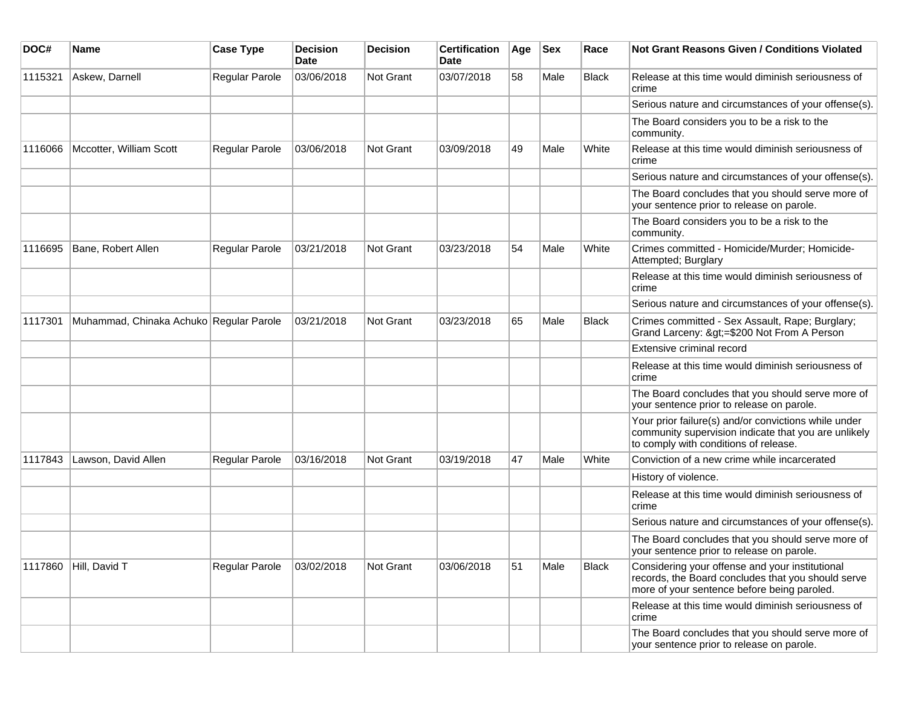| DOC#    | <b>Name</b>                             | <b>Case Type</b> | <b>Decision</b><br><b>Date</b> | <b>Decision</b> | <b>Certification</b><br>Date | Age | $ $ Sex | Race         | Not Grant Reasons Given / Conditions Violated                                                                                                         |
|---------|-----------------------------------------|------------------|--------------------------------|-----------------|------------------------------|-----|---------|--------------|-------------------------------------------------------------------------------------------------------------------------------------------------------|
| 1115321 | Askew, Darnell                          | Regular Parole   | 03/06/2018                     | Not Grant       | 03/07/2018                   | 58  | Male    | Black        | Release at this time would diminish seriousness of<br>crime                                                                                           |
|         |                                         |                  |                                |                 |                              |     |         |              | Serious nature and circumstances of your offense(s).                                                                                                  |
|         |                                         |                  |                                |                 |                              |     |         |              | The Board considers you to be a risk to the<br>community.                                                                                             |
| 1116066 | Mccotter, William Scott                 | Regular Parole   | 03/06/2018                     | Not Grant       | 03/09/2018                   | 49  | Male    | White        | Release at this time would diminish seriousness of<br>crime                                                                                           |
|         |                                         |                  |                                |                 |                              |     |         |              | Serious nature and circumstances of your offense(s).                                                                                                  |
|         |                                         |                  |                                |                 |                              |     |         |              | The Board concludes that you should serve more of<br>your sentence prior to release on parole.                                                        |
|         |                                         |                  |                                |                 |                              |     |         |              | The Board considers you to be a risk to the<br>community.                                                                                             |
| 1116695 | Bane, Robert Allen                      | Regular Parole   | 03/21/2018                     | Not Grant       | 03/23/2018                   | 54  | Male    | White        | Crimes committed - Homicide/Murder; Homicide-<br>Attempted; Burglary                                                                                  |
|         |                                         |                  |                                |                 |                              |     |         |              | Release at this time would diminish seriousness of<br>crime                                                                                           |
|         |                                         |                  |                                |                 |                              |     |         |              | Serious nature and circumstances of your offense(s).                                                                                                  |
| 1117301 | Muhammad, Chinaka Achuko Regular Parole |                  | 03/21/2018                     | Not Grant       | 03/23/2018                   | 65  | Male    | <b>Black</b> | Crimes committed - Sex Assault, Rape; Burglary;<br>Grand Larceny: >=\$200 Not From A Person                                                           |
|         |                                         |                  |                                |                 |                              |     |         |              | Extensive criminal record                                                                                                                             |
|         |                                         |                  |                                |                 |                              |     |         |              | Release at this time would diminish seriousness of<br>crime                                                                                           |
|         |                                         |                  |                                |                 |                              |     |         |              | The Board concludes that you should serve more of<br>your sentence prior to release on parole.                                                        |
|         |                                         |                  |                                |                 |                              |     |         |              | Your prior failure(s) and/or convictions while under<br>community supervision indicate that you are unlikely<br>to comply with conditions of release. |
| 1117843 | Lawson, David Allen                     | Regular Parole   | 03/16/2018                     | Not Grant       | 03/19/2018                   | 47  | Male    | White        | Conviction of a new crime while incarcerated                                                                                                          |
|         |                                         |                  |                                |                 |                              |     |         |              | History of violence.                                                                                                                                  |
|         |                                         |                  |                                |                 |                              |     |         |              | Release at this time would diminish seriousness of<br>crime                                                                                           |
|         |                                         |                  |                                |                 |                              |     |         |              | Serious nature and circumstances of your offense(s).                                                                                                  |
|         |                                         |                  |                                |                 |                              |     |         |              | The Board concludes that you should serve more of<br>your sentence prior to release on parole.                                                        |
| 1117860 | Hill, David T                           | Regular Parole   | 03/02/2018                     | Not Grant       | 03/06/2018                   | 51  | Male    | Black        | Considering your offense and your institutional<br>records, the Board concludes that you should serve<br>more of your sentence before being paroled.  |
|         |                                         |                  |                                |                 |                              |     |         |              | Release at this time would diminish seriousness of<br>crime                                                                                           |
|         |                                         |                  |                                |                 |                              |     |         |              | The Board concludes that you should serve more of<br>your sentence prior to release on parole.                                                        |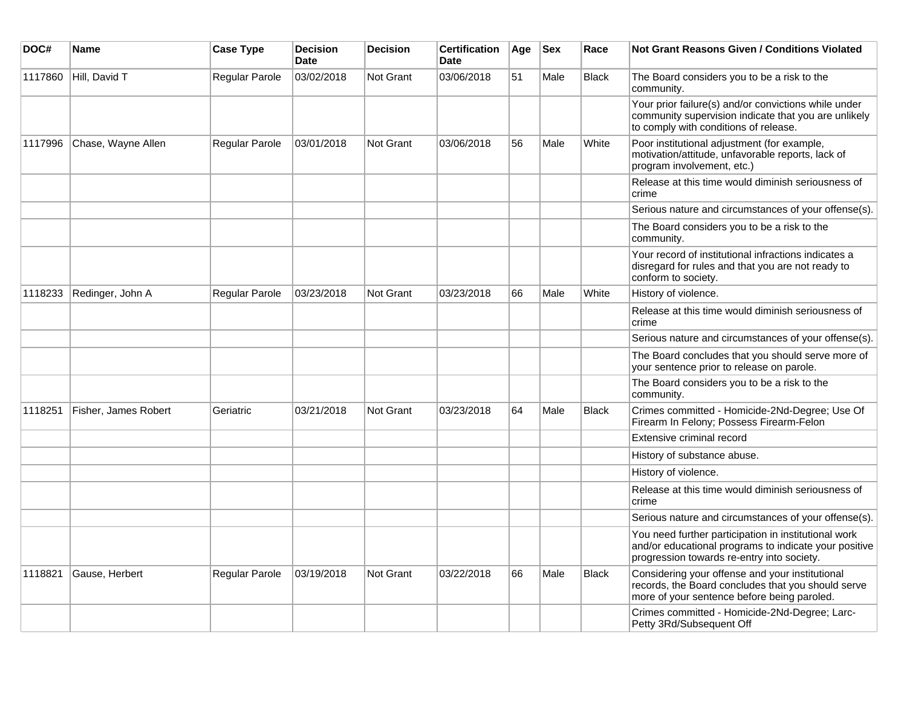| DOC#    | <b>Name</b>          | <b>Case Type</b> | <b>Decision</b><br><b>Date</b> | <b>Decision</b>  | <b>Certification</b><br><b>Date</b> | Age | Sex  | Race         | <b>Not Grant Reasons Given / Conditions Violated</b>                                                                                                        |
|---------|----------------------|------------------|--------------------------------|------------------|-------------------------------------|-----|------|--------------|-------------------------------------------------------------------------------------------------------------------------------------------------------------|
| 1117860 | Hill, David T        | Regular Parole   | 03/02/2018                     | Not Grant        | 03/06/2018                          | 51  | Male | <b>Black</b> | The Board considers you to be a risk to the<br>community.                                                                                                   |
|         |                      |                  |                                |                  |                                     |     |      |              | Your prior failure(s) and/or convictions while under<br>community supervision indicate that you are unlikely<br>to comply with conditions of release.       |
| 1117996 | Chase, Wayne Allen   | Regular Parole   | 03/01/2018                     | Not Grant        | 03/06/2018                          | 56  | Male | White        | Poor institutional adjustment (for example,<br>motivation/attitude, unfavorable reports, lack of<br>program involvement, etc.)                              |
|         |                      |                  |                                |                  |                                     |     |      |              | Release at this time would diminish seriousness of<br>crime                                                                                                 |
|         |                      |                  |                                |                  |                                     |     |      |              | Serious nature and circumstances of your offense(s).                                                                                                        |
|         |                      |                  |                                |                  |                                     |     |      |              | The Board considers you to be a risk to the<br>community.                                                                                                   |
|         |                      |                  |                                |                  |                                     |     |      |              | Your record of institutional infractions indicates a<br>disregard for rules and that you are not ready to<br>conform to society.                            |
| 1118233 | Redinger, John A     | Regular Parole   | 03/23/2018                     | <b>Not Grant</b> | 03/23/2018                          | 66  | Male | White        | History of violence.                                                                                                                                        |
|         |                      |                  |                                |                  |                                     |     |      |              | Release at this time would diminish seriousness of<br>crime                                                                                                 |
|         |                      |                  |                                |                  |                                     |     |      |              | Serious nature and circumstances of your offense(s).                                                                                                        |
|         |                      |                  |                                |                  |                                     |     |      |              | The Board concludes that you should serve more of<br>your sentence prior to release on parole.                                                              |
|         |                      |                  |                                |                  |                                     |     |      |              | The Board considers you to be a risk to the<br>community.                                                                                                   |
| 1118251 | Fisher, James Robert | Geriatric        | 03/21/2018                     | <b>Not Grant</b> | 03/23/2018                          | 64  | Male | <b>Black</b> | Crimes committed - Homicide-2Nd-Degree; Use Of<br>Firearm In Felony; Possess Firearm-Felon                                                                  |
|         |                      |                  |                                |                  |                                     |     |      |              | Extensive criminal record                                                                                                                                   |
|         |                      |                  |                                |                  |                                     |     |      |              | History of substance abuse.                                                                                                                                 |
|         |                      |                  |                                |                  |                                     |     |      |              | History of violence.                                                                                                                                        |
|         |                      |                  |                                |                  |                                     |     |      |              | Release at this time would diminish seriousness of<br>crime                                                                                                 |
|         |                      |                  |                                |                  |                                     |     |      |              | Serious nature and circumstances of your offense(s).                                                                                                        |
|         |                      |                  |                                |                  |                                     |     |      |              | You need further participation in institutional work<br>and/or educational programs to indicate your positive<br>progression towards re-entry into society. |
| 1118821 | Gause, Herbert       | Regular Parole   | 03/19/2018                     | Not Grant        | 03/22/2018                          | 66  | Male | <b>Black</b> | Considering your offense and your institutional<br>records, the Board concludes that you should serve<br>more of your sentence before being paroled.        |
|         |                      |                  |                                |                  |                                     |     |      |              | Crimes committed - Homicide-2Nd-Degree; Larc-<br>Petty 3Rd/Subsequent Off                                                                                   |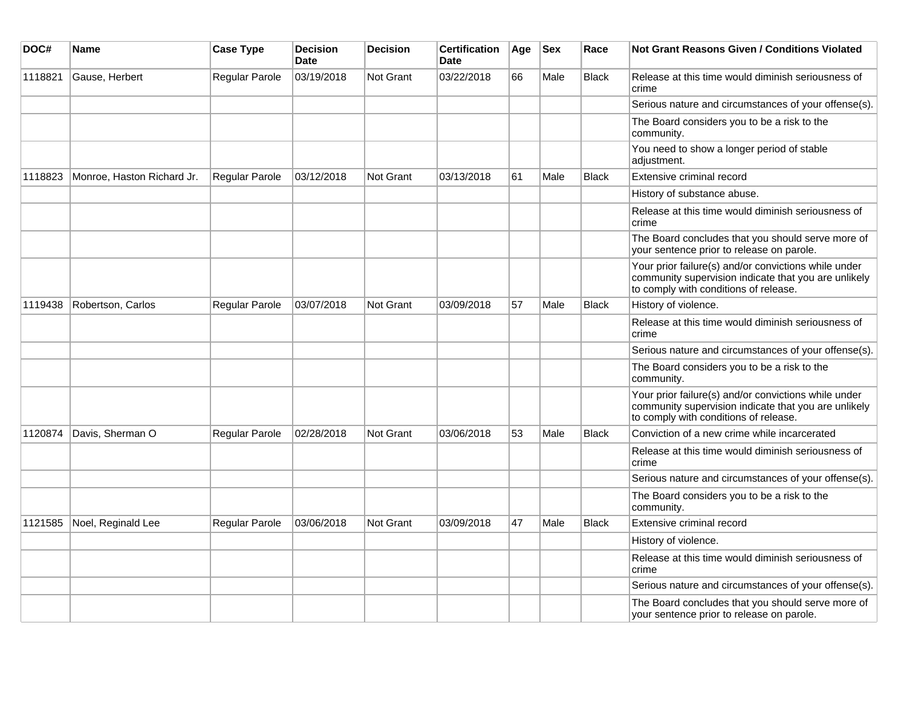| DOC#    | Name                       | <b>Case Type</b> | <b>Decision</b><br><b>Date</b> | <b>Decision</b>  | <b>Certification</b><br><b>Date</b> | Age | <b>Sex</b> | Race         | <b>Not Grant Reasons Given / Conditions Violated</b>                                                                                                  |
|---------|----------------------------|------------------|--------------------------------|------------------|-------------------------------------|-----|------------|--------------|-------------------------------------------------------------------------------------------------------------------------------------------------------|
| 1118821 | Gause, Herbert             | Regular Parole   | 03/19/2018                     | Not Grant        | 03/22/2018                          | 66  | Male       | <b>Black</b> | Release at this time would diminish seriousness of<br>crime                                                                                           |
|         |                            |                  |                                |                  |                                     |     |            |              | Serious nature and circumstances of your offense(s).                                                                                                  |
|         |                            |                  |                                |                  |                                     |     |            |              | The Board considers you to be a risk to the<br>community.                                                                                             |
|         |                            |                  |                                |                  |                                     |     |            |              | You need to show a longer period of stable<br>adjustment.                                                                                             |
| 1118823 | Monroe, Haston Richard Jr. | Regular Parole   | 03/12/2018                     | <b>Not Grant</b> | 03/13/2018                          | 61  | Male       | <b>Black</b> | Extensive criminal record                                                                                                                             |
|         |                            |                  |                                |                  |                                     |     |            |              | History of substance abuse.                                                                                                                           |
|         |                            |                  |                                |                  |                                     |     |            |              | Release at this time would diminish seriousness of<br>crime                                                                                           |
|         |                            |                  |                                |                  |                                     |     |            |              | The Board concludes that you should serve more of<br>your sentence prior to release on parole.                                                        |
|         |                            |                  |                                |                  |                                     |     |            |              | Your prior failure(s) and/or convictions while under<br>community supervision indicate that you are unlikely<br>to comply with conditions of release. |
| 1119438 | Robertson, Carlos          | Regular Parole   | 03/07/2018                     | <b>Not Grant</b> | 03/09/2018                          | 57  | Male       | Black        | History of violence.                                                                                                                                  |
|         |                            |                  |                                |                  |                                     |     |            |              | Release at this time would diminish seriousness of<br>crime                                                                                           |
|         |                            |                  |                                |                  |                                     |     |            |              | Serious nature and circumstances of your offense(s).                                                                                                  |
|         |                            |                  |                                |                  |                                     |     |            |              | The Board considers you to be a risk to the<br>community.                                                                                             |
|         |                            |                  |                                |                  |                                     |     |            |              | Your prior failure(s) and/or convictions while under<br>community supervision indicate that you are unlikely<br>to comply with conditions of release. |
| 1120874 | Davis, Sherman O           | Regular Parole   | 02/28/2018                     | Not Grant        | 03/06/2018                          | 53  | Male       | <b>Black</b> | Conviction of a new crime while incarcerated                                                                                                          |
|         |                            |                  |                                |                  |                                     |     |            |              | Release at this time would diminish seriousness of<br>crime                                                                                           |
|         |                            |                  |                                |                  |                                     |     |            |              | Serious nature and circumstances of your offense(s).                                                                                                  |
|         |                            |                  |                                |                  |                                     |     |            |              | The Board considers you to be a risk to the<br>community.                                                                                             |
| 1121585 | Noel, Reginald Lee         | Regular Parole   | 03/06/2018                     | <b>Not Grant</b> | 03/09/2018                          | 47  | Male       | <b>Black</b> | Extensive criminal record                                                                                                                             |
|         |                            |                  |                                |                  |                                     |     |            |              | History of violence.                                                                                                                                  |
|         |                            |                  |                                |                  |                                     |     |            |              | Release at this time would diminish seriousness of<br>crime                                                                                           |
|         |                            |                  |                                |                  |                                     |     |            |              | Serious nature and circumstances of your offense(s).                                                                                                  |
|         |                            |                  |                                |                  |                                     |     |            |              | The Board concludes that you should serve more of<br>your sentence prior to release on parole.                                                        |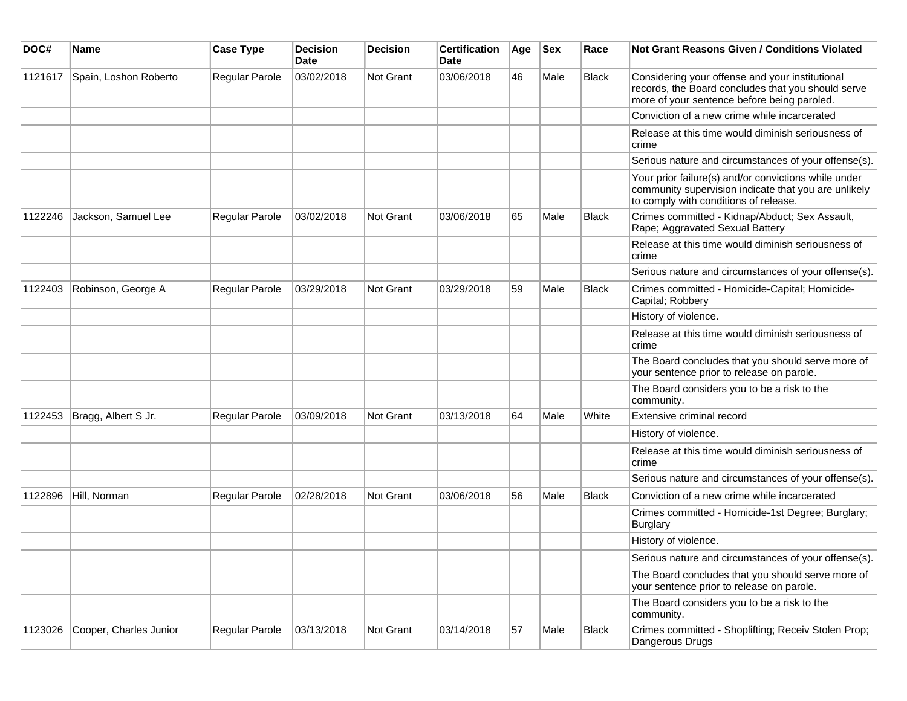| DOC#    | <b>Name</b>            | <b>Case Type</b> | <b>Decision</b><br><b>Date</b> | <b>Decision</b> | <b>Certification</b><br>Date | Age | <b>Sex</b> | Race         | <b>Not Grant Reasons Given / Conditions Violated</b>                                                                                                  |
|---------|------------------------|------------------|--------------------------------|-----------------|------------------------------|-----|------------|--------------|-------------------------------------------------------------------------------------------------------------------------------------------------------|
| 1121617 | Spain, Loshon Roberto  | Regular Parole   | 03/02/2018                     | Not Grant       | 03/06/2018                   | 46  | Male       | Black        | Considering your offense and your institutional<br>records, the Board concludes that you should serve<br>more of your sentence before being paroled.  |
|         |                        |                  |                                |                 |                              |     |            |              | Conviction of a new crime while incarcerated                                                                                                          |
|         |                        |                  |                                |                 |                              |     |            |              | Release at this time would diminish seriousness of<br>crime                                                                                           |
|         |                        |                  |                                |                 |                              |     |            |              | Serious nature and circumstances of your offense(s).                                                                                                  |
|         |                        |                  |                                |                 |                              |     |            |              | Your prior failure(s) and/or convictions while under<br>community supervision indicate that you are unlikely<br>to comply with conditions of release. |
| 1122246 | Jackson, Samuel Lee    | Regular Parole   | 03/02/2018                     | Not Grant       | 03/06/2018                   | 65  | Male       | <b>Black</b> | Crimes committed - Kidnap/Abduct; Sex Assault,<br>Rape; Aggravated Sexual Battery                                                                     |
|         |                        |                  |                                |                 |                              |     |            |              | Release at this time would diminish seriousness of<br>crime                                                                                           |
|         |                        |                  |                                |                 |                              |     |            |              | Serious nature and circumstances of your offense(s).                                                                                                  |
| 1122403 | Robinson, George A     | Regular Parole   | 03/29/2018                     | Not Grant       | 03/29/2018                   | 59  | Male       | <b>Black</b> | Crimes committed - Homicide-Capital; Homicide-<br>Capital; Robbery                                                                                    |
|         |                        |                  |                                |                 |                              |     |            |              | History of violence.                                                                                                                                  |
|         |                        |                  |                                |                 |                              |     |            |              | Release at this time would diminish seriousness of<br>crime                                                                                           |
|         |                        |                  |                                |                 |                              |     |            |              | The Board concludes that you should serve more of<br>your sentence prior to release on parole.                                                        |
|         |                        |                  |                                |                 |                              |     |            |              | The Board considers you to be a risk to the<br>community.                                                                                             |
| 1122453 | Bragg, Albert S Jr.    | Regular Parole   | 03/09/2018                     | Not Grant       | 03/13/2018                   | 64  | Male       | White        | Extensive criminal record                                                                                                                             |
|         |                        |                  |                                |                 |                              |     |            |              | History of violence.                                                                                                                                  |
|         |                        |                  |                                |                 |                              |     |            |              | Release at this time would diminish seriousness of<br>crime                                                                                           |
|         |                        |                  |                                |                 |                              |     |            |              | Serious nature and circumstances of your offense(s).                                                                                                  |
| 1122896 | Hill, Norman           | Regular Parole   | 02/28/2018                     | Not Grant       | 03/06/2018                   | 56  | Male       | <b>Black</b> | Conviction of a new crime while incarcerated                                                                                                          |
|         |                        |                  |                                |                 |                              |     |            |              | Crimes committed - Homicide-1st Degree; Burglary;<br><b>Burglary</b>                                                                                  |
|         |                        |                  |                                |                 |                              |     |            |              | History of violence.                                                                                                                                  |
|         |                        |                  |                                |                 |                              |     |            |              | Serious nature and circumstances of your offense(s).                                                                                                  |
|         |                        |                  |                                |                 |                              |     |            |              | The Board concludes that you should serve more of<br>your sentence prior to release on parole.                                                        |
|         |                        |                  |                                |                 |                              |     |            |              | The Board considers you to be a risk to the<br>community.                                                                                             |
| 1123026 | Cooper, Charles Junior | Regular Parole   | 03/13/2018                     | Not Grant       | 03/14/2018                   | 57  | Male       | Black        | Crimes committed - Shoplifting; Receiv Stolen Prop;<br>Dangerous Drugs                                                                                |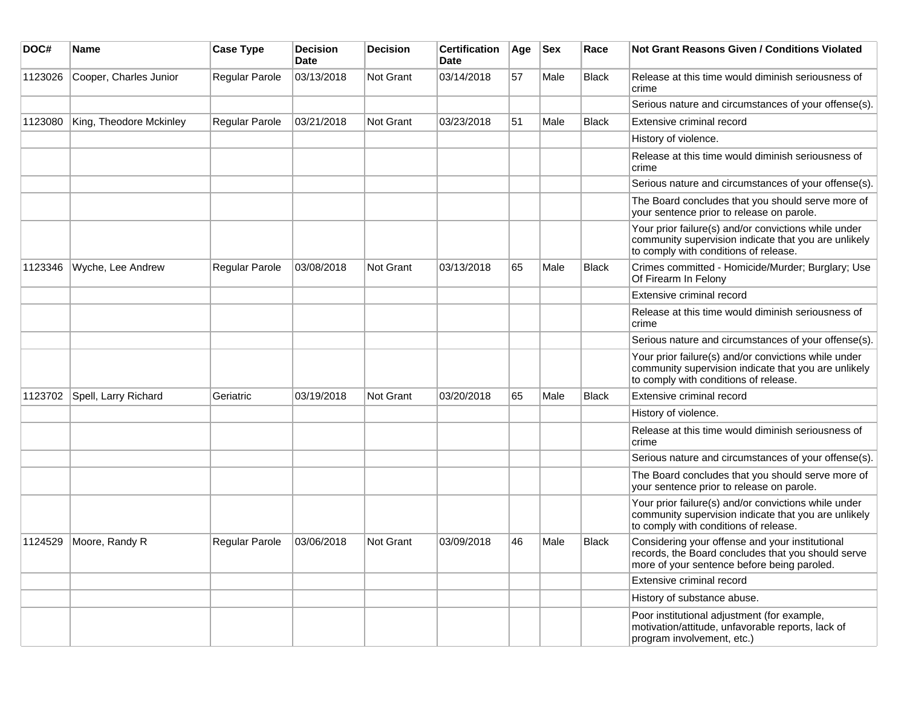| DOC#    | <b>Name</b>             | <b>Case Type</b> | <b>Decision</b><br>Date | <b>Decision</b> | <b>Certification</b><br>Date | Age | <b>Sex</b> | Race         | <b>Not Grant Reasons Given / Conditions Violated</b>                                                                                                  |
|---------|-------------------------|------------------|-------------------------|-----------------|------------------------------|-----|------------|--------------|-------------------------------------------------------------------------------------------------------------------------------------------------------|
| 1123026 | Cooper, Charles Junior  | Regular Parole   | 03/13/2018              | Not Grant       | 03/14/2018                   | 57  | Male       | <b>Black</b> | Release at this time would diminish seriousness of<br>crime                                                                                           |
|         |                         |                  |                         |                 |                              |     |            |              | Serious nature and circumstances of your offense(s).                                                                                                  |
| 1123080 | King, Theodore Mckinley | Regular Parole   | 03/21/2018              | Not Grant       | 03/23/2018                   | 51  | Male       | <b>Black</b> | Extensive criminal record                                                                                                                             |
|         |                         |                  |                         |                 |                              |     |            |              | History of violence.                                                                                                                                  |
|         |                         |                  |                         |                 |                              |     |            |              | Release at this time would diminish seriousness of<br>crime                                                                                           |
|         |                         |                  |                         |                 |                              |     |            |              | Serious nature and circumstances of your offense(s).                                                                                                  |
|         |                         |                  |                         |                 |                              |     |            |              | The Board concludes that you should serve more of<br>your sentence prior to release on parole.                                                        |
|         |                         |                  |                         |                 |                              |     |            |              | Your prior failure(s) and/or convictions while under<br>community supervision indicate that you are unlikely<br>to comply with conditions of release. |
| 1123346 | Wyche, Lee Andrew       | Regular Parole   | 03/08/2018              | Not Grant       | 03/13/2018                   | 65  | Male       | <b>Black</b> | Crimes committed - Homicide/Murder; Burglary; Use<br>Of Firearm In Felony                                                                             |
|         |                         |                  |                         |                 |                              |     |            |              | Extensive criminal record                                                                                                                             |
|         |                         |                  |                         |                 |                              |     |            |              | Release at this time would diminish seriousness of<br>crime                                                                                           |
|         |                         |                  |                         |                 |                              |     |            |              | Serious nature and circumstances of your offense(s).                                                                                                  |
|         |                         |                  |                         |                 |                              |     |            |              | Your prior failure(s) and/or convictions while under<br>community supervision indicate that you are unlikely<br>to comply with conditions of release. |
| 1123702 | Spell, Larry Richard    | Geriatric        | 03/19/2018              | Not Grant       | 03/20/2018                   | 65  | Male       | Black        | Extensive criminal record                                                                                                                             |
|         |                         |                  |                         |                 |                              |     |            |              | History of violence.                                                                                                                                  |
|         |                         |                  |                         |                 |                              |     |            |              | Release at this time would diminish seriousness of<br>crime                                                                                           |
|         |                         |                  |                         |                 |                              |     |            |              | Serious nature and circumstances of your offense(s).                                                                                                  |
|         |                         |                  |                         |                 |                              |     |            |              | The Board concludes that you should serve more of<br>your sentence prior to release on parole.                                                        |
|         |                         |                  |                         |                 |                              |     |            |              | Your prior failure(s) and/or convictions while under<br>community supervision indicate that you are unlikely<br>to comply with conditions of release. |
| 1124529 | Moore, Randy R          | Regular Parole   | 03/06/2018              | Not Grant       | 03/09/2018                   | 46  | Male       | Black        | Considering your offense and your institutional<br>records, the Board concludes that you should serve<br>more of your sentence before being paroled.  |
|         |                         |                  |                         |                 |                              |     |            |              | Extensive criminal record                                                                                                                             |
|         |                         |                  |                         |                 |                              |     |            |              | History of substance abuse.                                                                                                                           |
|         |                         |                  |                         |                 |                              |     |            |              | Poor institutional adjustment (for example,<br>motivation/attitude, unfavorable reports, lack of<br>program involvement, etc.)                        |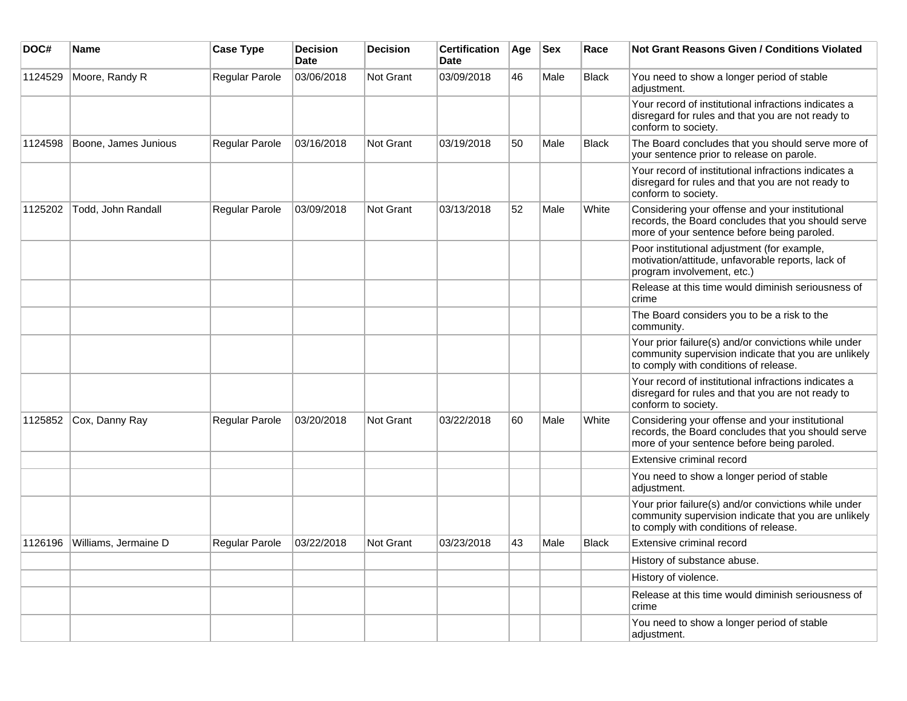| DOC#    | <b>Name</b>          | <b>Case Type</b> | <b>Decision</b><br><b>Date</b> | <b>Decision</b> | <b>Certification</b><br>Date | Age | <b>Sex</b> | Race         | <b>Not Grant Reasons Given / Conditions Violated</b>                                                                                                  |
|---------|----------------------|------------------|--------------------------------|-----------------|------------------------------|-----|------------|--------------|-------------------------------------------------------------------------------------------------------------------------------------------------------|
| 1124529 | Moore, Randy R       | Regular Parole   | 03/06/2018                     | Not Grant       | 03/09/2018                   | 46  | Male       | <b>Black</b> | You need to show a longer period of stable<br>adjustment.                                                                                             |
|         |                      |                  |                                |                 |                              |     |            |              | Your record of institutional infractions indicates a<br>disregard for rules and that you are not ready to<br>conform to society.                      |
| 1124598 | Boone, James Junious | Regular Parole   | 03/16/2018                     | Not Grant       | 03/19/2018                   | 50  | Male       | <b>Black</b> | The Board concludes that you should serve more of<br>your sentence prior to release on parole.                                                        |
|         |                      |                  |                                |                 |                              |     |            |              | Your record of institutional infractions indicates a<br>disregard for rules and that you are not ready to<br>conform to society.                      |
| 1125202 | Todd, John Randall   | Regular Parole   | 03/09/2018                     | Not Grant       | 03/13/2018                   | 52  | Male       | White        | Considering your offense and your institutional<br>records, the Board concludes that you should serve<br>more of your sentence before being paroled.  |
|         |                      |                  |                                |                 |                              |     |            |              | Poor institutional adjustment (for example,<br>motivation/attitude, unfavorable reports, lack of<br>program involvement, etc.)                        |
|         |                      |                  |                                |                 |                              |     |            |              | Release at this time would diminish seriousness of<br>crime                                                                                           |
|         |                      |                  |                                |                 |                              |     |            |              | The Board considers you to be a risk to the<br>community.                                                                                             |
|         |                      |                  |                                |                 |                              |     |            |              | Your prior failure(s) and/or convictions while under<br>community supervision indicate that you are unlikely<br>to comply with conditions of release. |
|         |                      |                  |                                |                 |                              |     |            |              | Your record of institutional infractions indicates a<br>disregard for rules and that you are not ready to<br>conform to society.                      |
| 1125852 | Cox, Danny Ray       | Regular Parole   | 03/20/2018                     | Not Grant       | 03/22/2018                   | 60  | Male       | White        | Considering your offense and your institutional<br>records, the Board concludes that you should serve<br>more of your sentence before being paroled.  |
|         |                      |                  |                                |                 |                              |     |            |              | Extensive criminal record                                                                                                                             |
|         |                      |                  |                                |                 |                              |     |            |              | You need to show a longer period of stable<br>adjustment.                                                                                             |
|         |                      |                  |                                |                 |                              |     |            |              | Your prior failure(s) and/or convictions while under<br>community supervision indicate that you are unlikely<br>to comply with conditions of release. |
| 1126196 | Williams, Jermaine D | Regular Parole   | 03/22/2018                     | Not Grant       | 03/23/2018                   | 43  | Male       | <b>Black</b> | Extensive criminal record                                                                                                                             |
|         |                      |                  |                                |                 |                              |     |            |              | History of substance abuse.                                                                                                                           |
|         |                      |                  |                                |                 |                              |     |            |              | History of violence.                                                                                                                                  |
|         |                      |                  |                                |                 |                              |     |            |              | Release at this time would diminish seriousness of<br>crime                                                                                           |
|         |                      |                  |                                |                 |                              |     |            |              | You need to show a longer period of stable<br>adjustment.                                                                                             |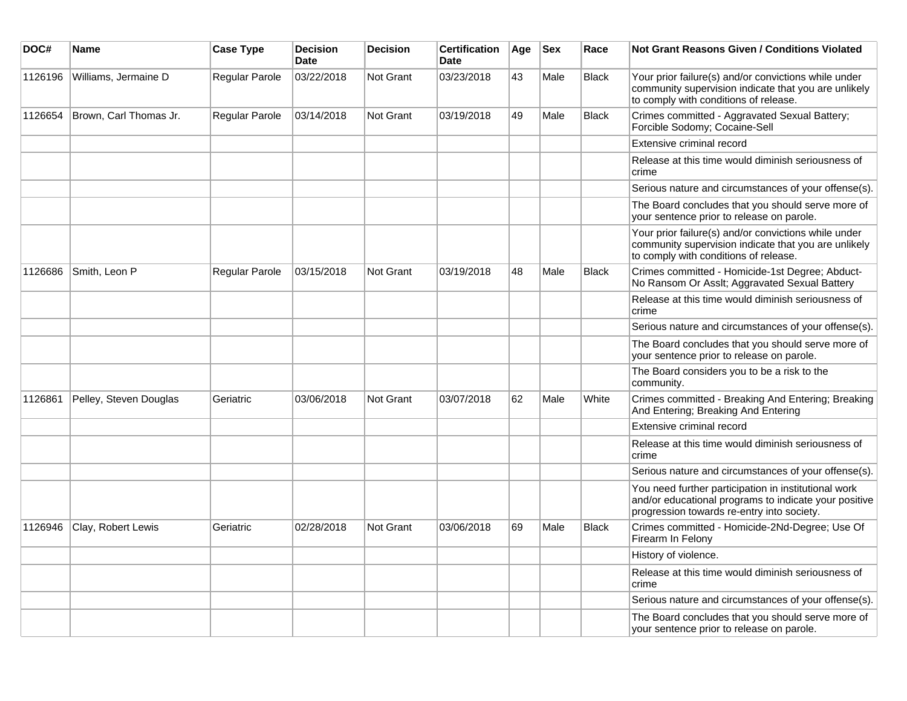| DOC#    | Name                   | <b>Case Type</b> | <b>Decision</b><br><b>Date</b> | <b>Decision</b> | <b>Certification</b><br><b>Date</b> | Age | <b>Sex</b> | Race         | <b>Not Grant Reasons Given / Conditions Violated</b>                                                                                                        |
|---------|------------------------|------------------|--------------------------------|-----------------|-------------------------------------|-----|------------|--------------|-------------------------------------------------------------------------------------------------------------------------------------------------------------|
| 1126196 | Williams, Jermaine D   | Regular Parole   | 03/22/2018                     | Not Grant       | 03/23/2018                          | 43  | Male       | <b>Black</b> | Your prior failure(s) and/or convictions while under<br>community supervision indicate that you are unlikely<br>to comply with conditions of release.       |
| 1126654 | Brown, Carl Thomas Jr. | Regular Parole   | 03/14/2018                     | Not Grant       | 03/19/2018                          | 49  | Male       | <b>Black</b> | Crimes committed - Aggravated Sexual Battery;<br>Forcible Sodomy; Cocaine-Sell                                                                              |
|         |                        |                  |                                |                 |                                     |     |            |              | Extensive criminal record                                                                                                                                   |
|         |                        |                  |                                |                 |                                     |     |            |              | Release at this time would diminish seriousness of<br>crime                                                                                                 |
|         |                        |                  |                                |                 |                                     |     |            |              | Serious nature and circumstances of your offense(s).                                                                                                        |
|         |                        |                  |                                |                 |                                     |     |            |              | The Board concludes that you should serve more of<br>your sentence prior to release on parole.                                                              |
|         |                        |                  |                                |                 |                                     |     |            |              | Your prior failure(s) and/or convictions while under<br>community supervision indicate that you are unlikely<br>to comply with conditions of release.       |
| 1126686 | Smith, Leon P          | Regular Parole   | 03/15/2018                     | Not Grant       | 03/19/2018                          | 48  | Male       | <b>Black</b> | Crimes committed - Homicide-1st Degree; Abduct-<br>No Ransom Or Asslt; Aggravated Sexual Battery                                                            |
|         |                        |                  |                                |                 |                                     |     |            |              | Release at this time would diminish seriousness of<br>crime                                                                                                 |
|         |                        |                  |                                |                 |                                     |     |            |              | Serious nature and circumstances of your offense(s).                                                                                                        |
|         |                        |                  |                                |                 |                                     |     |            |              | The Board concludes that you should serve more of<br>your sentence prior to release on parole.                                                              |
|         |                        |                  |                                |                 |                                     |     |            |              | The Board considers you to be a risk to the<br>community.                                                                                                   |
| 1126861 | Pelley, Steven Douglas | Geriatric        | 03/06/2018                     | Not Grant       | 03/07/2018                          | 62  | Male       | White        | Crimes committed - Breaking And Entering; Breaking<br>And Entering; Breaking And Entering                                                                   |
|         |                        |                  |                                |                 |                                     |     |            |              | Extensive criminal record                                                                                                                                   |
|         |                        |                  |                                |                 |                                     |     |            |              | Release at this time would diminish seriousness of<br>crime                                                                                                 |
|         |                        |                  |                                |                 |                                     |     |            |              | Serious nature and circumstances of your offense(s).                                                                                                        |
|         |                        |                  |                                |                 |                                     |     |            |              | You need further participation in institutional work<br>and/or educational programs to indicate your positive<br>progression towards re-entry into society. |
| 1126946 | Clay, Robert Lewis     | Geriatric        | 02/28/2018                     | Not Grant       | 03/06/2018                          | 69  | Male       | <b>Black</b> | Crimes committed - Homicide-2Nd-Degree; Use Of<br>Firearm In Felony                                                                                         |
|         |                        |                  |                                |                 |                                     |     |            |              | History of violence.                                                                                                                                        |
|         |                        |                  |                                |                 |                                     |     |            |              | Release at this time would diminish seriousness of<br>crime                                                                                                 |
|         |                        |                  |                                |                 |                                     |     |            |              | Serious nature and circumstances of your offense(s).                                                                                                        |
|         |                        |                  |                                |                 |                                     |     |            |              | The Board concludes that you should serve more of<br>your sentence prior to release on parole.                                                              |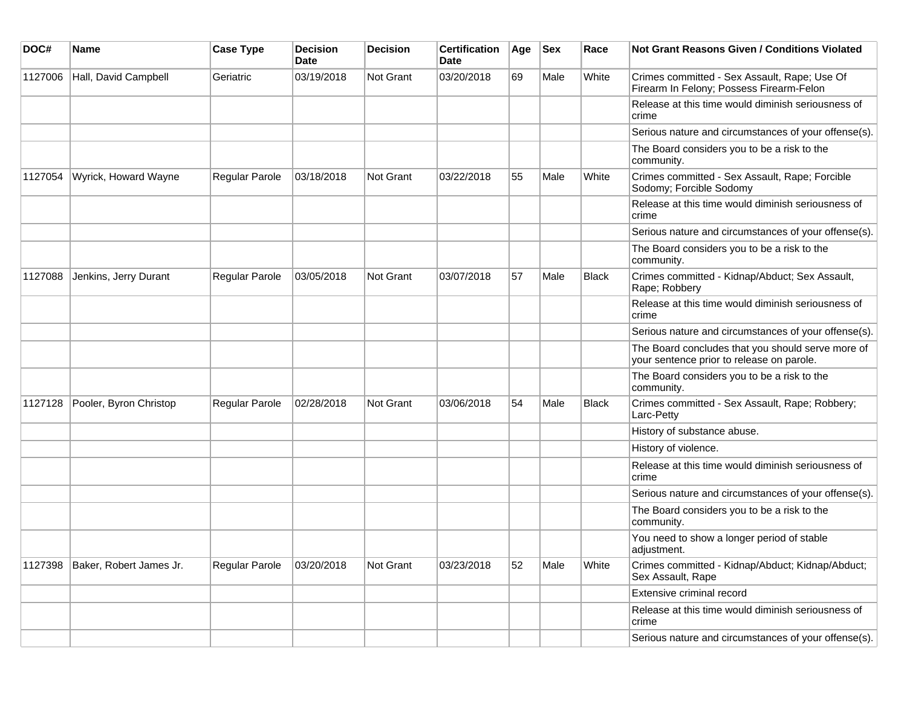| DOC#    | <b>Name</b>             | <b>Case Type</b> | <b>Decision</b><br><b>Date</b> | <b>Decision</b>  | <b>Certification</b><br>Date | Age | $ $ Sex | Race         | <b>Not Grant Reasons Given / Conditions Violated</b>                                           |
|---------|-------------------------|------------------|--------------------------------|------------------|------------------------------|-----|---------|--------------|------------------------------------------------------------------------------------------------|
| 1127006 | Hall, David Campbell    | Geriatric        | 03/19/2018                     | Not Grant        | 03/20/2018                   | 69  | Male    | White        | Crimes committed - Sex Assault, Rape; Use Of<br>Firearm In Felony; Possess Firearm-Felon       |
|         |                         |                  |                                |                  |                              |     |         |              | Release at this time would diminish seriousness of<br>crime                                    |
|         |                         |                  |                                |                  |                              |     |         |              | Serious nature and circumstances of your offense(s).                                           |
|         |                         |                  |                                |                  |                              |     |         |              | The Board considers you to be a risk to the<br>community.                                      |
| 1127054 | Wyrick, Howard Wayne    | Regular Parole   | 03/18/2018                     | Not Grant        | 03/22/2018                   | 55  | Male    | White        | Crimes committed - Sex Assault, Rape; Forcible<br>Sodomy; Forcible Sodomy                      |
|         |                         |                  |                                |                  |                              |     |         |              | Release at this time would diminish seriousness of<br>crime                                    |
|         |                         |                  |                                |                  |                              |     |         |              | Serious nature and circumstances of your offense(s).                                           |
|         |                         |                  |                                |                  |                              |     |         |              | The Board considers you to be a risk to the<br>community.                                      |
| 1127088 | Jenkins, Jerry Durant   | Regular Parole   | 03/05/2018                     | Not Grant        | 03/07/2018                   | 57  | Male    | <b>Black</b> | Crimes committed - Kidnap/Abduct; Sex Assault,<br>Rape; Robbery                                |
|         |                         |                  |                                |                  |                              |     |         |              | Release at this time would diminish seriousness of<br>crime                                    |
|         |                         |                  |                                |                  |                              |     |         |              | Serious nature and circumstances of your offense(s).                                           |
|         |                         |                  |                                |                  |                              |     |         |              | The Board concludes that you should serve more of<br>your sentence prior to release on parole. |
|         |                         |                  |                                |                  |                              |     |         |              | The Board considers you to be a risk to the<br>community.                                      |
| 1127128 | Pooler, Byron Christop  | Regular Parole   | 02/28/2018                     | <b>Not Grant</b> | 03/06/2018                   | 54  | Male    | <b>Black</b> | Crimes committed - Sex Assault, Rape; Robbery;<br>Larc-Petty                                   |
|         |                         |                  |                                |                  |                              |     |         |              | History of substance abuse.                                                                    |
|         |                         |                  |                                |                  |                              |     |         |              | History of violence.                                                                           |
|         |                         |                  |                                |                  |                              |     |         |              | Release at this time would diminish seriousness of<br>crime                                    |
|         |                         |                  |                                |                  |                              |     |         |              | Serious nature and circumstances of your offense(s).                                           |
|         |                         |                  |                                |                  |                              |     |         |              | The Board considers you to be a risk to the<br>community.                                      |
|         |                         |                  |                                |                  |                              |     |         |              | You need to show a longer period of stable<br>adjustment.                                      |
| 1127398 | Baker, Robert James Jr. | Regular Parole   | 03/20/2018                     | Not Grant        | 03/23/2018                   | 52  | Male    | White        | Crimes committed - Kidnap/Abduct; Kidnap/Abduct;<br>Sex Assault, Rape                          |
|         |                         |                  |                                |                  |                              |     |         |              | Extensive criminal record                                                                      |
|         |                         |                  |                                |                  |                              |     |         |              | Release at this time would diminish seriousness of<br>crime                                    |
|         |                         |                  |                                |                  |                              |     |         |              | Serious nature and circumstances of your offense(s).                                           |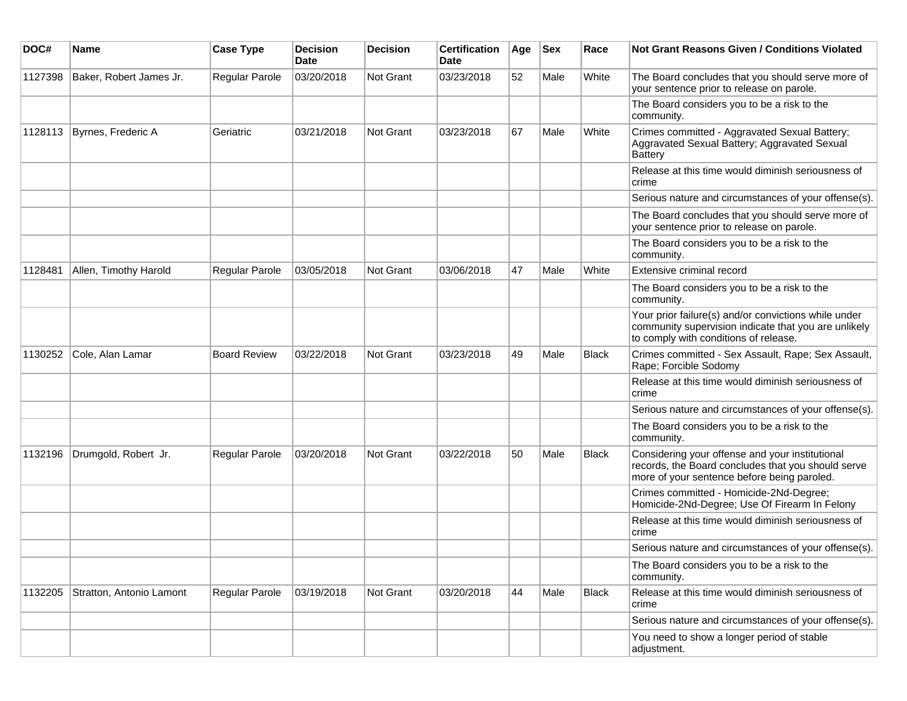| DOC#    | <b>Name</b>              | <b>Case Type</b>    | <b>Decision</b><br><b>Date</b> | <b>Decision</b>  | <b>Certification</b><br>Date | Age | <b>Sex</b> | Race         | <b>Not Grant Reasons Given / Conditions Violated</b>                                                                                                  |
|---------|--------------------------|---------------------|--------------------------------|------------------|------------------------------|-----|------------|--------------|-------------------------------------------------------------------------------------------------------------------------------------------------------|
| 1127398 | Baker, Robert James Jr.  | Regular Parole      | 03/20/2018                     | <b>Not Grant</b> | 03/23/2018                   | 52  | Male       | White        | The Board concludes that you should serve more of<br>your sentence prior to release on parole.                                                        |
|         |                          |                     |                                |                  |                              |     |            |              | The Board considers you to be a risk to the<br>community.                                                                                             |
| 1128113 | Byrnes, Frederic A       | Geriatric           | 03/21/2018                     | Not Grant        | 03/23/2018                   | 67  | Male       | White        | Crimes committed - Aggravated Sexual Battery;<br>Aggravated Sexual Battery; Aggravated Sexual<br>Battery                                              |
|         |                          |                     |                                |                  |                              |     |            |              | Release at this time would diminish seriousness of<br>crime                                                                                           |
|         |                          |                     |                                |                  |                              |     |            |              | Serious nature and circumstances of your offense(s).                                                                                                  |
|         |                          |                     |                                |                  |                              |     |            |              | The Board concludes that you should serve more of<br>your sentence prior to release on parole.                                                        |
|         |                          |                     |                                |                  |                              |     |            |              | The Board considers you to be a risk to the<br>community.                                                                                             |
| 1128481 | Allen, Timothy Harold    | Regular Parole      | 03/05/2018                     | <b>Not Grant</b> | 03/06/2018                   | 47  | Male       | White        | Extensive criminal record                                                                                                                             |
|         |                          |                     |                                |                  |                              |     |            |              | The Board considers you to be a risk to the<br>community.                                                                                             |
|         |                          |                     |                                |                  |                              |     |            |              | Your prior failure(s) and/or convictions while under<br>community supervision indicate that you are unlikely<br>to comply with conditions of release. |
| 1130252 | Cole, Alan Lamar         | <b>Board Review</b> | 03/22/2018                     | <b>Not Grant</b> | 03/23/2018                   | 49  | Male       | Black        | Crimes committed - Sex Assault, Rape; Sex Assault,<br>Rape; Forcible Sodomy                                                                           |
|         |                          |                     |                                |                  |                              |     |            |              | Release at this time would diminish seriousness of<br>crime                                                                                           |
|         |                          |                     |                                |                  |                              |     |            |              | Serious nature and circumstances of your offense(s).                                                                                                  |
|         |                          |                     |                                |                  |                              |     |            |              | The Board considers you to be a risk to the<br>community.                                                                                             |
| 1132196 | Drumgold, Robert Jr.     | Regular Parole      | 03/20/2018                     | <b>Not Grant</b> | 03/22/2018                   | 50  | Male       | Black        | Considering your offense and your institutional<br>records, the Board concludes that you should serve<br>more of your sentence before being paroled.  |
|         |                          |                     |                                |                  |                              |     |            |              | Crimes committed - Homicide-2Nd-Degree;<br>Homicide-2Nd-Degree; Use Of Firearm In Felony                                                              |
|         |                          |                     |                                |                  |                              |     |            |              | Release at this time would diminish seriousness of<br>crime                                                                                           |
|         |                          |                     |                                |                  |                              |     |            |              | Serious nature and circumstances of your offense(s).                                                                                                  |
|         |                          |                     |                                |                  |                              |     |            |              | The Board considers you to be a risk to the<br>community.                                                                                             |
| 1132205 | Stratton, Antonio Lamont | Regular Parole      | 03/19/2018                     | Not Grant        | 03/20/2018                   | 44  | Male       | <b>Black</b> | Release at this time would diminish seriousness of<br>crime                                                                                           |
|         |                          |                     |                                |                  |                              |     |            |              | Serious nature and circumstances of your offense(s).                                                                                                  |
|         |                          |                     |                                |                  |                              |     |            |              | You need to show a longer period of stable<br>adjustment.                                                                                             |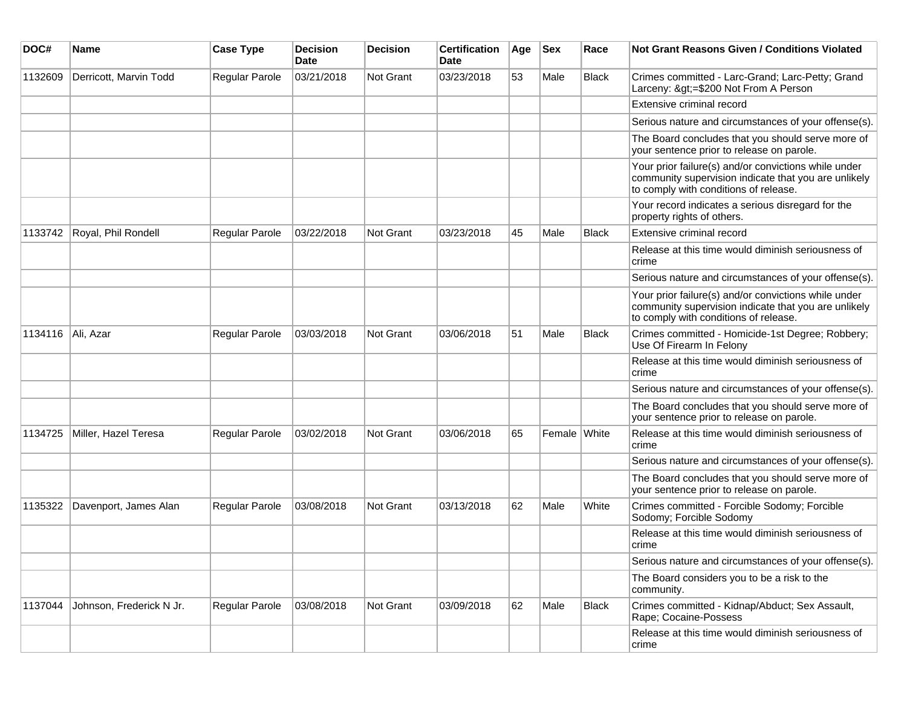| DOC#              | <b>Name</b>              | <b>Case Type</b>      | <b>Decision</b><br><b>Date</b> | <b>Decision</b>  | <b>Certification</b><br>Date | Age | <b>Sex</b>   | Race         | <b>Not Grant Reasons Given / Conditions Violated</b>                                                                                                  |
|-------------------|--------------------------|-----------------------|--------------------------------|------------------|------------------------------|-----|--------------|--------------|-------------------------------------------------------------------------------------------------------------------------------------------------------|
| 1132609           | Derricott, Marvin Todd   | Regular Parole        | 03/21/2018                     | <b>Not Grant</b> | 03/23/2018                   | 53  | Male         | <b>Black</b> | Crimes committed - Larc-Grand; Larc-Petty; Grand<br>Larceny: >=\$200 Not From A Person                                                                |
|                   |                          |                       |                                |                  |                              |     |              |              | Extensive criminal record                                                                                                                             |
|                   |                          |                       |                                |                  |                              |     |              |              | Serious nature and circumstances of your offense(s).                                                                                                  |
|                   |                          |                       |                                |                  |                              |     |              |              | The Board concludes that you should serve more of<br>your sentence prior to release on parole.                                                        |
|                   |                          |                       |                                |                  |                              |     |              |              | Your prior failure(s) and/or convictions while under<br>community supervision indicate that you are unlikely<br>to comply with conditions of release. |
|                   |                          |                       |                                |                  |                              |     |              |              | Your record indicates a serious disregard for the<br>property rights of others.                                                                       |
| 1133742           | Royal, Phil Rondell      | Regular Parole        | 03/22/2018                     | <b>Not Grant</b> | 03/23/2018                   | 45  | Male         | <b>Black</b> | Extensive criminal record                                                                                                                             |
|                   |                          |                       |                                |                  |                              |     |              |              | Release at this time would diminish seriousness of<br>crime                                                                                           |
|                   |                          |                       |                                |                  |                              |     |              |              | Serious nature and circumstances of your offense(s).                                                                                                  |
|                   |                          |                       |                                |                  |                              |     |              |              | Your prior failure(s) and/or convictions while under<br>community supervision indicate that you are unlikely<br>to comply with conditions of release. |
| 1134116 Ali, Azar |                          | Regular Parole        | 03/03/2018                     | <b>Not Grant</b> | 03/06/2018                   | 51  | Male         | <b>Black</b> | Crimes committed - Homicide-1st Degree; Robbery;<br>Use Of Firearm In Felony                                                                          |
|                   |                          |                       |                                |                  |                              |     |              |              | Release at this time would diminish seriousness of<br>crime                                                                                           |
|                   |                          |                       |                                |                  |                              |     |              |              | Serious nature and circumstances of your offense(s).                                                                                                  |
|                   |                          |                       |                                |                  |                              |     |              |              | The Board concludes that you should serve more of<br>your sentence prior to release on parole.                                                        |
| 1134725           | Miller, Hazel Teresa     | Regular Parole        | 03/02/2018                     | <b>Not Grant</b> | 03/06/2018                   | 65  | Female White |              | Release at this time would diminish seriousness of<br>crime                                                                                           |
|                   |                          |                       |                                |                  |                              |     |              |              | Serious nature and circumstances of your offense(s).                                                                                                  |
|                   |                          |                       |                                |                  |                              |     |              |              | The Board concludes that you should serve more of<br>your sentence prior to release on parole.                                                        |
| 1135322           | Davenport, James Alan    | <b>Regular Parole</b> | 03/08/2018                     | <b>Not Grant</b> | 03/13/2018                   | 62  | Male         | White        | Crimes committed - Forcible Sodomy; Forcible<br>Sodomy; Forcible Sodomy                                                                               |
|                   |                          |                       |                                |                  |                              |     |              |              | Release at this time would diminish seriousness of<br>crime                                                                                           |
|                   |                          |                       |                                |                  |                              |     |              |              | Serious nature and circumstances of your offense(s).                                                                                                  |
|                   |                          |                       |                                |                  |                              |     |              |              | The Board considers you to be a risk to the<br>community.                                                                                             |
| 1137044           | Johnson, Frederick N Jr. | Regular Parole        | 03/08/2018                     | Not Grant        | 03/09/2018                   | 62  | Male         | <b>Black</b> | Crimes committed - Kidnap/Abduct; Sex Assault,<br>Rape; Cocaine-Possess                                                                               |
|                   |                          |                       |                                |                  |                              |     |              |              | Release at this time would diminish seriousness of<br>crime                                                                                           |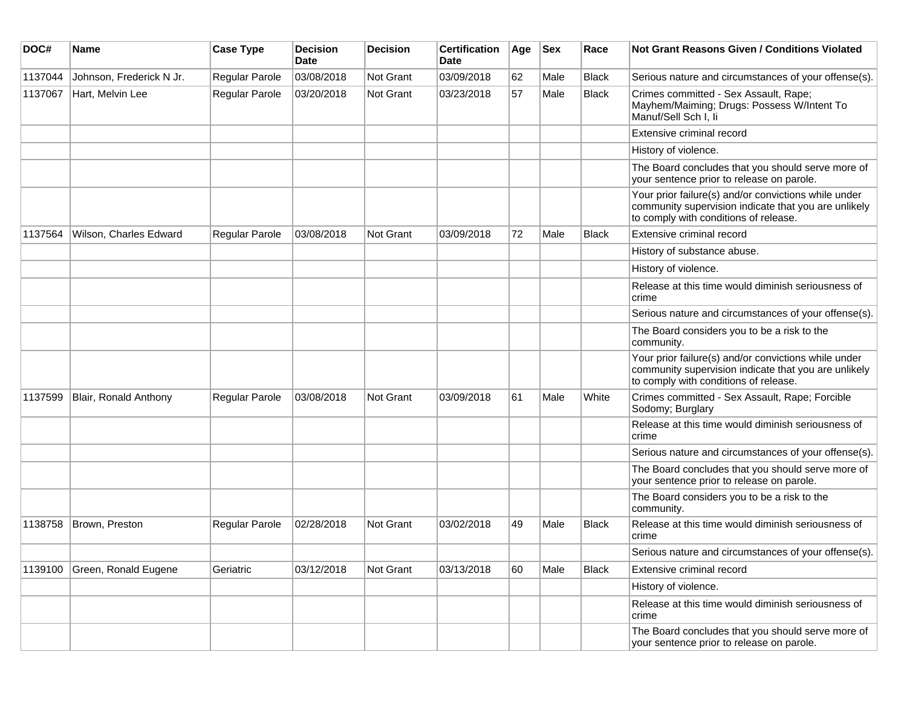| DOC#    | Name                     | <b>Case Type</b> | <b>Decision</b><br><b>Date</b> | Decision  | <b>Certification</b><br><b>Date</b> | Age | <b>Sex</b> | Race         | Not Grant Reasons Given / Conditions Violated                                                                                                         |
|---------|--------------------------|------------------|--------------------------------|-----------|-------------------------------------|-----|------------|--------------|-------------------------------------------------------------------------------------------------------------------------------------------------------|
| 1137044 | Johnson, Frederick N Jr. | Regular Parole   | 03/08/2018                     | Not Grant | 03/09/2018                          | 62  | Male       | <b>Black</b> | Serious nature and circumstances of your offense(s).                                                                                                  |
| 1137067 | Hart, Melvin Lee         | Regular Parole   | 03/20/2018                     | Not Grant | 03/23/2018                          | 57  | Male       | <b>Black</b> | Crimes committed - Sex Assault, Rape;<br>Mayhem/Maiming; Drugs: Possess W/Intent To<br>Manuf/Sell Sch I, li                                           |
|         |                          |                  |                                |           |                                     |     |            |              | Extensive criminal record                                                                                                                             |
|         |                          |                  |                                |           |                                     |     |            |              | History of violence.                                                                                                                                  |
|         |                          |                  |                                |           |                                     |     |            |              | The Board concludes that you should serve more of<br>your sentence prior to release on parole.                                                        |
|         |                          |                  |                                |           |                                     |     |            |              | Your prior failure(s) and/or convictions while under<br>community supervision indicate that you are unlikely<br>to comply with conditions of release. |
| 1137564 | Wilson, Charles Edward   | Regular Parole   | 03/08/2018                     | Not Grant | 03/09/2018                          | 72  | Male       | Black        | Extensive criminal record                                                                                                                             |
|         |                          |                  |                                |           |                                     |     |            |              | History of substance abuse.                                                                                                                           |
|         |                          |                  |                                |           |                                     |     |            |              | History of violence.                                                                                                                                  |
|         |                          |                  |                                |           |                                     |     |            |              | Release at this time would diminish seriousness of<br>crime                                                                                           |
|         |                          |                  |                                |           |                                     |     |            |              | Serious nature and circumstances of your offense(s).                                                                                                  |
|         |                          |                  |                                |           |                                     |     |            |              | The Board considers you to be a risk to the<br>community.                                                                                             |
|         |                          |                  |                                |           |                                     |     |            |              | Your prior failure(s) and/or convictions while under<br>community supervision indicate that you are unlikely<br>to comply with conditions of release. |
| 1137599 | Blair, Ronald Anthony    | Regular Parole   | 03/08/2018                     | Not Grant | 03/09/2018                          | 61  | Male       | White        | Crimes committed - Sex Assault, Rape; Forcible<br>Sodomy; Burglary                                                                                    |
|         |                          |                  |                                |           |                                     |     |            |              | Release at this time would diminish seriousness of<br>crime                                                                                           |
|         |                          |                  |                                |           |                                     |     |            |              | Serious nature and circumstances of your offense(s).                                                                                                  |
|         |                          |                  |                                |           |                                     |     |            |              | The Board concludes that you should serve more of<br>your sentence prior to release on parole.                                                        |
|         |                          |                  |                                |           |                                     |     |            |              | The Board considers you to be a risk to the<br>community.                                                                                             |
| 1138758 | Brown, Preston           | Regular Parole   | 02/28/2018                     | Not Grant | 03/02/2018                          | 49  | Male       | <b>Black</b> | Release at this time would diminish seriousness of<br>crime                                                                                           |
|         |                          |                  |                                |           |                                     |     |            |              | Serious nature and circumstances of your offense(s).                                                                                                  |
| 1139100 | Green, Ronald Eugene     | Geriatric        | 03/12/2018                     | Not Grant | 03/13/2018                          | 60  | Male       | Black        | Extensive criminal record                                                                                                                             |
|         |                          |                  |                                |           |                                     |     |            |              | History of violence.                                                                                                                                  |
|         |                          |                  |                                |           |                                     |     |            |              | Release at this time would diminish seriousness of<br>crime                                                                                           |
|         |                          |                  |                                |           |                                     |     |            |              | The Board concludes that you should serve more of<br>your sentence prior to release on parole.                                                        |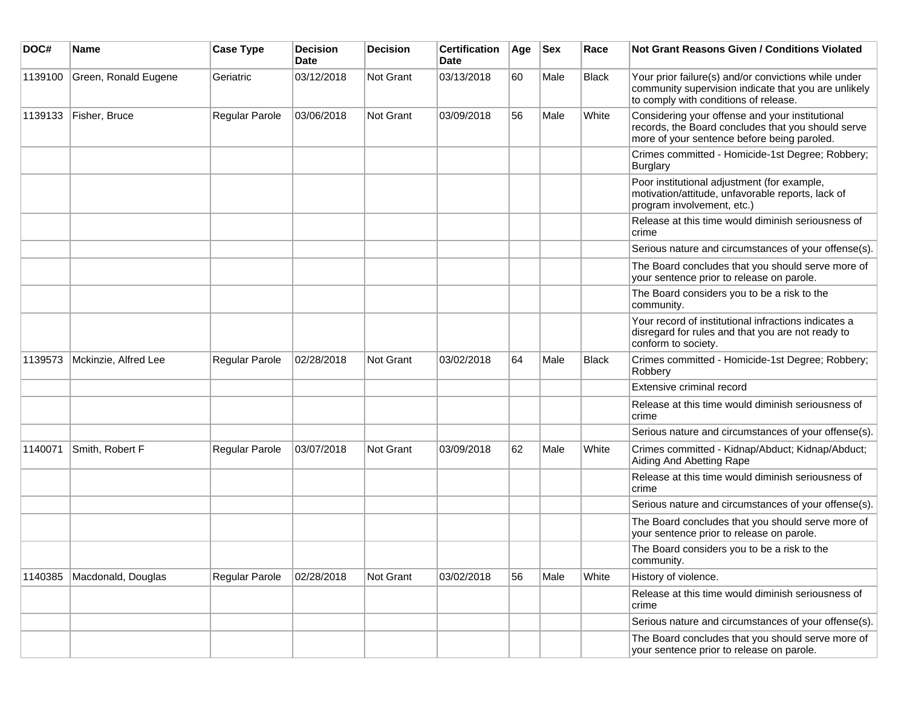| DOC#    | <b>Name</b>          | <b>Case Type</b>      | <b>Decision</b><br><b>Date</b> | <b>Decision</b> | <b>Certification</b><br>Date | Age | <b>Sex</b> | Race  | Not Grant Reasons Given / Conditions Violated                                                                                                         |
|---------|----------------------|-----------------------|--------------------------------|-----------------|------------------------------|-----|------------|-------|-------------------------------------------------------------------------------------------------------------------------------------------------------|
| 1139100 | Green, Ronald Eugene | Geriatric             | 03/12/2018                     | Not Grant       | 03/13/2018                   | 60  | Male       | Black | Your prior failure(s) and/or convictions while under<br>community supervision indicate that you are unlikely<br>to comply with conditions of release. |
| 1139133 | Fisher, Bruce        | Regular Parole        | 03/06/2018                     | Not Grant       | 03/09/2018                   | 56  | Male       | White | Considering your offense and your institutional<br>records, the Board concludes that you should serve<br>more of your sentence before being paroled.  |
|         |                      |                       |                                |                 |                              |     |            |       | Crimes committed - Homicide-1st Degree; Robbery;<br><b>Burglary</b>                                                                                   |
|         |                      |                       |                                |                 |                              |     |            |       | Poor institutional adjustment (for example,<br>motivation/attitude, unfavorable reports, lack of<br>program involvement, etc.)                        |
|         |                      |                       |                                |                 |                              |     |            |       | Release at this time would diminish seriousness of<br>crime                                                                                           |
|         |                      |                       |                                |                 |                              |     |            |       | Serious nature and circumstances of your offense(s).                                                                                                  |
|         |                      |                       |                                |                 |                              |     |            |       | The Board concludes that you should serve more of<br>your sentence prior to release on parole.                                                        |
|         |                      |                       |                                |                 |                              |     |            |       | The Board considers you to be a risk to the<br>community.                                                                                             |
|         |                      |                       |                                |                 |                              |     |            |       | Your record of institutional infractions indicates a<br>disregard for rules and that you are not ready to<br>conform to society.                      |
| 1139573 | Mckinzie, Alfred Lee | <b>Regular Parole</b> | 02/28/2018                     | Not Grant       | 03/02/2018                   | 64  | Male       | Black | Crimes committed - Homicide-1st Degree; Robbery;<br>Robbery                                                                                           |
|         |                      |                       |                                |                 |                              |     |            |       | Extensive criminal record                                                                                                                             |
|         |                      |                       |                                |                 |                              |     |            |       | Release at this time would diminish seriousness of<br>crime                                                                                           |
|         |                      |                       |                                |                 |                              |     |            |       | Serious nature and circumstances of your offense(s).                                                                                                  |
| 1140071 | Smith, Robert F      | Regular Parole        | 03/07/2018                     | Not Grant       | 03/09/2018                   | 62  | Male       | White | Crimes committed - Kidnap/Abduct; Kidnap/Abduct;<br>Aiding And Abetting Rape                                                                          |
|         |                      |                       |                                |                 |                              |     |            |       | Release at this time would diminish seriousness of<br>crime                                                                                           |
|         |                      |                       |                                |                 |                              |     |            |       | Serious nature and circumstances of your offense(s).                                                                                                  |
|         |                      |                       |                                |                 |                              |     |            |       | The Board concludes that you should serve more of<br>your sentence prior to release on parole.                                                        |
|         |                      |                       |                                |                 |                              |     |            |       | The Board considers you to be a risk to the<br>community.                                                                                             |
| 1140385 | Macdonald, Douglas   | Regular Parole        | 02/28/2018                     | Not Grant       | 03/02/2018                   | 56  | Male       | White | History of violence.                                                                                                                                  |
|         |                      |                       |                                |                 |                              |     |            |       | Release at this time would diminish seriousness of<br>crime                                                                                           |
|         |                      |                       |                                |                 |                              |     |            |       | Serious nature and circumstances of your offense(s).                                                                                                  |
|         |                      |                       |                                |                 |                              |     |            |       | The Board concludes that you should serve more of<br>your sentence prior to release on parole.                                                        |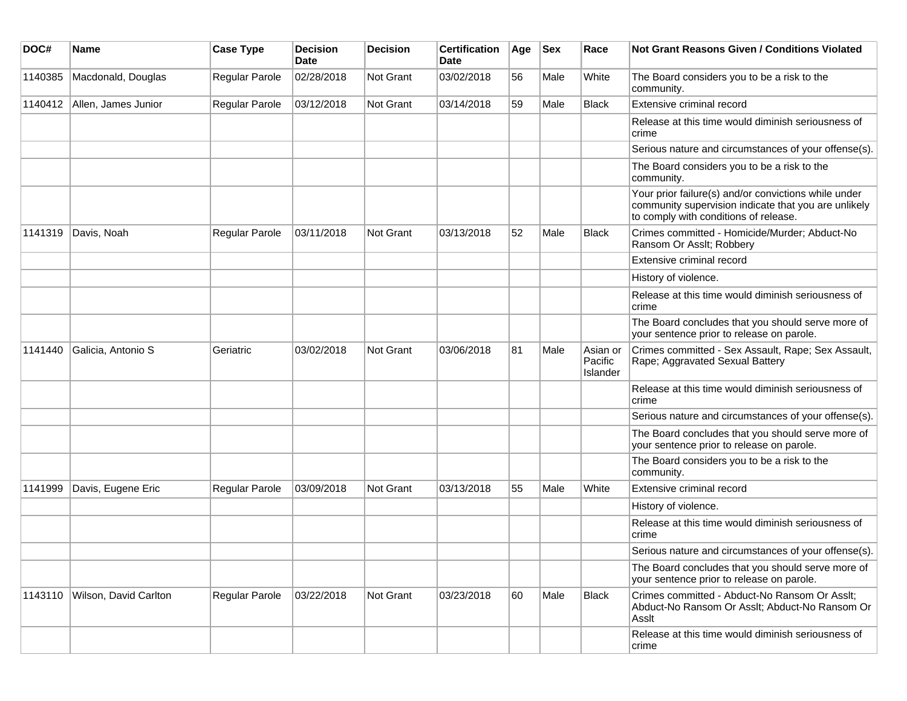| DOC#    | <b>Name</b>           | <b>Case Type</b> | <b>Decision</b><br><b>Date</b> | <b>Decision</b>  | <b>Certification</b><br>Date | Age | <b>Sex</b> | Race                            | <b>Not Grant Reasons Given / Conditions Violated</b>                                                                                                  |
|---------|-----------------------|------------------|--------------------------------|------------------|------------------------------|-----|------------|---------------------------------|-------------------------------------------------------------------------------------------------------------------------------------------------------|
| 1140385 | Macdonald, Douglas    | Regular Parole   | 02/28/2018                     | Not Grant        | 03/02/2018                   | 56  | Male       | White                           | The Board considers you to be a risk to the<br>community.                                                                                             |
| 1140412 | Allen, James Junior   | Regular Parole   | 03/12/2018                     | Not Grant        | 03/14/2018                   | 59  | Male       | Black                           | Extensive criminal record                                                                                                                             |
|         |                       |                  |                                |                  |                              |     |            |                                 | Release at this time would diminish seriousness of<br>crime                                                                                           |
|         |                       |                  |                                |                  |                              |     |            |                                 | Serious nature and circumstances of your offense(s).                                                                                                  |
|         |                       |                  |                                |                  |                              |     |            |                                 | The Board considers you to be a risk to the<br>community.                                                                                             |
|         |                       |                  |                                |                  |                              |     |            |                                 | Your prior failure(s) and/or convictions while under<br>community supervision indicate that you are unlikely<br>to comply with conditions of release. |
| 1141319 | Davis, Noah           | Regular Parole   | 03/11/2018                     | <b>Not Grant</b> | 03/13/2018                   | 52  | Male       | <b>Black</b>                    | Crimes committed - Homicide/Murder; Abduct-No<br>Ransom Or Asslt; Robbery                                                                             |
|         |                       |                  |                                |                  |                              |     |            |                                 | Extensive criminal record                                                                                                                             |
|         |                       |                  |                                |                  |                              |     |            |                                 | History of violence.                                                                                                                                  |
|         |                       |                  |                                |                  |                              |     |            |                                 | Release at this time would diminish seriousness of<br>crime                                                                                           |
|         |                       |                  |                                |                  |                              |     |            |                                 | The Board concludes that you should serve more of<br>your sentence prior to release on parole.                                                        |
| 1141440 | Galicia, Antonio S    | Geriatric        | 03/02/2018                     | Not Grant        | 03/06/2018                   | 81  | Male       | Asian or<br>Pacific<br>Islander | Crimes committed - Sex Assault, Rape; Sex Assault,<br>Rape; Aggravated Sexual Battery                                                                 |
|         |                       |                  |                                |                  |                              |     |            |                                 | Release at this time would diminish seriousness of<br>crime                                                                                           |
|         |                       |                  |                                |                  |                              |     |            |                                 | Serious nature and circumstances of your offense(s).                                                                                                  |
|         |                       |                  |                                |                  |                              |     |            |                                 | The Board concludes that you should serve more of<br>your sentence prior to release on parole.                                                        |
|         |                       |                  |                                |                  |                              |     |            |                                 | The Board considers you to be a risk to the<br>community.                                                                                             |
| 1141999 | Davis, Eugene Eric    | Regular Parole   | 03/09/2018                     | Not Grant        | 03/13/2018                   | 55  | Male       | White                           | Extensive criminal record                                                                                                                             |
|         |                       |                  |                                |                  |                              |     |            |                                 | History of violence.                                                                                                                                  |
|         |                       |                  |                                |                  |                              |     |            |                                 | Release at this time would diminish seriousness of<br>crime                                                                                           |
|         |                       |                  |                                |                  |                              |     |            |                                 | Serious nature and circumstances of your offense(s).                                                                                                  |
|         |                       |                  |                                |                  |                              |     |            |                                 | The Board concludes that you should serve more of<br>your sentence prior to release on parole.                                                        |
| 1143110 | Wilson, David Carlton | Regular Parole   | 03/22/2018                     | Not Grant        | 03/23/2018                   | 60  | Male       | <b>Black</b>                    | Crimes committed - Abduct-No Ransom Or Asslt;<br>Abduct-No Ransom Or Asslt; Abduct-No Ransom Or<br>Asslt                                              |
|         |                       |                  |                                |                  |                              |     |            |                                 | Release at this time would diminish seriousness of<br>crime                                                                                           |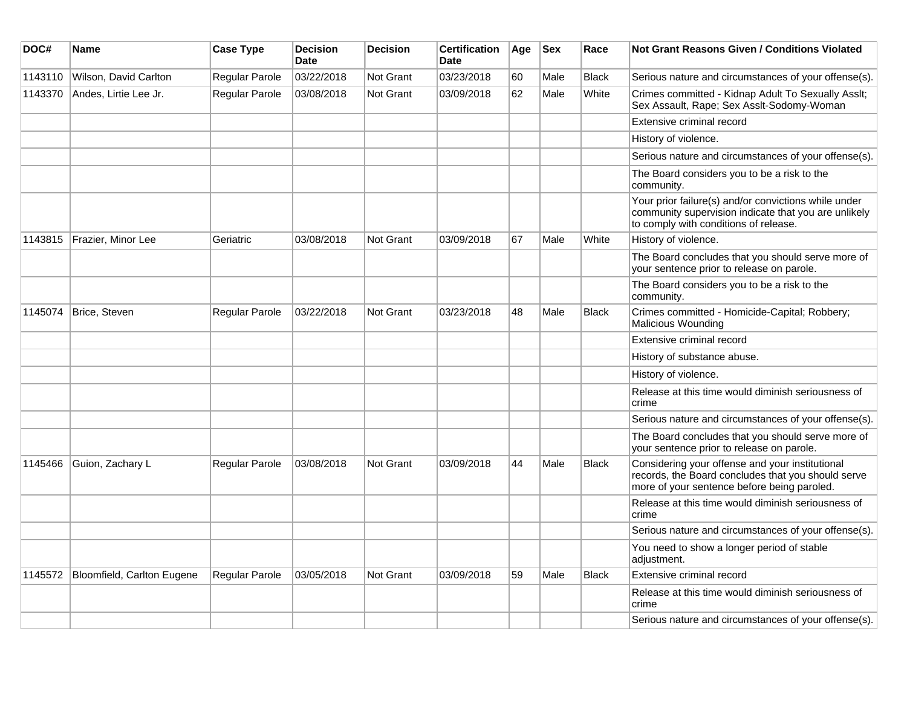| DOC#    | <b>Name</b>                | <b>Case Type</b> | <b>Decision</b><br><b>Date</b> | <b>Decision</b>  | <b>Certification</b><br>Date | Age | <b>Sex</b> | Race         | Not Grant Reasons Given / Conditions Violated                                                                                                         |
|---------|----------------------------|------------------|--------------------------------|------------------|------------------------------|-----|------------|--------------|-------------------------------------------------------------------------------------------------------------------------------------------------------|
| 1143110 | Wilson, David Carlton      | Regular Parole   | 03/22/2018                     | Not Grant        | 03/23/2018                   | 60  | Male       | <b>Black</b> | Serious nature and circumstances of your offense(s).                                                                                                  |
| 1143370 | Andes, Lirtie Lee Jr.      | Regular Parole   | 03/08/2018                     | Not Grant        | 03/09/2018                   | 62  | Male       | White        | Crimes committed - Kidnap Adult To Sexually Asslt;<br>Sex Assault, Rape; Sex Asslt-Sodomy-Woman                                                       |
|         |                            |                  |                                |                  |                              |     |            |              | Extensive criminal record                                                                                                                             |
|         |                            |                  |                                |                  |                              |     |            |              | History of violence.                                                                                                                                  |
|         |                            |                  |                                |                  |                              |     |            |              | Serious nature and circumstances of your offense(s).                                                                                                  |
|         |                            |                  |                                |                  |                              |     |            |              | The Board considers you to be a risk to the<br>community.                                                                                             |
|         |                            |                  |                                |                  |                              |     |            |              | Your prior failure(s) and/or convictions while under<br>community supervision indicate that you are unlikely<br>to comply with conditions of release. |
| 1143815 | Frazier, Minor Lee         | Geriatric        | 03/08/2018                     | Not Grant        | 03/09/2018                   | 67  | Male       | White        | History of violence.                                                                                                                                  |
|         |                            |                  |                                |                  |                              |     |            |              | The Board concludes that you should serve more of<br>your sentence prior to release on parole.                                                        |
|         |                            |                  |                                |                  |                              |     |            |              | The Board considers you to be a risk to the<br>community.                                                                                             |
| 1145074 | Brice, Steven              | Regular Parole   | 03/22/2018                     | Not Grant        | 03/23/2018                   | 48  | Male       | <b>Black</b> | Crimes committed - Homicide-Capital; Robbery;<br>Malicious Wounding                                                                                   |
|         |                            |                  |                                |                  |                              |     |            |              | Extensive criminal record                                                                                                                             |
|         |                            |                  |                                |                  |                              |     |            |              | History of substance abuse.                                                                                                                           |
|         |                            |                  |                                |                  |                              |     |            |              | History of violence.                                                                                                                                  |
|         |                            |                  |                                |                  |                              |     |            |              | Release at this time would diminish seriousness of<br>crime                                                                                           |
|         |                            |                  |                                |                  |                              |     |            |              | Serious nature and circumstances of your offense(s).                                                                                                  |
|         |                            |                  |                                |                  |                              |     |            |              | The Board concludes that you should serve more of<br>your sentence prior to release on parole.                                                        |
| 1145466 | Guion, Zachary L           | Regular Parole   | 03/08/2018                     | Not Grant        | 03/09/2018                   | 44  | Male       | <b>Black</b> | Considering your offense and your institutional<br>records, the Board concludes that you should serve<br>more of your sentence before being paroled.  |
|         |                            |                  |                                |                  |                              |     |            |              | Release at this time would diminish seriousness of<br>crime                                                                                           |
|         |                            |                  |                                |                  |                              |     |            |              | Serious nature and circumstances of your offense(s).                                                                                                  |
|         |                            |                  |                                |                  |                              |     |            |              | You need to show a longer period of stable<br>adjustment.                                                                                             |
| 1145572 | Bloomfield, Carlton Eugene | Regular Parole   | 03/05/2018                     | <b>Not Grant</b> | 03/09/2018                   | 59  | Male       | <b>Black</b> | Extensive criminal record                                                                                                                             |
|         |                            |                  |                                |                  |                              |     |            |              | Release at this time would diminish seriousness of<br>crime                                                                                           |
|         |                            |                  |                                |                  |                              |     |            |              | Serious nature and circumstances of your offense(s).                                                                                                  |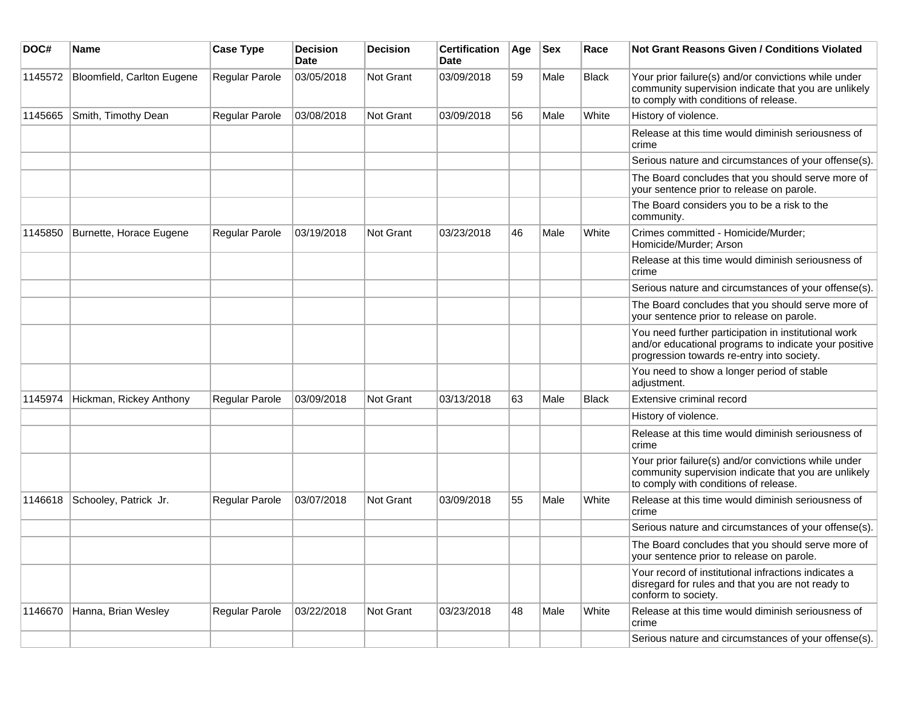| DOC#    | Name                       | <b>Case Type</b> | <b>Decision</b><br><b>Date</b> | <b>Decision</b>  | <b>Certification</b><br>Date | Age | <b>Sex</b> | Race         | Not Grant Reasons Given / Conditions Violated                                                                                                               |
|---------|----------------------------|------------------|--------------------------------|------------------|------------------------------|-----|------------|--------------|-------------------------------------------------------------------------------------------------------------------------------------------------------------|
| 1145572 | Bloomfield, Carlton Eugene | Regular Parole   | 03/05/2018                     | Not Grant        | 03/09/2018                   | 59  | Male       | <b>Black</b> | Your prior failure(s) and/or convictions while under<br>community supervision indicate that you are unlikely<br>to comply with conditions of release.       |
| 1145665 | Smith, Timothy Dean        | Regular Parole   | 03/08/2018                     | Not Grant        | 03/09/2018                   | 56  | Male       | White        | History of violence.                                                                                                                                        |
|         |                            |                  |                                |                  |                              |     |            |              | Release at this time would diminish seriousness of<br>crime                                                                                                 |
|         |                            |                  |                                |                  |                              |     |            |              | Serious nature and circumstances of your offense(s).                                                                                                        |
|         |                            |                  |                                |                  |                              |     |            |              | The Board concludes that you should serve more of<br>your sentence prior to release on parole.                                                              |
|         |                            |                  |                                |                  |                              |     |            |              | The Board considers you to be a risk to the<br>community.                                                                                                   |
| 1145850 | Burnette, Horace Eugene    | Regular Parole   | 03/19/2018                     | <b>Not Grant</b> | 03/23/2018                   | 46  | Male       | White        | Crimes committed - Homicide/Murder;<br>Homicide/Murder; Arson                                                                                               |
|         |                            |                  |                                |                  |                              |     |            |              | Release at this time would diminish seriousness of<br>crime                                                                                                 |
|         |                            |                  |                                |                  |                              |     |            |              | Serious nature and circumstances of your offense(s).                                                                                                        |
|         |                            |                  |                                |                  |                              |     |            |              | The Board concludes that you should serve more of<br>your sentence prior to release on parole.                                                              |
|         |                            |                  |                                |                  |                              |     |            |              | You need further participation in institutional work<br>and/or educational programs to indicate your positive<br>progression towards re-entry into society. |
|         |                            |                  |                                |                  |                              |     |            |              | You need to show a longer period of stable<br>adjustment.                                                                                                   |
| 1145974 | Hickman, Rickey Anthony    | Regular Parole   | 03/09/2018                     | Not Grant        | 03/13/2018                   | 63  | Male       | <b>Black</b> | Extensive criminal record                                                                                                                                   |
|         |                            |                  |                                |                  |                              |     |            |              | History of violence.                                                                                                                                        |
|         |                            |                  |                                |                  |                              |     |            |              | Release at this time would diminish seriousness of<br>crime                                                                                                 |
|         |                            |                  |                                |                  |                              |     |            |              | Your prior failure(s) and/or convictions while under<br>community supervision indicate that you are unlikely<br>to comply with conditions of release.       |
| 1146618 | Schooley, Patrick Jr.      | Regular Parole   | 03/07/2018                     | <b>Not Grant</b> | 03/09/2018                   | 55  | Male       | White        | Release at this time would diminish seriousness of<br>crime                                                                                                 |
|         |                            |                  |                                |                  |                              |     |            |              | Serious nature and circumstances of your offense(s).                                                                                                        |
|         |                            |                  |                                |                  |                              |     |            |              | The Board concludes that you should serve more of<br>your sentence prior to release on parole.                                                              |
|         |                            |                  |                                |                  |                              |     |            |              | Your record of institutional infractions indicates a<br>disregard for rules and that you are not ready to<br>conform to society.                            |
| 1146670 | Hanna, Brian Wesley        | Regular Parole   | 03/22/2018                     | Not Grant        | 03/23/2018                   | 48  | Male       | White        | Release at this time would diminish seriousness of<br>crime                                                                                                 |
|         |                            |                  |                                |                  |                              |     |            |              | Serious nature and circumstances of your offense(s).                                                                                                        |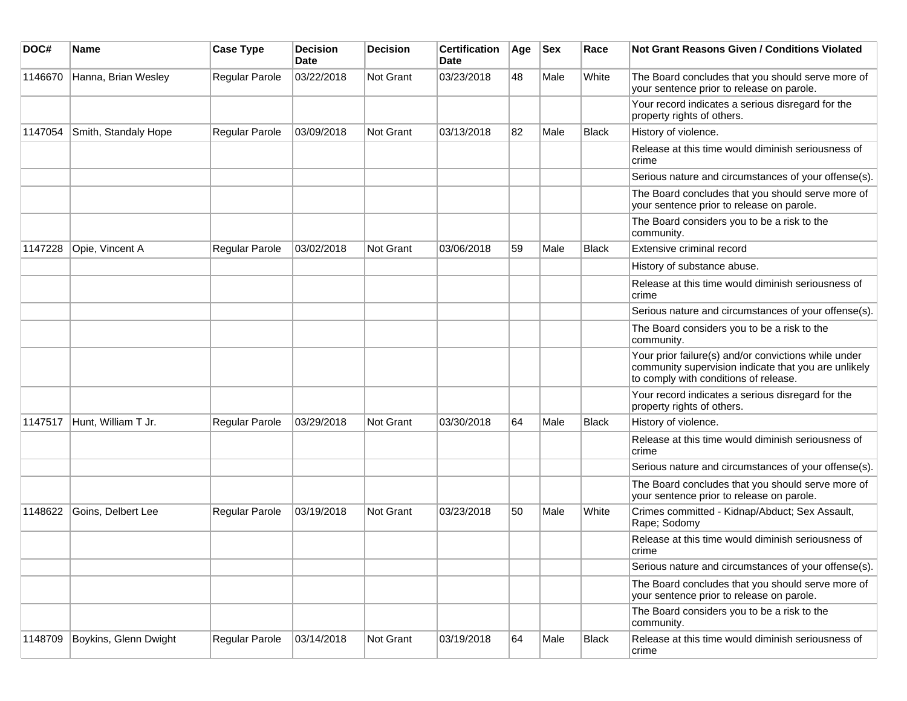| DOC#    | Name                  | <b>Case Type</b> | <b>Decision</b><br>Date | <b>Decision</b> | <b>Certification</b><br>Date | Age | <b>Sex</b> | Race         | <b>Not Grant Reasons Given / Conditions Violated</b>                                                                                                  |
|---------|-----------------------|------------------|-------------------------|-----------------|------------------------------|-----|------------|--------------|-------------------------------------------------------------------------------------------------------------------------------------------------------|
| 1146670 | Hanna, Brian Wesley   | Regular Parole   | 03/22/2018              | Not Grant       | 03/23/2018                   | 48  | Male       | White        | The Board concludes that you should serve more of<br>your sentence prior to release on parole.                                                        |
|         |                       |                  |                         |                 |                              |     |            |              | Your record indicates a serious disregard for the<br>property rights of others.                                                                       |
| 1147054 | Smith, Standaly Hope  | Regular Parole   | 03/09/2018              | Not Grant       | 03/13/2018                   | 82  | Male       | <b>Black</b> | History of violence.                                                                                                                                  |
|         |                       |                  |                         |                 |                              |     |            |              | Release at this time would diminish seriousness of<br>crime                                                                                           |
|         |                       |                  |                         |                 |                              |     |            |              | Serious nature and circumstances of your offense(s).                                                                                                  |
|         |                       |                  |                         |                 |                              |     |            |              | The Board concludes that you should serve more of<br>your sentence prior to release on parole.                                                        |
|         |                       |                  |                         |                 |                              |     |            |              | The Board considers you to be a risk to the<br>community.                                                                                             |
| 1147228 | Opie, Vincent A       | Regular Parole   | 03/02/2018              | Not Grant       | 03/06/2018                   | 59  | Male       | <b>Black</b> | Extensive criminal record                                                                                                                             |
|         |                       |                  |                         |                 |                              |     |            |              | History of substance abuse.                                                                                                                           |
|         |                       |                  |                         |                 |                              |     |            |              | Release at this time would diminish seriousness of<br>crime                                                                                           |
|         |                       |                  |                         |                 |                              |     |            |              | Serious nature and circumstances of your offense(s).                                                                                                  |
|         |                       |                  |                         |                 |                              |     |            |              | The Board considers you to be a risk to the<br>community.                                                                                             |
|         |                       |                  |                         |                 |                              |     |            |              | Your prior failure(s) and/or convictions while under<br>community supervision indicate that you are unlikely<br>to comply with conditions of release. |
|         |                       |                  |                         |                 |                              |     |            |              | Your record indicates a serious disregard for the<br>property rights of others.                                                                       |
| 1147517 | Hunt, William T Jr.   | Regular Parole   | 03/29/2018              | Not Grant       | 03/30/2018                   | 64  | Male       | <b>Black</b> | History of violence.                                                                                                                                  |
|         |                       |                  |                         |                 |                              |     |            |              | Release at this time would diminish seriousness of<br>crime                                                                                           |
|         |                       |                  |                         |                 |                              |     |            |              | Serious nature and circumstances of your offense(s).                                                                                                  |
|         |                       |                  |                         |                 |                              |     |            |              | The Board concludes that you should serve more of<br>your sentence prior to release on parole.                                                        |
| 1148622 | Goins, Delbert Lee    | Regular Parole   | 03/19/2018              | Not Grant       | 03/23/2018                   | 50  | Male       | White        | Crimes committed - Kidnap/Abduct; Sex Assault,<br>Rape; Sodomy                                                                                        |
|         |                       |                  |                         |                 |                              |     |            |              | Release at this time would diminish seriousness of<br>crime                                                                                           |
|         |                       |                  |                         |                 |                              |     |            |              | Serious nature and circumstances of your offense(s).                                                                                                  |
|         |                       |                  |                         |                 |                              |     |            |              | The Board concludes that you should serve more of<br>your sentence prior to release on parole.                                                        |
|         |                       |                  |                         |                 |                              |     |            |              | The Board considers you to be a risk to the<br>community.                                                                                             |
| 1148709 | Boykins, Glenn Dwight | Regular Parole   | 03/14/2018              | Not Grant       | 03/19/2018                   | 64  | Male       | Black        | Release at this time would diminish seriousness of<br>crime                                                                                           |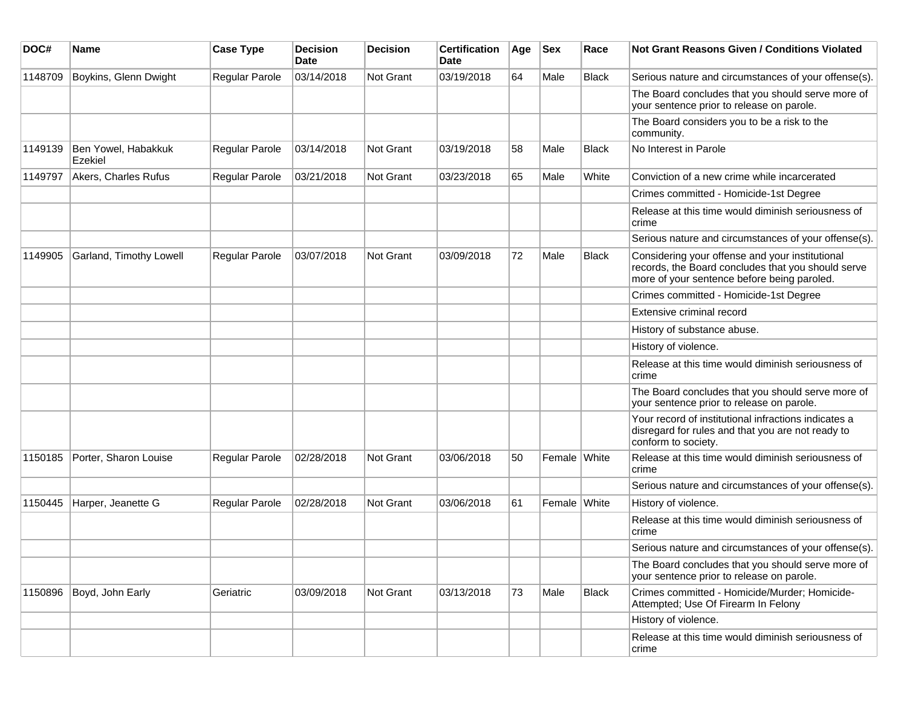| DOC#    | <b>Name</b>                    | <b>Case Type</b>      | <b>Decision</b><br><b>Date</b> | <b>Decision</b> | <b>Certification</b><br>Date | Age | <b>Sex</b>   | Race         | <b>Not Grant Reasons Given / Conditions Violated</b>                                                                                                 |
|---------|--------------------------------|-----------------------|--------------------------------|-----------------|------------------------------|-----|--------------|--------------|------------------------------------------------------------------------------------------------------------------------------------------------------|
| 1148709 | Boykins, Glenn Dwight          | Regular Parole        | 03/14/2018                     | Not Grant       | 03/19/2018                   | 64  | Male         | Black        | Serious nature and circumstances of your offense(s).                                                                                                 |
|         |                                |                       |                                |                 |                              |     |              |              | The Board concludes that you should serve more of<br>your sentence prior to release on parole.                                                       |
|         |                                |                       |                                |                 |                              |     |              |              | The Board considers you to be a risk to the<br>community.                                                                                            |
| 1149139 | Ben Yowel, Habakkuk<br>Ezekiel | Regular Parole        | 03/14/2018                     | Not Grant       | 03/19/2018                   | 58  | Male         | <b>Black</b> | No Interest in Parole                                                                                                                                |
| 1149797 | Akers, Charles Rufus           | Regular Parole        | 03/21/2018                     | Not Grant       | 03/23/2018                   | 65  | Male         | White        | Conviction of a new crime while incarcerated                                                                                                         |
|         |                                |                       |                                |                 |                              |     |              |              | Crimes committed - Homicide-1st Degree                                                                                                               |
|         |                                |                       |                                |                 |                              |     |              |              | Release at this time would diminish seriousness of<br>crime                                                                                          |
|         |                                |                       |                                |                 |                              |     |              |              | Serious nature and circumstances of your offense(s).                                                                                                 |
| 1149905 | Garland, Timothy Lowell        | <b>Regular Parole</b> | 03/07/2018                     | Not Grant       | 03/09/2018                   | 72  | Male         | <b>Black</b> | Considering your offense and your institutional<br>records, the Board concludes that you should serve<br>more of your sentence before being paroled. |
|         |                                |                       |                                |                 |                              |     |              |              | Crimes committed - Homicide-1st Degree                                                                                                               |
|         |                                |                       |                                |                 |                              |     |              |              | Extensive criminal record                                                                                                                            |
|         |                                |                       |                                |                 |                              |     |              |              | History of substance abuse.                                                                                                                          |
|         |                                |                       |                                |                 |                              |     |              |              | History of violence.                                                                                                                                 |
|         |                                |                       |                                |                 |                              |     |              |              | Release at this time would diminish seriousness of<br>crime                                                                                          |
|         |                                |                       |                                |                 |                              |     |              |              | The Board concludes that you should serve more of<br>your sentence prior to release on parole.                                                       |
|         |                                |                       |                                |                 |                              |     |              |              | Your record of institutional infractions indicates a<br>disregard for rules and that you are not ready to<br>conform to society.                     |
| 1150185 | Porter, Sharon Louise          | Regular Parole        | 02/28/2018                     | Not Grant       | 03/06/2018                   | 50  | Female White |              | Release at this time would diminish seriousness of<br>crime                                                                                          |
|         |                                |                       |                                |                 |                              |     |              |              | Serious nature and circumstances of your offense(s).                                                                                                 |
| 1150445 | Harper, Jeanette G             | Regular Parole        | 02/28/2018                     | Not Grant       | 03/06/2018                   | 61  | Female White |              | History of violence.                                                                                                                                 |
|         |                                |                       |                                |                 |                              |     |              |              | Release at this time would diminish seriousness of<br>crime                                                                                          |
|         |                                |                       |                                |                 |                              |     |              |              | Serious nature and circumstances of your offense(s).                                                                                                 |
|         |                                |                       |                                |                 |                              |     |              |              | The Board concludes that you should serve more of<br>your sentence prior to release on parole.                                                       |
| 1150896 | Boyd, John Early               | Geriatric             | 03/09/2018                     | Not Grant       | 03/13/2018                   | 73  | Male         | Black        | Crimes committed - Homicide/Murder; Homicide-<br>Attempted; Use Of Firearm In Felony                                                                 |
|         |                                |                       |                                |                 |                              |     |              |              | History of violence.                                                                                                                                 |
|         |                                |                       |                                |                 |                              |     |              |              | Release at this time would diminish seriousness of<br>crime                                                                                          |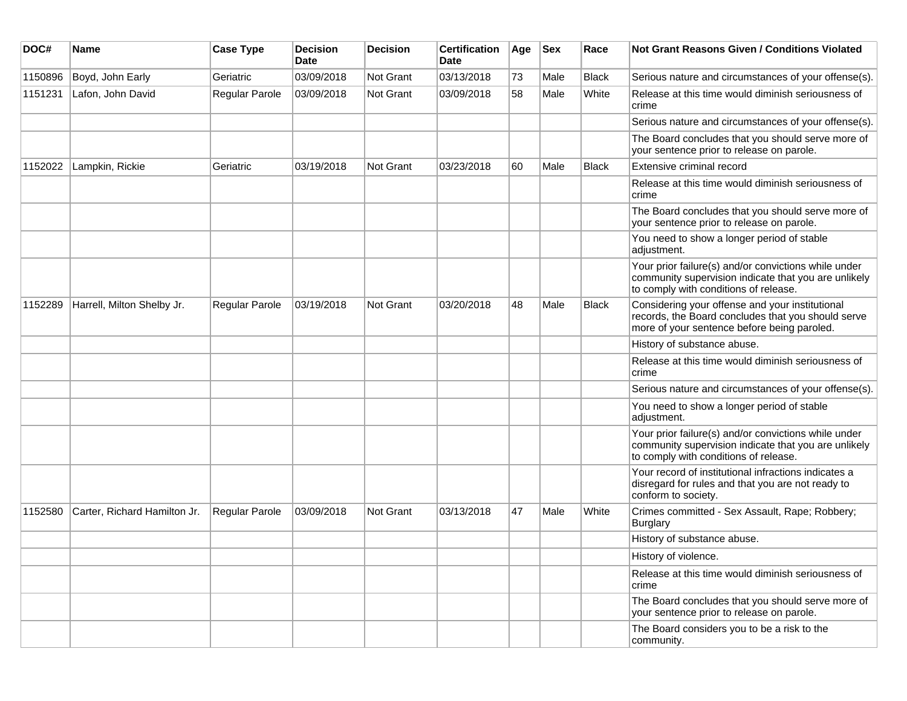| DOC#    | Name                         | <b>Case Type</b>      | <b>Decision</b><br>Date | <b>Decision</b>  | <b>Certification</b><br>Date | Age | <b>Sex</b> | Race         | Not Grant Reasons Given / Conditions Violated                                                                                                         |
|---------|------------------------------|-----------------------|-------------------------|------------------|------------------------------|-----|------------|--------------|-------------------------------------------------------------------------------------------------------------------------------------------------------|
| 1150896 | Boyd, John Early             | Geriatric             | 03/09/2018              | Not Grant        | 03/13/2018                   | 73  | Male       | <b>Black</b> | Serious nature and circumstances of your offense(s).                                                                                                  |
| 1151231 | Lafon, John David            | Regular Parole        | 03/09/2018              | <b>Not Grant</b> | 03/09/2018                   | 58  | Male       | White        | Release at this time would diminish seriousness of<br>crime                                                                                           |
|         |                              |                       |                         |                  |                              |     |            |              | Serious nature and circumstances of your offense(s).                                                                                                  |
|         |                              |                       |                         |                  |                              |     |            |              | The Board concludes that you should serve more of<br>your sentence prior to release on parole.                                                        |
| 1152022 | Lampkin, Rickie              | Geriatric             | 03/19/2018              | Not Grant        | 03/23/2018                   | 60  | Male       | <b>Black</b> | Extensive criminal record                                                                                                                             |
|         |                              |                       |                         |                  |                              |     |            |              | Release at this time would diminish seriousness of<br>crime                                                                                           |
|         |                              |                       |                         |                  |                              |     |            |              | The Board concludes that you should serve more of<br>your sentence prior to release on parole.                                                        |
|         |                              |                       |                         |                  |                              |     |            |              | You need to show a longer period of stable<br>adjustment.                                                                                             |
|         |                              |                       |                         |                  |                              |     |            |              | Your prior failure(s) and/or convictions while under<br>community supervision indicate that you are unlikely<br>to comply with conditions of release. |
| 1152289 | Harrell, Milton Shelby Jr.   | <b>Regular Parole</b> | 03/19/2018              | Not Grant        | 03/20/2018                   | 48  | Male       | <b>Black</b> | Considering your offense and your institutional<br>records, the Board concludes that you should serve<br>more of your sentence before being paroled.  |
|         |                              |                       |                         |                  |                              |     |            |              | History of substance abuse.                                                                                                                           |
|         |                              |                       |                         |                  |                              |     |            |              | Release at this time would diminish seriousness of<br>crime                                                                                           |
|         |                              |                       |                         |                  |                              |     |            |              | Serious nature and circumstances of your offense(s).                                                                                                  |
|         |                              |                       |                         |                  |                              |     |            |              | You need to show a longer period of stable<br>adjustment.                                                                                             |
|         |                              |                       |                         |                  |                              |     |            |              | Your prior failure(s) and/or convictions while under<br>community supervision indicate that you are unlikely<br>to comply with conditions of release. |
|         |                              |                       |                         |                  |                              |     |            |              | Your record of institutional infractions indicates a<br>disregard for rules and that you are not ready to<br>conform to society.                      |
| 1152580 | Carter, Richard Hamilton Jr. | Regular Parole        | 03/09/2018              | Not Grant        | 03/13/2018                   | 47  | Male       | White        | Crimes committed - Sex Assault, Rape; Robbery;<br>Burglary                                                                                            |
|         |                              |                       |                         |                  |                              |     |            |              | History of substance abuse.                                                                                                                           |
|         |                              |                       |                         |                  |                              |     |            |              | History of violence.                                                                                                                                  |
|         |                              |                       |                         |                  |                              |     |            |              | Release at this time would diminish seriousness of<br>crime                                                                                           |
|         |                              |                       |                         |                  |                              |     |            |              | The Board concludes that you should serve more of<br>your sentence prior to release on parole.                                                        |
|         |                              |                       |                         |                  |                              |     |            |              | The Board considers you to be a risk to the<br>community.                                                                                             |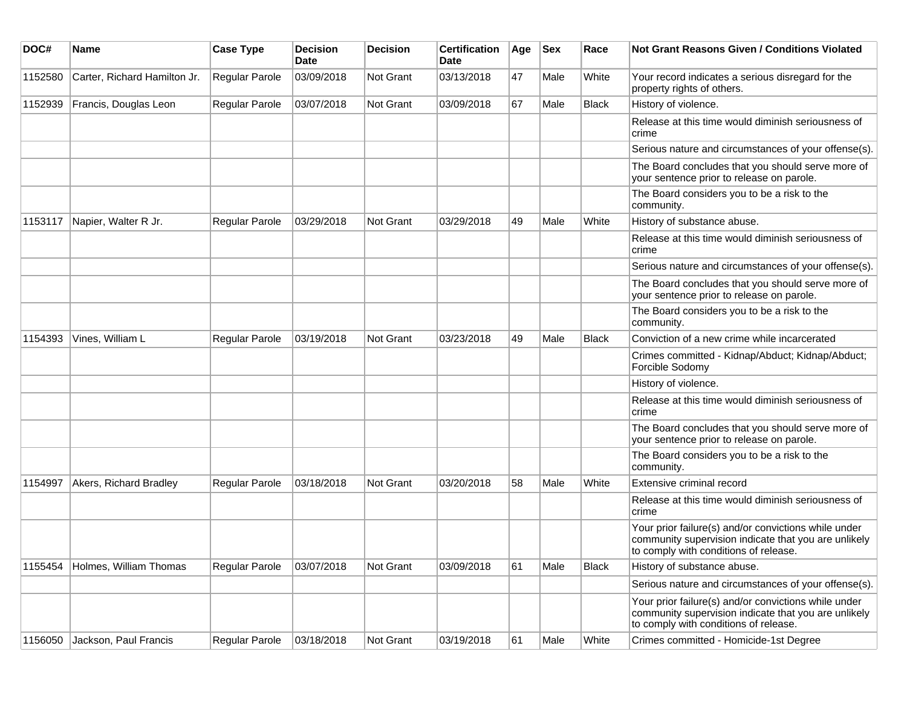| DOC#    | Name                         | <b>Case Type</b>      | <b>Decision</b><br>Date | <b>Decision</b> | <b>Certification</b><br>Date | Age | <b>Sex</b> | Race         | Not Grant Reasons Given / Conditions Violated                                                                                                         |
|---------|------------------------------|-----------------------|-------------------------|-----------------|------------------------------|-----|------------|--------------|-------------------------------------------------------------------------------------------------------------------------------------------------------|
| 1152580 | Carter, Richard Hamilton Jr. | Regular Parole        | 03/09/2018              | Not Grant       | 03/13/2018                   | 47  | Male       | White        | Your record indicates a serious disregard for the<br>property rights of others.                                                                       |
| 1152939 | Francis, Douglas Leon        | Regular Parole        | 03/07/2018              | Not Grant       | 03/09/2018                   | 67  | Male       | <b>Black</b> | History of violence.                                                                                                                                  |
|         |                              |                       |                         |                 |                              |     |            |              | Release at this time would diminish seriousness of<br>crime                                                                                           |
|         |                              |                       |                         |                 |                              |     |            |              | Serious nature and circumstances of your offense(s).                                                                                                  |
|         |                              |                       |                         |                 |                              |     |            |              | The Board concludes that you should serve more of<br>your sentence prior to release on parole.                                                        |
|         |                              |                       |                         |                 |                              |     |            |              | The Board considers you to be a risk to the<br>community.                                                                                             |
| 1153117 | Napier, Walter R Jr.         | Regular Parole        | 03/29/2018              | Not Grant       | 03/29/2018                   | 49  | Male       | White        | History of substance abuse.                                                                                                                           |
|         |                              |                       |                         |                 |                              |     |            |              | Release at this time would diminish seriousness of<br>crime                                                                                           |
|         |                              |                       |                         |                 |                              |     |            |              | Serious nature and circumstances of your offense(s).                                                                                                  |
|         |                              |                       |                         |                 |                              |     |            |              | The Board concludes that you should serve more of<br>your sentence prior to release on parole.                                                        |
|         |                              |                       |                         |                 |                              |     |            |              | The Board considers you to be a risk to the<br>community.                                                                                             |
| 1154393 | Vines, William L             | Regular Parole        | 03/19/2018              | Not Grant       | 03/23/2018                   | 49  | Male       | <b>Black</b> | Conviction of a new crime while incarcerated                                                                                                          |
|         |                              |                       |                         |                 |                              |     |            |              | Crimes committed - Kidnap/Abduct; Kidnap/Abduct;<br>Forcible Sodomy                                                                                   |
|         |                              |                       |                         |                 |                              |     |            |              | History of violence.                                                                                                                                  |
|         |                              |                       |                         |                 |                              |     |            |              | Release at this time would diminish seriousness of<br>crime                                                                                           |
|         |                              |                       |                         |                 |                              |     |            |              | The Board concludes that you should serve more of<br>your sentence prior to release on parole.                                                        |
|         |                              |                       |                         |                 |                              |     |            |              | The Board considers you to be a risk to the<br>community.                                                                                             |
| 1154997 | Akers, Richard Bradley       | Regular Parole        | 03/18/2018              | Not Grant       | 03/20/2018                   | 58  | Male       | White        | Extensive criminal record                                                                                                                             |
|         |                              |                       |                         |                 |                              |     |            |              | Release at this time would diminish seriousness of<br>crime                                                                                           |
|         |                              |                       |                         |                 |                              |     |            |              | Your prior failure(s) and/or convictions while under<br>community supervision indicate that you are unlikely<br>to comply with conditions of release. |
| 1155454 | Holmes, William Thomas       | <b>Regular Parole</b> | 03/07/2018              | Not Grant       | 03/09/2018                   | 61  | Male       | <b>Black</b> | History of substance abuse.                                                                                                                           |
|         |                              |                       |                         |                 |                              |     |            |              | Serious nature and circumstances of your offense(s).                                                                                                  |
|         |                              |                       |                         |                 |                              |     |            |              | Your prior failure(s) and/or convictions while under<br>community supervision indicate that you are unlikely<br>to comply with conditions of release. |
| 1156050 | Jackson, Paul Francis        | Regular Parole        | 03/18/2018              | Not Grant       | 03/19/2018                   | 61  | Male       | White        | Crimes committed - Homicide-1st Degree                                                                                                                |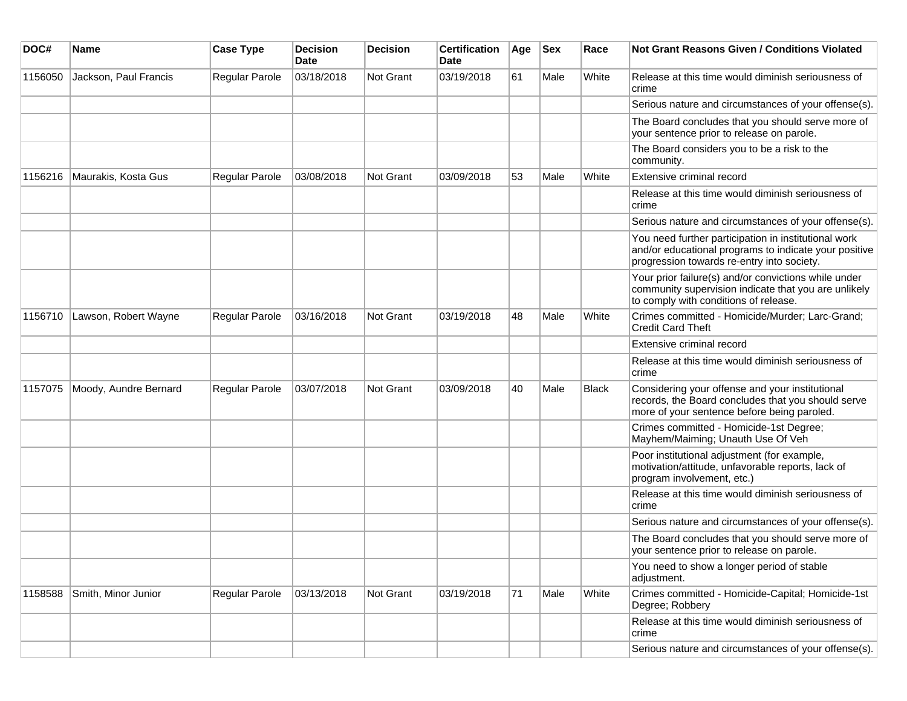| DOC#    | <b>Name</b>           | <b>Case Type</b>      | <b>Decision</b><br><b>Date</b> | <b>Decision</b> | <b>Certification</b><br>Date | Age | <b>Sex</b> | Race         | Not Grant Reasons Given / Conditions Violated                                                                                                               |
|---------|-----------------------|-----------------------|--------------------------------|-----------------|------------------------------|-----|------------|--------------|-------------------------------------------------------------------------------------------------------------------------------------------------------------|
| 1156050 | Jackson, Paul Francis | Regular Parole        | 03/18/2018                     | Not Grant       | 03/19/2018                   | 61  | Male       | White        | Release at this time would diminish seriousness of<br>crime                                                                                                 |
|         |                       |                       |                                |                 |                              |     |            |              | Serious nature and circumstances of your offense(s).                                                                                                        |
|         |                       |                       |                                |                 |                              |     |            |              | The Board concludes that you should serve more of<br>your sentence prior to release on parole.                                                              |
|         |                       |                       |                                |                 |                              |     |            |              | The Board considers you to be a risk to the<br>community.                                                                                                   |
| 1156216 | Maurakis, Kosta Gus   | Regular Parole        | 03/08/2018                     | Not Grant       | 03/09/2018                   | 53  | Male       | White        | Extensive criminal record                                                                                                                                   |
|         |                       |                       |                                |                 |                              |     |            |              | Release at this time would diminish seriousness of<br>crime                                                                                                 |
|         |                       |                       |                                |                 |                              |     |            |              | Serious nature and circumstances of your offense(s).                                                                                                        |
|         |                       |                       |                                |                 |                              |     |            |              | You need further participation in institutional work<br>and/or educational programs to indicate your positive<br>progression towards re-entry into society. |
|         |                       |                       |                                |                 |                              |     |            |              | Your prior failure(s) and/or convictions while under<br>community supervision indicate that you are unlikely<br>to comply with conditions of release.       |
| 1156710 | Lawson, Robert Wayne  | <b>Regular Parole</b> | 03/16/2018                     | Not Grant       | 03/19/2018                   | 48  | Male       | White        | Crimes committed - Homicide/Murder; Larc-Grand;<br><b>Credit Card Theft</b>                                                                                 |
|         |                       |                       |                                |                 |                              |     |            |              | Extensive criminal record                                                                                                                                   |
|         |                       |                       |                                |                 |                              |     |            |              | Release at this time would diminish seriousness of<br>crime                                                                                                 |
| 1157075 | Moody, Aundre Bernard | Regular Parole        | 03/07/2018                     | Not Grant       | 03/09/2018                   | 40  | Male       | <b>Black</b> | Considering your offense and your institutional<br>records, the Board concludes that you should serve<br>more of your sentence before being paroled.        |
|         |                       |                       |                                |                 |                              |     |            |              | Crimes committed - Homicide-1st Degree;<br>Mayhem/Maiming; Unauth Use Of Veh                                                                                |
|         |                       |                       |                                |                 |                              |     |            |              | Poor institutional adjustment (for example,<br>motivation/attitude, unfavorable reports, lack of<br>program involvement, etc.)                              |
|         |                       |                       |                                |                 |                              |     |            |              | Release at this time would diminish seriousness of<br>crime                                                                                                 |
|         |                       |                       |                                |                 |                              |     |            |              | Serious nature and circumstances of your offense(s).                                                                                                        |
|         |                       |                       |                                |                 |                              |     |            |              | The Board concludes that you should serve more of<br>your sentence prior to release on parole.                                                              |
|         |                       |                       |                                |                 |                              |     |            |              | You need to show a longer period of stable<br>adjustment.                                                                                                   |
| 1158588 | Smith, Minor Junior   | Regular Parole        | 03/13/2018                     | Not Grant       | 03/19/2018                   | 71  | Male       | White        | Crimes committed - Homicide-Capital; Homicide-1st<br>Degree; Robbery                                                                                        |
|         |                       |                       |                                |                 |                              |     |            |              | Release at this time would diminish seriousness of<br>crime                                                                                                 |
|         |                       |                       |                                |                 |                              |     |            |              | Serious nature and circumstances of your offense(s).                                                                                                        |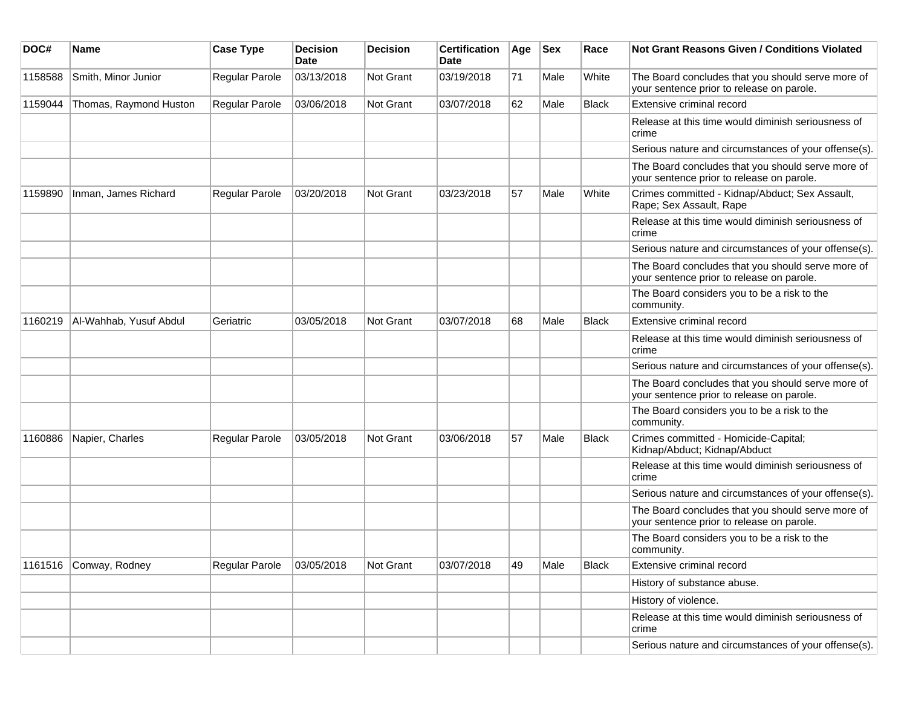| DOC#    | <b>Name</b>            | <b>Case Type</b> | <b>Decision</b><br>Date | <b>Decision</b>  | <b>Certification</b><br>Date | Age | <b>Sex</b> | Race         | Not Grant Reasons Given / Conditions Violated                                                  |
|---------|------------------------|------------------|-------------------------|------------------|------------------------------|-----|------------|--------------|------------------------------------------------------------------------------------------------|
| 1158588 | Smith, Minor Junior    | Regular Parole   | 03/13/2018              | Not Grant        | 03/19/2018                   | 71  | Male       | White        | The Board concludes that you should serve more of<br>your sentence prior to release on parole. |
| 1159044 | Thomas, Raymond Huston | Regular Parole   | 03/06/2018              | <b>Not Grant</b> | 03/07/2018                   | 62  | Male       | <b>Black</b> | Extensive criminal record                                                                      |
|         |                        |                  |                         |                  |                              |     |            |              | Release at this time would diminish seriousness of<br>crime                                    |
|         |                        |                  |                         |                  |                              |     |            |              | Serious nature and circumstances of your offense(s).                                           |
|         |                        |                  |                         |                  |                              |     |            |              | The Board concludes that you should serve more of<br>your sentence prior to release on parole. |
| 1159890 | Inman, James Richard   | Regular Parole   | 03/20/2018              | <b>Not Grant</b> | 03/23/2018                   | 57  | Male       | White        | Crimes committed - Kidnap/Abduct; Sex Assault,<br>Rape; Sex Assault, Rape                      |
|         |                        |                  |                         |                  |                              |     |            |              | Release at this time would diminish seriousness of<br>crime                                    |
|         |                        |                  |                         |                  |                              |     |            |              | Serious nature and circumstances of your offense(s).                                           |
|         |                        |                  |                         |                  |                              |     |            |              | The Board concludes that you should serve more of<br>your sentence prior to release on parole. |
|         |                        |                  |                         |                  |                              |     |            |              | The Board considers you to be a risk to the<br>community.                                      |
| 1160219 | Al-Wahhab, Yusuf Abdul | Geriatric        | 03/05/2018              | <b>Not Grant</b> | 03/07/2018                   | 68  | Male       | <b>Black</b> | Extensive criminal record                                                                      |
|         |                        |                  |                         |                  |                              |     |            |              | Release at this time would diminish seriousness of<br>crime                                    |
|         |                        |                  |                         |                  |                              |     |            |              | Serious nature and circumstances of your offense(s).                                           |
|         |                        |                  |                         |                  |                              |     |            |              | The Board concludes that you should serve more of<br>your sentence prior to release on parole. |
|         |                        |                  |                         |                  |                              |     |            |              | The Board considers you to be a risk to the<br>community.                                      |
| 1160886 | Napier, Charles        | Regular Parole   | 03/05/2018              | <b>Not Grant</b> | 03/06/2018                   | 57  | Male       | <b>Black</b> | Crimes committed - Homicide-Capital;<br>Kidnap/Abduct; Kidnap/Abduct                           |
|         |                        |                  |                         |                  |                              |     |            |              | Release at this time would diminish seriousness of<br>crime                                    |
|         |                        |                  |                         |                  |                              |     |            |              | Serious nature and circumstances of your offense(s).                                           |
|         |                        |                  |                         |                  |                              |     |            |              | The Board concludes that you should serve more of<br>your sentence prior to release on parole. |
|         |                        |                  |                         |                  |                              |     |            |              | The Board considers you to be a risk to the<br>community.                                      |
| 1161516 | Conway, Rodney         | Regular Parole   | 03/05/2018              | Not Grant        | 03/07/2018                   | 49  | Male       | <b>Black</b> | Extensive criminal record                                                                      |
|         |                        |                  |                         |                  |                              |     |            |              | History of substance abuse.                                                                    |
|         |                        |                  |                         |                  |                              |     |            |              | History of violence.                                                                           |
|         |                        |                  |                         |                  |                              |     |            |              | Release at this time would diminish seriousness of<br>crime                                    |
|         |                        |                  |                         |                  |                              |     |            |              | Serious nature and circumstances of your offense(s).                                           |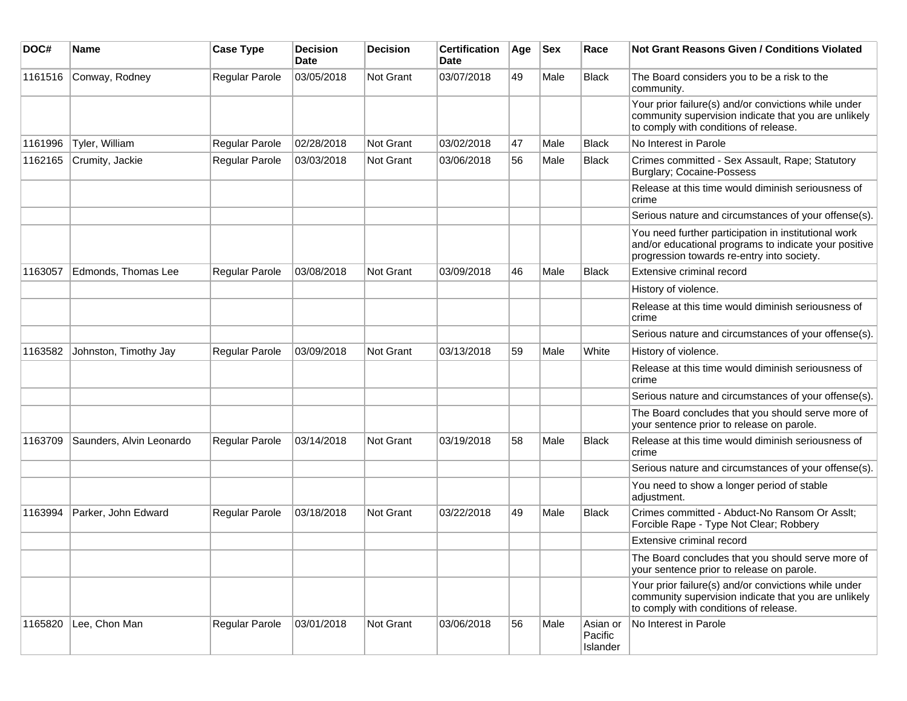| DOC#    | <b>Name</b>              | <b>Case Type</b> | <b>Decision</b><br>Date | <b>Decision</b> | <b>Certification</b><br>Date | Age | <b>Sex</b> | Race                            | Not Grant Reasons Given / Conditions Violated                                                                                                               |
|---------|--------------------------|------------------|-------------------------|-----------------|------------------------------|-----|------------|---------------------------------|-------------------------------------------------------------------------------------------------------------------------------------------------------------|
| 1161516 | Conway, Rodney           | Regular Parole   | 03/05/2018              | Not Grant       | 03/07/2018                   | 49  | Male       | <b>Black</b>                    | The Board considers you to be a risk to the<br>community.                                                                                                   |
|         |                          |                  |                         |                 |                              |     |            |                                 | Your prior failure(s) and/or convictions while under<br>community supervision indicate that you are unlikely<br>to comply with conditions of release.       |
| 1161996 | Tyler, William           | Regular Parole   | 02/28/2018              | Not Grant       | 03/02/2018                   | 47  | Male       | <b>Black</b>                    | No Interest in Parole                                                                                                                                       |
| 1162165 | Crumity, Jackie          | Regular Parole   | 03/03/2018              | Not Grant       | 03/06/2018                   | 56  | Male       | Black                           | Crimes committed - Sex Assault, Rape; Statutory<br><b>Burglary; Cocaine-Possess</b>                                                                         |
|         |                          |                  |                         |                 |                              |     |            |                                 | Release at this time would diminish seriousness of<br>crime                                                                                                 |
|         |                          |                  |                         |                 |                              |     |            |                                 | Serious nature and circumstances of your offense(s).                                                                                                        |
|         |                          |                  |                         |                 |                              |     |            |                                 | You need further participation in institutional work<br>and/or educational programs to indicate your positive<br>progression towards re-entry into society. |
| 1163057 | Edmonds, Thomas Lee      | Regular Parole   | 03/08/2018              | Not Grant       | 03/09/2018                   | 46  | Male       | Black                           | Extensive criminal record                                                                                                                                   |
|         |                          |                  |                         |                 |                              |     |            |                                 | History of violence.                                                                                                                                        |
|         |                          |                  |                         |                 |                              |     |            |                                 | Release at this time would diminish seriousness of<br>crime                                                                                                 |
|         |                          |                  |                         |                 |                              |     |            |                                 | Serious nature and circumstances of your offense(s).                                                                                                        |
| 1163582 | Johnston, Timothy Jay    | Regular Parole   | 03/09/2018              | Not Grant       | 03/13/2018                   | 59  | Male       | White                           | History of violence.                                                                                                                                        |
|         |                          |                  |                         |                 |                              |     |            |                                 | Release at this time would diminish seriousness of<br>crime                                                                                                 |
|         |                          |                  |                         |                 |                              |     |            |                                 | Serious nature and circumstances of your offense(s).                                                                                                        |
|         |                          |                  |                         |                 |                              |     |            |                                 | The Board concludes that you should serve more of<br>your sentence prior to release on parole.                                                              |
| 1163709 | Saunders, Alvin Leonardo | Regular Parole   | 03/14/2018              | Not Grant       | 03/19/2018                   | 58  | Male       | Black                           | Release at this time would diminish seriousness of<br>crime                                                                                                 |
|         |                          |                  |                         |                 |                              |     |            |                                 | Serious nature and circumstances of your offense(s).                                                                                                        |
|         |                          |                  |                         |                 |                              |     |            |                                 | You need to show a longer period of stable<br>adjustment.                                                                                                   |
| 1163994 | Parker, John Edward      | Regular Parole   | 03/18/2018              | Not Grant       | 03/22/2018                   | 49  | Male       | <b>Black</b>                    | Crimes committed - Abduct-No Ransom Or Asslt;<br>Forcible Rape - Type Not Clear; Robbery                                                                    |
|         |                          |                  |                         |                 |                              |     |            |                                 | Extensive criminal record                                                                                                                                   |
|         |                          |                  |                         |                 |                              |     |            |                                 | The Board concludes that you should serve more of<br>your sentence prior to release on parole.                                                              |
|         |                          |                  |                         |                 |                              |     |            |                                 | Your prior failure(s) and/or convictions while under<br>community supervision indicate that you are unlikely<br>to comply with conditions of release.       |
| 1165820 | Lee, Chon Man            | Regular Parole   | 03/01/2018              | Not Grant       | 03/06/2018                   | 56  | Male       | Asian or<br>Pacific<br>Islander | No Interest in Parole                                                                                                                                       |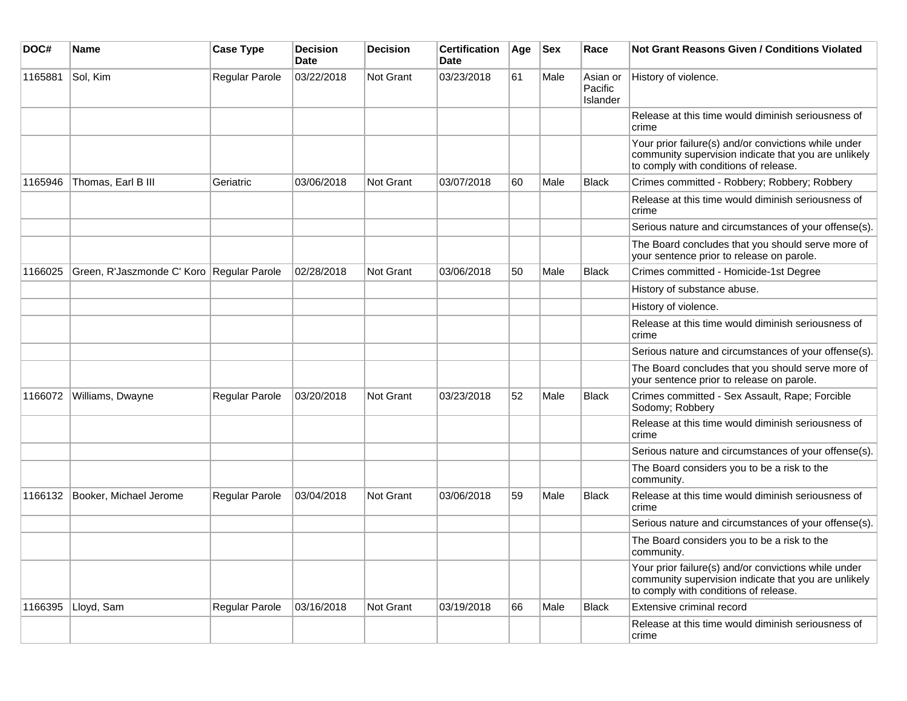| DOC#    | <b>Name</b>                               | <b>Case Type</b> | <b>Decision</b><br><b>Date</b> | <b>Decision</b> | <b>Certification</b><br>Date | Age | <b>Sex</b> | Race                            | <b>Not Grant Reasons Given / Conditions Violated</b>                                                                                                  |
|---------|-------------------------------------------|------------------|--------------------------------|-----------------|------------------------------|-----|------------|---------------------------------|-------------------------------------------------------------------------------------------------------------------------------------------------------|
| 1165881 | Sol, Kim                                  | Regular Parole   | 03/22/2018                     | Not Grant       | 03/23/2018                   | 61  | Male       | Asian or<br>Pacific<br>Islander | History of violence.                                                                                                                                  |
|         |                                           |                  |                                |                 |                              |     |            |                                 | Release at this time would diminish seriousness of<br>crime                                                                                           |
|         |                                           |                  |                                |                 |                              |     |            |                                 | Your prior failure(s) and/or convictions while under<br>community supervision indicate that you are unlikely<br>to comply with conditions of release. |
| 1165946 | Thomas, Earl B III                        | Geriatric        | 03/06/2018                     | Not Grant       | 03/07/2018                   | 60  | Male       | <b>Black</b>                    | Crimes committed - Robbery; Robbery; Robbery                                                                                                          |
|         |                                           |                  |                                |                 |                              |     |            |                                 | Release at this time would diminish seriousness of<br>crime                                                                                           |
|         |                                           |                  |                                |                 |                              |     |            |                                 | Serious nature and circumstances of your offense(s).                                                                                                  |
|         |                                           |                  |                                |                 |                              |     |            |                                 | The Board concludes that you should serve more of<br>your sentence prior to release on parole.                                                        |
| 1166025 | Green, R'Jaszmonde C' Koro Regular Parole |                  | 02/28/2018                     | Not Grant       | 03/06/2018                   | 50  | Male       | <b>Black</b>                    | Crimes committed - Homicide-1st Degree                                                                                                                |
|         |                                           |                  |                                |                 |                              |     |            |                                 | History of substance abuse.                                                                                                                           |
|         |                                           |                  |                                |                 |                              |     |            |                                 | History of violence.                                                                                                                                  |
|         |                                           |                  |                                |                 |                              |     |            |                                 | Release at this time would diminish seriousness of<br>crime                                                                                           |
|         |                                           |                  |                                |                 |                              |     |            |                                 | Serious nature and circumstances of your offense(s).                                                                                                  |
|         |                                           |                  |                                |                 |                              |     |            |                                 | The Board concludes that you should serve more of<br>your sentence prior to release on parole.                                                        |
| 1166072 | Williams, Dwayne                          | Regular Parole   | 03/20/2018                     | Not Grant       | 03/23/2018                   | 52  | Male       | Black                           | Crimes committed - Sex Assault, Rape; Forcible<br>Sodomy; Robbery                                                                                     |
|         |                                           |                  |                                |                 |                              |     |            |                                 | Release at this time would diminish seriousness of<br>crime                                                                                           |
|         |                                           |                  |                                |                 |                              |     |            |                                 | Serious nature and circumstances of your offense(s).                                                                                                  |
|         |                                           |                  |                                |                 |                              |     |            |                                 | The Board considers you to be a risk to the<br>community.                                                                                             |
| 1166132 | Booker, Michael Jerome                    | Regular Parole   | 03/04/2018                     | Not Grant       | 03/06/2018                   | 59  | Male       | <b>Black</b>                    | Release at this time would diminish seriousness of<br>crime                                                                                           |
|         |                                           |                  |                                |                 |                              |     |            |                                 | Serious nature and circumstances of your offense(s).                                                                                                  |
|         |                                           |                  |                                |                 |                              |     |            |                                 | The Board considers you to be a risk to the<br>community.                                                                                             |
|         |                                           |                  |                                |                 |                              |     |            |                                 | Your prior failure(s) and/or convictions while under<br>community supervision indicate that you are unlikely<br>to comply with conditions of release. |
| 1166395 | Lloyd, Sam                                | Regular Parole   | 03/16/2018                     | Not Grant       | 03/19/2018                   | 66  | Male       | <b>Black</b>                    | Extensive criminal record                                                                                                                             |
|         |                                           |                  |                                |                 |                              |     |            |                                 | Release at this time would diminish seriousness of<br>crime                                                                                           |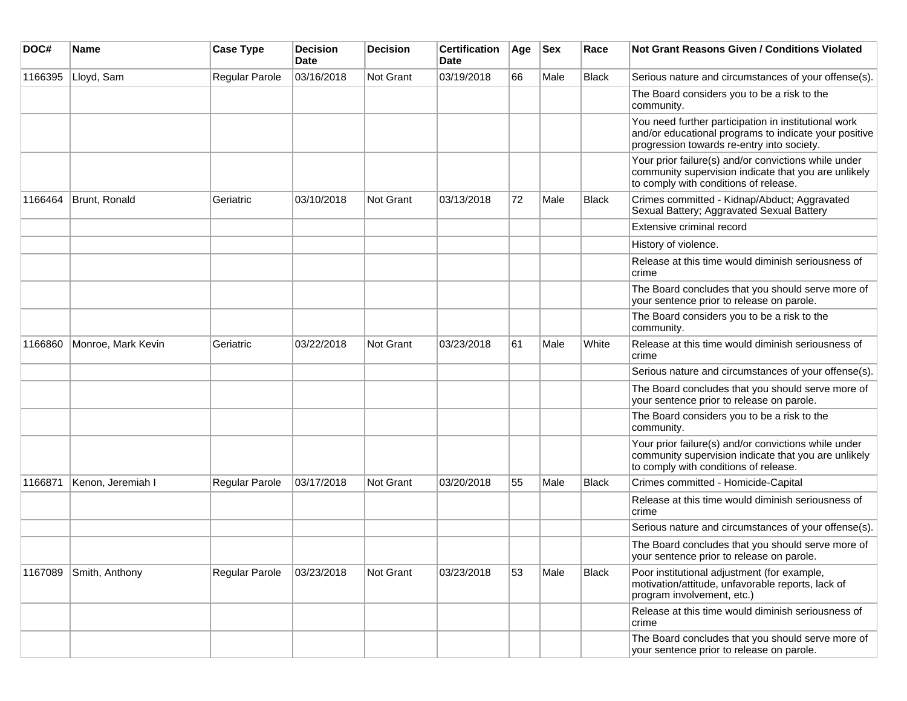| DOC#    | <b>Name</b>        | <b>Case Type</b> | <b>Decision</b><br>Date | <b>Decision</b> | <b>Certification</b><br>Date | Age | <b>Sex</b> | Race         | Not Grant Reasons Given / Conditions Violated                                                                                                               |
|---------|--------------------|------------------|-------------------------|-----------------|------------------------------|-----|------------|--------------|-------------------------------------------------------------------------------------------------------------------------------------------------------------|
| 1166395 | Lloyd, Sam         | Regular Parole   | 03/16/2018              | Not Grant       | 03/19/2018                   | 66  | Male       | <b>Black</b> | Serious nature and circumstances of your offense(s).                                                                                                        |
|         |                    |                  |                         |                 |                              |     |            |              | The Board considers you to be a risk to the<br>community.                                                                                                   |
|         |                    |                  |                         |                 |                              |     |            |              | You need further participation in institutional work<br>and/or educational programs to indicate your positive<br>progression towards re-entry into society. |
|         |                    |                  |                         |                 |                              |     |            |              | Your prior failure(s) and/or convictions while under<br>community supervision indicate that you are unlikely<br>to comply with conditions of release.       |
| 1166464 | Brunt, Ronald      | Geriatric        | 03/10/2018              | Not Grant       | 03/13/2018                   | 72  | Male       | Black        | Crimes committed - Kidnap/Abduct; Aggravated<br>Sexual Battery; Aggravated Sexual Battery                                                                   |
|         |                    |                  |                         |                 |                              |     |            |              | Extensive criminal record                                                                                                                                   |
|         |                    |                  |                         |                 |                              |     |            |              | History of violence.                                                                                                                                        |
|         |                    |                  |                         |                 |                              |     |            |              | Release at this time would diminish seriousness of<br>crime                                                                                                 |
|         |                    |                  |                         |                 |                              |     |            |              | The Board concludes that you should serve more of<br>your sentence prior to release on parole.                                                              |
|         |                    |                  |                         |                 |                              |     |            |              | The Board considers you to be a risk to the<br>community.                                                                                                   |
| 1166860 | Monroe, Mark Kevin | Geriatric        | 03/22/2018              | Not Grant       | 03/23/2018                   | 61  | Male       | White        | Release at this time would diminish seriousness of<br>crime                                                                                                 |
|         |                    |                  |                         |                 |                              |     |            |              | Serious nature and circumstances of your offense(s).                                                                                                        |
|         |                    |                  |                         |                 |                              |     |            |              | The Board concludes that you should serve more of<br>your sentence prior to release on parole.                                                              |
|         |                    |                  |                         |                 |                              |     |            |              | The Board considers you to be a risk to the<br>community.                                                                                                   |
|         |                    |                  |                         |                 |                              |     |            |              | Your prior failure(s) and/or convictions while under<br>community supervision indicate that you are unlikely<br>to comply with conditions of release.       |
| 1166871 | Kenon, Jeremiah I  | Regular Parole   | 03/17/2018              | Not Grant       | 03/20/2018                   | 55  | Male       | <b>Black</b> | Crimes committed - Homicide-Capital                                                                                                                         |
|         |                    |                  |                         |                 |                              |     |            |              | Release at this time would diminish seriousness of<br>crime                                                                                                 |
|         |                    |                  |                         |                 |                              |     |            |              | Serious nature and circumstances of your offense(s).                                                                                                        |
|         |                    |                  |                         |                 |                              |     |            |              | The Board concludes that you should serve more of<br>your sentence prior to release on parole.                                                              |
| 1167089 | Smith, Anthony     | Regular Parole   | 03/23/2018              | Not Grant       | 03/23/2018                   | 53  | Male       | <b>Black</b> | Poor institutional adjustment (for example,<br>motivation/attitude, unfavorable reports, lack of<br>program involvement, etc.)                              |
|         |                    |                  |                         |                 |                              |     |            |              | Release at this time would diminish seriousness of<br>crime                                                                                                 |
|         |                    |                  |                         |                 |                              |     |            |              | The Board concludes that you should serve more of<br>your sentence prior to release on parole.                                                              |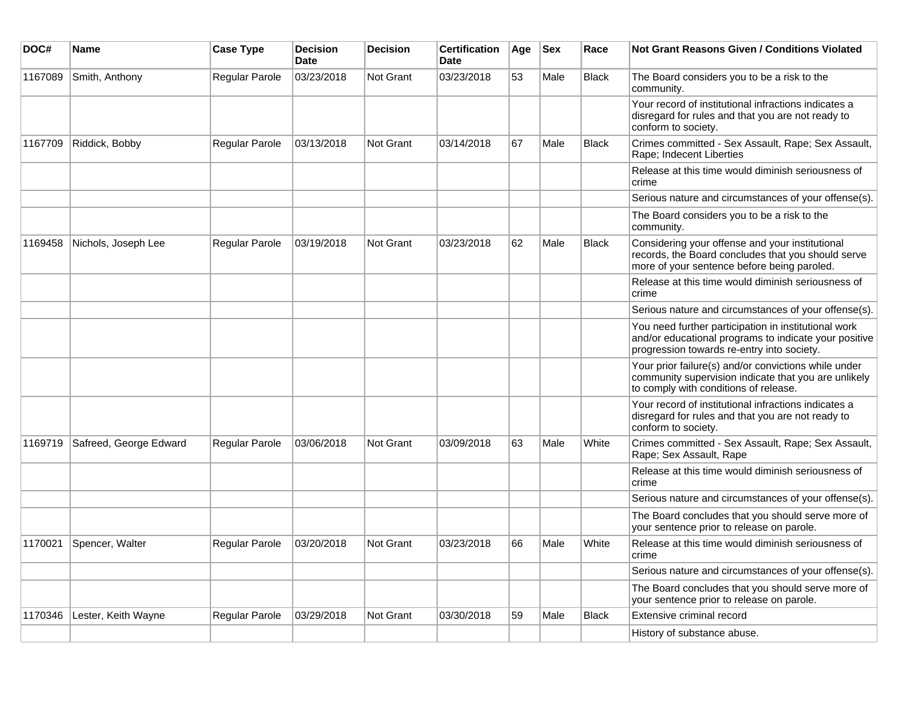| DOC#    | <b>Name</b>            | <b>Case Type</b>      | <b>Decision</b><br><b>Date</b> | <b>Decision</b> | <b>Certification</b><br>Date | Age | <b>Sex</b> | Race         | <b>Not Grant Reasons Given / Conditions Violated</b>                                                                                                        |
|---------|------------------------|-----------------------|--------------------------------|-----------------|------------------------------|-----|------------|--------------|-------------------------------------------------------------------------------------------------------------------------------------------------------------|
| 1167089 | Smith, Anthony         | Regular Parole        | 03/23/2018                     | Not Grant       | 03/23/2018                   | 53  | Male       | Black        | The Board considers you to be a risk to the<br>community.                                                                                                   |
|         |                        |                       |                                |                 |                              |     |            |              | Your record of institutional infractions indicates a<br>disregard for rules and that you are not ready to<br>conform to society.                            |
| 1167709 | Riddick, Bobby         | Regular Parole        | 03/13/2018                     | Not Grant       | 03/14/2018                   | 67  | Male       | <b>Black</b> | Crimes committed - Sex Assault, Rape; Sex Assault,<br>Rape; Indecent Liberties                                                                              |
|         |                        |                       |                                |                 |                              |     |            |              | Release at this time would diminish seriousness of<br>crime                                                                                                 |
|         |                        |                       |                                |                 |                              |     |            |              | Serious nature and circumstances of your offense(s).                                                                                                        |
|         |                        |                       |                                |                 |                              |     |            |              | The Board considers you to be a risk to the<br>community.                                                                                                   |
| 1169458 | Nichols, Joseph Lee    | Regular Parole        | 03/19/2018                     | Not Grant       | 03/23/2018                   | 62  | Male       | <b>Black</b> | Considering your offense and your institutional<br>records, the Board concludes that you should serve<br>more of your sentence before being paroled.        |
|         |                        |                       |                                |                 |                              |     |            |              | Release at this time would diminish seriousness of<br>crime                                                                                                 |
|         |                        |                       |                                |                 |                              |     |            |              | Serious nature and circumstances of your offense(s).                                                                                                        |
|         |                        |                       |                                |                 |                              |     |            |              | You need further participation in institutional work<br>and/or educational programs to indicate your positive<br>progression towards re-entry into society. |
|         |                        |                       |                                |                 |                              |     |            |              | Your prior failure(s) and/or convictions while under<br>community supervision indicate that you are unlikely<br>to comply with conditions of release.       |
|         |                        |                       |                                |                 |                              |     |            |              | Your record of institutional infractions indicates a<br>disregard for rules and that you are not ready to<br>conform to society.                            |
| 1169719 | Safreed, George Edward | <b>Regular Parole</b> | 03/06/2018                     | Not Grant       | 03/09/2018                   | 63  | Male       | White        | Crimes committed - Sex Assault, Rape; Sex Assault,<br>Rape; Sex Assault, Rape                                                                               |
|         |                        |                       |                                |                 |                              |     |            |              | Release at this time would diminish seriousness of<br>crime                                                                                                 |
|         |                        |                       |                                |                 |                              |     |            |              | Serious nature and circumstances of your offense(s).                                                                                                        |
|         |                        |                       |                                |                 |                              |     |            |              | The Board concludes that you should serve more of<br>your sentence prior to release on parole.                                                              |
| 1170021 | Spencer, Walter        | Regular Parole        | 03/20/2018                     | Not Grant       | 03/23/2018                   | 66  | Male       | White        | Release at this time would diminish seriousness of<br>crime                                                                                                 |
|         |                        |                       |                                |                 |                              |     |            |              | Serious nature and circumstances of your offense(s).                                                                                                        |
|         |                        |                       |                                |                 |                              |     |            |              | The Board concludes that you should serve more of<br>your sentence prior to release on parole.                                                              |
| 1170346 | Lester, Keith Wayne    | Regular Parole        | 03/29/2018                     | Not Grant       | 03/30/2018                   | 59  | Male       | Black        | Extensive criminal record                                                                                                                                   |
|         |                        |                       |                                |                 |                              |     |            |              | History of substance abuse.                                                                                                                                 |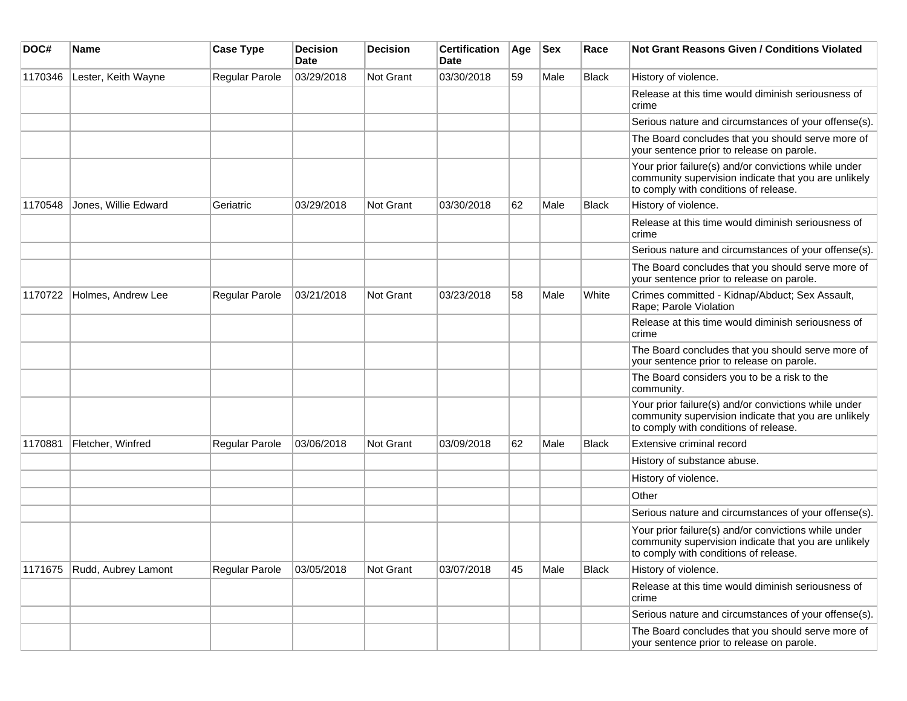| DOC#    | <b>Name</b>          | <b>Case Type</b>      | <b>Decision</b><br>Date | <b>Decision</b>  | <b>Certification</b><br>Date | Age | <b>Sex</b> | Race         | Not Grant Reasons Given / Conditions Violated                                                                                                         |
|---------|----------------------|-----------------------|-------------------------|------------------|------------------------------|-----|------------|--------------|-------------------------------------------------------------------------------------------------------------------------------------------------------|
| 1170346 | Lester, Keith Wayne  | Regular Parole        | 03/29/2018              | Not Grant        | 03/30/2018                   | 59  | Male       | <b>Black</b> | History of violence.                                                                                                                                  |
|         |                      |                       |                         |                  |                              |     |            |              | Release at this time would diminish seriousness of<br>crime                                                                                           |
|         |                      |                       |                         |                  |                              |     |            |              | Serious nature and circumstances of your offense(s).                                                                                                  |
|         |                      |                       |                         |                  |                              |     |            |              | The Board concludes that you should serve more of<br>your sentence prior to release on parole.                                                        |
|         |                      |                       |                         |                  |                              |     |            |              | Your prior failure(s) and/or convictions while under<br>community supervision indicate that you are unlikely<br>to comply with conditions of release. |
| 1170548 | Jones, Willie Edward | Geriatric             | 03/29/2018              | <b>Not Grant</b> | 03/30/2018                   | 62  | Male       | <b>Black</b> | History of violence.                                                                                                                                  |
|         |                      |                       |                         |                  |                              |     |            |              | Release at this time would diminish seriousness of<br>crime                                                                                           |
|         |                      |                       |                         |                  |                              |     |            |              | Serious nature and circumstances of your offense(s).                                                                                                  |
|         |                      |                       |                         |                  |                              |     |            |              | The Board concludes that you should serve more of<br>your sentence prior to release on parole.                                                        |
| 1170722 | Holmes, Andrew Lee   | Regular Parole        | 03/21/2018              | <b>Not Grant</b> | 03/23/2018                   | 58  | Male       | White        | Crimes committed - Kidnap/Abduct; Sex Assault,<br>Rape; Parole Violation                                                                              |
|         |                      |                       |                         |                  |                              |     |            |              | Release at this time would diminish seriousness of<br>crime                                                                                           |
|         |                      |                       |                         |                  |                              |     |            |              | The Board concludes that you should serve more of<br>your sentence prior to release on parole.                                                        |
|         |                      |                       |                         |                  |                              |     |            |              | The Board considers you to be a risk to the<br>community.                                                                                             |
|         |                      |                       |                         |                  |                              |     |            |              | Your prior failure(s) and/or convictions while under<br>community supervision indicate that you are unlikely<br>to comply with conditions of release. |
| 1170881 | Fletcher, Winfred    | Regular Parole        | 03/06/2018              | Not Grant        | 03/09/2018                   | 62  | Male       | Black        | Extensive criminal record                                                                                                                             |
|         |                      |                       |                         |                  |                              |     |            |              | History of substance abuse.                                                                                                                           |
|         |                      |                       |                         |                  |                              |     |            |              | History of violence.                                                                                                                                  |
|         |                      |                       |                         |                  |                              |     |            |              | Other                                                                                                                                                 |
|         |                      |                       |                         |                  |                              |     |            |              | Serious nature and circumstances of your offense(s).                                                                                                  |
|         |                      |                       |                         |                  |                              |     |            |              | Your prior failure(s) and/or convictions while under<br>community supervision indicate that you are unlikely<br>to comply with conditions of release. |
| 1171675 | Rudd, Aubrey Lamont  | <b>Regular Parole</b> | 03/05/2018              | Not Grant        | 03/07/2018                   | 45  | Male       | <b>Black</b> | History of violence.                                                                                                                                  |
|         |                      |                       |                         |                  |                              |     |            |              | Release at this time would diminish seriousness of<br>crime                                                                                           |
|         |                      |                       |                         |                  |                              |     |            |              | Serious nature and circumstances of your offense(s).                                                                                                  |
|         |                      |                       |                         |                  |                              |     |            |              | The Board concludes that you should serve more of<br>your sentence prior to release on parole.                                                        |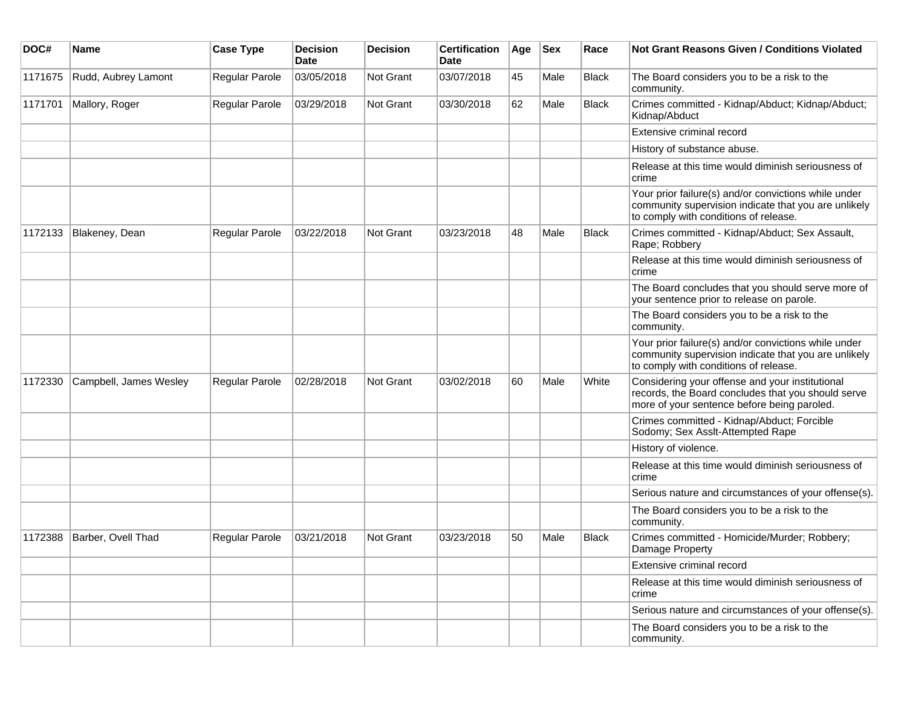| DOC#    | <b>Name</b>            | <b>Case Type</b> | <b>Decision</b><br><b>Date</b> | <b>Decision</b>  | <b>Certification</b><br>Date | Age | <b>Sex</b> | Race         | Not Grant Reasons Given / Conditions Violated                                                                                                         |
|---------|------------------------|------------------|--------------------------------|------------------|------------------------------|-----|------------|--------------|-------------------------------------------------------------------------------------------------------------------------------------------------------|
| 1171675 | Rudd, Aubrey Lamont    | Regular Parole   | 03/05/2018                     | Not Grant        | 03/07/2018                   | 45  | Male       | Black        | The Board considers you to be a risk to the<br>community.                                                                                             |
| 1171701 | Mallory, Roger         | Regular Parole   | 03/29/2018                     | Not Grant        | 03/30/2018                   | 62  | Male       | Black        | Crimes committed - Kidnap/Abduct; Kidnap/Abduct;<br>Kidnap/Abduct                                                                                     |
|         |                        |                  |                                |                  |                              |     |            |              | Extensive criminal record                                                                                                                             |
|         |                        |                  |                                |                  |                              |     |            |              | History of substance abuse.                                                                                                                           |
|         |                        |                  |                                |                  |                              |     |            |              | Release at this time would diminish seriousness of<br>crime                                                                                           |
|         |                        |                  |                                |                  |                              |     |            |              | Your prior failure(s) and/or convictions while under<br>community supervision indicate that you are unlikely<br>to comply with conditions of release. |
| 1172133 | Blakeney, Dean         | Regular Parole   | 03/22/2018                     | <b>Not Grant</b> | 03/23/2018                   | 48  | Male       | Black        | Crimes committed - Kidnap/Abduct; Sex Assault,<br>Rape; Robbery                                                                                       |
|         |                        |                  |                                |                  |                              |     |            |              | Release at this time would diminish seriousness of<br>crime                                                                                           |
|         |                        |                  |                                |                  |                              |     |            |              | The Board concludes that you should serve more of<br>your sentence prior to release on parole.                                                        |
|         |                        |                  |                                |                  |                              |     |            |              | The Board considers you to be a risk to the<br>community.                                                                                             |
|         |                        |                  |                                |                  |                              |     |            |              | Your prior failure(s) and/or convictions while under<br>community supervision indicate that you are unlikely<br>to comply with conditions of release. |
| 1172330 | Campbell, James Wesley | Regular Parole   | 02/28/2018                     | <b>Not Grant</b> | 03/02/2018                   | 60  | Male       | White        | Considering your offense and your institutional<br>records, the Board concludes that you should serve<br>more of your sentence before being paroled.  |
|         |                        |                  |                                |                  |                              |     |            |              | Crimes committed - Kidnap/Abduct; Forcible<br>Sodomy; Sex Asslt-Attempted Rape                                                                        |
|         |                        |                  |                                |                  |                              |     |            |              | History of violence.                                                                                                                                  |
|         |                        |                  |                                |                  |                              |     |            |              | Release at this time would diminish seriousness of<br>crime                                                                                           |
|         |                        |                  |                                |                  |                              |     |            |              | Serious nature and circumstances of your offense(s).                                                                                                  |
|         |                        |                  |                                |                  |                              |     |            |              | The Board considers you to be a risk to the<br>community.                                                                                             |
| 1172388 | Barber, Ovell Thad     | Regular Parole   | 03/21/2018                     | <b>Not Grant</b> | 03/23/2018                   | 50  | Male       | <b>Black</b> | Crimes committed - Homicide/Murder; Robbery;<br>Damage Property                                                                                       |
|         |                        |                  |                                |                  |                              |     |            |              | Extensive criminal record                                                                                                                             |
|         |                        |                  |                                |                  |                              |     |            |              | Release at this time would diminish seriousness of<br>crime                                                                                           |
|         |                        |                  |                                |                  |                              |     |            |              | Serious nature and circumstances of your offense(s).                                                                                                  |
|         |                        |                  |                                |                  |                              |     |            |              | The Board considers you to be a risk to the<br>community.                                                                                             |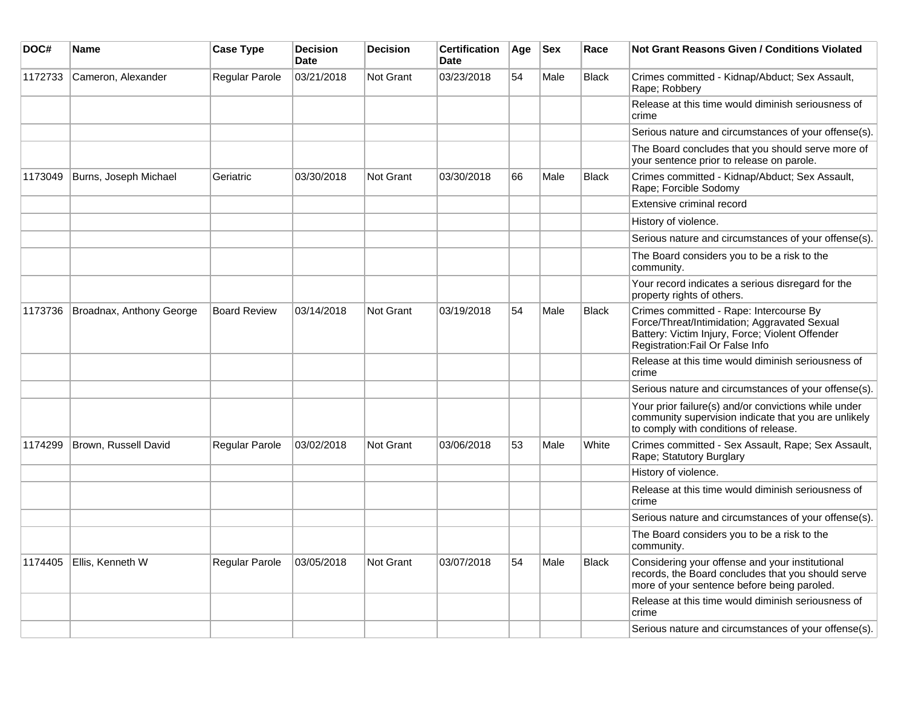| DOC#    | <b>Name</b>              | <b>Case Type</b>    | <b>Decision</b><br><b>Date</b> | <b>Decision</b>  | <b>Certification</b><br><b>Date</b> | Age | <b>Sex</b> | Race         | <b>Not Grant Reasons Given / Conditions Violated</b>                                                                                                                           |
|---------|--------------------------|---------------------|--------------------------------|------------------|-------------------------------------|-----|------------|--------------|--------------------------------------------------------------------------------------------------------------------------------------------------------------------------------|
| 1172733 | Cameron, Alexander       | Regular Parole      | 03/21/2018                     | <b>Not Grant</b> | 03/23/2018                          | 54  | Male       | <b>Black</b> | Crimes committed - Kidnap/Abduct; Sex Assault,<br>Rape; Robbery                                                                                                                |
|         |                          |                     |                                |                  |                                     |     |            |              | Release at this time would diminish seriousness of<br>crime                                                                                                                    |
|         |                          |                     |                                |                  |                                     |     |            |              | Serious nature and circumstances of your offense(s).                                                                                                                           |
|         |                          |                     |                                |                  |                                     |     |            |              | The Board concludes that you should serve more of<br>your sentence prior to release on parole.                                                                                 |
| 1173049 | Burns, Joseph Michael    | Geriatric           | 03/30/2018                     | <b>Not Grant</b> | 03/30/2018                          | 66  | Male       | <b>Black</b> | Crimes committed - Kidnap/Abduct; Sex Assault,<br>Rape; Forcible Sodomy                                                                                                        |
|         |                          |                     |                                |                  |                                     |     |            |              | Extensive criminal record                                                                                                                                                      |
|         |                          |                     |                                |                  |                                     |     |            |              | History of violence.                                                                                                                                                           |
|         |                          |                     |                                |                  |                                     |     |            |              | Serious nature and circumstances of your offense(s).                                                                                                                           |
|         |                          |                     |                                |                  |                                     |     |            |              | The Board considers you to be a risk to the<br>community.                                                                                                                      |
|         |                          |                     |                                |                  |                                     |     |            |              | Your record indicates a serious disregard for the<br>property rights of others.                                                                                                |
| 1173736 | Broadnax, Anthony George | <b>Board Review</b> | 03/14/2018                     | Not Grant        | 03/19/2018                          | 54  | Male       | <b>Black</b> | Crimes committed - Rape: Intercourse By<br>Force/Threat/Intimidation; Aggravated Sexual<br>Battery: Victim Injury, Force; Violent Offender<br>Registration: Fail Or False Info |
|         |                          |                     |                                |                  |                                     |     |            |              | Release at this time would diminish seriousness of<br>crime                                                                                                                    |
|         |                          |                     |                                |                  |                                     |     |            |              | Serious nature and circumstances of your offense(s).                                                                                                                           |
|         |                          |                     |                                |                  |                                     |     |            |              | Your prior failure(s) and/or convictions while under<br>community supervision indicate that you are unlikely<br>to comply with conditions of release.                          |
| 1174299 | Brown, Russell David     | Regular Parole      | 03/02/2018                     | <b>Not Grant</b> | 03/06/2018                          | 53  | Male       | White        | Crimes committed - Sex Assault, Rape; Sex Assault,<br>Rape; Statutory Burglary                                                                                                 |
|         |                          |                     |                                |                  |                                     |     |            |              | History of violence.                                                                                                                                                           |
|         |                          |                     |                                |                  |                                     |     |            |              | Release at this time would diminish seriousness of<br>crime                                                                                                                    |
|         |                          |                     |                                |                  |                                     |     |            |              | Serious nature and circumstances of your offense(s).                                                                                                                           |
|         |                          |                     |                                |                  |                                     |     |            |              | The Board considers you to be a risk to the<br>community.                                                                                                                      |
| 1174405 | Ellis, Kenneth W         | Regular Parole      | 03/05/2018                     | Not Grant        | 03/07/2018                          | 54  | Male       | <b>Black</b> | Considering your offense and your institutional<br>records, the Board concludes that you should serve<br>more of your sentence before being paroled.                           |
|         |                          |                     |                                |                  |                                     |     |            |              | Release at this time would diminish seriousness of<br>crime                                                                                                                    |
|         |                          |                     |                                |                  |                                     |     |            |              | Serious nature and circumstances of your offense(s).                                                                                                                           |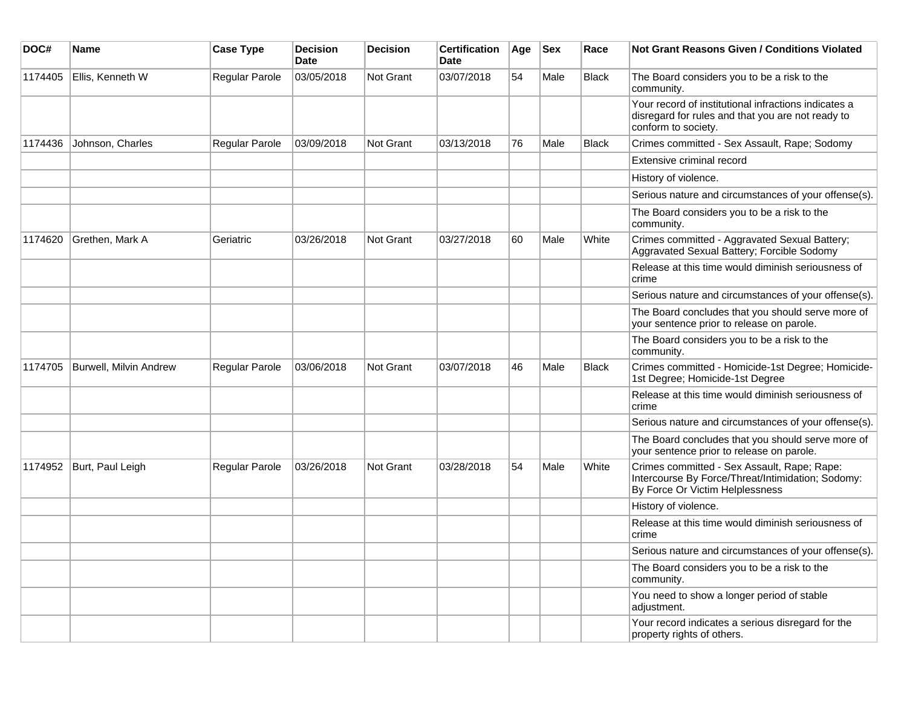| DOC#    | Name                          | <b>Case Type</b> | <b>Decision</b><br><b>Date</b> | <b>Decision</b> | <b>Certification</b><br><b>Date</b> | Age | <b>Sex</b> | Race         | <b>Not Grant Reasons Given / Conditions Violated</b>                                                                                |
|---------|-------------------------------|------------------|--------------------------------|-----------------|-------------------------------------|-----|------------|--------------|-------------------------------------------------------------------------------------------------------------------------------------|
| 1174405 | Ellis, Kenneth W              | Regular Parole   | 03/05/2018                     | Not Grant       | 03/07/2018                          | 54  | Male       | <b>Black</b> | The Board considers you to be a risk to the<br>community.                                                                           |
|         |                               |                  |                                |                 |                                     |     |            |              | Your record of institutional infractions indicates a<br>disregard for rules and that you are not ready to<br>conform to society.    |
| 1174436 | Johnson, Charles              | Regular Parole   | 03/09/2018                     | Not Grant       | 03/13/2018                          | 76  | Male       | <b>Black</b> | Crimes committed - Sex Assault, Rape; Sodomy                                                                                        |
|         |                               |                  |                                |                 |                                     |     |            |              | Extensive criminal record                                                                                                           |
|         |                               |                  |                                |                 |                                     |     |            |              | History of violence.                                                                                                                |
|         |                               |                  |                                |                 |                                     |     |            |              | Serious nature and circumstances of your offense(s).                                                                                |
|         |                               |                  |                                |                 |                                     |     |            |              | The Board considers you to be a risk to the<br>community.                                                                           |
| 1174620 | Grethen, Mark A               | Geriatric        | 03/26/2018                     | Not Grant       | 03/27/2018                          | 60  | Male       | White        | Crimes committed - Aggravated Sexual Battery;<br>Aggravated Sexual Battery; Forcible Sodomy                                         |
|         |                               |                  |                                |                 |                                     |     |            |              | Release at this time would diminish seriousness of<br>crime                                                                         |
|         |                               |                  |                                |                 |                                     |     |            |              | Serious nature and circumstances of your offense(s).                                                                                |
|         |                               |                  |                                |                 |                                     |     |            |              | The Board concludes that you should serve more of<br>your sentence prior to release on parole.                                      |
|         |                               |                  |                                |                 |                                     |     |            |              | The Board considers you to be a risk to the<br>community.                                                                           |
| 1174705 | <b>Burwell, Milvin Andrew</b> | Regular Parole   | 03/06/2018                     | Not Grant       | 03/07/2018                          | 46  | Male       | Black        | Crimes committed - Homicide-1st Degree; Homicide-<br>1st Degree; Homicide-1st Degree                                                |
|         |                               |                  |                                |                 |                                     |     |            |              | Release at this time would diminish seriousness of<br>crime                                                                         |
|         |                               |                  |                                |                 |                                     |     |            |              | Serious nature and circumstances of your offense(s).                                                                                |
|         |                               |                  |                                |                 |                                     |     |            |              | The Board concludes that you should serve more of<br>your sentence prior to release on parole.                                      |
| 1174952 | Burt, Paul Leigh              | Regular Parole   | 03/26/2018                     | Not Grant       | 03/28/2018                          | 54  | Male       | White        | Crimes committed - Sex Assault, Rape; Rape:<br>Intercourse By Force/Threat/Intimidation; Sodomy:<br>By Force Or Victim Helplessness |
|         |                               |                  |                                |                 |                                     |     |            |              | History of violence.                                                                                                                |
|         |                               |                  |                                |                 |                                     |     |            |              | Release at this time would diminish seriousness of<br>crime                                                                         |
|         |                               |                  |                                |                 |                                     |     |            |              | Serious nature and circumstances of your offense(s).                                                                                |
|         |                               |                  |                                |                 |                                     |     |            |              | The Board considers you to be a risk to the<br>community.                                                                           |
|         |                               |                  |                                |                 |                                     |     |            |              | You need to show a longer period of stable<br>adjustment.                                                                           |
|         |                               |                  |                                |                 |                                     |     |            |              | Your record indicates a serious disregard for the<br>property rights of others.                                                     |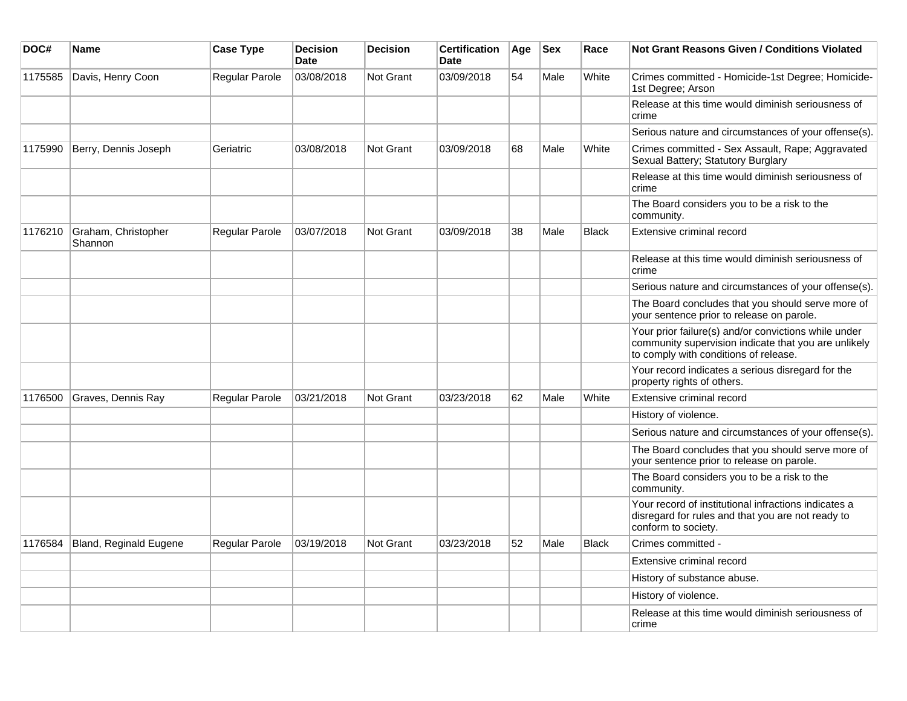| DOC#    | Name                           | <b>Case Type</b> | <b>Decision</b><br><b>Date</b> | <b>Decision</b>  | <b>Certification</b><br><b>Date</b> | Age | <b>Sex</b> | Race         | Not Grant Reasons Given / Conditions Violated                                                                                                         |
|---------|--------------------------------|------------------|--------------------------------|------------------|-------------------------------------|-----|------------|--------------|-------------------------------------------------------------------------------------------------------------------------------------------------------|
| 1175585 | Davis, Henry Coon              | Regular Parole   | 03/08/2018                     | Not Grant        | 03/09/2018                          | 54  | Male       | White        | Crimes committed - Homicide-1st Degree; Homicide-<br>1st Degree; Arson                                                                                |
|         |                                |                  |                                |                  |                                     |     |            |              | Release at this time would diminish seriousness of<br>crime                                                                                           |
|         |                                |                  |                                |                  |                                     |     |            |              | Serious nature and circumstances of your offense(s).                                                                                                  |
| 1175990 | Berry, Dennis Joseph           | Geriatric        | 03/08/2018                     | Not Grant        | 03/09/2018                          | 68  | Male       | White        | Crimes committed - Sex Assault, Rape; Aggravated<br>Sexual Battery; Statutory Burglary                                                                |
|         |                                |                  |                                |                  |                                     |     |            |              | Release at this time would diminish seriousness of<br>crime                                                                                           |
|         |                                |                  |                                |                  |                                     |     |            |              | The Board considers you to be a risk to the<br>community.                                                                                             |
| 1176210 | Graham, Christopher<br>Shannon | Regular Parole   | 03/07/2018                     | <b>Not Grant</b> | 03/09/2018                          | 38  | Male       | <b>Black</b> | Extensive criminal record                                                                                                                             |
|         |                                |                  |                                |                  |                                     |     |            |              | Release at this time would diminish seriousness of<br>crime                                                                                           |
|         |                                |                  |                                |                  |                                     |     |            |              | Serious nature and circumstances of your offense(s).                                                                                                  |
|         |                                |                  |                                |                  |                                     |     |            |              | The Board concludes that you should serve more of<br>your sentence prior to release on parole.                                                        |
|         |                                |                  |                                |                  |                                     |     |            |              | Your prior failure(s) and/or convictions while under<br>community supervision indicate that you are unlikely<br>to comply with conditions of release. |
|         |                                |                  |                                |                  |                                     |     |            |              | Your record indicates a serious disregard for the<br>property rights of others.                                                                       |
| 1176500 | Graves, Dennis Ray             | Regular Parole   | 03/21/2018                     | <b>Not Grant</b> | 03/23/2018                          | 62  | Male       | White        | Extensive criminal record                                                                                                                             |
|         |                                |                  |                                |                  |                                     |     |            |              | History of violence.                                                                                                                                  |
|         |                                |                  |                                |                  |                                     |     |            |              | Serious nature and circumstances of your offense(s).                                                                                                  |
|         |                                |                  |                                |                  |                                     |     |            |              | The Board concludes that you should serve more of<br>your sentence prior to release on parole.                                                        |
|         |                                |                  |                                |                  |                                     |     |            |              | The Board considers you to be a risk to the<br>community.                                                                                             |
|         |                                |                  |                                |                  |                                     |     |            |              | Your record of institutional infractions indicates a<br>disregard for rules and that you are not ready to<br>conform to society.                      |
| 1176584 | Bland, Reginald Eugene         | Regular Parole   | 03/19/2018                     | Not Grant        | 03/23/2018                          | 52  | Male       | <b>Black</b> | Crimes committed -                                                                                                                                    |
|         |                                |                  |                                |                  |                                     |     |            |              | Extensive criminal record                                                                                                                             |
|         |                                |                  |                                |                  |                                     |     |            |              | History of substance abuse.                                                                                                                           |
|         |                                |                  |                                |                  |                                     |     |            |              | History of violence.                                                                                                                                  |
|         |                                |                  |                                |                  |                                     |     |            |              | Release at this time would diminish seriousness of<br>crime                                                                                           |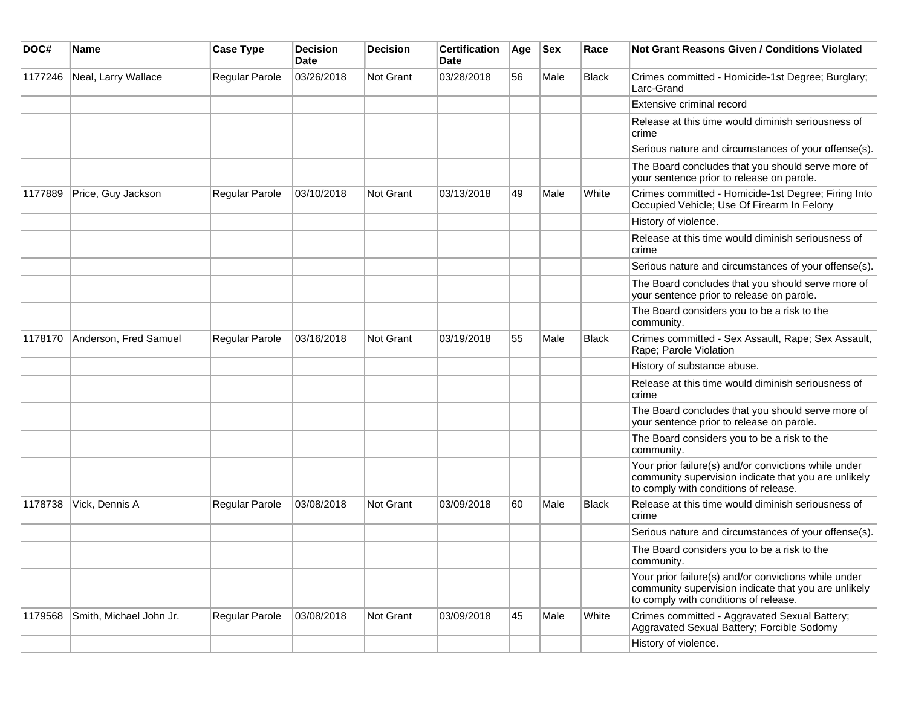| DOC#    | <b>Name</b>             | <b>Case Type</b> | <b>Decision</b><br>Date | <b>Decision</b> | <b>Certification</b><br><b>Date</b> | Age | <b>Sex</b> | Race         | <b>Not Grant Reasons Given / Conditions Violated</b>                                                                                                  |
|---------|-------------------------|------------------|-------------------------|-----------------|-------------------------------------|-----|------------|--------------|-------------------------------------------------------------------------------------------------------------------------------------------------------|
| 1177246 | Neal, Larry Wallace     | Regular Parole   | 03/26/2018              | Not Grant       | 03/28/2018                          | 56  | Male       | <b>Black</b> | Crimes committed - Homicide-1st Degree; Burglary;<br>Larc-Grand                                                                                       |
|         |                         |                  |                         |                 |                                     |     |            |              | Extensive criminal record                                                                                                                             |
|         |                         |                  |                         |                 |                                     |     |            |              | Release at this time would diminish seriousness of<br>crime                                                                                           |
|         |                         |                  |                         |                 |                                     |     |            |              | Serious nature and circumstances of your offense(s).                                                                                                  |
|         |                         |                  |                         |                 |                                     |     |            |              | The Board concludes that you should serve more of<br>your sentence prior to release on parole.                                                        |
| 1177889 | Price, Guy Jackson      | Regular Parole   | 03/10/2018              | Not Grant       | 03/13/2018                          | 49  | Male       | White        | Crimes committed - Homicide-1st Degree; Firing Into<br>Occupied Vehicle; Use Of Firearm In Felony                                                     |
|         |                         |                  |                         |                 |                                     |     |            |              | History of violence.                                                                                                                                  |
|         |                         |                  |                         |                 |                                     |     |            |              | Release at this time would diminish seriousness of<br>crime                                                                                           |
|         |                         |                  |                         |                 |                                     |     |            |              | Serious nature and circumstances of your offense(s).                                                                                                  |
|         |                         |                  |                         |                 |                                     |     |            |              | The Board concludes that you should serve more of<br>your sentence prior to release on parole.                                                        |
|         |                         |                  |                         |                 |                                     |     |            |              | The Board considers you to be a risk to the<br>community.                                                                                             |
| 1178170 | Anderson, Fred Samuel   | Regular Parole   | 03/16/2018              | Not Grant       | 03/19/2018                          | 55  | Male       | <b>Black</b> | Crimes committed - Sex Assault, Rape; Sex Assault,<br>Rape; Parole Violation                                                                          |
|         |                         |                  |                         |                 |                                     |     |            |              | History of substance abuse.                                                                                                                           |
|         |                         |                  |                         |                 |                                     |     |            |              | Release at this time would diminish seriousness of<br>crime                                                                                           |
|         |                         |                  |                         |                 |                                     |     |            |              | The Board concludes that you should serve more of<br>your sentence prior to release on parole.                                                        |
|         |                         |                  |                         |                 |                                     |     |            |              | The Board considers you to be a risk to the<br>community.                                                                                             |
|         |                         |                  |                         |                 |                                     |     |            |              | Your prior failure(s) and/or convictions while under<br>community supervision indicate that you are unlikely<br>to comply with conditions of release. |
| 1178738 | Vick, Dennis A          | Regular Parole   | 03/08/2018              | Not Grant       | 03/09/2018                          | 60  | Male       | <b>Black</b> | Release at this time would diminish seriousness of<br>crime                                                                                           |
|         |                         |                  |                         |                 |                                     |     |            |              | Serious nature and circumstances of your offense(s).                                                                                                  |
|         |                         |                  |                         |                 |                                     |     |            |              | The Board considers you to be a risk to the<br>community.                                                                                             |
|         |                         |                  |                         |                 |                                     |     |            |              | Your prior failure(s) and/or convictions while under<br>community supervision indicate that you are unlikely<br>to comply with conditions of release. |
| 1179568 | Smith, Michael John Jr. | Regular Parole   | 03/08/2018              | Not Grant       | 03/09/2018                          | 45  | Male       | White        | Crimes committed - Aggravated Sexual Battery;<br>Aggravated Sexual Battery; Forcible Sodomy                                                           |
|         |                         |                  |                         |                 |                                     |     |            |              | History of violence.                                                                                                                                  |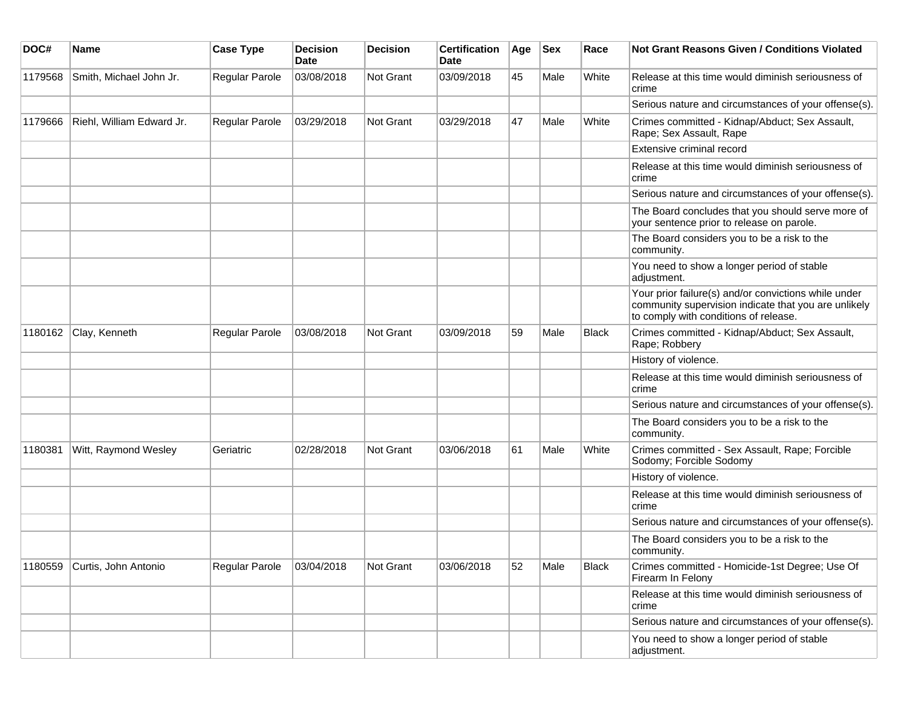| DOC#    | Name                      | <b>Case Type</b>      | <b>Decision</b><br>Date | <b>Decision</b> | <b>Certification</b><br>Date | Age | <b>Sex</b> | Race         | <b>Not Grant Reasons Given / Conditions Violated</b>                                                                                                  |
|---------|---------------------------|-----------------------|-------------------------|-----------------|------------------------------|-----|------------|--------------|-------------------------------------------------------------------------------------------------------------------------------------------------------|
| 1179568 | Smith, Michael John Jr.   | Regular Parole        | 03/08/2018              | Not Grant       | 03/09/2018                   | 45  | Male       | White        | Release at this time would diminish seriousness of<br>crime                                                                                           |
|         |                           |                       |                         |                 |                              |     |            |              | Serious nature and circumstances of your offense(s).                                                                                                  |
| 1179666 | Riehl, William Edward Jr. | <b>Regular Parole</b> | 03/29/2018              | Not Grant       | 03/29/2018                   | 47  | Male       | White        | Crimes committed - Kidnap/Abduct; Sex Assault,<br>Rape; Sex Assault, Rape                                                                             |
|         |                           |                       |                         |                 |                              |     |            |              | Extensive criminal record                                                                                                                             |
|         |                           |                       |                         |                 |                              |     |            |              | Release at this time would diminish seriousness of<br>crime                                                                                           |
|         |                           |                       |                         |                 |                              |     |            |              | Serious nature and circumstances of your offense(s).                                                                                                  |
|         |                           |                       |                         |                 |                              |     |            |              | The Board concludes that you should serve more of<br>your sentence prior to release on parole.                                                        |
|         |                           |                       |                         |                 |                              |     |            |              | The Board considers you to be a risk to the<br>community.                                                                                             |
|         |                           |                       |                         |                 |                              |     |            |              | You need to show a longer period of stable<br>adjustment.                                                                                             |
|         |                           |                       |                         |                 |                              |     |            |              | Your prior failure(s) and/or convictions while under<br>community supervision indicate that you are unlikely<br>to comply with conditions of release. |
| 1180162 | Clay, Kenneth             | Regular Parole        | 03/08/2018              | Not Grant       | 03/09/2018                   | 59  | Male       | <b>Black</b> | Crimes committed - Kidnap/Abduct; Sex Assault,<br>Rape; Robbery                                                                                       |
|         |                           |                       |                         |                 |                              |     |            |              | History of violence.                                                                                                                                  |
|         |                           |                       |                         |                 |                              |     |            |              | Release at this time would diminish seriousness of<br>crime                                                                                           |
|         |                           |                       |                         |                 |                              |     |            |              | Serious nature and circumstances of your offense(s).                                                                                                  |
|         |                           |                       |                         |                 |                              |     |            |              | The Board considers you to be a risk to the<br>community.                                                                                             |
| 1180381 | Witt, Raymond Wesley      | Geriatric             | 02/28/2018              | Not Grant       | 03/06/2018                   | 61  | Male       | White        | Crimes committed - Sex Assault, Rape; Forcible<br>Sodomy; Forcible Sodomy                                                                             |
|         |                           |                       |                         |                 |                              |     |            |              | History of violence.                                                                                                                                  |
|         |                           |                       |                         |                 |                              |     |            |              | Release at this time would diminish seriousness of<br>crime                                                                                           |
|         |                           |                       |                         |                 |                              |     |            |              | Serious nature and circumstances of your offense(s).                                                                                                  |
|         |                           |                       |                         |                 |                              |     |            |              | The Board considers you to be a risk to the<br>community.                                                                                             |
| 1180559 | Curtis, John Antonio      | Regular Parole        | 03/04/2018              | Not Grant       | 03/06/2018                   | 52  | Male       | Black        | Crimes committed - Homicide-1st Degree; Use Of<br>Firearm In Felony                                                                                   |
|         |                           |                       |                         |                 |                              |     |            |              | Release at this time would diminish seriousness of<br>crime                                                                                           |
|         |                           |                       |                         |                 |                              |     |            |              | Serious nature and circumstances of your offense(s).                                                                                                  |
|         |                           |                       |                         |                 |                              |     |            |              | You need to show a longer period of stable<br>adjustment.                                                                                             |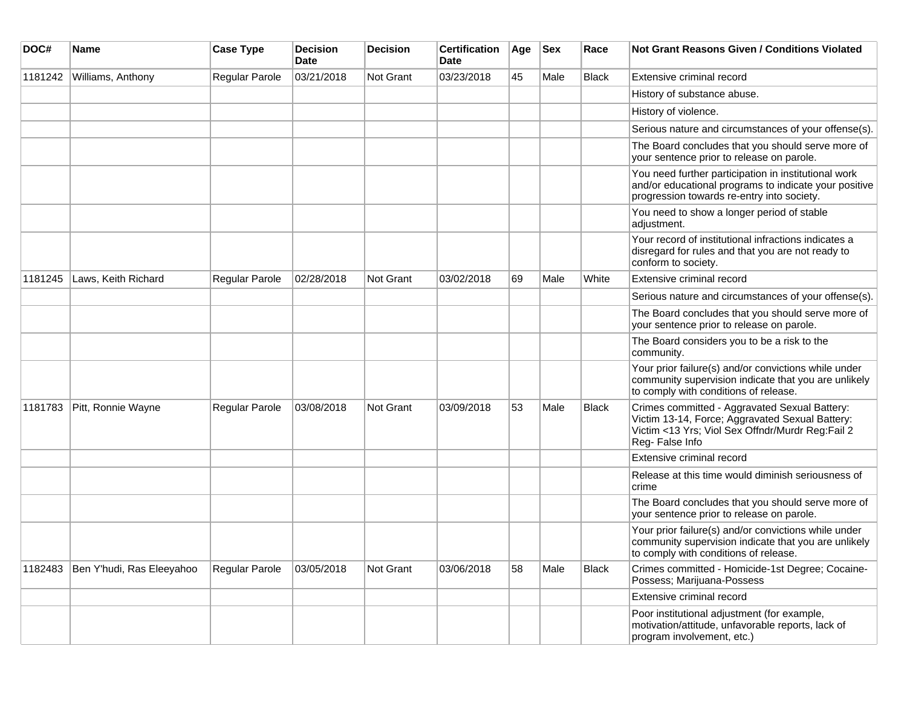| DOC#    | <b>Name</b>               | <b>Case Type</b>      | <b>Decision</b><br>Date | <b>Decision</b>  | <b>Certification</b><br>Date | Age | <b>Sex</b> | Race         | <b>Not Grant Reasons Given / Conditions Violated</b>                                                                                                                   |
|---------|---------------------------|-----------------------|-------------------------|------------------|------------------------------|-----|------------|--------------|------------------------------------------------------------------------------------------------------------------------------------------------------------------------|
| 1181242 | Williams, Anthony         | Regular Parole        | 03/21/2018              | <b>Not Grant</b> | 03/23/2018                   | 45  | Male       | <b>Black</b> | Extensive criminal record                                                                                                                                              |
|         |                           |                       |                         |                  |                              |     |            |              | History of substance abuse.                                                                                                                                            |
|         |                           |                       |                         |                  |                              |     |            |              | History of violence.                                                                                                                                                   |
|         |                           |                       |                         |                  |                              |     |            |              | Serious nature and circumstances of your offense(s).                                                                                                                   |
|         |                           |                       |                         |                  |                              |     |            |              | The Board concludes that you should serve more of<br>your sentence prior to release on parole.                                                                         |
|         |                           |                       |                         |                  |                              |     |            |              | You need further participation in institutional work<br>and/or educational programs to indicate your positive<br>progression towards re-entry into society.            |
|         |                           |                       |                         |                  |                              |     |            |              | You need to show a longer period of stable<br>adjustment.                                                                                                              |
|         |                           |                       |                         |                  |                              |     |            |              | Your record of institutional infractions indicates a<br>disregard for rules and that you are not ready to<br>conform to society.                                       |
| 1181245 | Laws, Keith Richard       | Regular Parole        | 02/28/2018              | <b>Not Grant</b> | 03/02/2018                   | 69  | Male       | White        | Extensive criminal record                                                                                                                                              |
|         |                           |                       |                         |                  |                              |     |            |              | Serious nature and circumstances of your offense(s).                                                                                                                   |
|         |                           |                       |                         |                  |                              |     |            |              | The Board concludes that you should serve more of<br>your sentence prior to release on parole.                                                                         |
|         |                           |                       |                         |                  |                              |     |            |              | The Board considers you to be a risk to the<br>community.                                                                                                              |
|         |                           |                       |                         |                  |                              |     |            |              | Your prior failure(s) and/or convictions while under<br>community supervision indicate that you are unlikely<br>to comply with conditions of release.                  |
| 1181783 | Pitt, Ronnie Wayne        | Regular Parole        | 03/08/2018              | <b>Not Grant</b> | 03/09/2018                   | 53  | Male       | Black        | Crimes committed - Aggravated Sexual Battery:<br>Victim 13-14, Force; Aggravated Sexual Battery:<br>Victim <13 Yrs; Viol Sex Offndr/Murdr Reg:Fail 2<br>Reg-False Info |
|         |                           |                       |                         |                  |                              |     |            |              | Extensive criminal record                                                                                                                                              |
|         |                           |                       |                         |                  |                              |     |            |              | Release at this time would diminish seriousness of<br>crime                                                                                                            |
|         |                           |                       |                         |                  |                              |     |            |              | The Board concludes that you should serve more of<br>your sentence prior to release on parole.                                                                         |
|         |                           |                       |                         |                  |                              |     |            |              | Your prior failure(s) and/or convictions while under<br>community supervision indicate that you are unlikely<br>to comply with conditions of release.                  |
| 1182483 | Ben Y'hudi, Ras Eleeyahoo | <b>Regular Parole</b> | 03/05/2018              | Not Grant        | 03/06/2018                   | 58  | Male       | Black        | Crimes committed - Homicide-1st Degree; Cocaine-<br>Possess; Marijuana-Possess                                                                                         |
|         |                           |                       |                         |                  |                              |     |            |              | Extensive criminal record                                                                                                                                              |
|         |                           |                       |                         |                  |                              |     |            |              | Poor institutional adjustment (for example,<br>motivation/attitude, unfavorable reports, lack of<br>program involvement, etc.)                                         |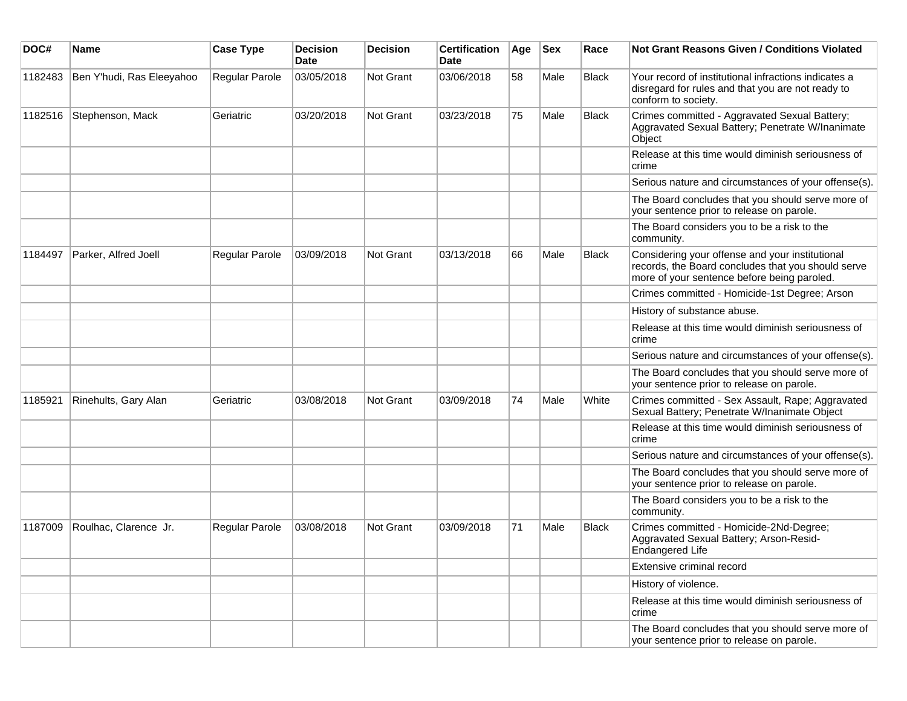| DOC#    | Name                      | <b>Case Type</b>      | <b>Decision</b><br><b>Date</b> | <b>Decision</b> | <b>Certification</b><br><b>Date</b> | Age | <b>Sex</b> | Race         | <b>Not Grant Reasons Given / Conditions Violated</b>                                                                                                 |
|---------|---------------------------|-----------------------|--------------------------------|-----------------|-------------------------------------|-----|------------|--------------|------------------------------------------------------------------------------------------------------------------------------------------------------|
| 1182483 | Ben Y'hudi, Ras Eleeyahoo | Regular Parole        | 03/05/2018                     | Not Grant       | 03/06/2018                          | 58  | Male       | <b>Black</b> | Your record of institutional infractions indicates a<br>disregard for rules and that you are not ready to<br>conform to society.                     |
| 1182516 | Stephenson, Mack          | Geriatric             | 03/20/2018                     | Not Grant       | 03/23/2018                          | 75  | Male       | Black        | Crimes committed - Aggravated Sexual Battery;<br>Aggravated Sexual Battery; Penetrate W/Inanimate<br>Object                                          |
|         |                           |                       |                                |                 |                                     |     |            |              | Release at this time would diminish seriousness of<br>crime                                                                                          |
|         |                           |                       |                                |                 |                                     |     |            |              | Serious nature and circumstances of your offense(s).                                                                                                 |
|         |                           |                       |                                |                 |                                     |     |            |              | The Board concludes that you should serve more of<br>your sentence prior to release on parole.                                                       |
|         |                           |                       |                                |                 |                                     |     |            |              | The Board considers you to be a risk to the<br>community.                                                                                            |
| 1184497 | Parker, Alfred Joell      | Regular Parole        | 03/09/2018                     | Not Grant       | 03/13/2018                          | 66  | Male       | <b>Black</b> | Considering your offense and your institutional<br>records, the Board concludes that you should serve<br>more of your sentence before being paroled. |
|         |                           |                       |                                |                 |                                     |     |            |              | Crimes committed - Homicide-1st Degree; Arson                                                                                                        |
|         |                           |                       |                                |                 |                                     |     |            |              | History of substance abuse.                                                                                                                          |
|         |                           |                       |                                |                 |                                     |     |            |              | Release at this time would diminish seriousness of<br>crime                                                                                          |
|         |                           |                       |                                |                 |                                     |     |            |              | Serious nature and circumstances of your offense(s).                                                                                                 |
|         |                           |                       |                                |                 |                                     |     |            |              | The Board concludes that you should serve more of<br>your sentence prior to release on parole.                                                       |
| 1185921 | Rinehults, Gary Alan      | Geriatric             | 03/08/2018                     | Not Grant       | 03/09/2018                          | 74  | Male       | White        | Crimes committed - Sex Assault, Rape; Aggravated<br>Sexual Battery; Penetrate W/Inanimate Object                                                     |
|         |                           |                       |                                |                 |                                     |     |            |              | Release at this time would diminish seriousness of<br>crime                                                                                          |
|         |                           |                       |                                |                 |                                     |     |            |              | Serious nature and circumstances of your offense(s).                                                                                                 |
|         |                           |                       |                                |                 |                                     |     |            |              | The Board concludes that you should serve more of<br>your sentence prior to release on parole.                                                       |
|         |                           |                       |                                |                 |                                     |     |            |              | The Board considers you to be a risk to the<br>community.                                                                                            |
| 1187009 | Roulhac, Clarence Jr.     | <b>Regular Parole</b> | 03/08/2018                     | Not Grant       | 03/09/2018                          | 71  | Male       | <b>Black</b> | Crimes committed - Homicide-2Nd-Degree;<br>Aggravated Sexual Battery; Arson-Resid-<br>Endangered Life                                                |
|         |                           |                       |                                |                 |                                     |     |            |              | Extensive criminal record                                                                                                                            |
|         |                           |                       |                                |                 |                                     |     |            |              | History of violence.                                                                                                                                 |
|         |                           |                       |                                |                 |                                     |     |            |              | Release at this time would diminish seriousness of<br> crime                                                                                         |
|         |                           |                       |                                |                 |                                     |     |            |              | The Board concludes that you should serve more of<br>your sentence prior to release on parole.                                                       |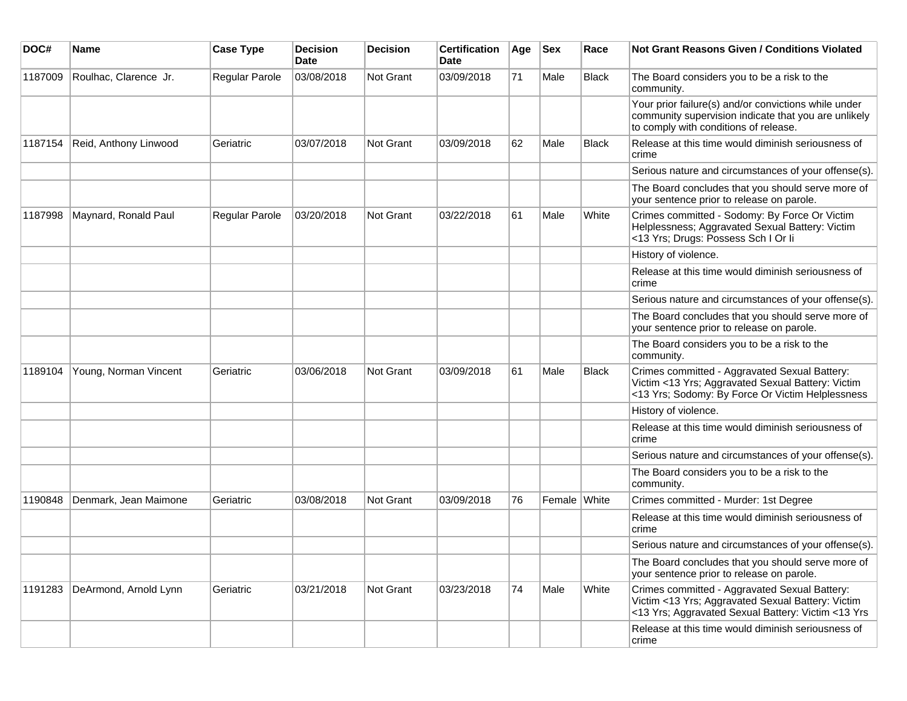| DOC#    | <b>Name</b>           | <b>Case Type</b> | <b>Decision</b><br><b>Date</b> | <b>Decision</b>  | <b>Certification</b><br><b>Date</b> | Age | <b>Sex</b>   | Race         | <b>Not Grant Reasons Given / Conditions Violated</b>                                                                                                     |
|---------|-----------------------|------------------|--------------------------------|------------------|-------------------------------------|-----|--------------|--------------|----------------------------------------------------------------------------------------------------------------------------------------------------------|
| 1187009 | Roulhac, Clarence Jr. | Regular Parole   | 03/08/2018                     | <b>Not Grant</b> | 03/09/2018                          | 71  | Male         | <b>Black</b> | The Board considers you to be a risk to the<br>community.                                                                                                |
|         |                       |                  |                                |                  |                                     |     |              |              | Your prior failure(s) and/or convictions while under<br>community supervision indicate that you are unlikely<br>to comply with conditions of release.    |
| 1187154 | Reid, Anthony Linwood | Geriatric        | 03/07/2018                     | Not Grant        | 03/09/2018                          | 62  | Male         | Black        | Release at this time would diminish seriousness of<br>crime                                                                                              |
|         |                       |                  |                                |                  |                                     |     |              |              | Serious nature and circumstances of your offense(s).                                                                                                     |
|         |                       |                  |                                |                  |                                     |     |              |              | The Board concludes that you should serve more of<br>your sentence prior to release on parole.                                                           |
| 1187998 | Maynard, Ronald Paul  | Regular Parole   | 03/20/2018                     | <b>Not Grant</b> | 03/22/2018                          | 61  | Male         | White        | Crimes committed - Sodomy: By Force Or Victim<br>Helplessness; Aggravated Sexual Battery: Victim<br><13 Yrs; Drugs: Possess Sch I Or li                  |
|         |                       |                  |                                |                  |                                     |     |              |              | History of violence.                                                                                                                                     |
|         |                       |                  |                                |                  |                                     |     |              |              | Release at this time would diminish seriousness of<br>crime                                                                                              |
|         |                       |                  |                                |                  |                                     |     |              |              | Serious nature and circumstances of your offense(s).                                                                                                     |
|         |                       |                  |                                |                  |                                     |     |              |              | The Board concludes that you should serve more of<br>your sentence prior to release on parole.                                                           |
|         |                       |                  |                                |                  |                                     |     |              |              | The Board considers you to be a risk to the<br>community.                                                                                                |
| 1189104 | Young, Norman Vincent | Geriatric        | 03/06/2018                     | <b>Not Grant</b> | 03/09/2018                          | 61  | Male         | Black        | Crimes committed - Aggravated Sexual Battery:<br>Victim <13 Yrs; Aggravated Sexual Battery: Victim<br><13 Yrs; Sodomy: By Force Or Victim Helplessness   |
|         |                       |                  |                                |                  |                                     |     |              |              | History of violence.                                                                                                                                     |
|         |                       |                  |                                |                  |                                     |     |              |              | Release at this time would diminish seriousness of<br>crime                                                                                              |
|         |                       |                  |                                |                  |                                     |     |              |              | Serious nature and circumstances of your offense(s).                                                                                                     |
|         |                       |                  |                                |                  |                                     |     |              |              | The Board considers you to be a risk to the<br>community.                                                                                                |
| 1190848 | Denmark, Jean Maimone | Geriatric        | 03/08/2018                     | <b>Not Grant</b> | 03/09/2018                          | 76  | Female White |              | Crimes committed - Murder: 1st Degree                                                                                                                    |
|         |                       |                  |                                |                  |                                     |     |              |              | Release at this time would diminish seriousness of<br>crime                                                                                              |
|         |                       |                  |                                |                  |                                     |     |              |              | Serious nature and circumstances of your offense(s).                                                                                                     |
|         |                       |                  |                                |                  |                                     |     |              |              | The Board concludes that you should serve more of<br>your sentence prior to release on parole.                                                           |
| 1191283 | DeArmond, Arnold Lynn | Geriatric        | 03/21/2018                     | Not Grant        | 03/23/2018                          | 74  | Male         | White        | Crimes committed - Aggravated Sexual Battery:<br>Victim <13 Yrs; Aggravated Sexual Battery: Victim<br><13 Yrs; Aggravated Sexual Battery: Victim <13 Yrs |
|         |                       |                  |                                |                  |                                     |     |              |              | Release at this time would diminish seriousness of<br>crime                                                                                              |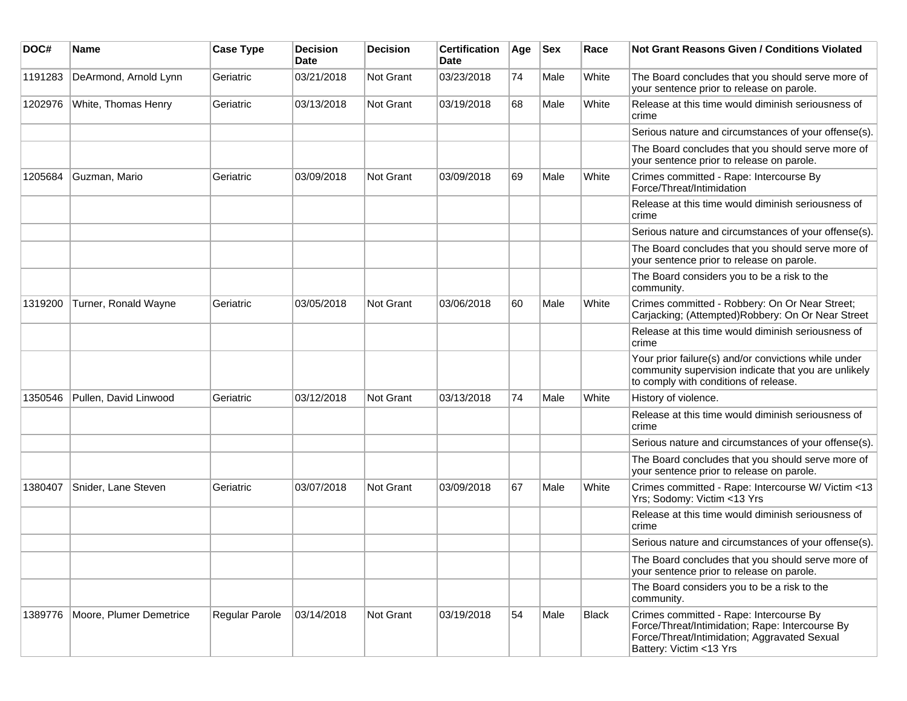| DOC#    | <b>Name</b>             | <b>Case Type</b> | <b>Decision</b><br>Date | <b>Decision</b> | <b>Certification</b><br>Date | Age | <b>Sex</b> | Race         | <b>Not Grant Reasons Given / Conditions Violated</b>                                                                                                                  |
|---------|-------------------------|------------------|-------------------------|-----------------|------------------------------|-----|------------|--------------|-----------------------------------------------------------------------------------------------------------------------------------------------------------------------|
| 1191283 | DeArmond, Arnold Lynn   | Geriatric        | 03/21/2018              | Not Grant       | 03/23/2018                   | 74  | Male       | White        | The Board concludes that you should serve more of<br>your sentence prior to release on parole.                                                                        |
| 1202976 | White, Thomas Henry     | Geriatric        | 03/13/2018              | Not Grant       | 03/19/2018                   | 68  | Male       | White        | Release at this time would diminish seriousness of<br>crime                                                                                                           |
|         |                         |                  |                         |                 |                              |     |            |              | Serious nature and circumstances of your offense(s).                                                                                                                  |
|         |                         |                  |                         |                 |                              |     |            |              | The Board concludes that you should serve more of<br>your sentence prior to release on parole.                                                                        |
| 1205684 | Guzman, Mario           | Geriatric        | 03/09/2018              | Not Grant       | 03/09/2018                   | 69  | Male       | White        | Crimes committed - Rape: Intercourse By<br>Force/Threat/Intimidation                                                                                                  |
|         |                         |                  |                         |                 |                              |     |            |              | Release at this time would diminish seriousness of<br>crime                                                                                                           |
|         |                         |                  |                         |                 |                              |     |            |              | Serious nature and circumstances of your offense(s).                                                                                                                  |
|         |                         |                  |                         |                 |                              |     |            |              | The Board concludes that you should serve more of<br>your sentence prior to release on parole.                                                                        |
|         |                         |                  |                         |                 |                              |     |            |              | The Board considers you to be a risk to the<br>community.                                                                                                             |
| 1319200 | Turner, Ronald Wayne    | Geriatric        | 03/05/2018              | Not Grant       | 03/06/2018                   | 60  | Male       | White        | Crimes committed - Robbery: On Or Near Street;<br>Carjacking; (Attempted)Robbery: On Or Near Street                                                                   |
|         |                         |                  |                         |                 |                              |     |            |              | Release at this time would diminish seriousness of<br>crime                                                                                                           |
|         |                         |                  |                         |                 |                              |     |            |              | Your prior failure(s) and/or convictions while under<br>community supervision indicate that you are unlikely<br>to comply with conditions of release.                 |
| 1350546 | Pullen, David Linwood   | Geriatric        | 03/12/2018              | Not Grant       | 03/13/2018                   | 74  | Male       | White        | History of violence.                                                                                                                                                  |
|         |                         |                  |                         |                 |                              |     |            |              | Release at this time would diminish seriousness of<br>crime                                                                                                           |
|         |                         |                  |                         |                 |                              |     |            |              | Serious nature and circumstances of your offense(s).                                                                                                                  |
|         |                         |                  |                         |                 |                              |     |            |              | The Board concludes that you should serve more of<br>your sentence prior to release on parole.                                                                        |
| 1380407 | Snider, Lane Steven     | Geriatric        | 03/07/2018              | Not Grant       | 03/09/2018                   | 67  | Male       | White        | Crimes committed - Rape: Intercourse W/ Victim <13<br>Yrs; Sodomy: Victim <13 Yrs                                                                                     |
|         |                         |                  |                         |                 |                              |     |            |              | Release at this time would diminish seriousness of<br>crime                                                                                                           |
|         |                         |                  |                         |                 |                              |     |            |              | Serious nature and circumstances of your offense(s).                                                                                                                  |
|         |                         |                  |                         |                 |                              |     |            |              | The Board concludes that you should serve more of<br>your sentence prior to release on parole.                                                                        |
|         |                         |                  |                         |                 |                              |     |            |              | The Board considers you to be a risk to the<br>community.                                                                                                             |
| 1389776 | Moore, Plumer Demetrice | Regular Parole   | 03/14/2018              | Not Grant       | 03/19/2018                   | 54  | Male       | <b>Black</b> | Crimes committed - Rape: Intercourse By<br>Force/Threat/Intimidation; Rape: Intercourse By<br>Force/Threat/Intimidation; Aggravated Sexual<br>Battery: Victim <13 Yrs |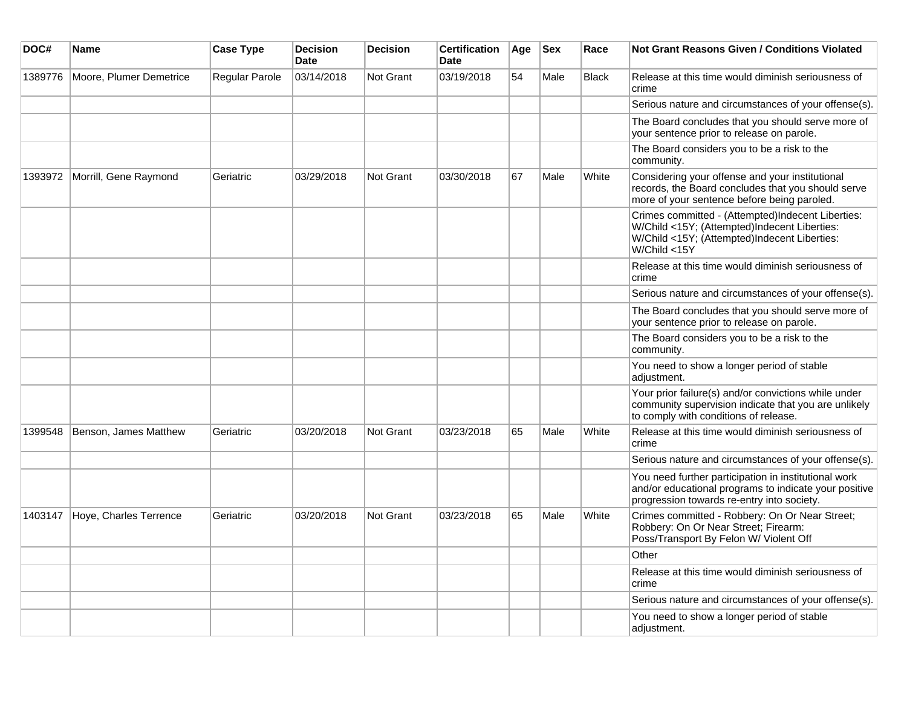| DOC#    | <b>Name</b>             | <b>Case Type</b> | <b>Decision</b><br><b>Date</b> | <b>Decision</b>  | <b>Certification</b><br><b>Date</b> | Age | <b>Sex</b> | Race         | <b>Not Grant Reasons Given / Conditions Violated</b>                                                                                                              |
|---------|-------------------------|------------------|--------------------------------|------------------|-------------------------------------|-----|------------|--------------|-------------------------------------------------------------------------------------------------------------------------------------------------------------------|
| 1389776 | Moore, Plumer Demetrice | Regular Parole   | 03/14/2018                     | Not Grant        | 03/19/2018                          | 54  | Male       | <b>Black</b> | Release at this time would diminish seriousness of<br>crime                                                                                                       |
|         |                         |                  |                                |                  |                                     |     |            |              | Serious nature and circumstances of your offense(s).                                                                                                              |
|         |                         |                  |                                |                  |                                     |     |            |              | The Board concludes that you should serve more of<br>your sentence prior to release on parole.                                                                    |
|         |                         |                  |                                |                  |                                     |     |            |              | The Board considers you to be a risk to the<br>community.                                                                                                         |
| 1393972 | Morrill, Gene Raymond   | Geriatric        | 03/29/2018                     | <b>Not Grant</b> | 03/30/2018                          | 67  | Male       | White        | Considering your offense and your institutional<br>records, the Board concludes that you should serve<br>more of your sentence before being paroled.              |
|         |                         |                  |                                |                  |                                     |     |            |              | Crimes committed - (Attempted)Indecent Liberties:<br>W/Child <15Y; (Attempted)Indecent Liberties:<br>W/Child <15Y; (Attempted)Indecent Liberties:<br>W/Child <15Y |
|         |                         |                  |                                |                  |                                     |     |            |              | Release at this time would diminish seriousness of<br>crime                                                                                                       |
|         |                         |                  |                                |                  |                                     |     |            |              | Serious nature and circumstances of your offense(s).                                                                                                              |
|         |                         |                  |                                |                  |                                     |     |            |              | The Board concludes that you should serve more of<br>your sentence prior to release on parole.                                                                    |
|         |                         |                  |                                |                  |                                     |     |            |              | The Board considers you to be a risk to the<br>community.                                                                                                         |
|         |                         |                  |                                |                  |                                     |     |            |              | You need to show a longer period of stable<br>adjustment.                                                                                                         |
|         |                         |                  |                                |                  |                                     |     |            |              | Your prior failure(s) and/or convictions while under<br>community supervision indicate that you are unlikely<br>to comply with conditions of release.             |
| 1399548 | Benson, James Matthew   | Geriatric        | 03/20/2018                     | Not Grant        | 03/23/2018                          | 65  | Male       | White        | Release at this time would diminish seriousness of<br>crime                                                                                                       |
|         |                         |                  |                                |                  |                                     |     |            |              | Serious nature and circumstances of your offense(s).                                                                                                              |
|         |                         |                  |                                |                  |                                     |     |            |              | You need further participation in institutional work<br>and/or educational programs to indicate your positive<br>progression towards re-entry into society.       |
| 1403147 | Hoye, Charles Terrence  | Geriatric        | 03/20/2018                     | <b>Not Grant</b> | 03/23/2018                          | 65  | Male       | White        | Crimes committed - Robbery: On Or Near Street;<br>Robbery: On Or Near Street; Firearm:<br>Poss/Transport By Felon W/ Violent Off                                  |
|         |                         |                  |                                |                  |                                     |     |            |              | Other                                                                                                                                                             |
|         |                         |                  |                                |                  |                                     |     |            |              | Release at this time would diminish seriousness of<br>crime                                                                                                       |
|         |                         |                  |                                |                  |                                     |     |            |              | Serious nature and circumstances of your offense(s).                                                                                                              |
|         |                         |                  |                                |                  |                                     |     |            |              | You need to show a longer period of stable<br>adjustment.                                                                                                         |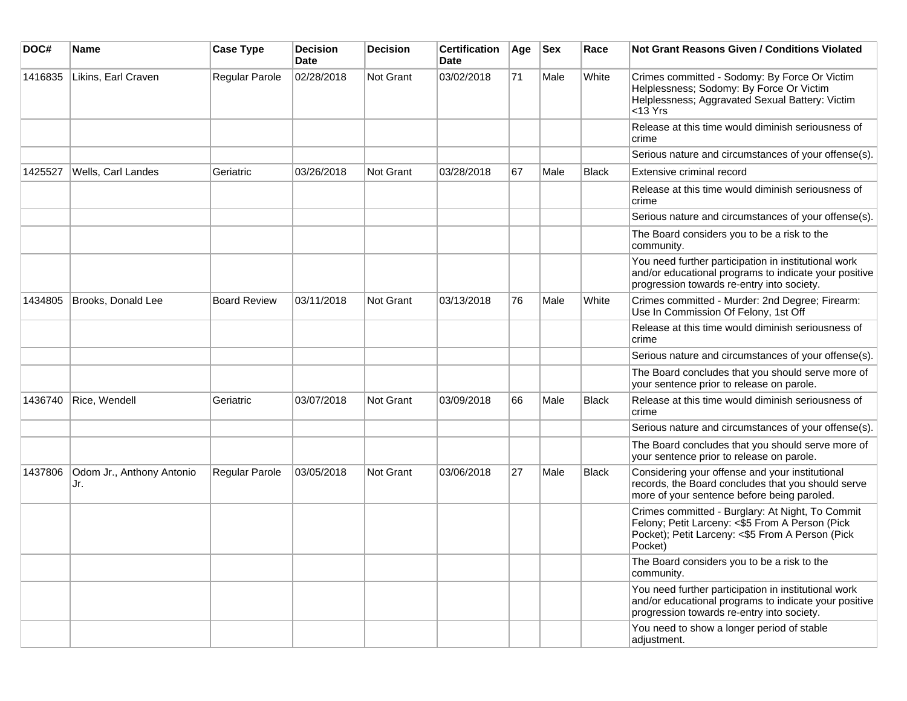| DOC#    | <b>Name</b>                      | <b>Case Type</b>      | <b>Decision</b><br><b>Date</b> | <b>Decision</b> | <b>Certification</b><br>Date | Age | <b>Sex</b> | Race  | <b>Not Grant Reasons Given / Conditions Violated</b>                                                                                                               |
|---------|----------------------------------|-----------------------|--------------------------------|-----------------|------------------------------|-----|------------|-------|--------------------------------------------------------------------------------------------------------------------------------------------------------------------|
| 1416835 | Likins, Earl Craven              | Regular Parole        | 02/28/2018                     | Not Grant       | 03/02/2018                   | 71  | Male       | White | Crimes committed - Sodomy: By Force Or Victim<br>Helplessness; Sodomy: By Force Or Victim<br>Helplessness; Aggravated Sexual Battery: Victim<br>$13 Yrs$           |
|         |                                  |                       |                                |                 |                              |     |            |       | Release at this time would diminish seriousness of<br>crime                                                                                                        |
|         |                                  |                       |                                |                 |                              |     |            |       | Serious nature and circumstances of your offense(s).                                                                                                               |
| 1425527 | Wells, Carl Landes               | Geriatric             | 03/26/2018                     | Not Grant       | 03/28/2018                   | 67  | Male       | Black | Extensive criminal record                                                                                                                                          |
|         |                                  |                       |                                |                 |                              |     |            |       | Release at this time would diminish seriousness of<br>crime                                                                                                        |
|         |                                  |                       |                                |                 |                              |     |            |       | Serious nature and circumstances of your offense(s).                                                                                                               |
|         |                                  |                       |                                |                 |                              |     |            |       | The Board considers you to be a risk to the<br>community.                                                                                                          |
|         |                                  |                       |                                |                 |                              |     |            |       | You need further participation in institutional work<br>and/or educational programs to indicate your positive<br>progression towards re-entry into society.        |
| 1434805 | Brooks, Donald Lee               | <b>Board Review</b>   | 03/11/2018                     | Not Grant       | 03/13/2018                   | 76  | Male       | White | Crimes committed - Murder: 2nd Degree; Firearm:<br>Use In Commission Of Felony, 1st Off                                                                            |
|         |                                  |                       |                                |                 |                              |     |            |       | Release at this time would diminish seriousness of<br>crime                                                                                                        |
|         |                                  |                       |                                |                 |                              |     |            |       | Serious nature and circumstances of your offense(s).                                                                                                               |
|         |                                  |                       |                                |                 |                              |     |            |       | The Board concludes that you should serve more of<br>your sentence prior to release on parole.                                                                     |
| 1436740 | Rice, Wendell                    | Geriatric             | 03/07/2018                     | Not Grant       | 03/09/2018                   | 66  | Male       | Black | Release at this time would diminish seriousness of<br>crime                                                                                                        |
|         |                                  |                       |                                |                 |                              |     |            |       | Serious nature and circumstances of your offense(s).                                                                                                               |
|         |                                  |                       |                                |                 |                              |     |            |       | The Board concludes that you should serve more of<br>your sentence prior to release on parole.                                                                     |
| 1437806 | Odom Jr., Anthony Antonio<br>Jr. | <b>Regular Parole</b> | 03/05/2018                     | Not Grant       | 03/06/2018                   | 27  | Male       | Black | Considering your offense and your institutional<br>records, the Board concludes that you should serve<br>more of your sentence before being paroled.               |
|         |                                  |                       |                                |                 |                              |     |            |       | Crimes committed - Burglary: At Night, To Commit<br>Felony; Petit Larceny: <\$5 From A Person (Pick<br>Pocket); Petit Larceny: <\$5 From A Person (Pick<br>Pocket) |
|         |                                  |                       |                                |                 |                              |     |            |       | The Board considers you to be a risk to the<br>community.                                                                                                          |
|         |                                  |                       |                                |                 |                              |     |            |       | You need further participation in institutional work<br>and/or educational programs to indicate your positive<br>progression towards re-entry into society.        |
|         |                                  |                       |                                |                 |                              |     |            |       | You need to show a longer period of stable<br>adjustment.                                                                                                          |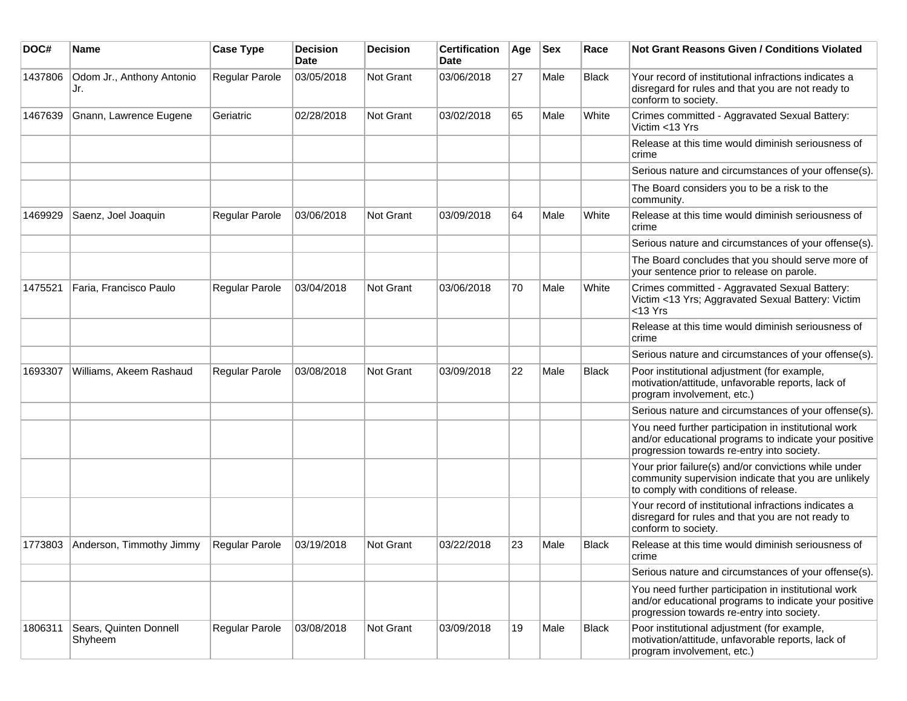| DOC#    | Name                              | <b>Case Type</b> | <b>Decision</b><br>Date | <b>Decision</b> | <b>Certification</b><br><b>Date</b> | Age | <b>Sex</b> | Race         | <b>Not Grant Reasons Given / Conditions Violated</b>                                                                                                        |
|---------|-----------------------------------|------------------|-------------------------|-----------------|-------------------------------------|-----|------------|--------------|-------------------------------------------------------------------------------------------------------------------------------------------------------------|
| 1437806 | Odom Jr., Anthony Antonio<br>Jr.  | Regular Parole   | 03/05/2018              | Not Grant       | 03/06/2018                          | 27  | Male       | <b>Black</b> | Your record of institutional infractions indicates a<br>disregard for rules and that you are not ready to<br>conform to society.                            |
| 1467639 | Gnann, Lawrence Eugene            | Geriatric        | 02/28/2018              | Not Grant       | 03/02/2018                          | 65  | Male       | White        | Crimes committed - Aggravated Sexual Battery:<br>Victim <13 Yrs                                                                                             |
|         |                                   |                  |                         |                 |                                     |     |            |              | Release at this time would diminish seriousness of<br>crime                                                                                                 |
|         |                                   |                  |                         |                 |                                     |     |            |              | Serious nature and circumstances of your offense(s).                                                                                                        |
|         |                                   |                  |                         |                 |                                     |     |            |              | The Board considers you to be a risk to the<br>community.                                                                                                   |
| 1469929 | Saenz, Joel Joaquin               | Regular Parole   | 03/06/2018              | Not Grant       | 03/09/2018                          | 64  | Male       | White        | Release at this time would diminish seriousness of<br>crime                                                                                                 |
|         |                                   |                  |                         |                 |                                     |     |            |              | Serious nature and circumstances of your offense(s).                                                                                                        |
|         |                                   |                  |                         |                 |                                     |     |            |              | The Board concludes that you should serve more of<br>your sentence prior to release on parole.                                                              |
| 1475521 | Faria, Francisco Paulo            | Regular Parole   | 03/04/2018              | Not Grant       | 03/06/2018                          | 70  | Male       | White        | Crimes committed - Aggravated Sexual Battery:<br>Victim <13 Yrs; Aggravated Sexual Battery: Victim<br>$<$ 13 Yrs                                            |
|         |                                   |                  |                         |                 |                                     |     |            |              | Release at this time would diminish seriousness of<br>crime                                                                                                 |
|         |                                   |                  |                         |                 |                                     |     |            |              | Serious nature and circumstances of your offense(s).                                                                                                        |
| 1693307 | Williams, Akeem Rashaud           | Regular Parole   | 03/08/2018              | Not Grant       | 03/09/2018                          | 22  | Male       | Black        | Poor institutional adjustment (for example,<br>motivation/attitude, unfavorable reports, lack of<br>program involvement, etc.)                              |
|         |                                   |                  |                         |                 |                                     |     |            |              | Serious nature and circumstances of your offense(s).                                                                                                        |
|         |                                   |                  |                         |                 |                                     |     |            |              | You need further participation in institutional work<br>and/or educational programs to indicate your positive<br>progression towards re-entry into society. |
|         |                                   |                  |                         |                 |                                     |     |            |              | Your prior failure(s) and/or convictions while under<br>community supervision indicate that you are unlikely<br>to comply with conditions of release.       |
|         |                                   |                  |                         |                 |                                     |     |            |              | Your record of institutional infractions indicates a<br>disregard for rules and that you are not ready to<br>conform to society.                            |
| 1773803 | Anderson, Timmothy Jimmy          | Regular Parole   | 03/19/2018              | Not Grant       | 03/22/2018                          | 23  | Male       | <b>Black</b> | Release at this time would diminish seriousness of<br>crime                                                                                                 |
|         |                                   |                  |                         |                 |                                     |     |            |              | Serious nature and circumstances of your offense(s).                                                                                                        |
|         |                                   |                  |                         |                 |                                     |     |            |              | You need further participation in institutional work<br>and/or educational programs to indicate your positive<br>progression towards re-entry into society. |
| 1806311 | Sears, Quinten Donnell<br>Shyheem | Regular Parole   | 03/08/2018              | Not Grant       | 03/09/2018                          | 19  | Male       | Black        | Poor institutional adjustment (for example,<br>motivation/attitude, unfavorable reports, lack of<br>program involvement, etc.)                              |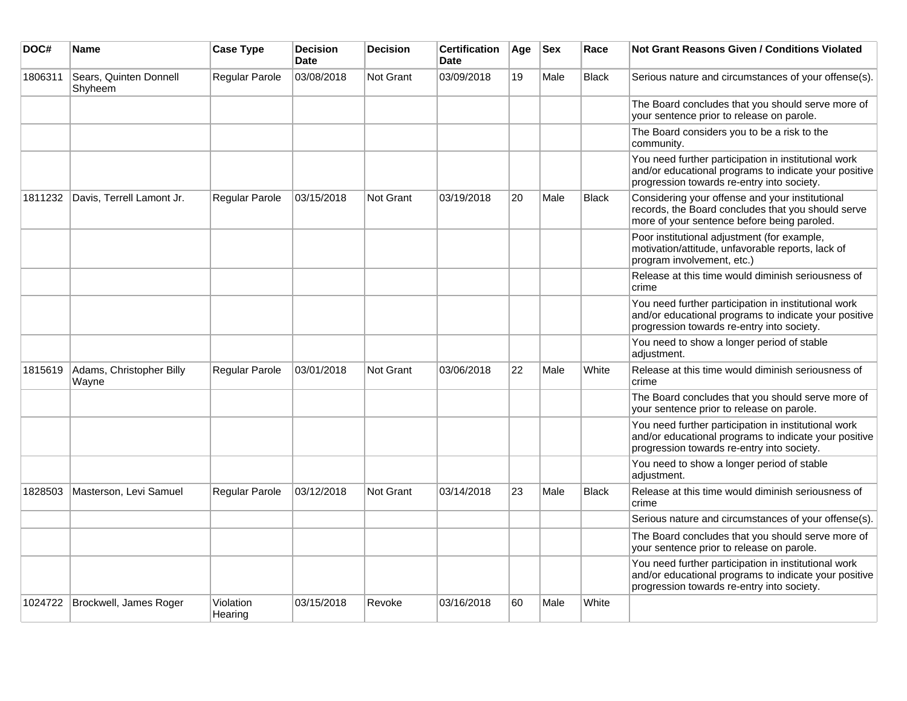| DOC#    | Name                              | <b>Case Type</b>      | <b>Decision</b><br><b>Date</b> | <b>Decision</b>  | <b>Certification</b><br><b>Date</b> | Age | <b>Sex</b> | Race         | <b>Not Grant Reasons Given / Conditions Violated</b>                                                                                                        |
|---------|-----------------------------------|-----------------------|--------------------------------|------------------|-------------------------------------|-----|------------|--------------|-------------------------------------------------------------------------------------------------------------------------------------------------------------|
| 1806311 | Sears, Quinten Donnell<br>Shyheem | Regular Parole        | 03/08/2018                     | Not Grant        | 03/09/2018                          | 19  | Male       | Black        | Serious nature and circumstances of your offense(s).                                                                                                        |
|         |                                   |                       |                                |                  |                                     |     |            |              | The Board concludes that you should serve more of<br>your sentence prior to release on parole.                                                              |
|         |                                   |                       |                                |                  |                                     |     |            |              | The Board considers you to be a risk to the<br>community.                                                                                                   |
|         |                                   |                       |                                |                  |                                     |     |            |              | You need further participation in institutional work<br>and/or educational programs to indicate your positive<br>progression towards re-entry into society. |
| 1811232 | Davis, Terrell Lamont Jr.         | <b>Regular Parole</b> | 03/15/2018                     | <b>Not Grant</b> | 03/19/2018                          | 20  | Male       | <b>Black</b> | Considering your offense and your institutional<br>records, the Board concludes that you should serve<br>more of your sentence before being paroled.        |
|         |                                   |                       |                                |                  |                                     |     |            |              | Poor institutional adjustment (for example,<br>motivation/attitude, unfavorable reports, lack of<br>program involvement, etc.)                              |
|         |                                   |                       |                                |                  |                                     |     |            |              | Release at this time would diminish seriousness of<br>crime                                                                                                 |
|         |                                   |                       |                                |                  |                                     |     |            |              | You need further participation in institutional work<br>and/or educational programs to indicate your positive<br>progression towards re-entry into society. |
|         |                                   |                       |                                |                  |                                     |     |            |              | You need to show a longer period of stable<br>adjustment.                                                                                                   |
| 1815619 | Adams, Christopher Billy<br>Wayne | Regular Parole        | 03/01/2018                     | <b>Not Grant</b> | 03/06/2018                          | 22  | Male       | White        | Release at this time would diminish seriousness of<br>crime                                                                                                 |
|         |                                   |                       |                                |                  |                                     |     |            |              | The Board concludes that you should serve more of<br>your sentence prior to release on parole.                                                              |
|         |                                   |                       |                                |                  |                                     |     |            |              | You need further participation in institutional work<br>and/or educational programs to indicate your positive<br>progression towards re-entry into society. |
|         |                                   |                       |                                |                  |                                     |     |            |              | You need to show a longer period of stable<br>adjustment.                                                                                                   |
| 1828503 | Masterson, Levi Samuel            | Regular Parole        | 03/12/2018                     | <b>Not Grant</b> | 03/14/2018                          | 23  | Male       | Black        | Release at this time would diminish seriousness of<br>crime                                                                                                 |
|         |                                   |                       |                                |                  |                                     |     |            |              | Serious nature and circumstances of your offense(s).                                                                                                        |
|         |                                   |                       |                                |                  |                                     |     |            |              | The Board concludes that you should serve more of<br>your sentence prior to release on parole.                                                              |
|         |                                   |                       |                                |                  |                                     |     |            |              | You need further participation in institutional work<br>and/or educational programs to indicate your positive<br>progression towards re-entry into society. |
| 1024722 | Brockwell, James Roger            | Violation<br>Hearing  | 03/15/2018                     | Revoke           | 03/16/2018                          | 60  | Male       | White        |                                                                                                                                                             |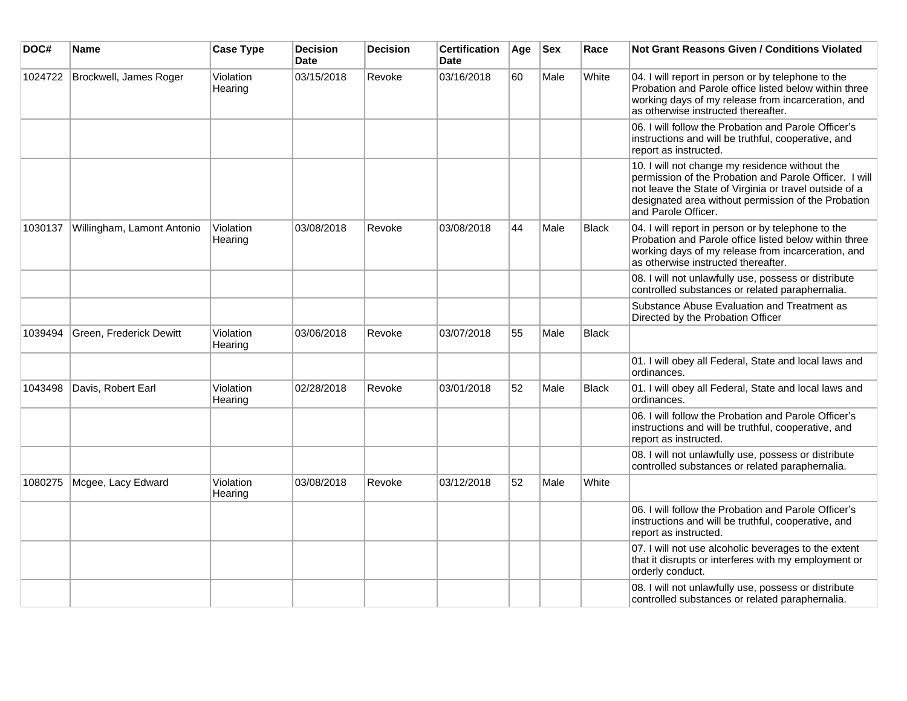| DOC#    | Name                       | <b>Case Type</b>     | <b>Decision</b><br><b>Date</b> | <b>Decision</b> | <b>Certification</b><br><b>Date</b> | Age | <b>Sex</b> | Race         | <b>Not Grant Reasons Given / Conditions Violated</b>                                                                                                                                                                                             |
|---------|----------------------------|----------------------|--------------------------------|-----------------|-------------------------------------|-----|------------|--------------|--------------------------------------------------------------------------------------------------------------------------------------------------------------------------------------------------------------------------------------------------|
| 1024722 | Brockwell, James Roger     | Violation<br>Hearing | 03/15/2018                     | Revoke          | 03/16/2018                          | 60  | Male       | White        | 04. I will report in person or by telephone to the<br>Probation and Parole office listed below within three<br>working days of my release from incarceration, and<br>as otherwise instructed thereafter.                                         |
|         |                            |                      |                                |                 |                                     |     |            |              | 06. I will follow the Probation and Parole Officer's<br>instructions and will be truthful, cooperative, and<br>report as instructed.                                                                                                             |
|         |                            |                      |                                |                 |                                     |     |            |              | 10. I will not change my residence without the<br>permission of the Probation and Parole Officer. I will<br>not leave the State of Virginia or travel outside of a<br>designated area without permission of the Probation<br>and Parole Officer. |
| 1030137 | Willingham, Lamont Antonio | Violation<br>Hearing | 03/08/2018                     | Revoke          | 03/08/2018                          | 44  | Male       | <b>Black</b> | 04. I will report in person or by telephone to the<br>Probation and Parole office listed below within three<br>working days of my release from incarceration, and<br>as otherwise instructed thereafter.                                         |
|         |                            |                      |                                |                 |                                     |     |            |              | 08. I will not unlawfully use, possess or distribute<br>controlled substances or related paraphernalia.                                                                                                                                          |
|         |                            |                      |                                |                 |                                     |     |            |              | Substance Abuse Evaluation and Treatment as<br>Directed by the Probation Officer                                                                                                                                                                 |
| 1039494 | Green, Frederick Dewitt    | Violation<br>Hearing | 03/06/2018                     | Revoke          | 03/07/2018                          | 55  | Male       | <b>Black</b> |                                                                                                                                                                                                                                                  |
|         |                            |                      |                                |                 |                                     |     |            |              | 01. I will obey all Federal, State and local laws and<br>ordinances.                                                                                                                                                                             |
| 1043498 | Davis, Robert Earl         | Violation<br>Hearing | 02/28/2018                     | Revoke          | 03/01/2018                          | 52  | Male       | Black        | 01. I will obey all Federal, State and local laws and<br>ordinances.                                                                                                                                                                             |
|         |                            |                      |                                |                 |                                     |     |            |              | 06. I will follow the Probation and Parole Officer's<br>instructions and will be truthful, cooperative, and<br>report as instructed.                                                                                                             |
|         |                            |                      |                                |                 |                                     |     |            |              | 08. I will not unlawfully use, possess or distribute<br>controlled substances or related paraphernalia.                                                                                                                                          |
| 1080275 | Mcgee, Lacy Edward         | Violation<br>Hearing | 03/08/2018                     | Revoke          | 03/12/2018                          | 52  | Male       | White        |                                                                                                                                                                                                                                                  |
|         |                            |                      |                                |                 |                                     |     |            |              | 06. I will follow the Probation and Parole Officer's<br>instructions and will be truthful, cooperative, and<br>report as instructed.                                                                                                             |
|         |                            |                      |                                |                 |                                     |     |            |              | 07. I will not use alcoholic beverages to the extent<br>that it disrupts or interferes with my employment or<br>orderly conduct.                                                                                                                 |
|         |                            |                      |                                |                 |                                     |     |            |              | 08. I will not unlawfully use, possess or distribute<br>controlled substances or related paraphernalia.                                                                                                                                          |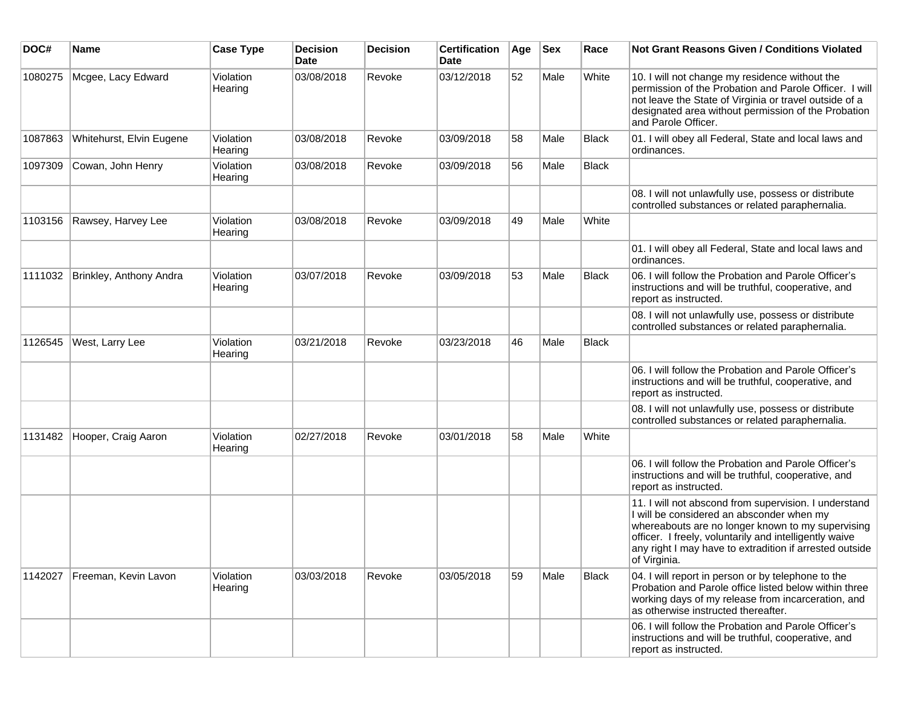| DOC#    | Name                     | <b>Case Type</b>     | <b>Decision</b><br>Date | <b>Decision</b> | <b>Certification</b><br>Date | Age | <b>Sex</b> | Race         | Not Grant Reasons Given / Conditions Violated                                                                                                                                                                                                                                                |
|---------|--------------------------|----------------------|-------------------------|-----------------|------------------------------|-----|------------|--------------|----------------------------------------------------------------------------------------------------------------------------------------------------------------------------------------------------------------------------------------------------------------------------------------------|
| 1080275 | Mcgee, Lacy Edward       | Violation<br>Hearing | 03/08/2018              | Revoke          | 03/12/2018                   | 52  | Male       | White        | 10. I will not change my residence without the<br>permission of the Probation and Parole Officer. I will<br>not leave the State of Virginia or travel outside of a<br>designated area without permission of the Probation<br>and Parole Officer.                                             |
| 1087863 | Whitehurst, Elvin Eugene | Violation<br>Hearing | 03/08/2018              | Revoke          | 03/09/2018                   | 58  | Male       | <b>Black</b> | 01. I will obey all Federal, State and local laws and<br>ordinances.                                                                                                                                                                                                                         |
| 1097309 | Cowan, John Henry        | Violation<br>Hearing | 03/08/2018              | Revoke          | 03/09/2018                   | 56  | Male       | <b>Black</b> |                                                                                                                                                                                                                                                                                              |
|         |                          |                      |                         |                 |                              |     |            |              | 08. I will not unlawfully use, possess or distribute<br>controlled substances or related paraphernalia.                                                                                                                                                                                      |
| 1103156 | Rawsey, Harvey Lee       | Violation<br>Hearing | 03/08/2018              | Revoke          | 03/09/2018                   | 49  | Male       | White        |                                                                                                                                                                                                                                                                                              |
|         |                          |                      |                         |                 |                              |     |            |              | 01. I will obey all Federal, State and local laws and<br>ordinances.                                                                                                                                                                                                                         |
| 1111032 | Brinkley, Anthony Andra  | Violation<br>Hearing | 03/07/2018              | Revoke          | 03/09/2018                   | 53  | Male       | <b>Black</b> | 06. I will follow the Probation and Parole Officer's<br>instructions and will be truthful, cooperative, and<br>report as instructed.                                                                                                                                                         |
|         |                          |                      |                         |                 |                              |     |            |              | 08. I will not unlawfully use, possess or distribute<br>controlled substances or related paraphernalia.                                                                                                                                                                                      |
| 1126545 | West, Larry Lee          | Violation<br>Hearing | 03/21/2018              | Revoke          | 03/23/2018                   | 46  | Male       | <b>Black</b> |                                                                                                                                                                                                                                                                                              |
|         |                          |                      |                         |                 |                              |     |            |              | 06. I will follow the Probation and Parole Officer's<br>instructions and will be truthful, cooperative, and<br>report as instructed.                                                                                                                                                         |
|         |                          |                      |                         |                 |                              |     |            |              | 08. I will not unlawfully use, possess or distribute<br>controlled substances or related paraphernalia.                                                                                                                                                                                      |
| 1131482 | Hooper, Craig Aaron      | Violation<br>Hearing | 02/27/2018              | Revoke          | 03/01/2018                   | 58  | Male       | White        |                                                                                                                                                                                                                                                                                              |
|         |                          |                      |                         |                 |                              |     |            |              | 06. I will follow the Probation and Parole Officer's<br>instructions and will be truthful, cooperative, and<br>report as instructed.                                                                                                                                                         |
|         |                          |                      |                         |                 |                              |     |            |              | 11. I will not abscond from supervision. I understand<br>I will be considered an absconder when my<br>whereabouts are no longer known to my supervising<br>officer. I freely, voluntarily and intelligently waive<br>any right I may have to extradition if arrested outside<br>of Virginia. |
| 1142027 | Freeman, Kevin Lavon     | Violation<br>Hearing | 03/03/2018              | Revoke          | 03/05/2018                   | 59  | Male       | <b>Black</b> | 04. I will report in person or by telephone to the<br>Probation and Parole office listed below within three<br>working days of my release from incarceration, and<br>as otherwise instructed thereafter.                                                                                     |
|         |                          |                      |                         |                 |                              |     |            |              | 06. I will follow the Probation and Parole Officer's<br>instructions and will be truthful, cooperative, and<br>report as instructed.                                                                                                                                                         |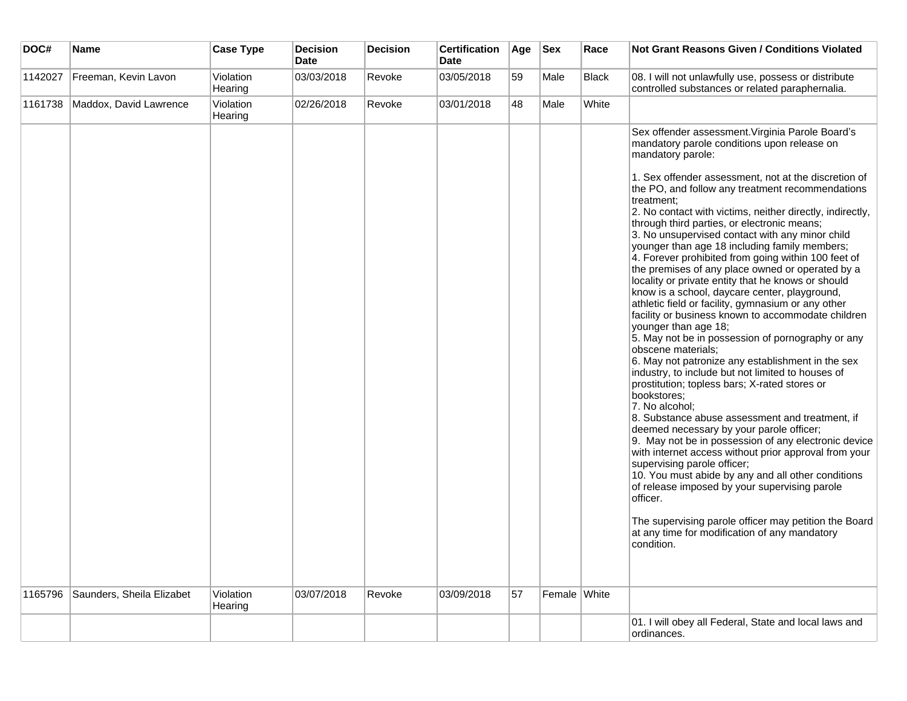| DOC#    | Name                      | <b>Case Type</b>     | <b>Decision</b><br><b>Date</b> | <b>Decision</b> | <b>Certification</b><br><b>Date</b> | Age | $ $ Sex      | Race         | <b>Not Grant Reasons Given / Conditions Violated</b>                                                                                                                                                                                                                                                                                                                                                                                                                                                                                                                                                                                                                                                                                                                                                                                                                                                                                                                                                                                                                                                                                                                                                                                                                                                                                                                                                                                                                                                                                                                                  |
|---------|---------------------------|----------------------|--------------------------------|-----------------|-------------------------------------|-----|--------------|--------------|---------------------------------------------------------------------------------------------------------------------------------------------------------------------------------------------------------------------------------------------------------------------------------------------------------------------------------------------------------------------------------------------------------------------------------------------------------------------------------------------------------------------------------------------------------------------------------------------------------------------------------------------------------------------------------------------------------------------------------------------------------------------------------------------------------------------------------------------------------------------------------------------------------------------------------------------------------------------------------------------------------------------------------------------------------------------------------------------------------------------------------------------------------------------------------------------------------------------------------------------------------------------------------------------------------------------------------------------------------------------------------------------------------------------------------------------------------------------------------------------------------------------------------------------------------------------------------------|
| 1142027 | Freeman, Kevin Lavon      | Violation<br>Hearing | 03/03/2018                     | Revoke          | 03/05/2018                          | 59  | Male         | <b>Black</b> | 08. I will not unlawfully use, possess or distribute<br>controlled substances or related paraphernalia.                                                                                                                                                                                                                                                                                                                                                                                                                                                                                                                                                                                                                                                                                                                                                                                                                                                                                                                                                                                                                                                                                                                                                                                                                                                                                                                                                                                                                                                                               |
| 1161738 | Maddox, David Lawrence    | Violation<br>Hearing | 02/26/2018                     | Revoke          | 03/01/2018                          | 48  | Male         | White        |                                                                                                                                                                                                                                                                                                                                                                                                                                                                                                                                                                                                                                                                                                                                                                                                                                                                                                                                                                                                                                                                                                                                                                                                                                                                                                                                                                                                                                                                                                                                                                                       |
| 1165796 | Saunders, Sheila Elizabet | Violation            | 03/07/2018                     | Revoke          | 03/09/2018                          | 57  | Female White |              | Sex offender assessment. Virginia Parole Board's<br>mandatory parole conditions upon release on<br>mandatory parole:<br>1. Sex offender assessment, not at the discretion of<br>the PO, and follow any treatment recommendations<br>treatment:<br>2. No contact with victims, neither directly, indirectly,<br>through third parties, or electronic means;<br>3. No unsupervised contact with any minor child<br>younger than age 18 including family members;<br>4. Forever prohibited from going within 100 feet of<br>the premises of any place owned or operated by a<br>locality or private entity that he knows or should<br>know is a school, daycare center, playground,<br>athletic field or facility, gymnasium or any other<br>facility or business known to accommodate children<br>younger than age 18;<br>5. May not be in possession of pornography or any<br>obscene materials;<br>6. May not patronize any establishment in the sex<br>industry, to include but not limited to houses of<br>prostitution; topless bars; X-rated stores or<br>bookstores;<br>7. No alcohol;<br>8. Substance abuse assessment and treatment, if<br>deemed necessary by your parole officer;<br>9. May not be in possession of any electronic device<br>with internet access without prior approval from your<br>supervising parole officer;<br>10. You must abide by any and all other conditions<br>of release imposed by your supervising parole<br>officer.<br>The supervising parole officer may petition the Board<br>at any time for modification of any mandatory<br>condition. |
|         |                           | Hearing              |                                |                 |                                     |     |              |              | 01. I will obey all Federal, State and local laws and                                                                                                                                                                                                                                                                                                                                                                                                                                                                                                                                                                                                                                                                                                                                                                                                                                                                                                                                                                                                                                                                                                                                                                                                                                                                                                                                                                                                                                                                                                                                 |
|         |                           |                      |                                |                 |                                     |     |              |              | ordinances.                                                                                                                                                                                                                                                                                                                                                                                                                                                                                                                                                                                                                                                                                                                                                                                                                                                                                                                                                                                                                                                                                                                                                                                                                                                                                                                                                                                                                                                                                                                                                                           |